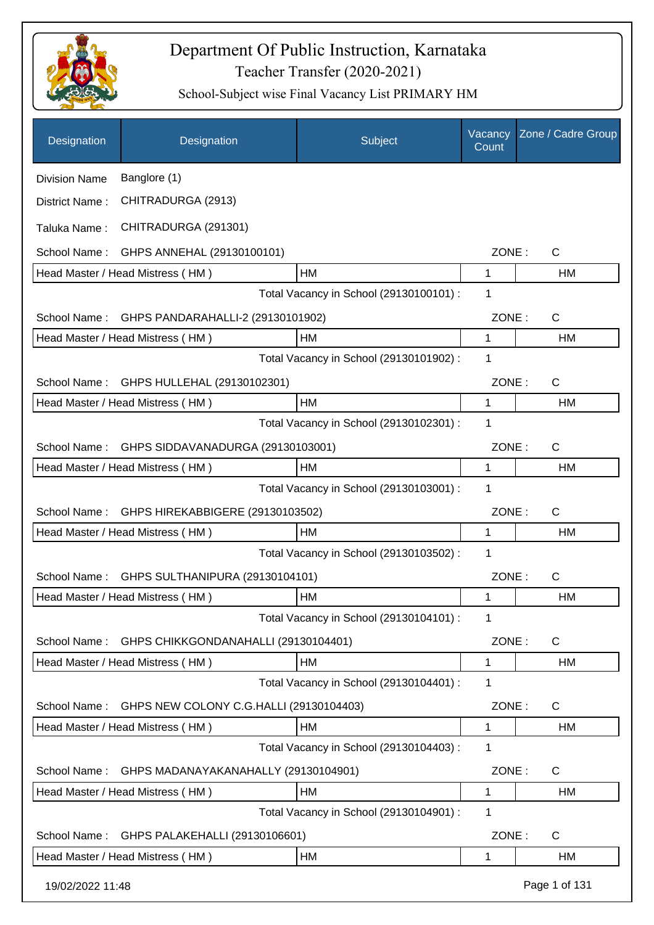

| Designation          | Designation                             | Subject                                 | Vacancy<br>Count | Zone / Cadre Group |
|----------------------|-----------------------------------------|-----------------------------------------|------------------|--------------------|
| <b>Division Name</b> | Banglore (1)                            |                                         |                  |                    |
| District Name:       | CHITRADURGA (2913)                      |                                         |                  |                    |
| Taluka Name:         | CHITRADURGA (291301)                    |                                         |                  |                    |
| School Name:         | GHPS ANNEHAL (29130100101)              |                                         | ZONE:            | $\mathsf{C}$       |
|                      | Head Master / Head Mistress (HM)        | HM                                      | $\mathbf{1}$     | <b>HM</b>          |
|                      |                                         | Total Vacancy in School (29130100101) : | 1                |                    |
| School Name:         | GHPS PANDARAHALLI-2 (29130101902)       |                                         | ZONE:            | $\mathsf{C}$       |
|                      | Head Master / Head Mistress (HM)        | HM                                      | 1                | HM                 |
|                      |                                         | Total Vacancy in School (29130101902) : | 1                |                    |
| School Name:         | GHPS HULLEHAL (29130102301)             |                                         | ZONE:            | $\mathsf{C}$       |
|                      | Head Master / Head Mistress (HM)        | <b>HM</b>                               | $\mathbf{1}$     | HM                 |
|                      |                                         | Total Vacancy in School (29130102301) : | 1                |                    |
| School Name:         | GHPS SIDDAVANADURGA (29130103001)       |                                         | ZONE:            | $\mathsf{C}$       |
|                      | Head Master / Head Mistress (HM)        | <b>HM</b>                               | 1                | <b>HM</b>          |
|                      |                                         | Total Vacancy in School (29130103001) : | 1                |                    |
| School Name:         | GHPS HIREKABBIGERE (29130103502)        |                                         | ZONE:            | $\mathsf{C}$       |
|                      | Head Master / Head Mistress (HM)        | HM                                      | 1                | <b>HM</b>          |
|                      |                                         | Total Vacancy in School (29130103502) : | 1                |                    |
| School Name:         | GHPS SULTHANIPURA (29130104101)         |                                         | ZONE:            | $\mathsf{C}$       |
|                      | Head Master / Head Mistress (HM)        | HM                                      | 1                | HM                 |
|                      |                                         | Total Vacancy in School (29130104101) : | 1                |                    |
| School Name:         | GHPS CHIKKGONDANAHALLI (29130104401)    |                                         | ZONE:            | $\mathsf{C}$       |
|                      | Head Master / Head Mistress (HM)        | HM                                      | 1                | HM                 |
|                      |                                         | Total Vacancy in School (29130104401) : | 1                |                    |
| School Name:         | GHPS NEW COLONY C.G.HALLI (29130104403) |                                         | ZONE:            | C                  |
|                      | Head Master / Head Mistress (HM)        | HM                                      | $\mathbf 1$      | HM                 |
|                      |                                         | Total Vacancy in School (29130104403) : | 1                |                    |
| School Name:         | GHPS MADANAYAKANAHALLY (29130104901)    |                                         | ZONE:            | $\mathsf{C}$       |
|                      | Head Master / Head Mistress (HM)        | HM                                      | 1                | HM                 |
|                      |                                         | Total Vacancy in School (29130104901) : | 1                |                    |
| School Name:         | GHPS PALAKEHALLI (29130106601)          |                                         | ZONE:            | $\mathsf{C}$       |
|                      | Head Master / Head Mistress (HM)        | НM                                      | 1                | НM                 |
| 19/02/2022 11:48     |                                         |                                         |                  | Page 1 of 131      |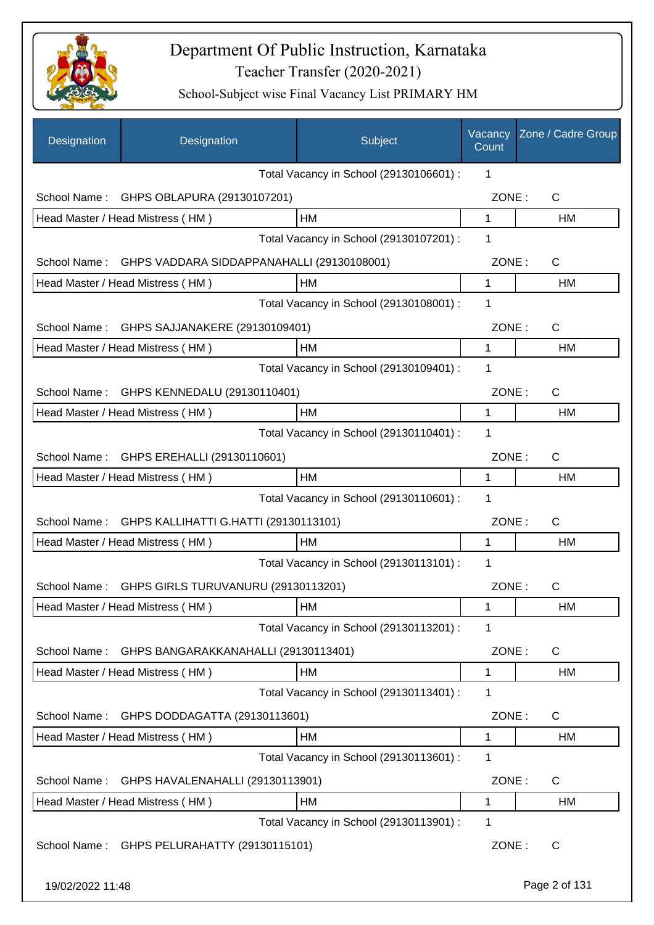

| Designation      | Designation                                | Subject                                 | Vacancy<br>Count | Zone / Cadre Group |
|------------------|--------------------------------------------|-----------------------------------------|------------------|--------------------|
|                  |                                            | Total Vacancy in School (29130106601) : | 1                |                    |
| School Name:     | GHPS OBLAPURA (29130107201)                |                                         | ZONE:            | $\mathsf C$        |
|                  | Head Master / Head Mistress (HM)           | HM                                      | 1                | <b>HM</b>          |
|                  |                                            | Total Vacancy in School (29130107201) : | 1                |                    |
| School Name:     | GHPS VADDARA SIDDAPPANAHALLI (29130108001) |                                         | ZONE:            | C                  |
|                  | Head Master / Head Mistress (HM)           | HM                                      | 1                | HM                 |
|                  |                                            | Total Vacancy in School (29130108001) : | 1                |                    |
| School Name:     | GHPS SAJJANAKERE (29130109401)             |                                         | ZONE:            | C                  |
|                  | Head Master / Head Mistress (HM)           | HM                                      | 1                | HM                 |
|                  |                                            | Total Vacancy in School (29130109401) : | 1                |                    |
| School Name:     | GHPS KENNEDALU (29130110401)               |                                         | ZONE:            | C                  |
|                  | Head Master / Head Mistress (HM)           | HM                                      | 1                | НM                 |
|                  |                                            | Total Vacancy in School (29130110401) : | 1                |                    |
| School Name:     | GHPS EREHALLI (29130110601)                |                                         | ZONE:            | C                  |
|                  | Head Master / Head Mistress (HM)           | HM                                      | 1                | HM                 |
|                  |                                            | Total Vacancy in School (29130110601) : | 1                |                    |
| School Name:     | GHPS KALLIHATTI G.HATTI (29130113101)      |                                         | ZONE:            | $\mathsf{C}$       |
|                  | Head Master / Head Mistress (HM)           | <b>HM</b>                               | 1                | HM                 |
|                  |                                            | Total Vacancy in School (29130113101) : | 1                |                    |
| School Name:     | GHPS GIRLS TURUVANURU (29130113201)        |                                         | ZONE:            | $\mathsf C$        |
|                  | Head Master / Head Mistress (HM)           | HM                                      | $\mathbf{1}$     | HM                 |
|                  |                                            | Total Vacancy in School (29130113201) : | 1                |                    |
| School Name:     | GHPS BANGARAKKANAHALLI (29130113401)       |                                         | ZONE:            | C                  |
|                  | Head Master / Head Mistress (HM)           | HM                                      | 1                | HM                 |
|                  |                                            | Total Vacancy in School (29130113401) : | 1                |                    |
| School Name:     | GHPS DODDAGATTA (29130113601)              |                                         | ZONE:            | C                  |
|                  | Head Master / Head Mistress (HM)           | HM                                      | 1                | HM                 |
|                  |                                            | Total Vacancy in School (29130113601) : | 1                |                    |
| School Name:     | GHPS HAVALENAHALLI (29130113901)           |                                         | ZONE:            | C                  |
|                  | Head Master / Head Mistress (HM)           | HM                                      | 1                | HM                 |
|                  |                                            | Total Vacancy in School (29130113901) : | 1                |                    |
| School Name:     | GHPS PELURAHATTY (29130115101)             |                                         | ZONE:            | C                  |
| 19/02/2022 11:48 |                                            |                                         |                  | Page 2 of 131      |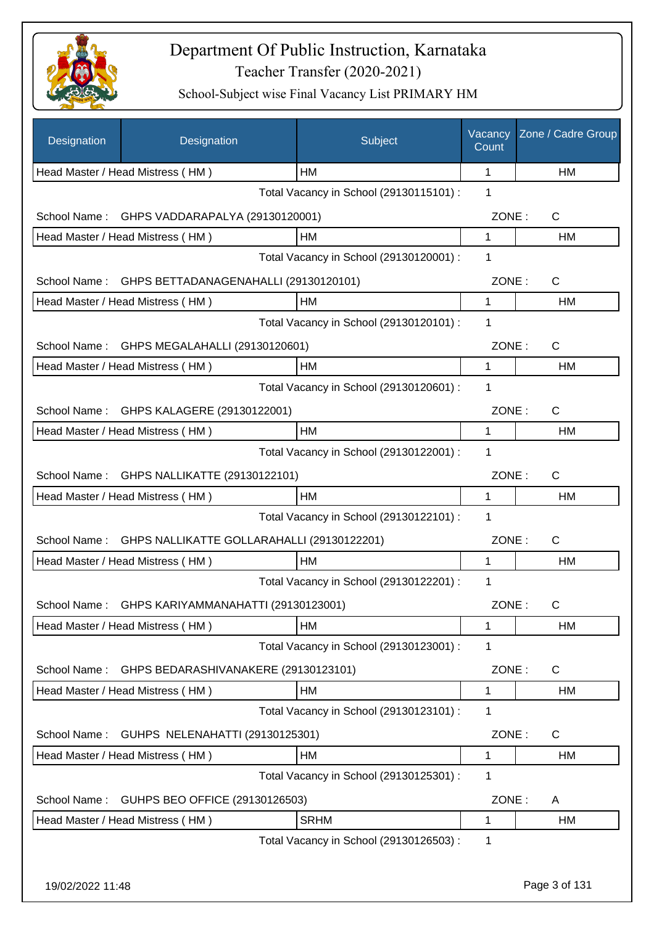

| Designation      | Designation                                                         | Subject                                 | Vacancy<br>Count | Zone / Cadre Group |
|------------------|---------------------------------------------------------------------|-----------------------------------------|------------------|--------------------|
|                  | Head Master / Head Mistress (HM)                                    | <b>HM</b>                               | 1                | HM                 |
|                  |                                                                     | Total Vacancy in School (29130115101) : | 1                |                    |
| School Name:     | GHPS VADDARAPALYA (29130120001)                                     |                                         | ZONE:            | $\mathsf{C}$       |
|                  | Head Master / Head Mistress (HM)                                    | HM                                      | 1                | НM                 |
|                  |                                                                     | Total Vacancy in School (29130120001) : | 1                |                    |
| School Name:     | GHPS BETTADANAGENAHALLI (29130120101)                               |                                         | ZONE:            | $\mathsf{C}$       |
|                  | Head Master / Head Mistress (HM)                                    | HM                                      | 1                | НM                 |
|                  |                                                                     | Total Vacancy in School (29130120101) : | 1                |                    |
| School Name:     | GHPS MEGALAHALLI (29130120601)                                      |                                         | ZONE:            | C                  |
|                  | Head Master / Head Mistress (HM)                                    | HM                                      | 1                | <b>HM</b>          |
|                  |                                                                     | Total Vacancy in School (29130120601) : | 1                |                    |
| School Name:     | GHPS KALAGERE (29130122001)                                         |                                         | ZONE:            | C                  |
|                  | Head Master / Head Mistress (HM)                                    | HM                                      | 1                | HM                 |
|                  |                                                                     | Total Vacancy in School (29130122001) : | 1                |                    |
| School Name:     | GHPS NALLIKATTE (29130122101)                                       |                                         | ZONE:            | C                  |
|                  | Head Master / Head Mistress (HM)                                    | HM                                      | 1                | HM                 |
|                  |                                                                     | Total Vacancy in School (29130122101) : | 1                |                    |
| School Name:     | GHPS NALLIKATTE GOLLARAHALLI (29130122201)                          |                                         | ZONE:            | $\mathsf{C}$       |
|                  | Head Master / Head Mistress (HM)                                    | HM                                      | 1                | HM                 |
|                  |                                                                     | Total Vacancy in School (29130122201) : | 1                |                    |
| School Name :    | GHPS KARIYAMMANAHATTI (29130123001)                                 |                                         | ZONE:            | C.                 |
|                  | Head Master / Head Mistress (HM)                                    | НM                                      | 1                | НM                 |
|                  |                                                                     | Total Vacancy in School (29130123001) : | 1                |                    |
| School Name:     | GHPS BEDARASHIVANAKERE (29130123101)                                |                                         | ZONE:            | C                  |
|                  | Head Master / Head Mistress (HM)                                    | HM                                      | 1                | НM                 |
|                  |                                                                     | Total Vacancy in School (29130123101) : | 1                |                    |
|                  |                                                                     |                                         | ZONE:            | C                  |
| School Name:     | GUHPS NELENAHATTI (29130125301)<br>Head Master / Head Mistress (HM) | HM                                      | 1                | НM                 |
|                  |                                                                     | Total Vacancy in School (29130125301) : | 1                |                    |
|                  |                                                                     |                                         |                  |                    |
| School Name:     | GUHPS BEO OFFICE (29130126503)                                      |                                         | ZONE:            | A                  |
|                  | Head Master / Head Mistress (HM)                                    | <b>SRHM</b>                             | 1                | HM                 |
|                  |                                                                     | Total Vacancy in School (29130126503) : | 1                |                    |
| 19/02/2022 11:48 |                                                                     |                                         |                  | Page 3 of 131      |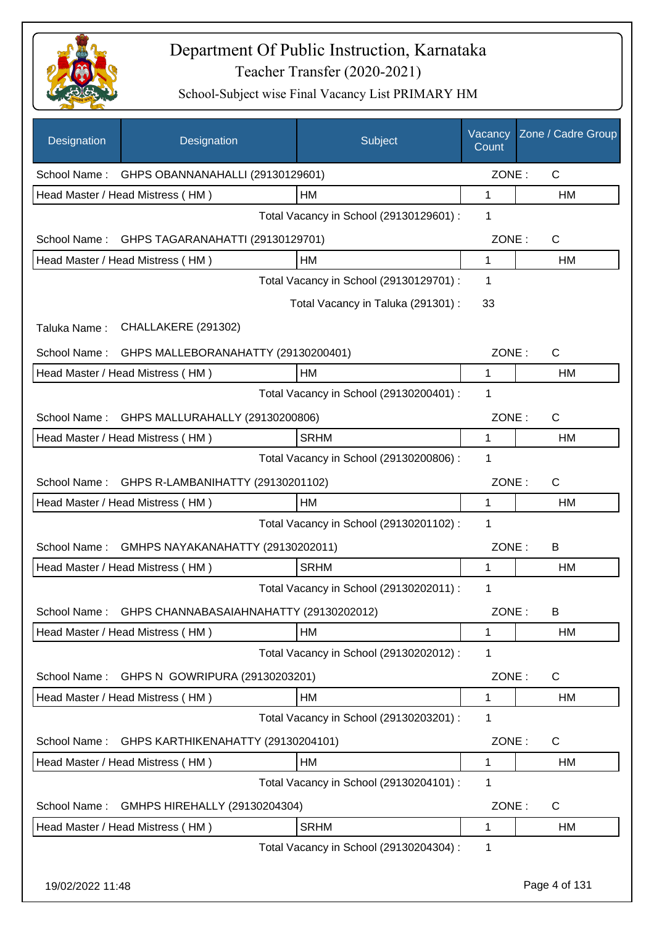

| Designation  | Designation                             | Subject                                 | Vacancy<br>Count | Zone / Cadre Group |
|--------------|-----------------------------------------|-----------------------------------------|------------------|--------------------|
| School Name: | GHPS OBANNANAHALLI (29130129601)        |                                         | ZONE:            | C                  |
|              | Head Master / Head Mistress (HM)        | <b>HM</b>                               | 1                | HM                 |
|              |                                         | Total Vacancy in School (29130129601) : | 1                |                    |
| School Name: | GHPS TAGARANAHATTI (29130129701)        |                                         | ZONE:            | $\mathsf{C}$       |
|              | Head Master / Head Mistress (HM)        | HM                                      | 1                | НM                 |
|              |                                         | Total Vacancy in School (29130129701) : | 1                |                    |
|              |                                         | Total Vacancy in Taluka (291301) :      | 33               |                    |
| Taluka Name: | CHALLAKERE (291302)                     |                                         |                  |                    |
| School Name: | GHPS MALLEBORANAHATTY (29130200401)     |                                         | ZONE:            | $\mathsf{C}$       |
|              | Head Master / Head Mistress (HM)        | <b>HM</b>                               | 1                | HM                 |
|              |                                         | Total Vacancy in School (29130200401) : | 1                |                    |
| School Name: | GHPS MALLURAHALLY (29130200806)         |                                         | ZONE:            | $\mathsf{C}$       |
|              | Head Master / Head Mistress (HM)        | <b>SRHM</b>                             | 1                | НM                 |
|              |                                         | Total Vacancy in School (29130200806) : | 1                |                    |
| School Name: | GHPS R-LAMBANIHATTY (29130201102)       |                                         | ZONE:            | $\mathsf{C}$       |
|              | Head Master / Head Mistress (HM)        | <b>HM</b>                               | 1                | <b>HM</b>          |
|              |                                         | Total Vacancy in School (29130201102) : | 1                |                    |
| School Name: | GMHPS NAYAKANAHATTY (29130202011)       |                                         | ZONE:            | B                  |
|              | Head Master / Head Mistress (HM)        | <b>SRHM</b>                             | 1                | HM                 |
|              |                                         | Total Vacancy in School (29130202011) : | 1                |                    |
| School Name: | GHPS CHANNABASAIAHNAHATTY (29130202012) |                                         | ZONE:            | B                  |
|              | Head Master / Head Mistress (HM)        | HM                                      | 1                | HM                 |
|              |                                         | Total Vacancy in School (29130202012) : | 1                |                    |
| School Name: | GHPS N GOWRIPURA (29130203201)          |                                         | ZONE:            | C                  |
|              | Head Master / Head Mistress (HM)        | HM                                      | 1                | HM                 |
|              |                                         | Total Vacancy in School (29130203201) : | 1                |                    |
| School Name: | GHPS KARTHIKENAHATTY (29130204101)      |                                         | ZONE:            | C                  |
|              | Head Master / Head Mistress (HM)        | HM                                      | 1                | HM                 |
|              |                                         | Total Vacancy in School (29130204101) : | 1                |                    |
| School Name: | GMHPS HIREHALLY (29130204304)           |                                         | ZONE:            | C                  |
|              | Head Master / Head Mistress (HM)        | <b>SRHM</b>                             | 1                | HM                 |
|              |                                         | Total Vacancy in School (29130204304) : | 1                |                    |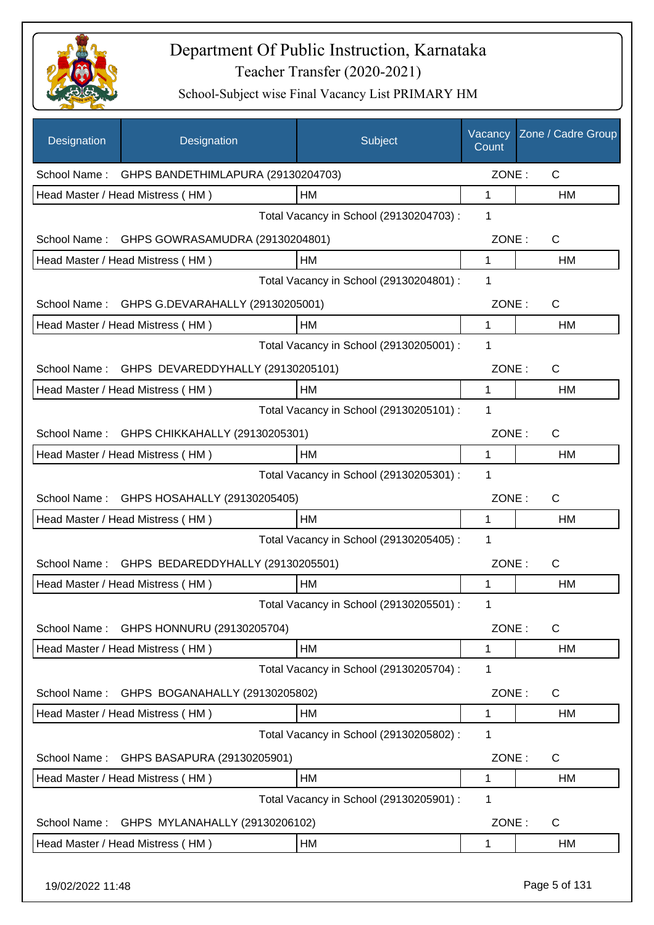

| Designation  | Designation                                   | Subject                                 | Vacancy<br>Count | Zone / Cadre Group |
|--------------|-----------------------------------------------|-----------------------------------------|------------------|--------------------|
| School Name: | GHPS BANDETHIMLAPURA (29130204703)            |                                         | ZONE:            | $\mathsf{C}$       |
|              | Head Master / Head Mistress (HM)              | HM                                      | 1                | HM                 |
|              |                                               | Total Vacancy in School (29130204703) : | 1                |                    |
|              | School Name: GHPS GOWRASAMUDRA (29130204801)  |                                         | ZONE:            | $\mathsf{C}$       |
|              | Head Master / Head Mistress (HM)              | HM                                      | 1                | HM                 |
|              |                                               | Total Vacancy in School (29130204801) : | 1                |                    |
|              | School Name: GHPS G.DEVARAHALLY (29130205001) |                                         | ZONE:            | C                  |
|              | Head Master / Head Mistress (HM)              | HM                                      | 1                | HM                 |
|              |                                               | Total Vacancy in School (29130205001) : | 1                |                    |
| School Name: | GHPS DEVAREDDYHALLY (29130205101)             |                                         | ZONE:            | C                  |
|              | Head Master / Head Mistress (HM)              | HM                                      | 1                | HM                 |
|              |                                               | Total Vacancy in School (29130205101) : | 1                |                    |
| School Name: | GHPS CHIKKAHALLY (29130205301)                |                                         | ZONE:            | C                  |
|              | Head Master / Head Mistress (HM)              | HM                                      | 1                | HM                 |
|              |                                               | Total Vacancy in School (29130205301) : | 1                |                    |
| School Name: | GHPS HOSAHALLY (29130205405)                  |                                         | ZONE:            | C                  |
|              | Head Master / Head Mistress (HM)              | HM                                      | 1                | НM                 |
|              |                                               | Total Vacancy in School (29130205405) : | 1                |                    |
| School Name: | GHPS BEDAREDDYHALLY (29130205501)             |                                         | ZONE:            | C                  |
|              | Head Master / Head Mistress (HM)              | HM                                      | 1                | <b>HM</b>          |
|              |                                               | Total Vacancy in School (29130205501) : | 1                |                    |
| School Name: | GHPS HONNURU (29130205704)                    |                                         | ZONE:            | $\mathsf{C}$       |
|              | Head Master / Head Mistress (HM)              | HM                                      | 1                | HM                 |
|              |                                               | Total Vacancy in School (29130205704) : | 1                |                    |
| School Name: | GHPS BOGANAHALLY (29130205802)                |                                         | ZONE:            | C                  |
|              | Head Master / Head Mistress (HM)              | HM                                      | 1                | HM                 |
|              |                                               | Total Vacancy in School (29130205802) : | 1                |                    |
| School Name: | GHPS BASAPURA (29130205901)                   |                                         | ZONE:            | C                  |
|              | Head Master / Head Mistress (HM)              | HM                                      | 1                | HM                 |
|              |                                               | Total Vacancy in School (29130205901) : | 1                |                    |
| School Name: | GHPS MYLANAHALLY (29130206102)                |                                         | ZONE:            | $\mathsf{C}$       |
|              | Head Master / Head Mistress (HM)              | HM                                      | 1                | HM                 |
|              |                                               |                                         |                  |                    |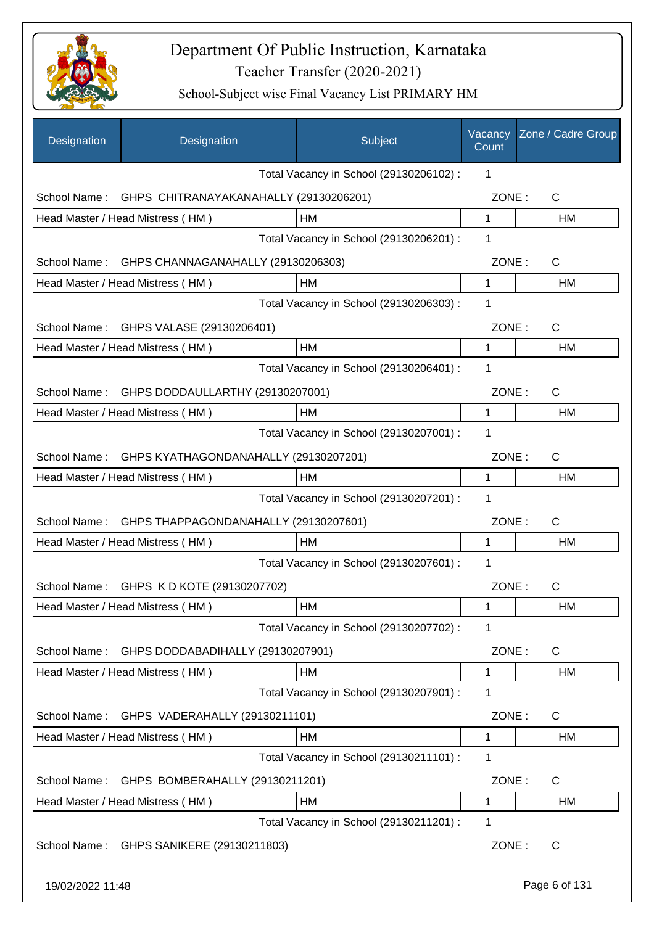

| Designation      | Designation                                     | Subject                                 | Vacancy<br>Count | Zone / Cadre Group |
|------------------|-------------------------------------------------|-----------------------------------------|------------------|--------------------|
|                  |                                                 | Total Vacancy in School (29130206102) : | 1                |                    |
| School Name:     | GHPS CHITRANAYAKANAHALLY (29130206201)          |                                         | ZONE:            | $\mathsf{C}$       |
|                  | Head Master / Head Mistress (HM)                | HM                                      | 1                | <b>HM</b>          |
|                  |                                                 | Total Vacancy in School (29130206201) : | 1                |                    |
|                  | School Name: GHPS CHANNAGANAHALLY (29130206303) |                                         | ZONE:            | C                  |
|                  | Head Master / Head Mistress (HM)                | HM                                      | $\mathbf 1$      | <b>HM</b>          |
|                  |                                                 | Total Vacancy in School (29130206303) : | 1                |                    |
|                  | School Name: GHPS VALASE (29130206401)          |                                         | ZONE:            | C                  |
|                  | Head Master / Head Mistress (HM)                | HM                                      | 1                | HM                 |
|                  |                                                 | Total Vacancy in School (29130206401) : | 1                |                    |
| School Name:     | GHPS DODDAULLARTHY (29130207001)                |                                         | ZONE:            | C                  |
|                  | Head Master / Head Mistress (HM)                | HM                                      | 1                | HM                 |
|                  |                                                 | Total Vacancy in School (29130207001) : | 1                |                    |
| School Name:     | GHPS KYATHAGONDANAHALLY (29130207201)           |                                         | ZONE:            | C                  |
|                  | Head Master / Head Mistress (HM)                | НM                                      | 1                | НM                 |
|                  |                                                 | Total Vacancy in School (29130207201) : | 1                |                    |
| School Name:     | GHPS THAPPAGONDANAHALLY (29130207601)           |                                         | ZONE:            | C                  |
|                  | Head Master / Head Mistress (HM)                | HM                                      | 1                | <b>HM</b>          |
|                  |                                                 | Total Vacancy in School (29130207601) : | 1                |                    |
|                  | School Name: GHPS K D KOTE (29130207702)        |                                         | ZONE:            | C                  |
|                  | Head Master / Head Mistress (HM)                | HM                                      | 1                | HM                 |
|                  |                                                 | Total Vacancy in School (29130207702) : | 1                |                    |
| School Name:     | GHPS DODDABADIHALLY (29130207901)               |                                         | ZONE:            | C                  |
|                  | Head Master / Head Mistress (HM)                | HM                                      | 1                | <b>HM</b>          |
|                  |                                                 | Total Vacancy in School (29130207901) : | 1                |                    |
| School Name:     | GHPS VADERAHALLY (29130211101)                  |                                         | ZONE:            | C                  |
|                  | Head Master / Head Mistress (HM)                | HM                                      | 1                | HM                 |
|                  |                                                 | Total Vacancy in School (29130211101) : | 1                |                    |
| School Name:     | GHPS BOMBERAHALLY (29130211201)                 |                                         | ZONE:            | C                  |
|                  | Head Master / Head Mistress (HM)                | HM                                      | 1                | HM                 |
|                  |                                                 | Total Vacancy in School (29130211201) : | 1                |                    |
| School Name:     | GHPS SANIKERE (29130211803)                     |                                         | ZONE:            | C                  |
| 19/02/2022 11:48 |                                                 |                                         |                  | Page 6 of 131      |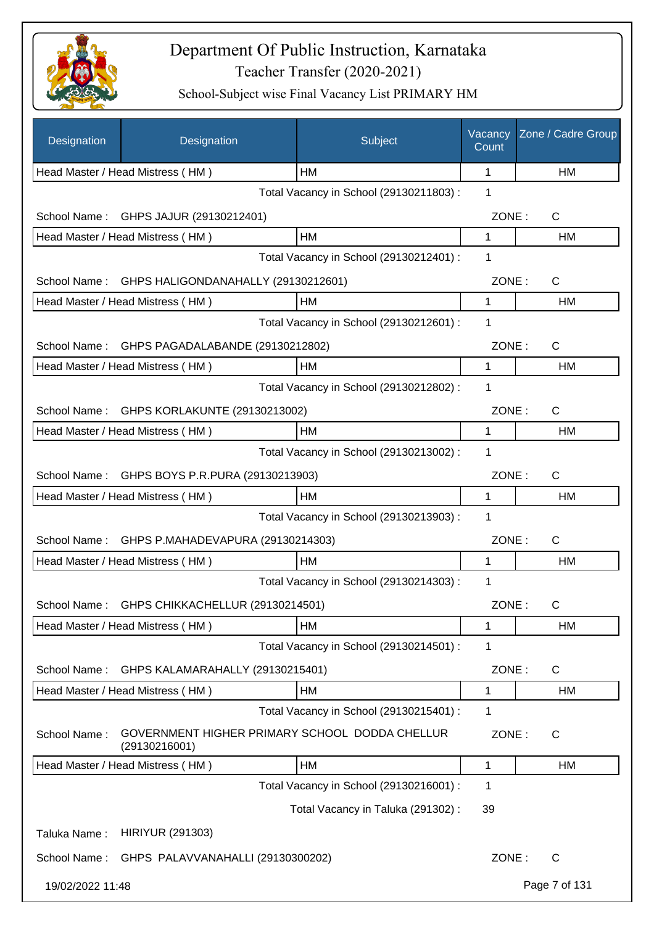

| Designation      | Designation                                                     | Subject                                 | Vacancy<br>Count | Zone / Cadre Group |
|------------------|-----------------------------------------------------------------|-----------------------------------------|------------------|--------------------|
|                  | Head Master / Head Mistress (HM)                                | HМ                                      | 1                | НM                 |
|                  |                                                                 | Total Vacancy in School (29130211803) : | 1                |                    |
| School Name:     | GHPS JAJUR (29130212401)                                        |                                         | ZONE:            | C                  |
|                  | Head Master / Head Mistress (HM)                                | HM                                      | 1                | НM                 |
|                  |                                                                 | Total Vacancy in School (29130212401) : | 1                |                    |
|                  | School Name: GHPS HALIGONDANAHALLY (29130212601)                |                                         | ZONE:            | $\mathsf{C}$       |
|                  | Head Master / Head Mistress (HM)                                | HM                                      | 1                | HM                 |
|                  |                                                                 | Total Vacancy in School (29130212601) : | 1                |                    |
| School Name:     | GHPS PAGADALABANDE (29130212802)                                |                                         | ZONE:            | C                  |
|                  | Head Master / Head Mistress (HM)                                | HM                                      | 1                | HM                 |
|                  |                                                                 | Total Vacancy in School (29130212802) : | 1                |                    |
| School Name:     | GHPS KORLAKUNTE (29130213002)                                   |                                         | ZONE:            | C                  |
|                  | Head Master / Head Mistress (HM)                                | HM                                      | 1                | HM                 |
|                  |                                                                 | Total Vacancy in School (29130213002) : | 1                |                    |
| School Name:     | GHPS BOYS P.R.PURA (29130213903)                                |                                         | ZONE:            | C                  |
|                  | Head Master / Head Mistress (HM)                                | HM                                      | 1                | HM                 |
|                  |                                                                 | Total Vacancy in School (29130213903) : | 1                |                    |
| School Name:     | GHPS P.MAHADEVAPURA (29130214303)                               |                                         | ZONE:            | $\mathsf C$        |
|                  | Head Master / Head Mistress (HM)                                | НM                                      | 1                | НM                 |
|                  |                                                                 | Total Vacancy in School (29130214303) : | 1                |                    |
| School Name:     | GHPS CHIKKACHELLUR (29130214501)                                |                                         | ZONE:            | С                  |
|                  | Head Master / Head Mistress (HM)                                | HM                                      | 1                | HM                 |
|                  |                                                                 | Total Vacancy in School (29130214501) : | 1                |                    |
| School Name:     | GHPS KALAMARAHALLY (29130215401)                                |                                         | ZONE:            | $\mathsf{C}$       |
|                  | Head Master / Head Mistress (HM)                                | HM                                      | 1                | HM                 |
|                  |                                                                 | Total Vacancy in School (29130215401) : | 1                |                    |
| School Name:     | GOVERNMENT HIGHER PRIMARY SCHOOL DODDA CHELLUR<br>(29130216001) |                                         | ZONE:            | C                  |
|                  | Head Master / Head Mistress (HM)                                | HM                                      | 1                | НM                 |
|                  |                                                                 | Total Vacancy in School (29130216001) : | 1                |                    |
|                  |                                                                 | Total Vacancy in Taluka (291302):       | 39               |                    |
| Taluka Name:     | <b>HIRIYUR (291303)</b>                                         |                                         |                  |                    |
| School Name:     | GHPS PALAVVANAHALLI (29130300202)                               |                                         | ZONE:            | C                  |
| 19/02/2022 11:48 |                                                                 |                                         |                  | Page 7 of 131      |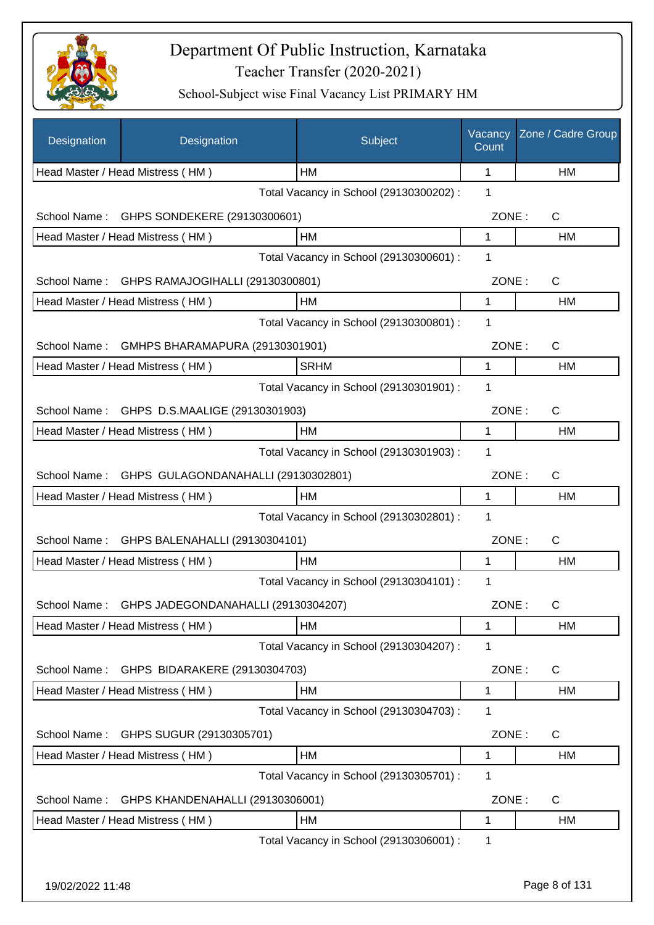

| Designation      | Designation                                 | Subject                                 | Vacancy<br>Count | Zone / Cadre Group |
|------------------|---------------------------------------------|-----------------------------------------|------------------|--------------------|
|                  | Head Master / Head Mistress (HM)            | HМ                                      | $\mathbf{1}$     | НM                 |
|                  |                                             | Total Vacancy in School (29130300202) : | 1                |                    |
| School Name:     | GHPS SONDEKERE (29130300601)                |                                         | ZONE:            | C                  |
|                  | Head Master / Head Mistress (HM)            | HM                                      | 1                | НM                 |
|                  |                                             | Total Vacancy in School (29130300601) : | 1                |                    |
| School Name:     | GHPS RAMAJOGIHALLI (29130300801)            |                                         | ZONE:            | C                  |
|                  | Head Master / Head Mistress (HM)            | HM                                      | 1                | HM                 |
|                  |                                             | Total Vacancy in School (29130300801) : | 1                |                    |
| School Name:     | GMHPS BHARAMAPURA (29130301901)             |                                         | ZONE:            | $\mathsf{C}$       |
|                  | Head Master / Head Mistress (HM)            | <b>SRHM</b>                             | 1                | HM                 |
|                  |                                             | Total Vacancy in School (29130301901) : | 1                |                    |
|                  | School Name: GHPS D.S.MAALIGE (29130301903) |                                         | ZONE:            | C                  |
|                  | Head Master / Head Mistress (HM)            | HM                                      | 1                | HM                 |
|                  |                                             | Total Vacancy in School (29130301903) : | 1                |                    |
| School Name:     | GHPS GULAGONDANAHALLI (29130302801)         |                                         | ZONE:            | C                  |
|                  | Head Master / Head Mistress (HM)            | HM                                      | 1                | HM                 |
|                  |                                             | Total Vacancy in School (29130302801) : | 1                |                    |
| School Name:     | GHPS BALENAHALLI (29130304101)              |                                         | ZONE:            | C                  |
|                  | Head Master / Head Mistress (HM)            | HM                                      | 1                | HM                 |
|                  |                                             | Total Vacancy in School (29130304101) : | 1                |                    |
| School Name:     | GHPS JADEGONDANAHALLI (29130304207)         |                                         | ZONE:            | С                  |
|                  | Head Master / Head Mistress (HM)            | HM                                      | 1                | НM                 |
|                  |                                             | Total Vacancy in School (29130304207) : | 1                |                    |
| School Name:     | GHPS BIDARAKERE (29130304703)               |                                         | ZONE:            | C                  |
|                  | Head Master / Head Mistress (HM)            | HM                                      | 1                | HM                 |
|                  |                                             | Total Vacancy in School (29130304703) : | 1                |                    |
|                  | School Name: GHPS SUGUR (29130305701)       |                                         | ZONE:            | $\mathsf{C}$       |
|                  | Head Master / Head Mistress (HM)            | HM                                      | 1                | HM                 |
|                  |                                             | Total Vacancy in School (29130305701) : | 1                |                    |
| School Name:     | GHPS KHANDENAHALLI (29130306001)            |                                         | ZONE:            | C                  |
|                  | Head Master / Head Mistress (HM)            | HM                                      | 1                | HM                 |
|                  |                                             | Total Vacancy in School (29130306001) : | 1                |                    |
|                  |                                             |                                         |                  |                    |
| 19/02/2022 11:48 |                                             |                                         |                  | Page 8 of 131      |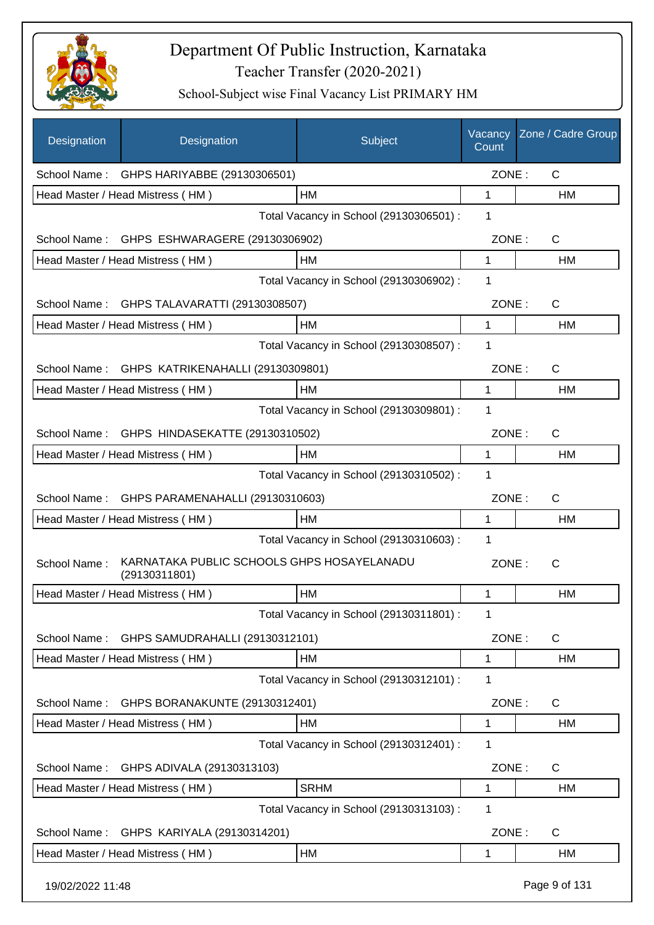

| Designation      | Designation                                                 | Subject                                 | Vacancy<br>Count | Zone / Cadre Group |
|------------------|-------------------------------------------------------------|-----------------------------------------|------------------|--------------------|
|                  | School Name: GHPS HARIYABBE (29130306501)                   |                                         | ZONE:            | $\mathsf{C}$       |
|                  | Head Master / Head Mistress (HM)                            | HM                                      | 1                | HM                 |
|                  |                                                             | Total Vacancy in School (29130306501) : | 1                |                    |
|                  | School Name: GHPS ESHWARAGERE (29130306902)                 |                                         | ZONE:            | $\mathsf{C}$       |
|                  | Head Master / Head Mistress (HM)                            | НM                                      | 1                | HM                 |
|                  |                                                             | Total Vacancy in School (29130306902) : | 1                |                    |
|                  | School Name: GHPS TALAVARATTI (29130308507)                 |                                         | ZONE:            | C                  |
|                  | Head Master / Head Mistress (HM)                            | НM                                      | $\mathbf 1$      | HM                 |
|                  |                                                             | Total Vacancy in School (29130308507) : | 1                |                    |
|                  | School Name: GHPS KATRIKENAHALLI (29130309801)              |                                         | ZONE:            | C                  |
|                  | Head Master / Head Mistress (HM)                            | HM                                      | 1                | HM                 |
|                  |                                                             | Total Vacancy in School (29130309801) : | 1                |                    |
|                  | School Name: GHPS HINDASEKATTE (29130310502)                |                                         | ZONE:            | C                  |
|                  | Head Master / Head Mistress (HM)                            | HM                                      | 1                | HM                 |
|                  |                                                             | Total Vacancy in School (29130310502) : | 1                |                    |
| School Name:     | GHPS PARAMENAHALLI (29130310603)                            |                                         | ZONE:            | C                  |
|                  | Head Master / Head Mistress (HM)                            | HM                                      | 1                | HM                 |
|                  |                                                             | Total Vacancy in School (29130310603) : | $\mathbf 1$      |                    |
| School Name:     | KARNATAKA PUBLIC SCHOOLS GHPS HOSAYELANADU<br>(29130311801) |                                         | ZONE:            | С                  |
|                  | Head Master / Head Mistress (HM)                            | <b>HM</b>                               | 1                | <b>HM</b>          |
|                  |                                                             | Total Vacancy in School (29130311801) : | 1                |                    |
| School Name:     | GHPS SAMUDRAHALLI (29130312101)                             |                                         | ZONE:            | C                  |
|                  | Head Master / Head Mistress (HM)                            | НM                                      | 1                | HM                 |
|                  |                                                             | Total Vacancy in School (29130312101) : | 1                |                    |
| School Name:     | GHPS BORANAKUNTE (29130312401)                              |                                         | ZONE:            | C                  |
|                  | Head Master / Head Mistress (HM)                            | HM                                      | 1                | НM                 |
|                  |                                                             | Total Vacancy in School (29130312401) : | 1                |                    |
| School Name:     | GHPS ADIVALA (29130313103)                                  |                                         | ZONE:            | C                  |
|                  | Head Master / Head Mistress (HM)                            | <b>SRHM</b>                             | 1                | HM                 |
|                  |                                                             | Total Vacancy in School (29130313103) : | 1                |                    |
| School Name:     | GHPS KARIYALA (29130314201)                                 |                                         | ZONE:            | $\mathsf{C}$       |
|                  | Head Master / Head Mistress (HM)                            | HM                                      | 1                | HM                 |
| 19/02/2022 11:48 |                                                             |                                         |                  | Page 9 of 131      |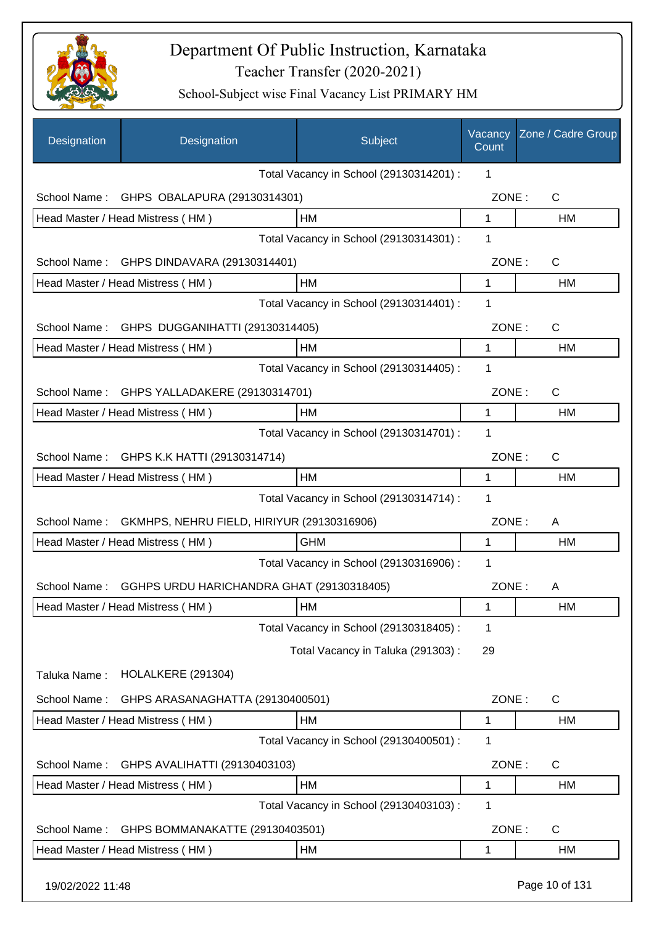

| Designation      | Designation                                | Subject                                 | Vacancy<br>Count | Zone / Cadre Group |
|------------------|--------------------------------------------|-----------------------------------------|------------------|--------------------|
|                  |                                            | Total Vacancy in School (29130314201) : | 1                |                    |
| School Name:     | GHPS OBALAPURA (29130314301)               |                                         | ZONE:            | $\mathsf{C}$       |
|                  | Head Master / Head Mistress (HM)           | HM                                      | $\mathbf{1}$     | HM                 |
|                  |                                            | Total Vacancy in School (29130314301) : | 1                |                    |
| School Name:     | GHPS DINDAVARA (29130314401)               |                                         | ZONE:            | C                  |
|                  | Head Master / Head Mistress (HM)           | HM                                      | 1                | HM                 |
|                  |                                            | Total Vacancy in School (29130314401) : | 1                |                    |
| School Name:     | GHPS DUGGANIHATTI (29130314405)            |                                         | ZONE:            | $\mathsf{C}$       |
|                  | Head Master / Head Mistress (HM)           | HM                                      | 1                | HM                 |
|                  |                                            | Total Vacancy in School (29130314405) : | 1                |                    |
| School Name:     | GHPS YALLADAKERE (29130314701)             |                                         | ZONE:            | $\mathsf{C}$       |
|                  | Head Master / Head Mistress (HM)           | <b>HM</b>                               | 1                | HM                 |
|                  |                                            | Total Vacancy in School (29130314701) : | 1                |                    |
|                  | School Name: GHPS K.K HATTI (29130314714)  |                                         | ZONE:            | $\mathsf{C}$       |
|                  | Head Master / Head Mistress (HM)           | HM                                      | 1                | HM                 |
|                  |                                            | Total Vacancy in School (29130314714) : | 1                |                    |
| School Name:     | GKMHPS, NEHRU FIELD, HIRIYUR (29130316906) |                                         | ZONE:            | A                  |
|                  | Head Master / Head Mistress (HM)           | <b>GHM</b>                              | 1                | HM                 |
|                  |                                            | Total Vacancy in School (29130316906) : | 1                |                    |
| School Name:     | GGHPS URDU HARICHANDRA GHAT (29130318405)  |                                         | ZONE:            | A                  |
|                  | Head Master / Head Mistress (HM)           | HM                                      | 1                | HM                 |
|                  |                                            | Total Vacancy in School (29130318405) : | 1                |                    |
|                  |                                            | Total Vacancy in Taluka (291303):       | 29               |                    |
| Taluka Name:     | HOLALKERE (291304)                         |                                         |                  |                    |
| School Name:     | GHPS ARASANAGHATTA (29130400501)           |                                         | ZONE:            | $\mathsf{C}$       |
|                  | Head Master / Head Mistress (HM)           | HM                                      | 1                | HM                 |
|                  |                                            | Total Vacancy in School (29130400501) : | 1                |                    |
| School Name:     | GHPS AVALIHATTI (29130403103)              |                                         | ZONE:            | $\mathsf{C}$       |
|                  | Head Master / Head Mistress (HM)           | HM                                      | 1                | HM                 |
|                  |                                            | Total Vacancy in School (29130403103) : | 1                |                    |
| School Name:     | GHPS BOMMANAKATTE (29130403501)            |                                         | ZONE:            | C                  |
|                  | Head Master / Head Mistress (HM)           | HM                                      | 1                | HM                 |
| 19/02/2022 11:48 |                                            |                                         |                  | Page 10 of 131     |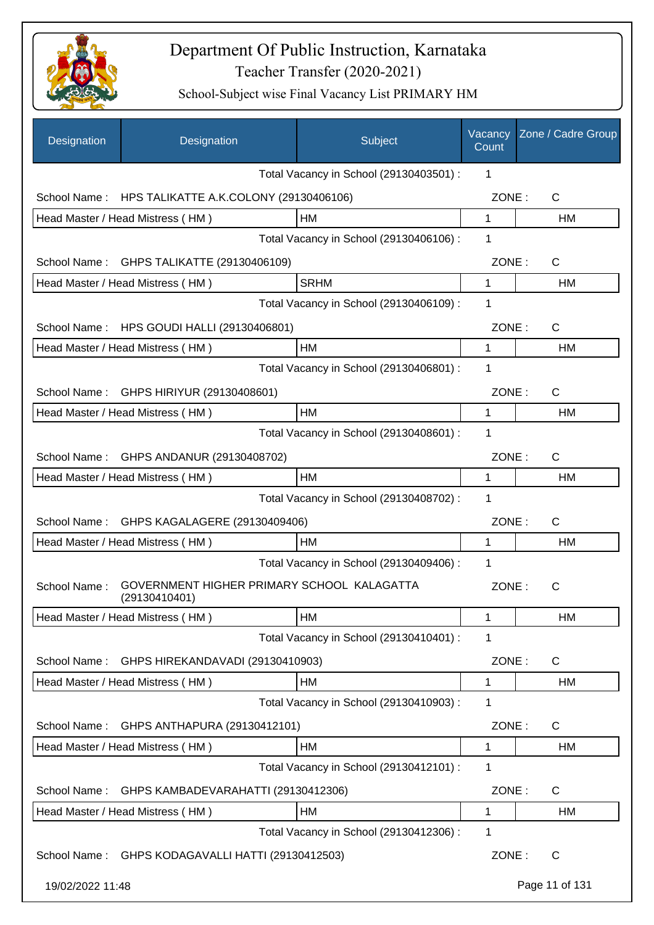

| Designation      | Designation                                                 | Subject                                 | Vacancy<br>Count | Zone / Cadre Group |
|------------------|-------------------------------------------------------------|-----------------------------------------|------------------|--------------------|
|                  |                                                             | Total Vacancy in School (29130403501) : | 1                |                    |
|                  | School Name: HPS TALIKATTE A.K.COLONY (29130406106)         |                                         | ZONE:            | C                  |
|                  | Head Master / Head Mistress (HM)                            | HM                                      | $\mathbf{1}$     | <b>HM</b>          |
|                  |                                                             | Total Vacancy in School (29130406106) : | 1                |                    |
| School Name:     | GHPS TALIKATTE (29130406109)                                |                                         | ZONE:            | C                  |
|                  | Head Master / Head Mistress (HM)                            | <b>SRHM</b>                             | 1                | HM                 |
|                  |                                                             | Total Vacancy in School (29130406109) : | 1                |                    |
| School Name:     | HPS GOUDI HALLI (29130406801)                               |                                         | ZONE:            | C                  |
|                  | Head Master / Head Mistress (HM)                            | HM                                      | 1                | HM                 |
|                  |                                                             | Total Vacancy in School (29130406801) : | 1                |                    |
| School Name:     | GHPS HIRIYUR (29130408601)                                  |                                         | ZONE:            | C                  |
|                  | Head Master / Head Mistress (HM)                            | HM                                      | 1                | НM                 |
|                  |                                                             | Total Vacancy in School (29130408601) : | 1                |                    |
| School Name:     | GHPS ANDANUR (29130408702)                                  |                                         | ZONE:            | C                  |
|                  | Head Master / Head Mistress (HM)                            | HM                                      | $\mathbf 1$      | HM                 |
|                  |                                                             | Total Vacancy in School (29130408702) : | 1                |                    |
| School Name:     | GHPS KAGALAGERE (29130409406)                               |                                         | ZONE:            | C                  |
|                  | Head Master / Head Mistress (HM)                            | HМ                                      | 1                | HM                 |
|                  |                                                             | Total Vacancy in School (29130409406) : | 1                |                    |
| School Name:     | GOVERNMENT HIGHER PRIMARY SCHOOL KALAGATTA<br>(29130410401) |                                         | ZONE:            | С                  |
|                  | Head Master / Head Mistress (HM)                            | HM                                      | 1                | HM                 |
|                  |                                                             | Total Vacancy in School (29130410401) : | 1                |                    |
| School Name:     | GHPS HIREKANDAVADI (29130410903)                            |                                         | ZONE:            | $\mathsf{C}$       |
|                  | Head Master / Head Mistress (HM)                            | HM                                      | 1                | <b>HM</b>          |
|                  |                                                             | Total Vacancy in School (29130410903):  | 1                |                    |
| School Name:     | GHPS ANTHAPURA (29130412101)                                |                                         | ZONE:            | $\mathsf{C}$       |
|                  | Head Master / Head Mistress (HM)                            | HM                                      | 1                | HM                 |
|                  |                                                             | Total Vacancy in School (29130412101) : | 1                |                    |
| School Name:     | GHPS KAMBADEVARAHATTI (29130412306)                         |                                         | ZONE:            | C                  |
|                  | Head Master / Head Mistress (HM)                            | HM                                      | 1                | HM                 |
|                  |                                                             | Total Vacancy in School (29130412306) : | 1                |                    |
| School Name:     | GHPS KODAGAVALLI HATTI (29130412503)                        |                                         | ZONE:            | C                  |
| 19/02/2022 11:48 |                                                             |                                         |                  | Page 11 of 131     |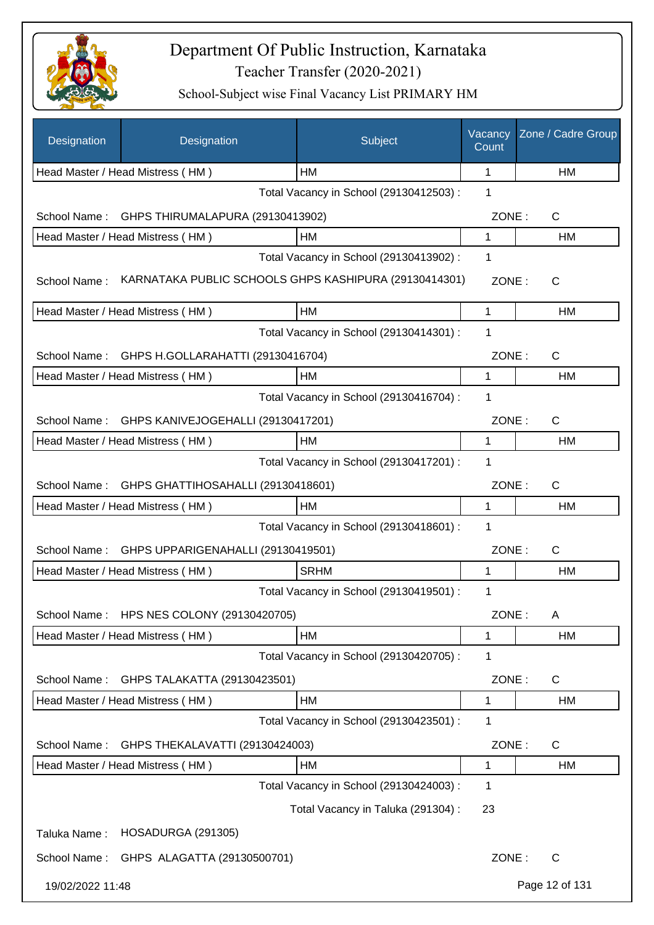

| Designation      | Designation                                           | Subject                                 | Vacancy<br>Count | Zone / Cadre Group |
|------------------|-------------------------------------------------------|-----------------------------------------|------------------|--------------------|
|                  | Head Master / Head Mistress (HM)                      | HМ                                      | 1                | HM                 |
|                  |                                                       | Total Vacancy in School (29130412503) : | 1                |                    |
| School Name:     | GHPS THIRUMALAPURA (29130413902)                      |                                         | ZONE:            | $\mathsf{C}$       |
|                  | Head Master / Head Mistress (HM)                      | HM                                      | 1                | HM                 |
|                  |                                                       | Total Vacancy in School (29130413902) : | 1                |                    |
| School Name:     | KARNATAKA PUBLIC SCHOOLS GHPS KASHIPURA (29130414301) |                                         | ZONE:            | C                  |
|                  | Head Master / Head Mistress (HM)                      | <b>HM</b>                               | 1                | HM                 |
|                  |                                                       | Total Vacancy in School (29130414301) : | 1                |                    |
| School Name:     | GHPS H.GOLLARAHATTI (29130416704)                     |                                         | ZONE:            | $\mathsf{C}$       |
|                  | Head Master / Head Mistress (HM)                      | HM                                      | 1                | HM                 |
|                  |                                                       | Total Vacancy in School (29130416704) : | 1                |                    |
| School Name:     | GHPS KANIVEJOGEHALLI (29130417201)                    |                                         | ZONE:            | $\mathsf{C}$       |
|                  | Head Master / Head Mistress (HM)                      | HM                                      | 1                | HM                 |
|                  |                                                       | Total Vacancy in School (29130417201) : | 1                |                    |
| School Name:     | GHPS GHATTIHOSAHALLI (29130418601)                    |                                         | ZONE:            | C                  |
|                  | Head Master / Head Mistress (HM)                      | HM                                      | 1                | HM                 |
|                  |                                                       | Total Vacancy in School (29130418601) : | 1                |                    |
| School Name:     | GHPS UPPARIGENAHALLI (29130419501)                    |                                         | ZONE:            | $\mathsf{C}$       |
|                  | Head Master / Head Mistress (HM)                      | <b>SRHM</b>                             | 1                | HM                 |
|                  |                                                       | Total Vacancy in School (29130419501) : | 1                |                    |
| School Name:     | HPS NES COLONY (29130420705)                          |                                         | ZONE:            | A                  |
|                  | Head Master / Head Mistress (HM)                      | HM                                      | 1                | HM                 |
|                  |                                                       | Total Vacancy in School (29130420705) : | 1                |                    |
| School Name:     | GHPS TALAKATTA (29130423501)                          |                                         | ZONE:            | C                  |
|                  | Head Master / Head Mistress (HM)                      | HM                                      | 1                | HM                 |
|                  |                                                       | Total Vacancy in School (29130423501) : | 1                |                    |
| School Name:     | GHPS THEKALAVATTI (29130424003)                       |                                         | ZONE:            | C                  |
|                  | Head Master / Head Mistress (HM)                      | HM                                      | 1                | HM                 |
|                  |                                                       | Total Vacancy in School (29130424003) : | 1                |                    |
|                  |                                                       | Total Vacancy in Taluka (291304) :      | 23               |                    |
| Taluka Name:     | HOSADURGA (291305)                                    |                                         |                  |                    |
| School Name:     | GHPS ALAGATTA (29130500701)                           |                                         | ZONE:            | C                  |
| 19/02/2022 11:48 |                                                       |                                         |                  | Page 12 of 131     |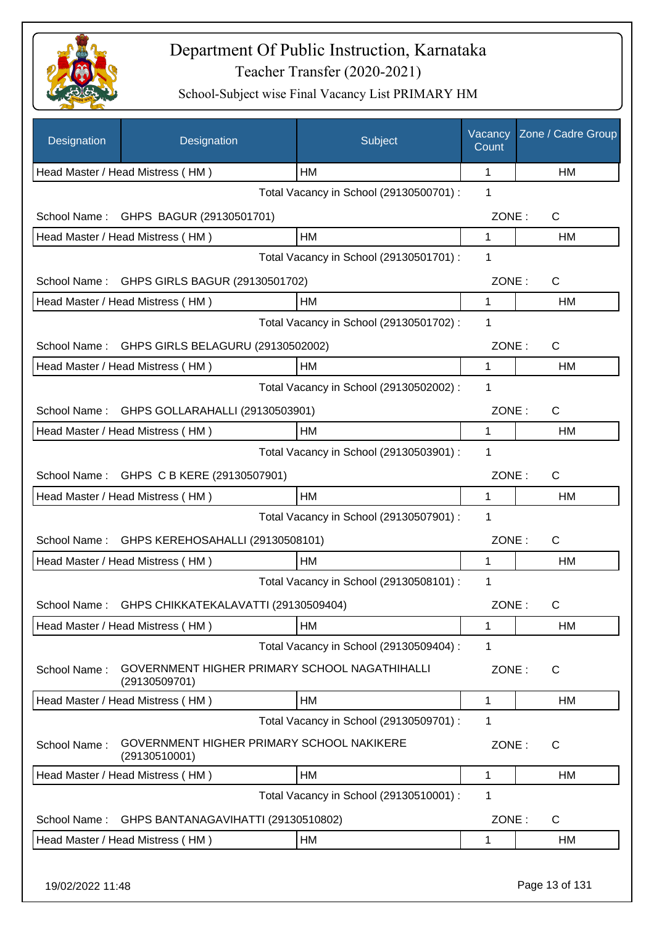

| Designation  | Designation                                                    | Subject                                 | Vacancy<br>Count | Zone / Cadre Group |
|--------------|----------------------------------------------------------------|-----------------------------------------|------------------|--------------------|
|              | Head Master / Head Mistress (HM)                               | HМ                                      | 1                | HM                 |
|              |                                                                | Total Vacancy in School (29130500701) : | 1                |                    |
| School Name: | GHPS BAGUR (29130501701)                                       |                                         | ZONE:            | C                  |
|              | Head Master / Head Mistress (HM)                               | HM                                      | 1                | HM                 |
|              |                                                                | Total Vacancy in School (29130501701) : | 1                |                    |
|              | School Name: GHPS GIRLS BAGUR (29130501702)                    |                                         | ZONE:            | C                  |
|              | Head Master / Head Mistress (HM)                               | <b>HM</b>                               | 1                | HM                 |
|              |                                                                | Total Vacancy in School (29130501702) : | 1                |                    |
| School Name: | GHPS GIRLS BELAGURU (29130502002)                              |                                         | ZONE:            | C                  |
|              | Head Master / Head Mistress (HM)                               | HM                                      | 1                | <b>HM</b>          |
|              |                                                                | Total Vacancy in School (29130502002) : | 1                |                    |
| School Name: | GHPS GOLLARAHALLI (29130503901)                                |                                         | ZONE:            | C                  |
|              | Head Master / Head Mistress (HM)                               | HM                                      | 1                | HM                 |
|              |                                                                | Total Vacancy in School (29130503901) : | 1                |                    |
|              | School Name: GHPS C B KERE (29130507901)                       |                                         | ZONE:            | C                  |
|              | Head Master / Head Mistress (HM)                               | HM                                      | 1                | HM                 |
|              |                                                                | Total Vacancy in School (29130507901) : | 1                |                    |
| School Name: | GHPS KEREHOSAHALLI (29130508101)                               |                                         | ZONE:            | $\mathsf{C}$       |
|              | Head Master / Head Mistress (HM)                               | HM                                      | 1                | HM                 |
|              |                                                                | Total Vacancy in School (29130508101) : | 1                |                    |
| School Name: | GHPS CHIKKATEKALAVATTI (29130509404)                           |                                         | ZONE:            | C                  |
|              | Head Master / Head Mistress (HM)                               | HM                                      | 1                | HM                 |
|              |                                                                | Total Vacancy in School (29130509404) : | 1                |                    |
| School Name: | GOVERNMENT HIGHER PRIMARY SCHOOL NAGATHIHALLI<br>(29130509701) |                                         | ZONE:            | C                  |
|              | Head Master / Head Mistress (HM)                               | <b>HM</b>                               | 1                | HM                 |
|              |                                                                | Total Vacancy in School (29130509701) : | 1                |                    |
| School Name: | GOVERNMENT HIGHER PRIMARY SCHOOL NAKIKERE<br>(29130510001)     |                                         | ZONE:            | C                  |
|              | Head Master / Head Mistress (HM)                               | HM                                      | 1                | HM                 |
|              |                                                                | Total Vacancy in School (29130510001) : | 1                |                    |
| School Name: | GHPS BANTANAGAVIHATTI (29130510802)                            |                                         | ZONE:            | C                  |
|              | Head Master / Head Mistress (HM)                               | HM                                      | 1                | HM                 |
|              |                                                                |                                         |                  |                    |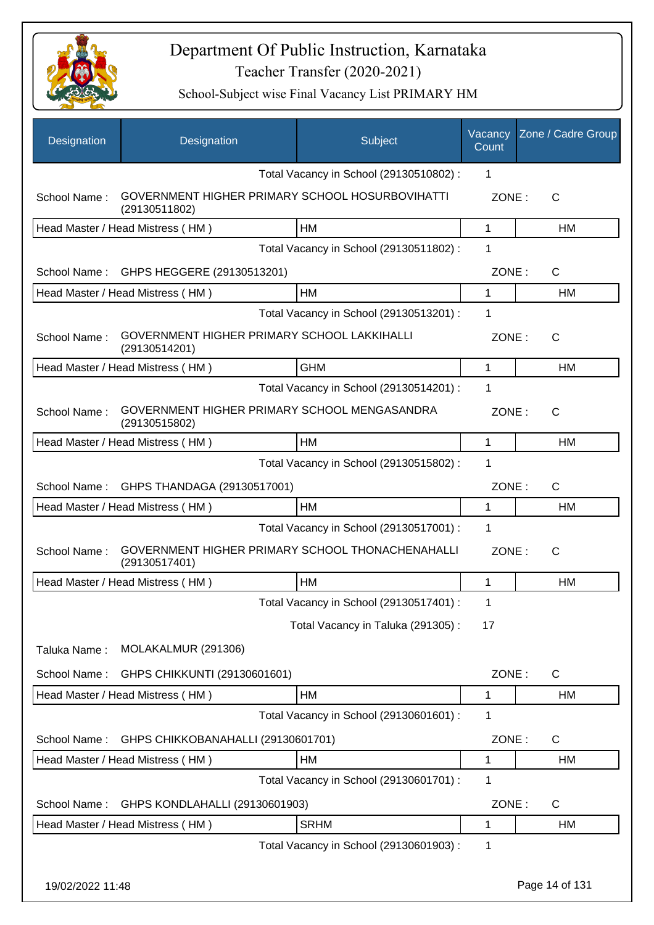

| Designation  | Designation                                                             | Subject                                 | Vacancy<br>Count | Zone / Cadre Group |
|--------------|-------------------------------------------------------------------------|-----------------------------------------|------------------|--------------------|
|              |                                                                         | Total Vacancy in School (29130510802) : | 1                |                    |
| School Name: | <b>GOVERNMENT HIGHER PRIMARY SCHOOL HOSURBOVIHATTI</b><br>(29130511802) |                                         | ZONE:            | $\mathsf{C}$       |
|              | Head Master / Head Mistress (HM)                                        | HM                                      | 1                | HM                 |
|              |                                                                         | Total Vacancy in School (29130511802) : | 1                |                    |
| School Name: | GHPS HEGGERE (29130513201)                                              |                                         | ZONE:            | $\mathsf{C}$       |
|              | Head Master / Head Mistress (HM)                                        | <b>HM</b>                               | 1                | HM                 |
|              |                                                                         | Total Vacancy in School (29130513201) : | 1                |                    |
| School Name: | GOVERNMENT HIGHER PRIMARY SCHOOL LAKKIHALLI<br>(29130514201)            |                                         | ZONE:            | $\mathsf{C}$       |
|              | Head Master / Head Mistress (HM)                                        | <b>GHM</b>                              | $\mathbf{1}$     | <b>HM</b>          |
|              |                                                                         | Total Vacancy in School (29130514201) : | 1                |                    |
| School Name: | GOVERNMENT HIGHER PRIMARY SCHOOL MENGASANDRA<br>(29130515802)           |                                         | ZONE:            | $\mathsf{C}$       |
|              | Head Master / Head Mistress (HM)                                        | HM                                      | 1                | HM                 |
|              |                                                                         | Total Vacancy in School (29130515802) : | 1                |                    |
| School Name: | GHPS THANDAGA (29130517001)                                             |                                         | ZONE:            | $\mathsf{C}$       |
|              | Head Master / Head Mistress (HM)                                        | HM                                      | $\mathbf{1}$     | <b>HM</b>          |
|              |                                                                         | Total Vacancy in School (29130517001) : | 1                |                    |
| School Name: | GOVERNMENT HIGHER PRIMARY SCHOOL THONACHENAHALLI<br>(29130517401)       |                                         | ZONE:            | $\mathsf{C}$       |
|              | Head Master / Head Mistress (HM)                                        | HM                                      | 1                | <b>HM</b>          |
|              |                                                                         | Total Vacancy in School (29130517401) : | 1                |                    |
|              |                                                                         | Total Vacancy in Taluka (291305):       | 17               |                    |
| Taluka Name: | MOLAKALMUR (291306)                                                     |                                         |                  |                    |
| School Name: | GHPS CHIKKUNTI (29130601601)                                            |                                         | ZONE:            | $\mathsf{C}$       |
|              | Head Master / Head Mistress (HM)                                        | HM                                      | 1                | HM                 |
|              |                                                                         | Total Vacancy in School (29130601601) : | 1                |                    |
| School Name: | GHPS CHIKKOBANAHALLI (29130601701)                                      |                                         | ZONE:            | $\mathsf{C}$       |
|              | Head Master / Head Mistress (HM)                                        | HM                                      | 1                | HM                 |
|              |                                                                         | Total Vacancy in School (29130601701) : | 1                |                    |
| School Name: | GHPS KONDLAHALLI (29130601903)                                          |                                         | ZONE:            | $\mathsf{C}$       |
|              | Head Master / Head Mistress (HM)                                        | <b>SRHM</b>                             | 1                | HM                 |
|              |                                                                         | Total Vacancy in School (29130601903):  | 1                |                    |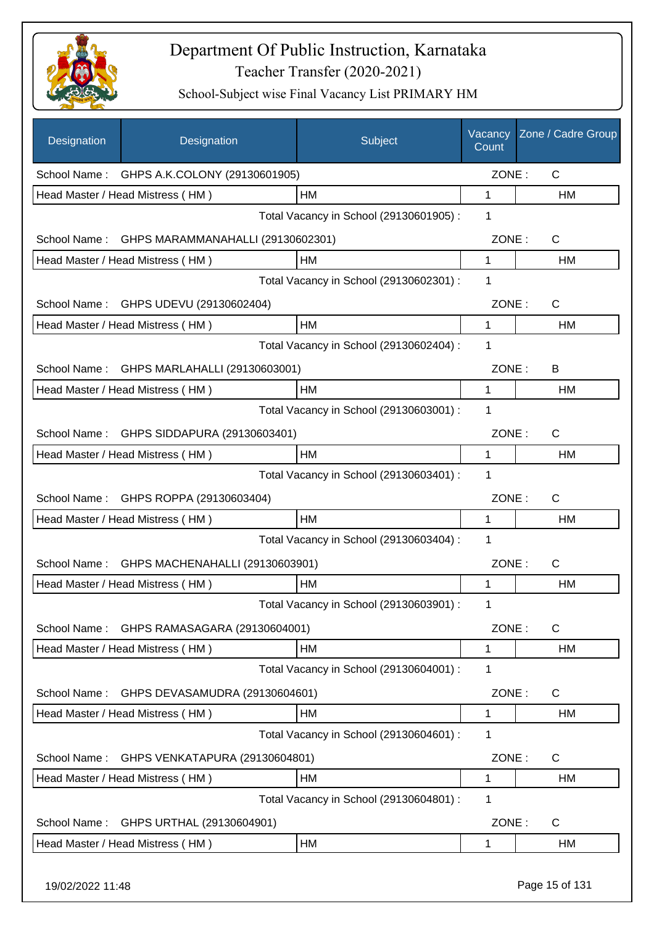

| Designation      | Designation                                    | Subject                                 | Vacancy<br>Count | Zone / Cadre Group |
|------------------|------------------------------------------------|-----------------------------------------|------------------|--------------------|
|                  | School Name: GHPS A.K.COLONY (29130601905)     |                                         | ZONE:            | $\mathsf{C}$       |
|                  | Head Master / Head Mistress (HM)               | HM                                      | 1                | HM                 |
|                  |                                                | Total Vacancy in School (29130601905) : | 1                |                    |
|                  | School Name: GHPS MARAMMANAHALLI (29130602301) |                                         | ZONE:            | $\mathsf{C}$       |
|                  | Head Master / Head Mistress (HM)               | HM                                      | 1                | HM                 |
|                  |                                                | Total Vacancy in School (29130602301) : | 1                |                    |
|                  | School Name: GHPS UDEVU (29130602404)          |                                         | ZONE:            | C                  |
|                  | Head Master / Head Mistress (HM)               | HM                                      | 1                | HM                 |
|                  |                                                | Total Vacancy in School (29130602404) : | 1                |                    |
| School Name:     | GHPS MARLAHALLI (29130603001)                  |                                         | ZONE:            | B                  |
|                  | Head Master / Head Mistress (HM)               | HM                                      | 1                | HM                 |
|                  |                                                | Total Vacancy in School (29130603001) : | 1                |                    |
| School Name:     | GHPS SIDDAPURA (29130603401)                   |                                         | ZONE:            | $\mathsf{C}$       |
|                  | Head Master / Head Mistress (HM)               | HM                                      | 1                | HM                 |
|                  |                                                | Total Vacancy in School (29130603401) : | 1                |                    |
|                  | School Name: GHPS ROPPA (29130603404)          |                                         | ZONE:            | C                  |
|                  | Head Master / Head Mistress (HM)               | <b>HM</b>                               | 1                | HM                 |
|                  |                                                | Total Vacancy in School (29130603404) : | 1                |                    |
| School Name:     | GHPS MACHENAHALLI (29130603901)                |                                         | ZONE:            | C                  |
|                  | Head Master / Head Mistress (HM)               | HM                                      | 1                | <b>HM</b>          |
|                  |                                                | Total Vacancy in School (29130603901) : | 1                |                    |
| School Name:     | GHPS RAMASAGARA (29130604001)                  |                                         | ZONE:            | C                  |
|                  | Head Master / Head Mistress (HM)               | HM                                      | 1                | HM                 |
|                  |                                                | Total Vacancy in School (29130604001) : | 1                |                    |
| School Name:     | GHPS DEVASAMUDRA (29130604601)                 |                                         | ZONE:            | C                  |
|                  | Head Master / Head Mistress (HM)               | HM                                      | 1                | HM                 |
|                  |                                                | Total Vacancy in School (29130604601) : | 1                |                    |
| School Name:     | GHPS VENKATAPURA (29130604801)                 |                                         | ZONE:            | C                  |
|                  | Head Master / Head Mistress (HM)               | HM                                      | 1                | HM                 |
|                  |                                                | Total Vacancy in School (29130604801) : | 1                |                    |
| School Name:     | GHPS URTHAL (29130604901)                      |                                         | ZONE:            | C                  |
|                  | Head Master / Head Mistress (HM)               | HM                                      | 1                | HM                 |
| 19/02/2022 11:48 |                                                |                                         |                  | Page 15 of 131     |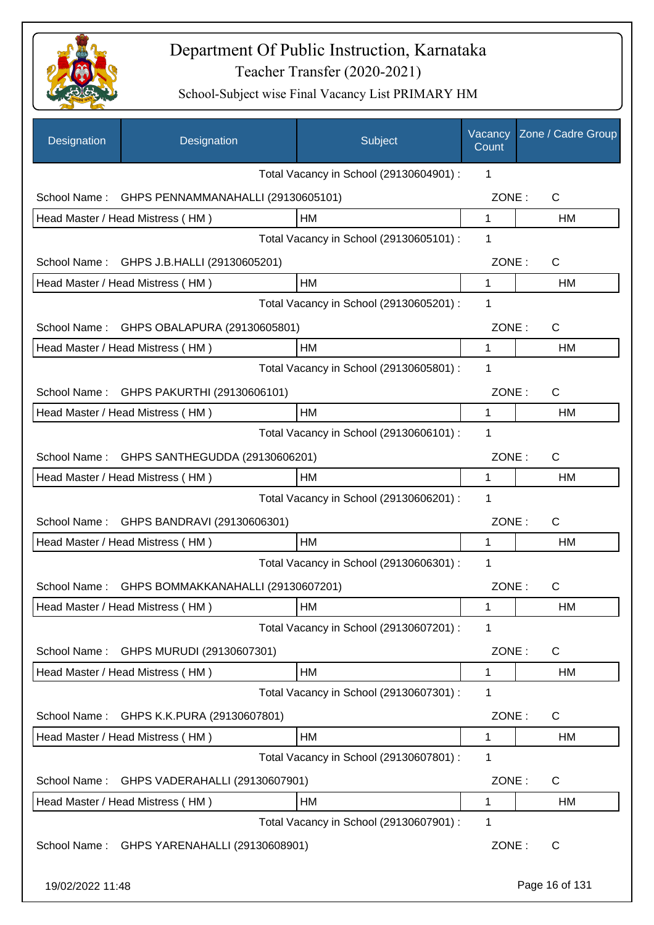

| Designation      | Designation                                 | Subject                                 | Vacancy<br>Count | Zone / Cadre Group |
|------------------|---------------------------------------------|-----------------------------------------|------------------|--------------------|
|                  |                                             | Total Vacancy in School (29130604901) : | 1                |                    |
| School Name:     | GHPS PENNAMMANAHALLI (29130605101)          |                                         | ZONE:            | C                  |
|                  | Head Master / Head Mistress (HM)            | HM                                      | 1                | HM                 |
|                  |                                             | Total Vacancy in School (29130605101) : | 1                |                    |
|                  | School Name: GHPS J.B.HALLI (29130605201)   |                                         | ZONE:            | C                  |
|                  | Head Master / Head Mistress (HM)            | HM                                      | 1                | HM                 |
|                  |                                             | Total Vacancy in School (29130605201) : | 1                |                    |
| School Name:     | GHPS OBALAPURA (29130605801)                |                                         | ZONE:            | C                  |
|                  | Head Master / Head Mistress (HM)            | HM                                      | 1                | НM                 |
|                  |                                             | Total Vacancy in School (29130605801) : | 1                |                    |
| School Name:     | GHPS PAKURTHI (29130606101)                 |                                         | ZONE:            | C                  |
|                  | Head Master / Head Mistress (HM)            | HM                                      | 1                | НM                 |
|                  |                                             | Total Vacancy in School (29130606101) : | 1                |                    |
|                  | School Name: GHPS SANTHEGUDDA (29130606201) |                                         | ZONE:            | $\mathsf{C}$       |
|                  | Head Master / Head Mistress (HM)            | HM                                      | 1                | HM                 |
|                  |                                             | Total Vacancy in School (29130606201) : | 1                |                    |
| School Name:     | GHPS BANDRAVI (29130606301)                 |                                         | ZONE:            | $\mathsf{C}$       |
|                  | Head Master / Head Mistress (HM)            | HМ                                      | 1                | HM                 |
|                  |                                             | Total Vacancy in School (29130606301) : | 1                |                    |
| School Name:     | GHPS BOMMAKKANAHALLI (29130607201)          |                                         | ZONE:            | $\mathsf C$        |
|                  | Head Master / Head Mistress (HM)            | HM                                      | 1                | HM                 |
|                  |                                             | Total Vacancy in School (29130607201) : | 1                |                    |
| School Name:     | GHPS MURUDI (29130607301)                   |                                         | ZONE:            | C                  |
|                  | Head Master / Head Mistress (HM)            | HM                                      | 1                | HM                 |
|                  |                                             | Total Vacancy in School (29130607301) : | 1                |                    |
| School Name:     | GHPS K.K.PURA (29130607801)                 |                                         | ZONE:            | C                  |
|                  | Head Master / Head Mistress (HM)            | HM                                      | 1                | HM                 |
|                  |                                             | Total Vacancy in School (29130607801) : | 1                |                    |
| School Name:     | GHPS VADERAHALLI (29130607901)              |                                         | ZONE:            | C                  |
|                  | Head Master / Head Mistress (HM)            | HM                                      | 1                | HM                 |
|                  |                                             | Total Vacancy in School (29130607901) : | 1                |                    |
| School Name:     | GHPS YARENAHALLI (29130608901)              |                                         | ZONE:            | C                  |
| 19/02/2022 11:48 |                                             |                                         |                  | Page 16 of 131     |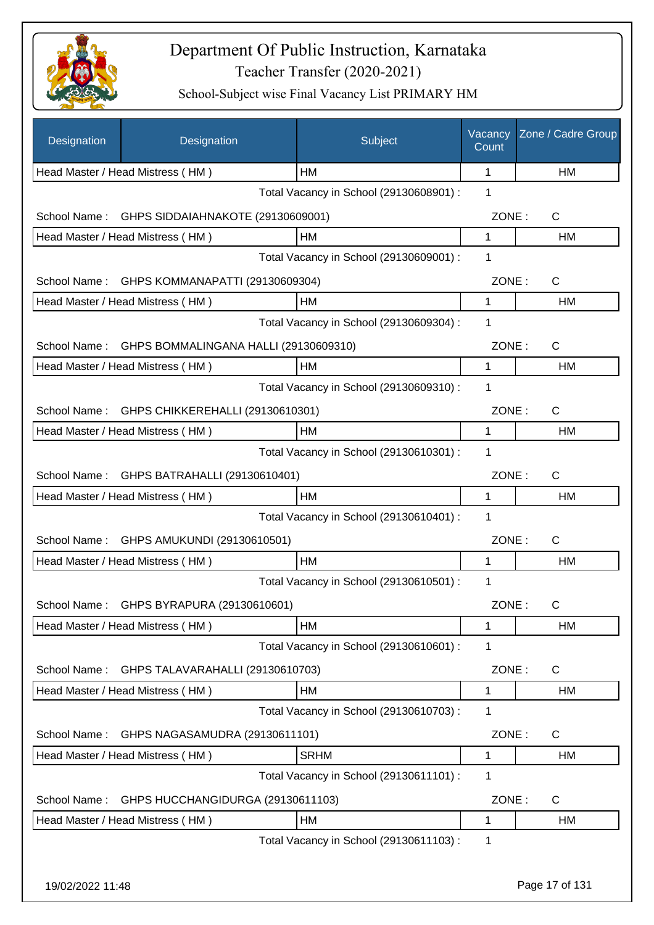

| Designation      | Designation                           | Subject                                 | Vacancy<br>Count | Zone / Cadre Group |
|------------------|---------------------------------------|-----------------------------------------|------------------|--------------------|
|                  | Head Master / Head Mistress (HM)      | HМ                                      | 1                | HM                 |
|                  |                                       | Total Vacancy in School (29130608901) : | 1                |                    |
| School Name:     | GHPS SIDDAIAHNAKOTE (29130609001)     |                                         | ZONE:            | $\mathsf C$        |
|                  | Head Master / Head Mistress (HM)      | HM                                      | 1                | НM                 |
|                  |                                       | Total Vacancy in School (29130609001) : | 1                |                    |
| School Name:     | GHPS KOMMANAPATTI (29130609304)       |                                         | ZONE:            | $\mathsf{C}$       |
|                  | Head Master / Head Mistress (HM)      | HM                                      | 1                | <b>HM</b>          |
|                  |                                       | Total Vacancy in School (29130609304) : | 1                |                    |
| School Name:     | GHPS BOMMALINGANA HALLI (29130609310) |                                         | ZONE:            | C                  |
|                  | Head Master / Head Mistress (HM)      | HM                                      | $\mathbf{1}$     | HM                 |
|                  |                                       | Total Vacancy in School (29130609310) : | 1                |                    |
| School Name:     | GHPS CHIKKEREHALLI (29130610301)      |                                         | ZONE:            | $\mathsf C$        |
|                  | Head Master / Head Mistress (HM)      | HM                                      | 1                | HM                 |
|                  |                                       | Total Vacancy in School (29130610301) : | $\mathbf 1$      |                    |
| School Name:     | GHPS BATRAHALLI (29130610401)         |                                         | ZONE:            | C                  |
|                  | Head Master / Head Mistress (HM)      | HM                                      | 1                | HM                 |
|                  |                                       | Total Vacancy in School (29130610401) : | 1                |                    |
| School Name:     | GHPS AMUKUNDI (29130610501)           |                                         | ZONE:            | C                  |
|                  | Head Master / Head Mistress (HM)      | HM                                      | 1                | НM                 |
|                  |                                       | Total Vacancy in School (29130610501) : | 1                |                    |
| School Name:     | GHPS BYRAPURA (29130610601)           |                                         | ZONE:            | С                  |
|                  | Head Master / Head Mistress (HM)      | HM                                      | 1                | HM                 |
|                  |                                       | Total Vacancy in School (29130610601) : | 1                |                    |
| School Name:     | GHPS TALAVARAHALLI (29130610703)      |                                         | ZONE:            | C                  |
|                  | Head Master / Head Mistress (HM)      | HM                                      | 1                | HM                 |
|                  |                                       | Total Vacancy in School (29130610703) : | 1                |                    |
| School Name:     | GHPS NAGASAMUDRA (29130611101)        |                                         | ZONE:            | $\mathsf{C}$       |
|                  | Head Master / Head Mistress (HM)      | <b>SRHM</b>                             | 1                | HM                 |
|                  |                                       | Total Vacancy in School (29130611101) : | 1                |                    |
| School Name:     | GHPS HUCCHANGIDURGA (29130611103)     |                                         | ZONE:            | C                  |
|                  | Head Master / Head Mistress (HM)      | HM                                      | 1                | HM                 |
|                  |                                       | Total Vacancy in School (29130611103) : | 1                |                    |
|                  |                                       |                                         |                  |                    |
| 19/02/2022 11:48 |                                       |                                         |                  | Page 17 of 131     |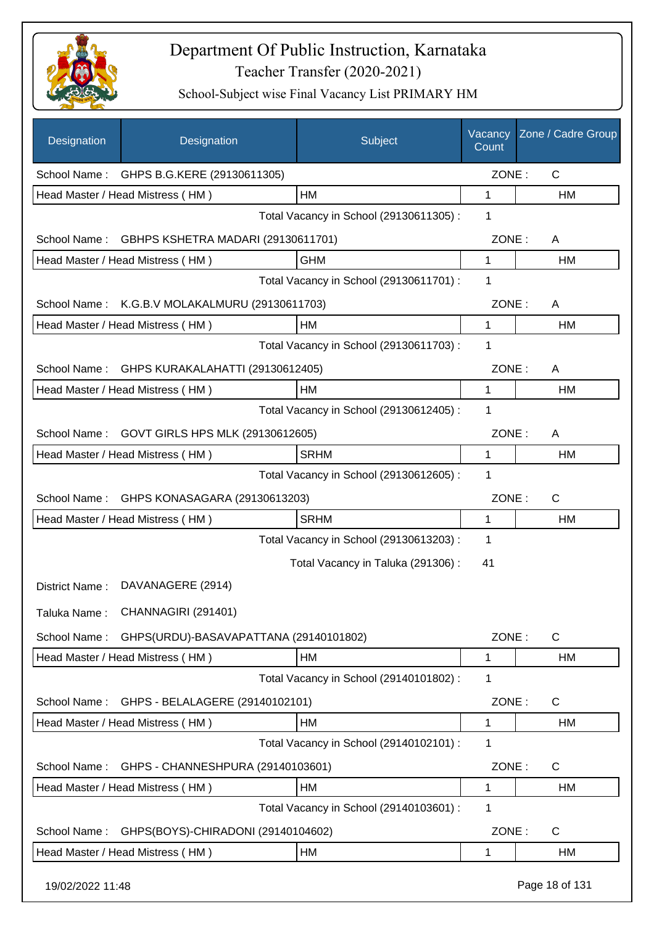

| Designation      | Designation                                    | Subject                                 | Vacancy<br>Count | Zone / Cadre Group |
|------------------|------------------------------------------------|-----------------------------------------|------------------|--------------------|
|                  | School Name: GHPS B.G.KERE (29130611305)       |                                         | ZONE:            | $\mathsf{C}$       |
|                  | Head Master / Head Mistress (HM)               | HM                                      | 1                | <b>HM</b>          |
|                  |                                                | Total Vacancy in School (29130611305) : | 1                |                    |
| School Name:     | GBHPS KSHETRA MADARI (29130611701)             |                                         | ZONE:            | A                  |
|                  | Head Master / Head Mistress (HM)               | <b>GHM</b>                              | 1                | HM                 |
|                  |                                                | Total Vacancy in School (29130611701) : | 1                |                    |
|                  | School Name: K.G.B.V MOLAKALMURU (29130611703) |                                         | ZONE:            | A                  |
|                  | Head Master / Head Mistress (HM)               | HM                                      | 1                | HM                 |
|                  |                                                | Total Vacancy in School (29130611703) : | 1                |                    |
| School Name:     | GHPS KURAKALAHATTI (29130612405)               |                                         | ZONE:            | A                  |
|                  | Head Master / Head Mistress (HM)               | <b>HM</b>                               | 1                | HM                 |
|                  |                                                | Total Vacancy in School (29130612405) : | 1                |                    |
| School Name:     | GOVT GIRLS HPS MLK (29130612605)               |                                         | ZONE:            | A                  |
|                  | Head Master / Head Mistress (HM)               | <b>SRHM</b>                             | 1                | HM                 |
|                  |                                                | Total Vacancy in School (29130612605) : | 1                |                    |
| School Name:     | GHPS KONASAGARA (29130613203)                  |                                         | ZONE:            | C                  |
|                  | Head Master / Head Mistress (HM)               | <b>SRHM</b>                             | 1                | HM                 |
|                  |                                                | Total Vacancy in School (29130613203) : | 1                |                    |
|                  |                                                | Total Vacancy in Taluka (291306):       | 41               |                    |
| District Name:   | DAVANAGERE (2914)                              |                                         |                  |                    |
| Taluka Name:     | CHANNAGIRI (291401)                            |                                         |                  |                    |
| School Name:     | GHPS(URDU)-BASAVAPATTANA (29140101802)         |                                         | ZONE:            | C                  |
|                  | Head Master / Head Mistress (HM)               | HM                                      | 1                | HM                 |
|                  |                                                | Total Vacancy in School (29140101802):  | 1                |                    |
| School Name:     | GHPS - BELALAGERE (29140102101)                |                                         | ZONE:            | C                  |
|                  | Head Master / Head Mistress (HM)               | HM                                      | 1                | HM                 |
|                  |                                                | Total Vacancy in School (29140102101) : | 1                |                    |
| School Name:     | GHPS - CHANNESHPURA (29140103601)              |                                         | ZONE:            | C                  |
|                  | Head Master / Head Mistress (HM)               | HM                                      | 1                | HM                 |
|                  |                                                | Total Vacancy in School (29140103601) : | 1                |                    |
| School Name:     | GHPS(BOYS)-CHIRADONI (29140104602)             |                                         | ZONE:            | C                  |
|                  | Head Master / Head Mistress (HM)               | HM                                      | 1                | HM                 |
| 19/02/2022 11:48 |                                                |                                         |                  | Page 18 of 131     |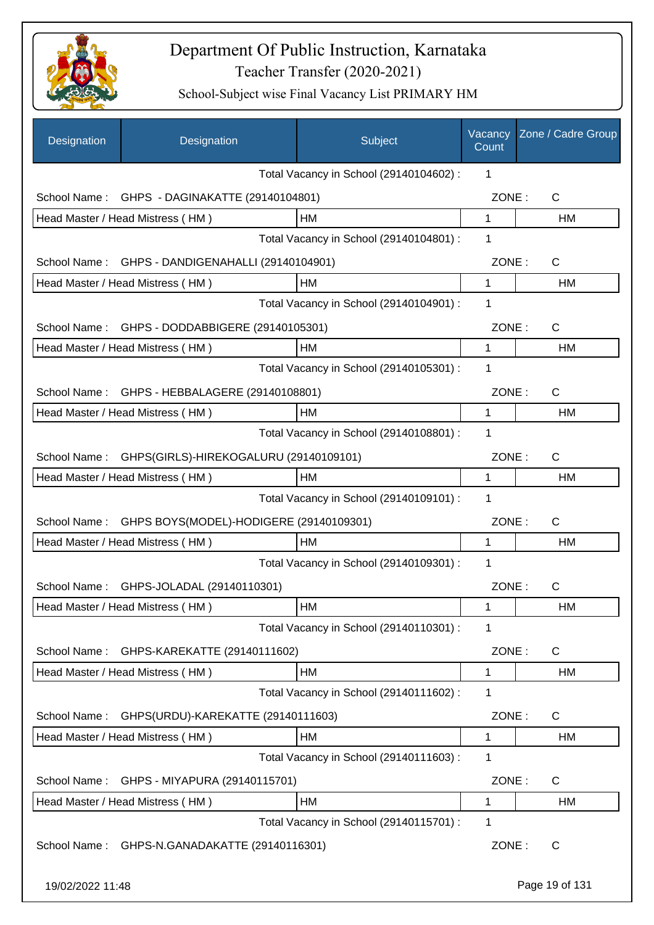

| Designation      | Designation                             | Subject                                 | Vacancy<br>Count | Zone / Cadre Group |
|------------------|-----------------------------------------|-----------------------------------------|------------------|--------------------|
|                  |                                         | Total Vacancy in School (29140104602) : | 1                |                    |
| School Name:     | GHPS - DAGINAKATTE (29140104801)        |                                         | ZONE:            | $\mathsf{C}$       |
|                  | Head Master / Head Mistress (HM)        | HM                                      | $\mathbf{1}$     | <b>HM</b>          |
|                  |                                         | Total Vacancy in School (29140104801) : | 1                |                    |
| School Name:     | GHPS - DANDIGENAHALLI (29140104901)     |                                         | ZONE:            | C                  |
|                  | Head Master / Head Mistress (HM)        | HM                                      | $\mathbf{1}$     | <b>HM</b>          |
|                  |                                         | Total Vacancy in School (29140104901) : | 1                |                    |
| School Name:     | GHPS - DODDABBIGERE (29140105301)       |                                         | ZONE:            | $\mathsf{C}$       |
|                  | Head Master / Head Mistress (HM)        | HM                                      | 1                | <b>HM</b>          |
|                  |                                         | Total Vacancy in School (29140105301) : | 1                |                    |
| School Name:     | GHPS - HEBBALAGERE (29140108801)        |                                         | ZONE:            | C                  |
|                  | Head Master / Head Mistress (HM)        | HM                                      | 1                | HM                 |
|                  |                                         | Total Vacancy in School (29140108801) : | 1                |                    |
| School Name:     | GHPS(GIRLS)-HIREKOGALURU (29140109101)  |                                         | ZONE:            | C                  |
|                  | Head Master / Head Mistress (HM)        | НM                                      | 1                | <b>HM</b>          |
|                  |                                         | Total Vacancy in School (29140109101) : | 1                |                    |
| School Name:     | GHPS BOYS(MODEL)-HODIGERE (29140109301) |                                         | ZONE:            | $\mathsf{C}$       |
|                  | Head Master / Head Mistress (HM)        | HM                                      | 1                | <b>HM</b>          |
|                  |                                         | Total Vacancy in School (29140109301) : | 1                |                    |
|                  | School Name: GHPS-JOLADAL (29140110301) |                                         | ZONE:            | $\mathsf{C}$       |
|                  | Head Master / Head Mistress (HM)        | HM                                      | 1                | HM                 |
|                  |                                         | Total Vacancy in School (29140110301) : | 1                |                    |
| School Name:     | GHPS-KAREKATTE (29140111602)            |                                         | ZONE:            | C                  |
|                  | Head Master / Head Mistress (HM)        | HM                                      | $\mathbf 1$      | HM                 |
|                  |                                         | Total Vacancy in School (29140111602) : | 1                |                    |
| School Name:     | GHPS(URDU)-KAREKATTE (29140111603)      |                                         | ZONE:            | C                  |
|                  | Head Master / Head Mistress (HM)        | HM                                      | 1                | <b>HM</b>          |
|                  |                                         | Total Vacancy in School (29140111603) : | 1                |                    |
| School Name:     | GHPS - MIYAPURA (29140115701)           |                                         | ZONE:            | C                  |
|                  | Head Master / Head Mistress (HM)        | HM                                      | 1                | HM                 |
|                  |                                         | Total Vacancy in School (29140115701) : | 1                |                    |
| School Name:     | GHPS-N.GANADAKATTE (29140116301)        |                                         | ZONE:            | C                  |
| 19/02/2022 11:48 |                                         |                                         |                  | Page 19 of 131     |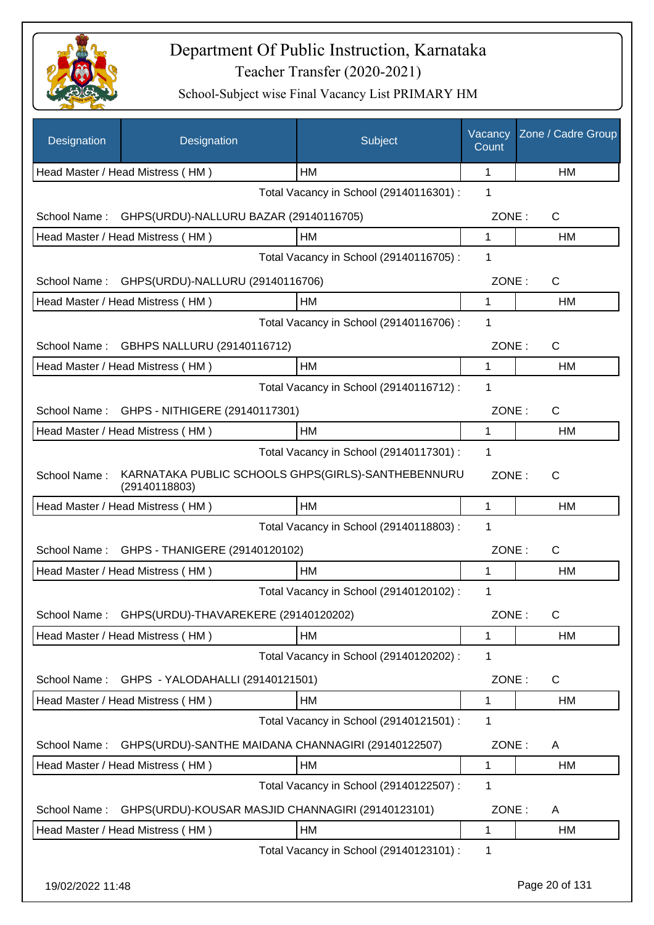

| Designation      | Designation                                                         | Subject                                 | Vacancy<br>Count | Zone / Cadre Group |
|------------------|---------------------------------------------------------------------|-----------------------------------------|------------------|--------------------|
|                  | Head Master / Head Mistress (HM)                                    | HМ                                      | 1                | HM                 |
|                  |                                                                     | Total Vacancy in School (29140116301) : | 1                |                    |
| School Name:     | GHPS(URDU)-NALLURU BAZAR (29140116705)                              |                                         | ZONE:            | $\mathsf{C}$       |
|                  | Head Master / Head Mistress (HM)                                    | HM                                      | 1                | HM                 |
|                  |                                                                     | Total Vacancy in School (29140116705) : | 1                |                    |
|                  | School Name: GHPS(URDU)-NALLURU (29140116706)                       |                                         | ZONE:            | $\mathsf{C}$       |
|                  | Head Master / Head Mistress (HM)                                    | HM                                      | 1                | HM                 |
|                  |                                                                     | Total Vacancy in School (29140116706) : | 1                |                    |
| School Name:     | GBHPS NALLURU (29140116712)                                         |                                         | ZONE:            | $\mathsf{C}$       |
|                  | Head Master / Head Mistress (HM)                                    | HM                                      | 1                | <b>HM</b>          |
|                  |                                                                     | Total Vacancy in School (29140116712) : | 1                |                    |
| School Name:     | GHPS - NITHIGERE (29140117301)                                      |                                         | ZONE:            | $\mathsf{C}$       |
|                  | Head Master / Head Mistress (HM)                                    | HM                                      | 1                | HM                 |
|                  |                                                                     | Total Vacancy in School (29140117301) : | 1                |                    |
| School Name:     | KARNATAKA PUBLIC SCHOOLS GHPS(GIRLS)-SANTHEBENNURU<br>(29140118803) |                                         | ZONE:            | C                  |
|                  | Head Master / Head Mistress (HM)                                    | HM                                      | 1                | HM                 |
|                  |                                                                     | Total Vacancy in School (29140118803) : | 1                |                    |
| School Name:     | GHPS - THANIGERE (29140120102)                                      |                                         | ZONE:            | $\mathsf{C}$       |
|                  | Head Master / Head Mistress (HM)                                    | <b>HM</b>                               | 1                | HM                 |
|                  |                                                                     | Total Vacancy in School (29140120102) : | 1                |                    |
| School Name:     | GHPS(URDU)-THAVAREKERE (29140120202)                                |                                         | ZONE:            | C                  |
|                  | Head Master / Head Mistress (HM)                                    | HM                                      | 1                | HM                 |
|                  |                                                                     | Total Vacancy in School (29140120202) : | 1                |                    |
| School Name:     | GHPS - YALODAHALLI (29140121501)                                    |                                         | ZONE:            | C                  |
|                  | Head Master / Head Mistress (HM)                                    | <b>HM</b>                               | 1                | HM                 |
|                  |                                                                     | Total Vacancy in School (29140121501) : | 1                |                    |
| School Name:     | GHPS(URDU)-SANTHE MAIDANA CHANNAGIRI (29140122507)                  |                                         | ZONE:            | A                  |
|                  | Head Master / Head Mistress (HM)                                    | HM                                      | 1                | HM                 |
|                  |                                                                     | Total Vacancy in School (29140122507) : | 1                |                    |
| School Name:     | GHPS(URDU)-KOUSAR MASJID CHANNAGIRI (29140123101)                   |                                         | ZONE:            | A                  |
|                  | Head Master / Head Mistress (HM)                                    | HM                                      | 1                | HM                 |
|                  |                                                                     | Total Vacancy in School (29140123101) : | 1                |                    |
| 19/02/2022 11:48 |                                                                     |                                         |                  | Page 20 of 131     |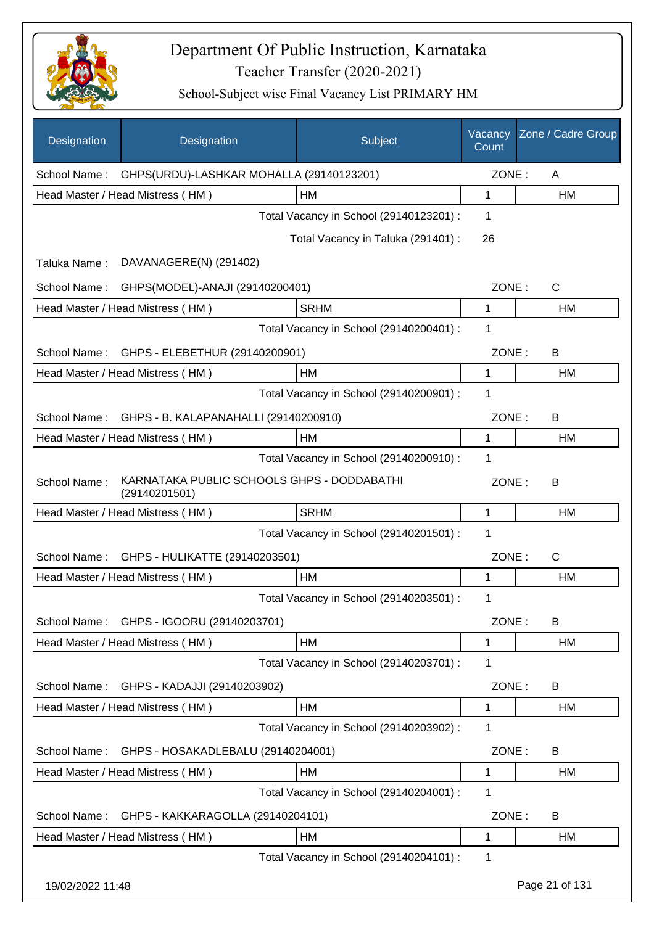

| Designation      | Designation                                                 | Subject                                 | Vacancy<br>Count | Zone / Cadre Group |
|------------------|-------------------------------------------------------------|-----------------------------------------|------------------|--------------------|
| School Name:     | GHPS(URDU)-LASHKAR MOHALLA (29140123201)                    |                                         | ZONE:            | A                  |
|                  | Head Master / Head Mistress (HM)                            | HM                                      | $\mathbf{1}$     | HM                 |
|                  |                                                             | Total Vacancy in School (29140123201) : | 1                |                    |
|                  |                                                             | Total Vacancy in Taluka (291401) :      | 26               |                    |
| Taluka Name:     | DAVANAGERE(N) (291402)                                      |                                         |                  |                    |
| School Name:     | GHPS(MODEL)-ANAJI (29140200401)                             |                                         | ZONE:            | $\mathsf{C}$       |
|                  | Head Master / Head Mistress (HM)                            | <b>SRHM</b>                             | 1                | <b>HM</b>          |
|                  |                                                             | Total Vacancy in School (29140200401) : | 1                |                    |
|                  | School Name: GHPS - ELEBETHUR (29140200901)                 |                                         | ZONE:            | B                  |
|                  | Head Master / Head Mistress (HM)                            | HМ                                      | 1                | HM                 |
|                  |                                                             | Total Vacancy in School (29140200901) : | 1                |                    |
| School Name:     | GHPS - B. KALAPANAHALLI (29140200910)                       |                                         | ZONE:            | B                  |
|                  | Head Master / Head Mistress (HM)                            | HM                                      | 1                | HM                 |
|                  |                                                             | Total Vacancy in School (29140200910) : | 1                |                    |
| School Name:     | KARNATAKA PUBLIC SCHOOLS GHPS - DODDABATHI<br>(29140201501) |                                         | ZONE:            | B                  |
|                  | Head Master / Head Mistress (HM)                            | <b>SRHM</b>                             | 1                | <b>HM</b>          |
|                  |                                                             | Total Vacancy in School (29140201501) : | 1                |                    |
| School Name:     | GHPS - HULIKATTE (29140203501)                              |                                         | ZONE:            | $\mathsf{C}$       |
|                  | Head Master / Head Mistress (HM)                            | НM                                      | 1                | <b>HM</b>          |
|                  |                                                             | Total Vacancy in School (29140203501) : | 1                |                    |
| School Name:     | GHPS - IGOORU (29140203701)                                 |                                         | ZONE:            | B                  |
|                  | Head Master / Head Mistress (HM)                            | HM                                      | 1                | HM                 |
|                  |                                                             | Total Vacancy in School (29140203701) : | 1                |                    |
| School Name:     | GHPS - KADAJJI (29140203902)                                |                                         | ZONE:            | B                  |
|                  | Head Master / Head Mistress (HM)                            | HM                                      | 1                | HM                 |
|                  |                                                             | Total Vacancy in School (29140203902) : | 1                |                    |
| School Name:     | GHPS - HOSAKADLEBALU (29140204001)                          |                                         | ZONE:            | B                  |
|                  | Head Master / Head Mistress (HM)                            | HM                                      | 1                | HM                 |
|                  |                                                             | Total Vacancy in School (29140204001) : | 1                |                    |
| School Name:     | GHPS - KAKKARAGOLLA (29140204101)                           |                                         | ZONE:            | B                  |
|                  | Head Master / Head Mistress (HM)                            | HM                                      | 1                | HM                 |
|                  |                                                             | Total Vacancy in School (29140204101) : | 1                |                    |
| 19/02/2022 11:48 |                                                             |                                         |                  | Page 21 of 131     |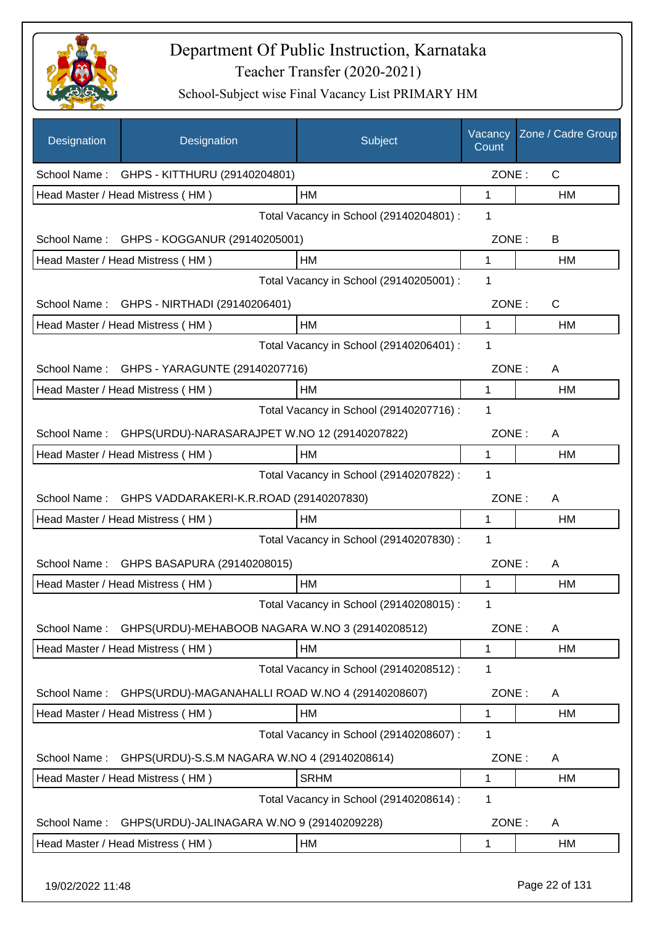

| Designation  | Designation                                      | Subject                                 | Vacancy<br>Count | Zone / Cadre Group |
|--------------|--------------------------------------------------|-----------------------------------------|------------------|--------------------|
| School Name: | GHPS - KITTHURU (29140204801)                    |                                         | ZONE:            | $\mathsf{C}$       |
|              | Head Master / Head Mistress (HM)                 | HM                                      | 1                | HM                 |
|              |                                                  | Total Vacancy in School (29140204801) : | 1                |                    |
|              | School Name: GHPS - KOGGANUR (29140205001)       |                                         | ZONE:            | B                  |
|              | Head Master / Head Mistress (HM)                 | HM                                      | 1                | HM                 |
|              |                                                  | Total Vacancy in School (29140205001) : | 1                |                    |
| School Name: | GHPS - NIRTHADI (29140206401)                    |                                         | ZONE:            | $\mathsf{C}$       |
|              | Head Master / Head Mistress (HM)                 | HM                                      | 1                | HM                 |
|              |                                                  | Total Vacancy in School (29140206401) : | 1                |                    |
| School Name: | GHPS - YARAGUNTE (29140207716)                   |                                         | ZONE:            | A                  |
|              | Head Master / Head Mistress (HM)                 | HM                                      | 1                | HM                 |
|              |                                                  | Total Vacancy in School (29140207716) : | 1                |                    |
| School Name: | GHPS(URDU)-NARASARAJPET W.NO 12 (29140207822)    |                                         | ZONE:            | A                  |
|              | Head Master / Head Mistress (HM)                 | HM                                      | 1                | HM                 |
|              |                                                  | Total Vacancy in School (29140207822) : | 1                |                    |
| School Name: | GHPS VADDARAKERI-K.R.ROAD (29140207830)          |                                         | ZONE:            | A                  |
|              | Head Master / Head Mistress (HM)                 | HM                                      | 1                | HM                 |
|              |                                                  | Total Vacancy in School (29140207830) : | 1                |                    |
| School Name: | GHPS BASAPURA (29140208015)                      |                                         | ZONE:            | A                  |
|              | Head Master / Head Mistress (HM)                 | HM                                      | 1                | HM                 |
|              |                                                  | Total Vacancy in School (29140208015) : | 1                |                    |
| School Name: | GHPS(URDU)-MEHABOOB NAGARA W.NO 3 (29140208512)  |                                         | ZONE:            | A                  |
|              | Head Master / Head Mistress (HM)                 | HM                                      | 1                | HM                 |
|              |                                                  | Total Vacancy in School (29140208512) : | 1                |                    |
| School Name: | GHPS(URDU)-MAGANAHALLI ROAD W.NO 4 (29140208607) |                                         | ZONE:            | A                  |
|              | Head Master / Head Mistress (HM)                 | HM                                      | 1                | HM                 |
|              |                                                  | Total Vacancy in School (29140208607) : | 1                |                    |
| School Name: | GHPS(URDU)-S.S.M NAGARA W.NO 4 (29140208614)     |                                         | ZONE:            | A                  |
|              | Head Master / Head Mistress (HM)                 | <b>SRHM</b>                             | 1                | HM                 |
|              |                                                  | Total Vacancy in School (29140208614) : | 1                |                    |
| School Name: | GHPS(URDU)-JALINAGARA W.NO 9 (29140209228)       |                                         | ZONE:            | A                  |
|              | Head Master / Head Mistress (HM)                 | HM                                      | 1                | HM                 |
|              |                                                  |                                         |                  |                    |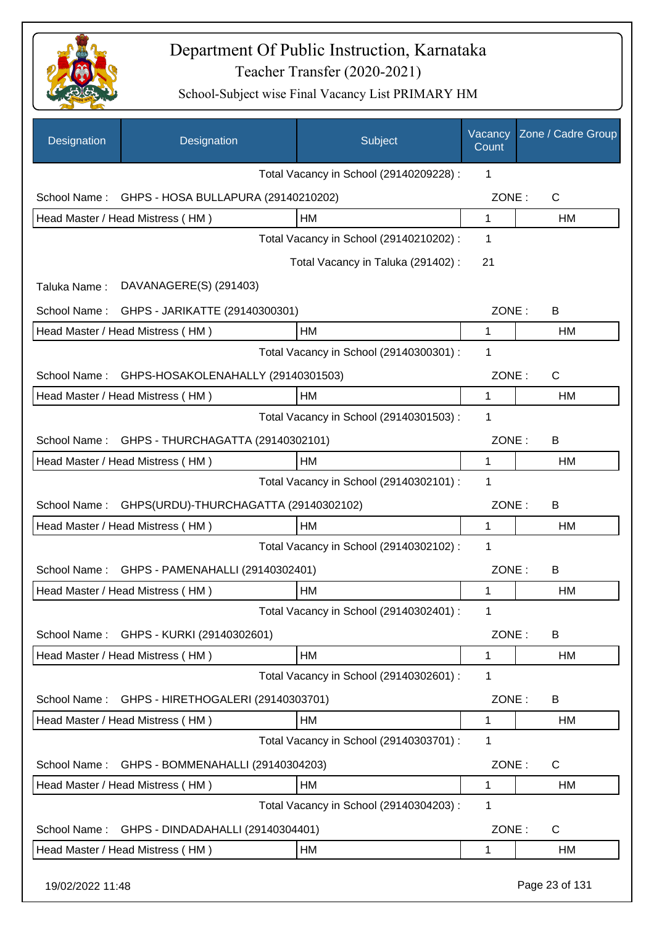

| Designation      | Designation                           | Subject                                 | Vacancy<br>Count | Zone / Cadre Group |
|------------------|---------------------------------------|-----------------------------------------|------------------|--------------------|
|                  |                                       | Total Vacancy in School (29140209228) : | 1                |                    |
| School Name:     | GHPS - HOSA BULLAPURA (29140210202)   |                                         | ZONE:            | C                  |
|                  | Head Master / Head Mistress (HM)      | HM                                      | $\mathbf 1$      | HM                 |
|                  |                                       | Total Vacancy in School (29140210202) : | 1                |                    |
|                  |                                       | Total Vacancy in Taluka (291402) :      | 21               |                    |
| Taluka Name:     | DAVANAGERE(S) (291403)                |                                         |                  |                    |
| School Name:     | GHPS - JARIKATTE (29140300301)        |                                         | ZONE:            | B                  |
|                  | Head Master / Head Mistress (HM)      | <b>HM</b>                               | 1                | HM                 |
|                  |                                       | Total Vacancy in School (29140300301) : | 1                |                    |
| School Name:     | GHPS-HOSAKOLENAHALLY (29140301503)    |                                         | ZONE:            | $\mathsf{C}$       |
|                  | Head Master / Head Mistress (HM)      | <b>HM</b>                               | 1                | HM                 |
|                  |                                       | Total Vacancy in School (29140301503) : | 1                |                    |
| School Name:     | GHPS - THURCHAGATTA (29140302101)     |                                         | ZONE:            | B                  |
|                  | Head Master / Head Mistress (HM)      | <b>HM</b>                               | 1                | HM                 |
|                  |                                       | Total Vacancy in School (29140302101) : | 1                |                    |
| School Name:     | GHPS(URDU)-THURCHAGATTA (29140302102) |                                         | ZONE:            | B                  |
|                  | Head Master / Head Mistress (HM)      | <b>HM</b>                               | 1                | HМ                 |
|                  |                                       | Total Vacancy in School (29140302102) : | $\mathbf 1$      |                    |
| School Name:     | GHPS - PAMENAHALLI (29140302401)      |                                         | ZONE:            | B                  |
|                  | Head Master / Head Mistress (HM)      | HM                                      | 1                | HM                 |
|                  |                                       | Total Vacancy in School (29140302401) : | 1                |                    |
| School Name:     | GHPS - KURKI (29140302601)            |                                         | ZONE:            | B                  |
|                  | Head Master / Head Mistress (HM)      | <b>HM</b>                               | 1                | HM                 |
|                  |                                       | Total Vacancy in School (29140302601) : | 1                |                    |
| School Name:     | GHPS - HIRETHOGALERI (29140303701)    |                                         | ZONE:            | B                  |
|                  | Head Master / Head Mistress (HM)      | HM                                      | 1                | HM                 |
|                  |                                       | Total Vacancy in School (29140303701) : | 1                |                    |
| School Name:     | GHPS - BOMMENAHALLI (29140304203)     |                                         | ZONE:            | $\mathsf{C}$       |
|                  | Head Master / Head Mistress (HM)      | HM                                      | 1                | <b>HM</b>          |
|                  |                                       | Total Vacancy in School (29140304203) : | 1                |                    |
| School Name:     | GHPS - DINDADAHALLI (29140304401)     |                                         | ZONE:            | $\mathsf{C}$       |
|                  | Head Master / Head Mistress (HM)      | <b>HM</b>                               | 1                | <b>HM</b>          |
| 19/02/2022 11:48 |                                       |                                         |                  | Page 23 of 131     |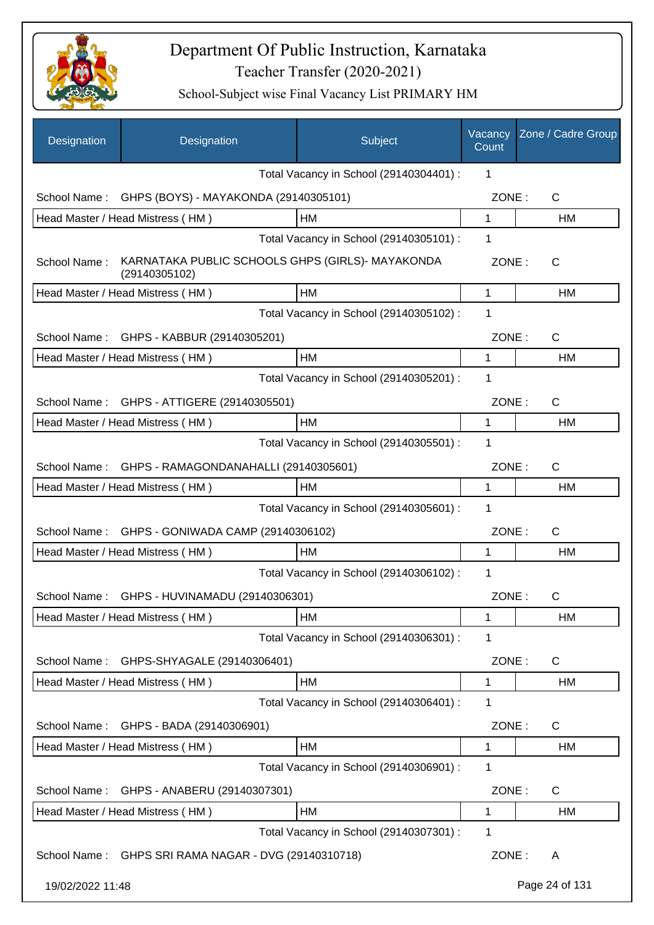

| Designation      | Designation                                                       | Subject                                 | Vacancy<br>Count | Zone / Cadre Group |
|------------------|-------------------------------------------------------------------|-----------------------------------------|------------------|--------------------|
|                  |                                                                   | Total Vacancy in School (29140304401) : | $\mathbf 1$      |                    |
| School Name:     | GHPS (BOYS) - MAYAKONDA (29140305101)                             |                                         | ZONE:            | C                  |
|                  | Head Master / Head Mistress (HM)                                  | <b>HM</b>                               | 1                | <b>HM</b>          |
|                  |                                                                   | Total Vacancy in School (29140305101) : | 1                |                    |
| School Name:     | KARNATAKA PUBLIC SCHOOLS GHPS (GIRLS)- MAYAKONDA<br>(29140305102) |                                         | ZONE:            | С                  |
|                  | Head Master / Head Mistress (HM)                                  | HM                                      | 1                | HM                 |
|                  |                                                                   | Total Vacancy in School (29140305102) : | 1                |                    |
| School Name:     | GHPS - KABBUR (29140305201)                                       |                                         | ZONE:            | $\mathsf{C}$       |
|                  | Head Master / Head Mistress (HM)                                  | HM                                      | 1                | НM                 |
|                  |                                                                   | Total Vacancy in School (29140305201) : | $\mathbf 1$      |                    |
| School Name:     | GHPS - ATTIGERE (29140305501)                                     |                                         | ZONE:            | $\mathsf{C}$       |
|                  | Head Master / Head Mistress (HM)                                  | <b>HM</b>                               | 1                | <b>HM</b>          |
|                  |                                                                   | Total Vacancy in School (29140305501) : | 1                |                    |
| School Name:     | GHPS - RAMAGONDANAHALLI (29140305601)                             |                                         | ZONE:            | $\mathsf{C}$       |
|                  | Head Master / Head Mistress (HM)                                  | HM                                      | 1                | НM                 |
|                  |                                                                   | Total Vacancy in School (29140305601) : | 1                |                    |
| School Name:     | GHPS - GONIWADA CAMP (29140306102)                                |                                         | ZONE:            | $\mathsf{C}$       |
|                  | Head Master / Head Mistress (HM)                                  | HM                                      | 1                | НM                 |
|                  |                                                                   | Total Vacancy in School (29140306102) : | 1                |                    |
| School Name:     | GHPS - HUVINAMADU (29140306301)                                   |                                         | ZONE:            | C                  |
|                  | Head Master / Head Mistress (HM)                                  | HM                                      | 1                | HM                 |
|                  |                                                                   | Total Vacancy in School (29140306301) : | 1                |                    |
| School Name:     | GHPS-SHYAGALE (29140306401)                                       |                                         | ZONE:            | C                  |
|                  | Head Master / Head Mistress (HM)                                  | HM                                      | 1                | HM                 |
|                  |                                                                   | Total Vacancy in School (29140306401) : | 1                |                    |
| School Name:     | GHPS - BADA (29140306901)                                         |                                         | ZONE:            | C                  |
|                  | Head Master / Head Mistress (HM)                                  | HM                                      | 1                | HM                 |
|                  |                                                                   | Total Vacancy in School (29140306901) : | 1                |                    |
| School Name:     | GHPS - ANABERU (29140307301)                                      |                                         | ZONE:            | C                  |
|                  | Head Master / Head Mistress (HM)                                  | HM                                      | 1                | HM                 |
|                  |                                                                   | Total Vacancy in School (29140307301) : | 1                |                    |
| School Name:     | GHPS SRI RAMA NAGAR - DVG (29140310718)                           |                                         | ZONE:            | A                  |
| 19/02/2022 11:48 |                                                                   |                                         |                  | Page 24 of 131     |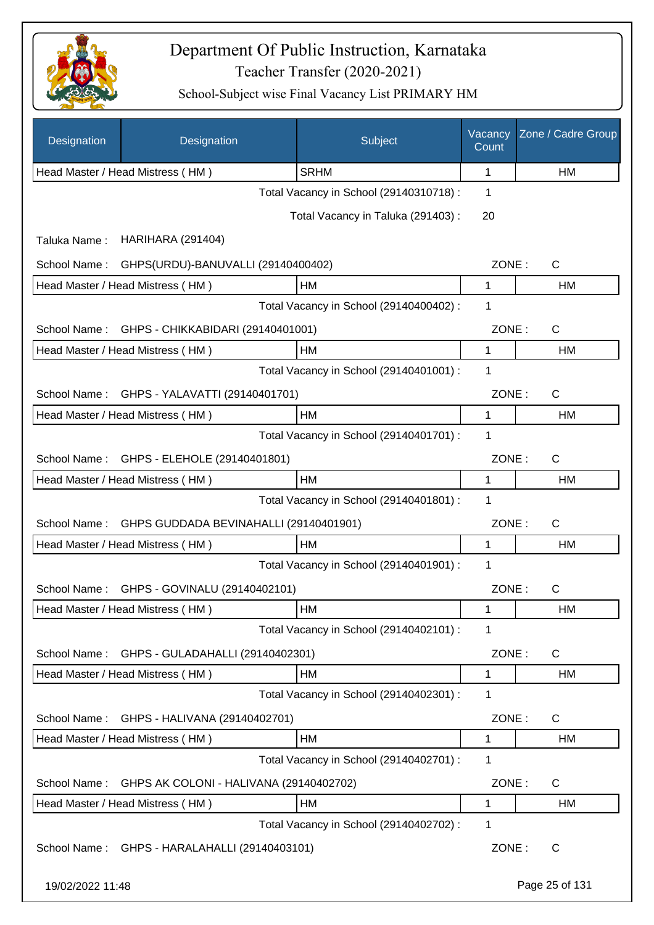

| Designation      | Designation                                 | Subject                                 | Vacancy<br>Count | Zone / Cadre Group |
|------------------|---------------------------------------------|-----------------------------------------|------------------|--------------------|
|                  | Head Master / Head Mistress (HM)            | <b>SRHM</b>                             | 1                | HM                 |
|                  |                                             | Total Vacancy in School (29140310718) : | 1                |                    |
|                  |                                             | Total Vacancy in Taluka (291403):       | 20               |                    |
| Taluka Name:     | <b>HARIHARA (291404)</b>                    |                                         |                  |                    |
| School Name:     | GHPS(URDU)-BANUVALLI (29140400402)          |                                         | ZONE:            | C                  |
|                  | Head Master / Head Mistress (HM)            | HM                                      | 1                | <b>HM</b>          |
|                  |                                             | Total Vacancy in School (29140400402) : | 1                |                    |
| School Name:     | GHPS - CHIKKABIDARI (29140401001)           |                                         | ZONE:            | C                  |
|                  | Head Master / Head Mistress (HM)            | HM                                      | 1                | HM                 |
|                  |                                             | Total Vacancy in School (29140401001) : | 1                |                    |
|                  | School Name: GHPS - YALAVATTI (29140401701) |                                         | ZONE:            | C                  |
|                  | Head Master / Head Mistress (HM)            | HM                                      | 1                | HM                 |
|                  |                                             | Total Vacancy in School (29140401701) : | 1                |                    |
|                  | School Name: GHPS - ELEHOLE (29140401801)   |                                         | ZONE:            | C                  |
|                  | Head Master / Head Mistress (HM)            | HM                                      | 1                | HM                 |
|                  |                                             | Total Vacancy in School (29140401801) : | 1                |                    |
| School Name:     | GHPS GUDDADA BEVINAHALLI (29140401901)      |                                         | ZONE:            | C                  |
|                  | Head Master / Head Mistress (HM)            | HM                                      | 1                | HM                 |
|                  |                                             | Total Vacancy in School (29140401901) : | 1                |                    |
|                  | School Name: GHPS - GOVINALU (29140402101)  |                                         | ZONE:            | $\mathsf C$        |
|                  | Head Master / Head Mistress (HM)            | HM                                      | 1                | HM                 |
|                  |                                             | Total Vacancy in School (29140402101) : | 1                |                    |
| School Name:     | GHPS - GULADAHALLI (29140402301)            |                                         | ZONE:            | C                  |
|                  | Head Master / Head Mistress (HM)            | HM                                      | 1                | HM                 |
|                  |                                             | Total Vacancy in School (29140402301) : | 1                |                    |
| School Name:     | GHPS - HALIVANA (29140402701)               |                                         | ZONE:            | C                  |
|                  | Head Master / Head Mistress (HM)            | HM                                      | 1                | HM                 |
|                  |                                             | Total Vacancy in School (29140402701) : | 1                |                    |
| School Name:     | GHPS AK COLONI - HALIVANA (29140402702)     |                                         | ZONE:            | C                  |
|                  | Head Master / Head Mistress (HM)            | HM                                      | 1                | HM                 |
|                  |                                             | Total Vacancy in School (29140402702) : | 1                |                    |
| School Name:     | GHPS - HARALAHALLI (29140403101)            |                                         | ZONE:            | C                  |
| 19/02/2022 11:48 |                                             |                                         |                  | Page 25 of 131     |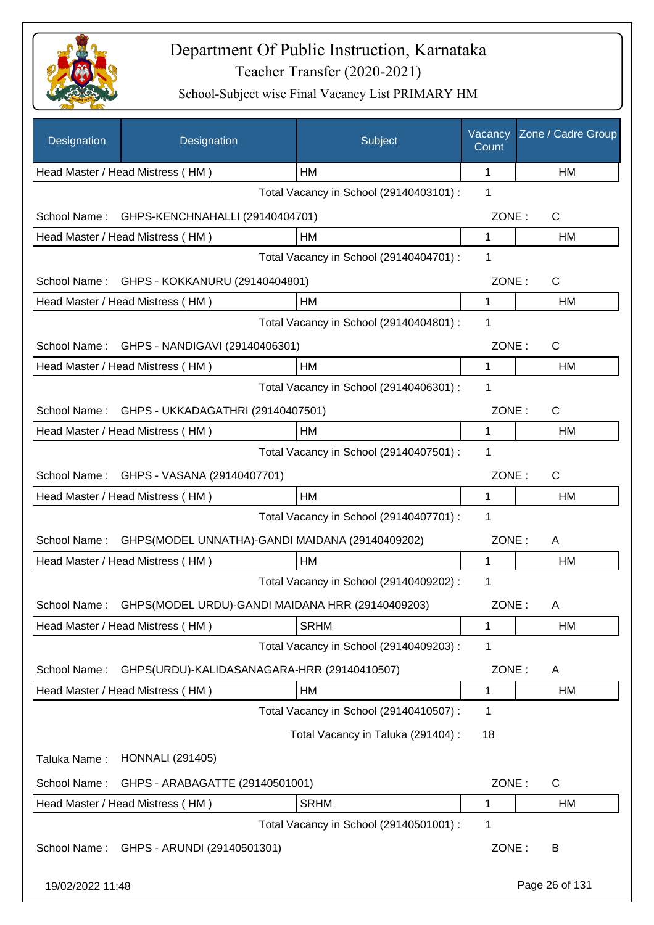

| <b>Designation</b> | Designation                                      | Subject                                 | Vacancy<br>Count | Zone / Cadre Group |
|--------------------|--------------------------------------------------|-----------------------------------------|------------------|--------------------|
|                    | Head Master / Head Mistress (HM)                 | HM                                      | 1                | HM                 |
|                    |                                                  | Total Vacancy in School (29140403101) : | 1                |                    |
| School Name:       | GHPS-KENCHNAHALLI (29140404701)                  |                                         | ZONE:            | C                  |
|                    | Head Master / Head Mistress (HM)                 | <b>HM</b>                               | 1                | HM                 |
|                    |                                                  | Total Vacancy in School (29140404701) : | 1                |                    |
| School Name:       | GHPS - KOKKANURU (29140404801)                   |                                         | ZONE:            | C                  |
|                    | Head Master / Head Mistress (HM)                 | HM                                      | 1                | HM                 |
|                    |                                                  | Total Vacancy in School (29140404801) : | 1                |                    |
| School Name:       | GHPS - NANDIGAVI (29140406301)                   |                                         | ZONE:            | $\mathsf{C}$       |
|                    | Head Master / Head Mistress (HM)                 | HM                                      | 1                | HM                 |
|                    |                                                  | Total Vacancy in School (29140406301) : | 1                |                    |
|                    | School Name: GHPS - UKKADAGATHRI (29140407501)   |                                         | ZONE:            | C                  |
|                    | Head Master / Head Mistress (HM)                 | <b>HM</b>                               | 1                | <b>HM</b>          |
|                    |                                                  | Total Vacancy in School (29140407501) : | 1                |                    |
|                    | School Name: GHPS - VASANA (29140407701)         |                                         | ZONE:            | $\mathsf{C}$       |
|                    | Head Master / Head Mistress (HM)                 | <b>HM</b>                               | 1                | HM                 |
|                    |                                                  | Total Vacancy in School (29140407701) : | 1                |                    |
| School Name:       | GHPS(MODEL UNNATHA)-GANDI MAIDANA (29140409202)  |                                         | ZONE:            | A                  |
|                    | Head Master / Head Mistress (HM)                 | HM                                      | 1                | HM                 |
|                    |                                                  | Total Vacancy in School (29140409202) : | 1                |                    |
| School Name:       | GHPS(MODEL URDU)-GANDI MAIDANA HRR (29140409203) |                                         | ZONE:            | A                  |
|                    | Head Master / Head Mistress (HM)                 | <b>SRHM</b>                             | 1                | HM                 |
|                    |                                                  | Total Vacancy in School (29140409203) : | 1                |                    |
| School Name:       | GHPS(URDU)-KALIDASANAGARA-HRR (29140410507)      |                                         | ZONE:            | A                  |
|                    | Head Master / Head Mistress (HM)                 | HM                                      | 1                | HM                 |
|                    |                                                  | Total Vacancy in School (29140410507) : | 1                |                    |
|                    |                                                  | Total Vacancy in Taluka (291404) :      | 18               |                    |
| Taluka Name:       | <b>HONNALI</b> (291405)                          |                                         |                  |                    |
| School Name:       | GHPS - ARABAGATTE (29140501001)                  |                                         | ZONE:            | C                  |
|                    | Head Master / Head Mistress (HM)                 | <b>SRHM</b>                             | 1                | HM                 |
|                    |                                                  | Total Vacancy in School (29140501001) : | 1                |                    |
| School Name:       | GHPS - ARUNDI (29140501301)                      |                                         | ZONE:            | B                  |
| 19/02/2022 11:48   |                                                  |                                         |                  | Page 26 of 131     |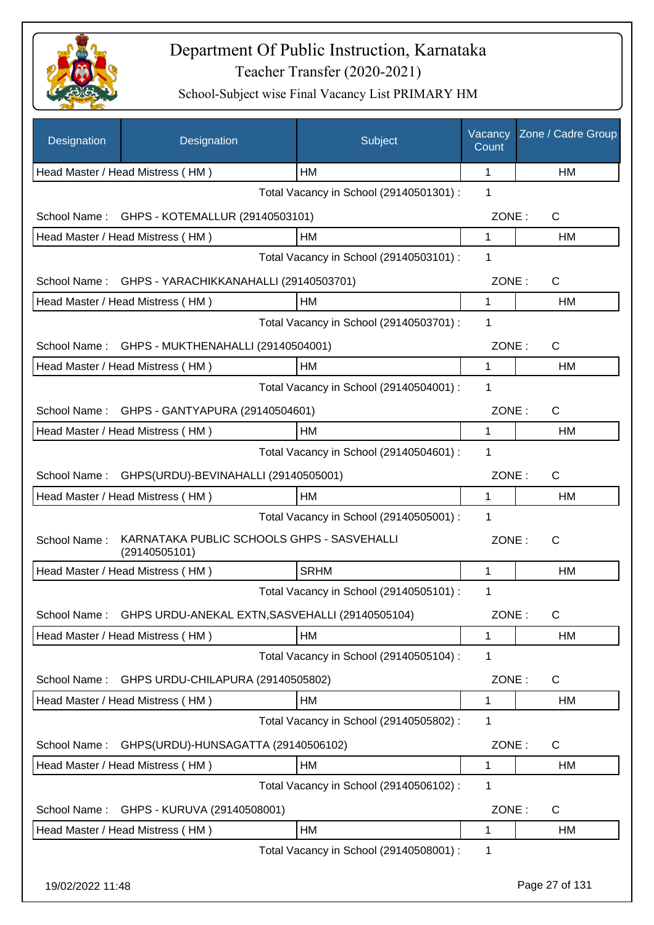

| Designation      | Designation                                                 | Subject                                 | Vacancy<br>Count | Zone / Cadre Group |
|------------------|-------------------------------------------------------------|-----------------------------------------|------------------|--------------------|
|                  | Head Master / Head Mistress (HM)                            | HМ                                      | 1                | HM                 |
|                  |                                                             | Total Vacancy in School (29140501301) : | 1                |                    |
| School Name:     | GHPS - KOTEMALLUR (29140503101)                             |                                         | ZONE:            | $\mathsf{C}$       |
|                  | Head Master / Head Mistress (HM)                            | HM                                      | 1                | HM                 |
|                  |                                                             | Total Vacancy in School (29140503101) : | 1                |                    |
|                  | School Name: GHPS - YARACHIKKANAHALLI (29140503701)         |                                         | ZONE:            | C                  |
|                  | Head Master / Head Mistress (HM)                            | HM                                      | 1                | HM                 |
|                  |                                                             | Total Vacancy in School (29140503701) : | 1                |                    |
|                  | School Name: GHPS - MUKTHENAHALLI (29140504001)             |                                         | ZONE:            | $\mathsf{C}$       |
|                  | Head Master / Head Mistress (HM)                            | HM                                      | 1                | <b>HM</b>          |
|                  |                                                             | Total Vacancy in School (29140504001) : | 1                |                    |
| School Name:     | GHPS - GANTYAPURA (29140504601)                             |                                         | ZONE:            | $\mathsf{C}$       |
|                  | Head Master / Head Mistress (HM)                            | <b>HM</b>                               | $\mathbf{1}$     | HM                 |
|                  |                                                             | Total Vacancy in School (29140504601) : | 1                |                    |
| School Name:     | GHPS(URDU)-BEVINAHALLI (29140505001)                        |                                         | ZONE:            | C                  |
|                  | Head Master / Head Mistress (HM)                            | <b>HM</b>                               | 1                | HM                 |
|                  |                                                             | Total Vacancy in School (29140505001) : | 1                |                    |
| School Name:     | KARNATAKA PUBLIC SCHOOLS GHPS - SASVEHALLI<br>(29140505101) |                                         | ZONE:            | $\mathsf{C}$       |
|                  | Head Master / Head Mistress (HM)                            | <b>SRHM</b>                             | 1                | HM                 |
|                  |                                                             | Total Vacancy in School (29140505101) : | 1                |                    |
| School Name:     | GHPS URDU-ANEKAL EXTN, SASVEHALLI (29140505104)             |                                         | ZONE:            | C                  |
|                  | Head Master / Head Mistress (HM)                            | HM                                      | 1                | HM                 |
|                  |                                                             | Total Vacancy in School (29140505104) : | 1                |                    |
| School Name:     | GHPS URDU-CHILAPURA (29140505802)                           |                                         | ZONE:            | C                  |
|                  | Head Master / Head Mistress (HM)                            | HM                                      | 1                | HM                 |
|                  |                                                             | Total Vacancy in School (29140505802) : | 1                |                    |
| School Name:     | GHPS(URDU)-HUNSAGATTA (29140506102)                         |                                         | ZONE:            | C                  |
|                  | Head Master / Head Mistress (HM)                            | HM                                      | 1                | HM                 |
|                  |                                                             | Total Vacancy in School (29140506102) : | 1                |                    |
| School Name:     | GHPS - KURUVA (29140508001)                                 |                                         | ZONE:            | C                  |
|                  | Head Master / Head Mistress (HM)                            | HM                                      | 1                | HM                 |
|                  |                                                             | Total Vacancy in School (29140508001) : | 1                |                    |
| 19/02/2022 11:48 |                                                             |                                         |                  | Page 27 of 131     |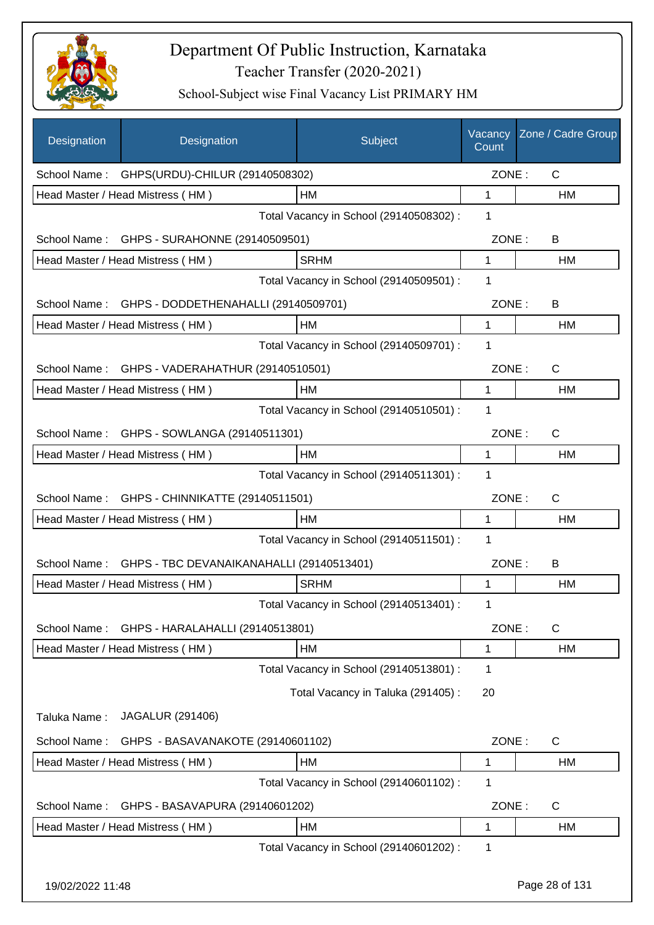

| Designation      | Designation                                  | Subject                                 | Vacancy<br>Count | Zone / Cadre Group |
|------------------|----------------------------------------------|-----------------------------------------|------------------|--------------------|
|                  | School Name: GHPS(URDU)-CHILUR (29140508302) |                                         | ZONE:            | $\mathsf{C}$       |
|                  | Head Master / Head Mistress (HM)             | HM                                      | 1                | HM                 |
|                  |                                              | Total Vacancy in School (29140508302) : | 1                |                    |
|                  | School Name: GHPS - SURAHONNE (29140509501)  |                                         | ZONE:            | B                  |
|                  | Head Master / Head Mistress (HM)             | <b>SRHM</b>                             | 1                | HM                 |
|                  |                                              | Total Vacancy in School (29140509501) : | 1                |                    |
| School Name:     | GHPS - DODDETHENAHALLI (29140509701)         |                                         | ZONE:            | B                  |
|                  | Head Master / Head Mistress (HM)             | HM                                      | $\mathbf{1}$     | HM                 |
|                  |                                              | Total Vacancy in School (29140509701) : | 1                |                    |
| School Name:     | GHPS - VADERAHATHUR (29140510501)            |                                         | ZONE:            | $\mathsf{C}$       |
|                  | Head Master / Head Mistress (HM)             | HM                                      | $\mathbf{1}$     | <b>HM</b>          |
|                  |                                              | Total Vacancy in School (29140510501) : | 1                |                    |
|                  | School Name: GHPS - SOWLANGA (29140511301)   |                                         | ZONE:            | $\mathsf{C}$       |
|                  | Head Master / Head Mistress (HM)             | HM                                      | 1                | HM                 |
|                  |                                              | Total Vacancy in School (29140511301) : | $\mathbf{1}$     |                    |
| School Name:     | GHPS - CHINNIKATTE (29140511501)             |                                         | ZONE:            | $\mathsf{C}$       |
|                  | Head Master / Head Mistress (HM)             | HM                                      | 1                | HM                 |
|                  |                                              | Total Vacancy in School (29140511501) : | 1                |                    |
| School Name:     | GHPS - TBC DEVANAIKANAHALLI (29140513401)    |                                         | ZONE:            | B                  |
|                  | Head Master / Head Mistress (HM)             | <b>SRHM</b>                             | 1                | <b>HM</b>          |
|                  |                                              | Total Vacancy in School (29140513401) : | 1.               |                    |
| School Name:     | GHPS - HARALAHALLI (29140513801)             |                                         | ZONE:            | $\mathsf{C}$       |
|                  | Head Master / Head Mistress (HM)             | HM                                      | 1                | HM                 |
|                  |                                              | Total Vacancy in School (29140513801) : | 1                |                    |
|                  |                                              | Total Vacancy in Taluka (291405):       | 20               |                    |
| Taluka Name:     | <b>JAGALUR (291406)</b>                      |                                         |                  |                    |
| School Name:     | GHPS - BASAVANAKOTE (29140601102)            |                                         | ZONE:            | C                  |
|                  | Head Master / Head Mistress (HM)             | HM                                      | 1                | HM                 |
|                  |                                              | Total Vacancy in School (29140601102) : | 1                |                    |
| School Name:     | GHPS - BASAVAPURA (29140601202)              |                                         | ZONE:            | $\mathsf{C}$       |
|                  | Head Master / Head Mistress (HM)             | HM                                      | 1                | HM                 |
|                  |                                              | Total Vacancy in School (29140601202):  | 1                |                    |
| 19/02/2022 11:48 |                                              |                                         |                  | Page 28 of 131     |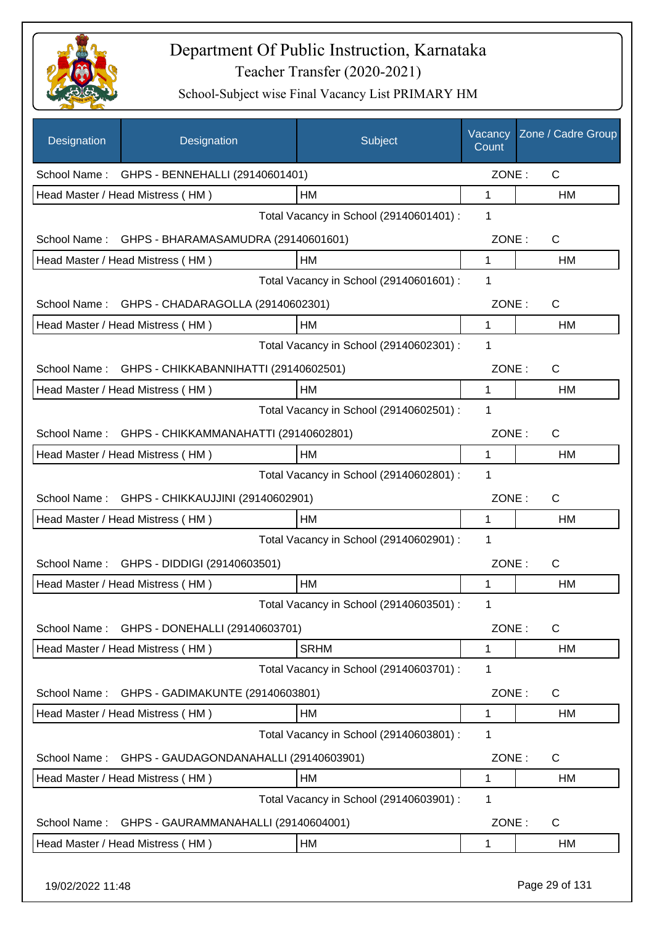

| Designation  | Designation                                      | Subject                                 | Vacancy<br>Count | Zone / Cadre Group |  |
|--------------|--------------------------------------------------|-----------------------------------------|------------------|--------------------|--|
|              | School Name: GHPS - BENNEHALLI (29140601401)     |                                         | ZONE:            | $\mathsf{C}$       |  |
|              | Head Master / Head Mistress (HM)                 | HM                                      | 1                | HM                 |  |
|              |                                                  | Total Vacancy in School (29140601401) : | 1                |                    |  |
|              | School Name: GHPS - BHARAMASAMUDRA (29140601601) |                                         | ZONE:            | $\mathsf{C}$       |  |
|              | Head Master / Head Mistress (HM)                 | HM                                      | $\mathbf{1}$     | HM                 |  |
|              |                                                  | Total Vacancy in School (29140601601) : | 1                |                    |  |
|              | School Name: GHPS - CHADARAGOLLA (29140602301)   |                                         | ZONE:            | $\mathsf C$        |  |
|              | Head Master / Head Mistress (HM)                 | HM                                      | 1                | HM                 |  |
|              |                                                  | Total Vacancy in School (29140602301) : | $\mathbf 1$      |                    |  |
| School Name: | GHPS - CHIKKABANNIHATTI (29140602501)            |                                         | ZONE:            | C                  |  |
|              | Head Master / Head Mistress (HM)                 | HM                                      | 1                | HM                 |  |
|              |                                                  | Total Vacancy in School (29140602501) : | 1                |                    |  |
| School Name: | GHPS - CHIKKAMMANAHATTI (29140602801)            |                                         | ZONE:            | C                  |  |
|              | Head Master / Head Mistress (HM)                 | HМ                                      | 1                | HM                 |  |
|              |                                                  | Total Vacancy in School (29140602801) : | 1                |                    |  |
| School Name: | GHPS - CHIKKAUJJINI (29140602901)                |                                         | ZONE:            | C                  |  |
|              | Head Master / Head Mistress (HM)                 | HM                                      | 1                | НM                 |  |
|              |                                                  | Total Vacancy in School (29140602901) : | 1                |                    |  |
| School Name: | GHPS - DIDDIGI (29140603501)                     |                                         | ZONE:            | C                  |  |
|              | Head Master / Head Mistress (HM)                 | HM                                      | 1                | HM                 |  |
|              |                                                  | Total Vacancy in School (29140603501) : | 1                |                    |  |
| School Name: | GHPS - DONEHALLI (29140603701)                   |                                         | ZONE:            | $\mathsf{C}$       |  |
|              | Head Master / Head Mistress (HM)                 | <b>SRHM</b>                             | 1                | HM                 |  |
|              |                                                  | Total Vacancy in School (29140603701) : | 1                |                    |  |
| School Name: | GHPS - GADIMAKUNTE (29140603801)                 |                                         | ZONE:            | C                  |  |
|              | Head Master / Head Mistress (HM)                 | HM                                      | 1                | HM                 |  |
|              |                                                  | Total Vacancy in School (29140603801) : | 1                |                    |  |
| School Name: | GHPS - GAUDAGONDANAHALLI (29140603901)           |                                         | ZONE:            | C                  |  |
|              | Head Master / Head Mistress (HM)                 | HM                                      | 1                | HM                 |  |
|              | Total Vacancy in School (29140603901) :<br>1     |                                         |                  |                    |  |
| School Name: | GHPS - GAURAMMANAHALLI (29140604001)             |                                         | ZONE:            | C                  |  |
|              | Head Master / Head Mistress (HM)                 | HM                                      | 1                | HM                 |  |
|              |                                                  |                                         |                  |                    |  |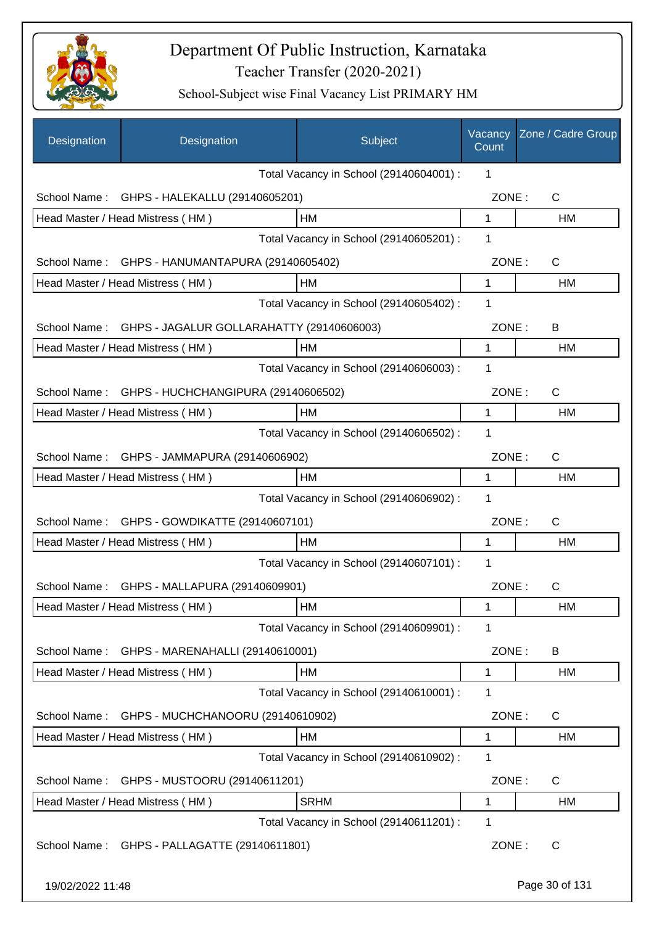

| Designation                             | Designation                                  | Subject                                 | Vacancy<br>Count | Zone / Cadre Group |
|-----------------------------------------|----------------------------------------------|-----------------------------------------|------------------|--------------------|
|                                         |                                              | Total Vacancy in School (29140604001) : | 1                |                    |
| School Name:                            | GHPS - HALEKALLU (29140605201)               |                                         | ZONE:            | C                  |
|                                         | Head Master / Head Mistress (HM)             | HM                                      | 1                | <b>HM</b>          |
|                                         |                                              | Total Vacancy in School (29140605201) : | 1                |                    |
| School Name:                            | GHPS - HANUMANTAPURA (29140605402)           |                                         | ZONE:            | $\mathsf{C}$       |
|                                         | Head Master / Head Mistress (HM)             | HM                                      | 1                | HM                 |
|                                         |                                              | Total Vacancy in School (29140605402) : | 1                |                    |
| School Name:                            | GHPS - JAGALUR GOLLARAHATTY (29140606003)    |                                         | ZONE:            | B                  |
|                                         | Head Master / Head Mistress (HM)             | НM                                      | 1                | HM                 |
|                                         | 1                                            |                                         |                  |                    |
| School Name:                            | GHPS - HUCHCHANGIPURA (29140606502)          |                                         | ZONE:            | C                  |
|                                         | Head Master / Head Mistress (HM)             | HM                                      | 1                | <b>HM</b>          |
|                                         |                                              | Total Vacancy in School (29140606502) : | 1                |                    |
| School Name:                            | GHPS - JAMMAPURA (29140606902)               |                                         | ZONE:            | $\mathsf{C}$       |
|                                         | Head Master / Head Mistress (HM)             | НM                                      | 1                | HM                 |
| Total Vacancy in School (29140606902) : |                                              |                                         |                  |                    |
|                                         | School Name: GHPS - GOWDIKATTE (29140607101) |                                         | ZONE:            | $\mathsf{C}$       |
|                                         | Head Master / Head Mistress (HM)             | HM                                      | 1                | <b>HM</b>          |
|                                         |                                              | Total Vacancy in School (29140607101) : | 1                |                    |
|                                         | School Name: GHPS - MALLAPURA (29140609901)  |                                         | ZONE:            | С                  |
|                                         | Head Master / Head Mistress (HM)             | HM                                      | 1                | HM                 |
|                                         |                                              | Total Vacancy in School (29140609901) : | 1                |                    |
| School Name:                            | GHPS - MARENAHALLI (29140610001)             |                                         | ZONE:            | B                  |
|                                         | Head Master / Head Mistress (HM)             | НM                                      | 1                | HM                 |
|                                         |                                              | Total Vacancy in School (29140610001) : | 1                |                    |
| School Name:                            | GHPS - MUCHCHANOORU (29140610902)            |                                         | ZONE:            | $\mathsf{C}$       |
|                                         | Head Master / Head Mistress (HM)             | HM                                      | 1                | HM                 |
|                                         |                                              | Total Vacancy in School (29140610902) : | 1                |                    |
| School Name:                            | GHPS - MUSTOORU (29140611201)                |                                         | ZONE:            | C                  |
|                                         | Head Master / Head Mistress (HM)             | <b>SRHM</b>                             | 1                | HM                 |
|                                         |                                              | Total Vacancy in School (29140611201) : | 1                |                    |
|                                         | School Name: GHPS - PALLAGATTE (29140611801) |                                         | ZONE:            | C                  |
| 19/02/2022 11:48                        |                                              |                                         |                  | Page 30 of 131     |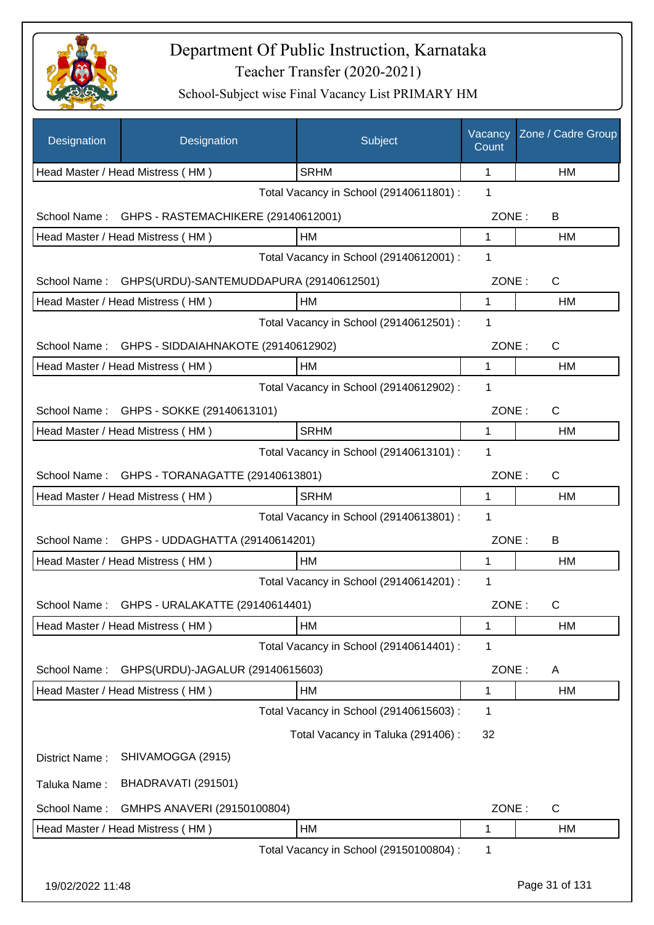

| Designation      | Designation                                          | Subject                                 | Vacancy<br>Count | Zone / Cadre Group |
|------------------|------------------------------------------------------|-----------------------------------------|------------------|--------------------|
|                  | Head Master / Head Mistress (HM)                     | <b>SRHM</b>                             | 1                | HM                 |
|                  |                                                      | Total Vacancy in School (29140611801) : | 1                |                    |
| School Name:     | GHPS - RASTEMACHIKERE (29140612001)                  |                                         | ZONE:            | B                  |
|                  | Head Master / Head Mistress (HM)                     | HM                                      | 1                | HM                 |
|                  |                                                      | Total Vacancy in School (29140612001) : | 1                |                    |
|                  | School Name: GHPS(URDU)-SANTEMUDDAPURA (29140612501) |                                         | ZONE:            | $\mathsf{C}$       |
|                  | Head Master / Head Mistress (HM)                     | HM                                      | 1                | HM                 |
|                  |                                                      | Total Vacancy in School (29140612501) : | 1                |                    |
|                  | School Name: GHPS - SIDDAIAHNAKOTE (29140612902)     |                                         | ZONE:            | C                  |
|                  | Head Master / Head Mistress (HM)                     | HМ                                      | 1                | <b>HM</b>          |
|                  |                                                      | Total Vacancy in School (29140612902) : | 1                |                    |
| School Name:     | GHPS - SOKKE (29140613101)                           |                                         | ZONE:            | C                  |
|                  | Head Master / Head Mistress (HM)                     | <b>SRHM</b>                             | 1                | <b>HM</b>          |
|                  |                                                      | Total Vacancy in School (29140613101) : | 1                |                    |
| School Name:     | GHPS - TORANAGATTE (29140613801)                     |                                         | ZONE:            | $\mathsf{C}$       |
|                  | Head Master / Head Mistress (HM)                     | <b>SRHM</b>                             | 1                | <b>HM</b>          |
|                  |                                                      | Total Vacancy in School (29140613801) : | 1                |                    |
| School Name:     | GHPS - UDDAGHATTA (29140614201)                      |                                         | ZONE:            | B                  |
|                  | Head Master / Head Mistress (HM)                     | HM                                      | 1                | HM                 |
|                  |                                                      | Total Vacancy in School (29140614201) : | 1                |                    |
| School Name:     | GHPS - URALAKATTE (29140614401)                      |                                         | ZONE:            | C                  |
|                  | Head Master / Head Mistress (HM)                     | HM                                      | 1                | HM                 |
|                  |                                                      | Total Vacancy in School (29140614401) : | 1                |                    |
| School Name:     | GHPS(URDU)-JAGALUR (29140615603)                     |                                         | ZONE:            | A                  |
|                  | Head Master / Head Mistress (HM)                     | HM                                      | 1                | HM                 |
|                  |                                                      | Total Vacancy in School (29140615603) : | 1                |                    |
|                  |                                                      | Total Vacancy in Taluka (291406) :      | 32               |                    |
| District Name:   | SHIVAMOGGA (2915)                                    |                                         |                  |                    |
| Taluka Name:     | BHADRAVATI (291501)                                  |                                         |                  |                    |
| School Name:     | GMHPS ANAVERI (29150100804)                          |                                         | ZONE:            | $\mathsf{C}$       |
|                  | Head Master / Head Mistress (HM)                     | HM                                      | 1                | HM                 |
|                  |                                                      | Total Vacancy in School (29150100804) : | 1                |                    |
| 19/02/2022 11:48 |                                                      |                                         |                  | Page 31 of 131     |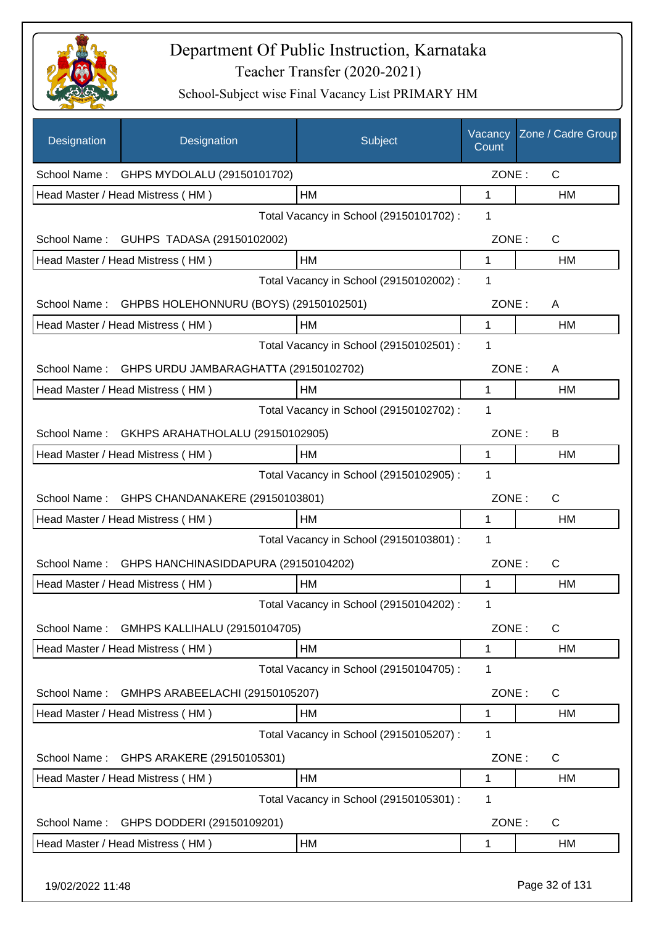

| Designation      | Designation                              | Subject                                 | Vacancy<br>Count | Zone / Cadre Group |
|------------------|------------------------------------------|-----------------------------------------|------------------|--------------------|
|                  | School Name: GHPS MYDOLALU (29150101702) |                                         | ZONE:            | $\mathsf{C}$       |
|                  | Head Master / Head Mistress (HM)         | HM                                      | 1                | НM                 |
|                  |                                          | Total Vacancy in School (29150101702) : | 1                |                    |
| School Name:     | GUHPS TADASA (29150102002)               |                                         | ZONE:            | $\mathsf{C}$       |
|                  | Head Master / Head Mistress (HM)         | HM                                      | $\mathbf{1}$     | HM                 |
|                  |                                          | Total Vacancy in School (29150102002) : | 1                |                    |
| School Name:     | GHPBS HOLEHONNURU (BOYS) (29150102501)   |                                         | ZONE:            | A                  |
|                  | Head Master / Head Mistress (HM)         | HM                                      | 1                | HM                 |
|                  |                                          | Total Vacancy in School (29150102501) : | 1                |                    |
| School Name:     | GHPS URDU JAMBARAGHATTA (29150102702)    |                                         | ZONE:            | A                  |
|                  | Head Master / Head Mistress (HM)         | HM                                      | 1                | HM                 |
|                  |                                          | Total Vacancy in School (29150102702) : | 1                |                    |
| School Name:     | GKHPS ARAHATHOLALU (29150102905)         |                                         | ZONE:            | B                  |
|                  | Head Master / Head Mistress (HM)         | HM                                      | 1                | HM                 |
|                  |                                          | Total Vacancy in School (29150102905) : | 1                |                    |
| School Name:     | GHPS CHANDANAKERE (29150103801)          |                                         | ZONE:            | C                  |
|                  | Head Master / Head Mistress (HM)         | HM                                      | 1                | НM                 |
|                  |                                          | Total Vacancy in School (29150103801) : | 1                |                    |
| School Name:     | GHPS HANCHINASIDDAPURA (29150104202)     |                                         | ZONE:            | C                  |
|                  | Head Master / Head Mistress (HM)         | HM                                      | 1                | <b>HM</b>          |
|                  |                                          | Total Vacancy in School (29150104202) : | 1                |                    |
| School Name:     | GMHPS KALLIHALU (29150104705)            |                                         | ZONE:            | C                  |
|                  | Head Master / Head Mistress (HM)         | HM                                      | 1                | HM                 |
|                  |                                          | Total Vacancy in School (29150104705) : | 1                |                    |
| School Name:     | GMHPS ARABEELACHI (29150105207)          |                                         | ZONE:            | C                  |
|                  | Head Master / Head Mistress (HM)         | HM                                      | 1                | HM                 |
|                  |                                          | Total Vacancy in School (29150105207) : | 1                |                    |
| School Name:     | GHPS ARAKERE (29150105301)               |                                         | ZONE:            | C                  |
|                  | Head Master / Head Mistress (HM)         | HM                                      | 1                | HM                 |
|                  |                                          | Total Vacancy in School (29150105301) : | 1                |                    |
| School Name:     | GHPS DODDERI (29150109201)               |                                         | ZONE:            | C                  |
|                  | Head Master / Head Mistress (HM)         | HM                                      | 1                | HM                 |
| 19/02/2022 11:48 |                                          |                                         |                  | Page 32 of 131     |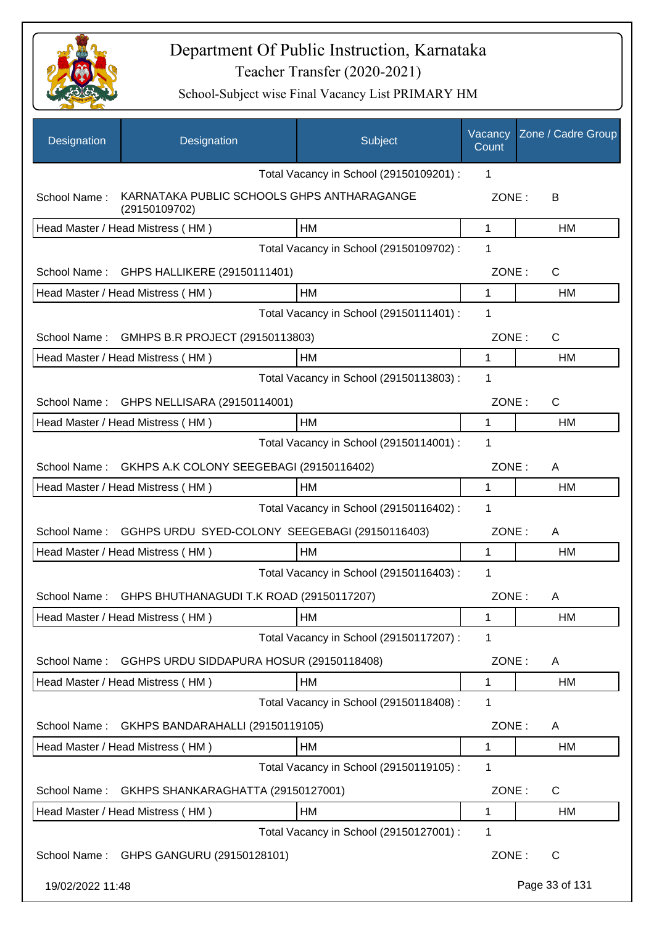

| Designation      | Designation                                                 | Subject                                 | Vacancy<br>Count | Zone / Cadre Group |
|------------------|-------------------------------------------------------------|-----------------------------------------|------------------|--------------------|
|                  |                                                             | Total Vacancy in School (29150109201) : | 1                |                    |
| School Name:     | KARNATAKA PUBLIC SCHOOLS GHPS ANTHARAGANGE<br>(29150109702) |                                         | ZONE:            | В                  |
|                  | Head Master / Head Mistress (HM)                            | НM                                      | 1                | НM                 |
|                  |                                                             | Total Vacancy in School (29150109702) : | 1                |                    |
| School Name:     | GHPS HALLIKERE (29150111401)                                |                                         | ZONE:            | $\mathsf{C}$       |
|                  | Head Master / Head Mistress (HM)                            | HM                                      | 1                | <b>HM</b>          |
|                  |                                                             | Total Vacancy in School (29150111401) : | 1                |                    |
| School Name:     | GMHPS B.R PROJECT (29150113803)                             |                                         | ZONE:            | C                  |
|                  | Head Master / Head Mistress (HM)                            | HМ                                      | 1                | HM                 |
|                  |                                                             | Total Vacancy in School (29150113803) : | 1                |                    |
| School Name:     | GHPS NELLISARA (29150114001)                                |                                         | ZONE:            | C                  |
|                  | Head Master / Head Mistress (HM)                            | <b>HM</b>                               | 1                | HM                 |
|                  |                                                             | Total Vacancy in School (29150114001) : | 1                |                    |
| School Name:     | GKHPS A.K COLONY SEEGEBAGI (29150116402)                    |                                         | ZONE:            | A                  |
|                  | Head Master / Head Mistress (HM)                            | HM                                      | 1                | HM                 |
|                  |                                                             | Total Vacancy in School (29150116402) : | 1                |                    |
| School Name:     | GGHPS URDU SYED-COLONY SEEGEBAGI (29150116403)              |                                         | ZONE:            | A                  |
|                  | Head Master / Head Mistress (HM)                            | <b>HM</b>                               | 1                | HM                 |
|                  |                                                             | Total Vacancy in School (29150116403) : | 1                |                    |
| School Name:     | GHPS BHUTHANAGUDI T.K ROAD (29150117207)                    |                                         | ZONE:            | A                  |
|                  | Head Master / Head Mistress (HM)                            | HM                                      | 1                | HM                 |
|                  |                                                             | Total Vacancy in School (29150117207) : | 1                |                    |
| School Name:     | GGHPS URDU SIDDAPURA HOSUR (29150118408)                    |                                         | ZONE:            | A                  |
|                  | Head Master / Head Mistress (HM)                            | HM                                      | 1                | HM                 |
|                  |                                                             | Total Vacancy in School (29150118408) : | 1                |                    |
| School Name:     | GKHPS BANDARAHALLI (29150119105)                            |                                         | ZONE:            | A                  |
|                  | Head Master / Head Mistress (HM)                            | HM                                      | 1                | <b>HM</b>          |
|                  |                                                             | Total Vacancy in School (29150119105) : | 1                |                    |
| School Name:     | GKHPS SHANKARAGHATTA (29150127001)                          |                                         | ZONE:            | C                  |
|                  | Head Master / Head Mistress (HM)                            | HM                                      | 1                | HM                 |
|                  |                                                             | Total Vacancy in School (29150127001) : | 1                |                    |
| School Name:     | GHPS GANGURU (29150128101)                                  |                                         | ZONE:            | C                  |
| 19/02/2022 11:48 |                                                             |                                         |                  | Page 33 of 131     |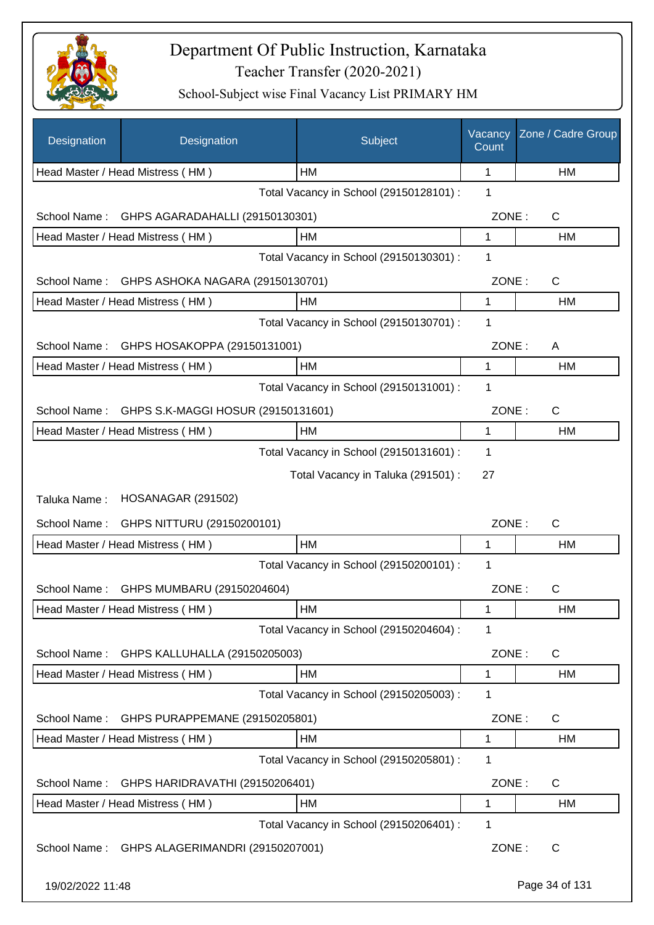

| Designation      | Designation                        | Subject                                 | Vacancy<br>Count | Zone / Cadre Group |
|------------------|------------------------------------|-----------------------------------------|------------------|--------------------|
|                  | Head Master / Head Mistress (HM)   | НM                                      | 1                | HM                 |
|                  |                                    | Total Vacancy in School (29150128101) : | 1                |                    |
| School Name:     | GHPS AGARADAHALLI (29150130301)    |                                         | ZONE:            | C                  |
|                  | Head Master / Head Mistress (HM)   | HM                                      | 1                | HM                 |
|                  |                                    | Total Vacancy in School (29150130301) : | 1                |                    |
| School Name:     | GHPS ASHOKA NAGARA (29150130701)   |                                         | ZONE:            | C                  |
|                  | Head Master / Head Mistress (HM)   | HM                                      | 1                | HM                 |
|                  |                                    | Total Vacancy in School (29150130701) : | 1                |                    |
| School Name:     | GHPS HOSAKOPPA (29150131001)       |                                         | ZONE:            | A                  |
|                  | Head Master / Head Mistress (HM)   | HM                                      | 1                | HM                 |
|                  |                                    | Total Vacancy in School (29150131001) : | 1                |                    |
| School Name:     | GHPS S.K-MAGGI HOSUR (29150131601) |                                         | ZONE:            | C                  |
|                  | Head Master / Head Mistress (HM)   | HM                                      | 1                | HM                 |
|                  |                                    | Total Vacancy in School (29150131601) : | 1                |                    |
|                  |                                    | Total Vacancy in Taluka (291501) :      | 27               |                    |
| Taluka Name:     | <b>HOSANAGAR (291502)</b>          |                                         |                  |                    |
| School Name:     | GHPS NITTURU (29150200101)         |                                         | ZONE:            | $\mathsf{C}$       |
|                  | Head Master / Head Mistress (HM)   | HM                                      | 1                | HM                 |
|                  |                                    | Total Vacancy in School (29150200101) : | 1                |                    |
| School Name:     | GHPS MUMBARU (29150204604)         |                                         | ZONE:            | $\mathsf C$        |
|                  | Head Master / Head Mistress (HM)   | ${\sf HM}$                              | 1                | HM                 |
|                  |                                    | Total Vacancy in School (29150204604) : | 1                |                    |
| School Name:     | GHPS KALLUHALLA (29150205003)      |                                         | ZONE:            | C                  |
|                  | Head Master / Head Mistress (HM)   | HM                                      | 1                | HM                 |
|                  |                                    | Total Vacancy in School (29150205003) : | 1                |                    |
| School Name:     | GHPS PURAPPEMANE (29150205801)     |                                         | ZONE:            | C                  |
|                  | Head Master / Head Mistress (HM)   | HM                                      | 1                | HM                 |
|                  |                                    | Total Vacancy in School (29150205801) : | 1                |                    |
| School Name:     | GHPS HARIDRAVATHI (29150206401)    |                                         | ZONE:            | C                  |
|                  | Head Master / Head Mistress (HM)   | HM                                      | 1                | HM                 |
|                  |                                    | Total Vacancy in School (29150206401) : | 1                |                    |
| School Name:     | GHPS ALAGERIMANDRI (29150207001)   |                                         | ZONE:            | C                  |
| 19/02/2022 11:48 |                                    |                                         |                  | Page 34 of 131     |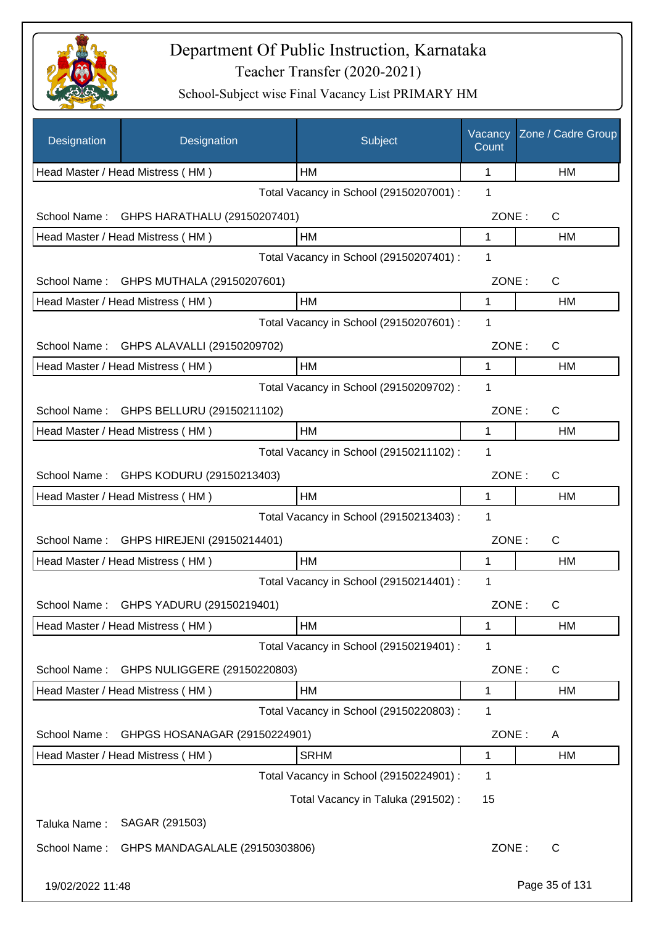

| Designation      | Designation                             | Subject                                 | Vacancy<br>Count | Zone / Cadre Group |
|------------------|-----------------------------------------|-----------------------------------------|------------------|--------------------|
|                  | Head Master / Head Mistress (HM)        | НM                                      | 1                | HM                 |
|                  |                                         | Total Vacancy in School (29150207001) : | 1                |                    |
| School Name:     | GHPS HARATHALU (29150207401)            |                                         | ZONE:            | C                  |
|                  | Head Master / Head Mistress (HM)        | HM                                      | 1                | HM                 |
|                  |                                         | Total Vacancy in School (29150207401) : | 1                |                    |
| School Name:     | GHPS MUTHALA (29150207601)              |                                         | ZONE:            | C                  |
|                  | Head Master / Head Mistress (HM)        | HM                                      | 1                | HM                 |
|                  |                                         | Total Vacancy in School (29150207601) : | 1                |                    |
| School Name:     | GHPS ALAVALLI (29150209702)             |                                         | ZONE:            | C                  |
|                  | Head Master / Head Mistress (HM)        | HM                                      | 1                | HM                 |
|                  |                                         | Total Vacancy in School (29150209702) : | 1                |                    |
|                  | School Name: GHPS BELLURU (29150211102) |                                         | ZONE:            | C                  |
|                  | Head Master / Head Mistress (HM)        | HM                                      | 1                | HM                 |
|                  |                                         | Total Vacancy in School (29150211102) : | 1                |                    |
|                  | School Name: GHPS KODURU (29150213403)  |                                         | ZONE:            | C                  |
|                  | Head Master / Head Mistress (HM)        | HM                                      | 1                | HM                 |
|                  |                                         | Total Vacancy in School (29150213403) : | 1                |                    |
| School Name:     | GHPS HIREJENI (29150214401)             |                                         | ZONE:            | C                  |
|                  | Head Master / Head Mistress (HM)        | HM                                      | 1                | HM                 |
|                  |                                         | Total Vacancy in School (29150214401) : | 1                |                    |
| School Name:     | GHPS YADURU (29150219401)               |                                         | ZONE:            | С                  |
|                  | Head Master / Head Mistress (HM)        | HM                                      | 1                | HM                 |
|                  |                                         | Total Vacancy in School (29150219401) : | 1                |                    |
| School Name:     | GHPS NULIGGERE (29150220803)            |                                         | ZONE:            | C                  |
|                  | Head Master / Head Mistress (HM)        | HM                                      | 1                | HM                 |
|                  |                                         | Total Vacancy in School (29150220803) : | 1                |                    |
| School Name:     | GHPGS HOSANAGAR (29150224901)           |                                         | ZONE:            | A                  |
|                  | Head Master / Head Mistress (HM)        | <b>SRHM</b>                             | 1                | HM                 |
|                  |                                         | Total Vacancy in School (29150224901) : | 1                |                    |
|                  |                                         | Total Vacancy in Taluka (291502) :      | 15               |                    |
|                  |                                         |                                         |                  |                    |
| Taluka Name:     | SAGAR (291503)                          |                                         |                  |                    |
| School Name:     | GHPS MANDAGALALE (29150303806)          |                                         | ZONE:            | C                  |
| 19/02/2022 11:48 |                                         |                                         |                  | Page 35 of 131     |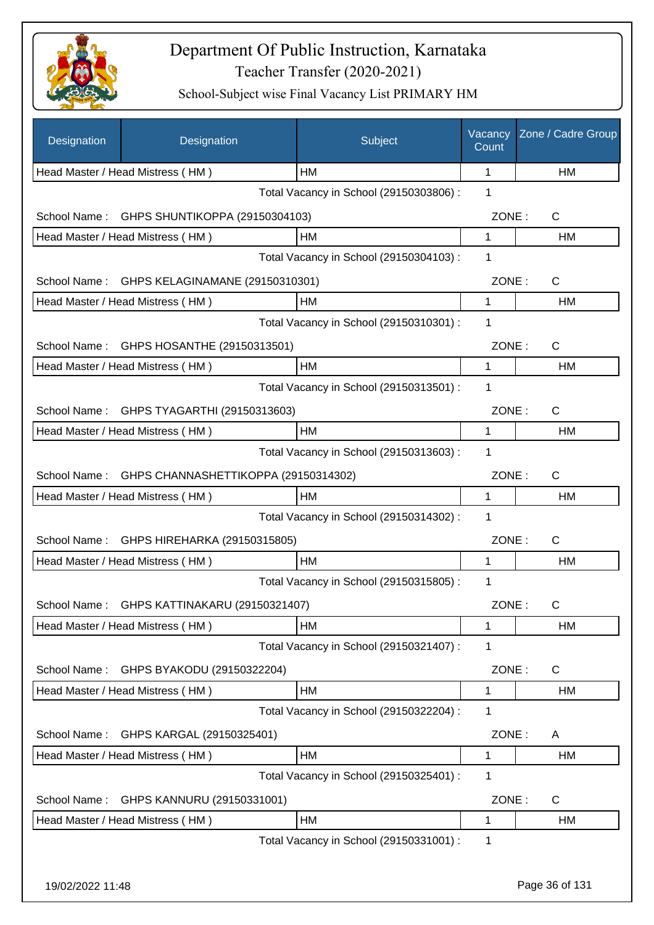

| Designation      | Designation                               | Subject                                 | Vacancy<br>Count | Zone / Cadre Group |
|------------------|-------------------------------------------|-----------------------------------------|------------------|--------------------|
|                  | Head Master / Head Mistress (HM)          | HМ                                      | 1                | HM                 |
|                  |                                           | Total Vacancy in School (29150303806) : | 1                |                    |
| School Name:     | GHPS SHUNTIKOPPA (29150304103)            |                                         | ZONE:            | $\mathsf C$        |
|                  | Head Master / Head Mistress (HM)          | НM                                      | 1                | НM                 |
|                  |                                           | Total Vacancy in School (29150304103) : | 1                |                    |
| School Name:     | GHPS KELAGINAMANE (29150310301)           |                                         | ZONE:            | $\mathsf{C}$       |
|                  | Head Master / Head Mistress (HM)          | HM                                      | 1                | <b>HM</b>          |
|                  |                                           | Total Vacancy in School (29150310301) : | 1                |                    |
| School Name:     | GHPS HOSANTHE (29150313501)               |                                         | ZONE:            | C                  |
|                  | Head Master / Head Mistress (HM)          | HM                                      | 1                | HM                 |
|                  |                                           | Total Vacancy in School (29150313501) : | 1                |                    |
|                  | School Name: GHPS TYAGARTHI (29150313603) |                                         | ZONE:            | $\mathsf C$        |
|                  | Head Master / Head Mistress (HM)          | HM                                      | 1                | HM                 |
|                  |                                           | Total Vacancy in School (29150313603) : | $\mathbf 1$      |                    |
| School Name:     | GHPS CHANNASHETTIKOPPA (29150314302)      |                                         | ZONE:            | C                  |
|                  | Head Master / Head Mistress (HM)          | HM                                      | 1                | HM                 |
|                  |                                           | Total Vacancy in School (29150314302) : | 1                |                    |
| School Name:     | GHPS HIREHARKA (29150315805)              |                                         | ZONE:            | C                  |
|                  | Head Master / Head Mistress (HM)          | HM                                      | 1                | НM                 |
|                  |                                           | Total Vacancy in School (29150315805) : | 1                |                    |
| School Name:     | GHPS KATTINAKARU (29150321407)            |                                         | ZONE:            | С                  |
|                  | Head Master / Head Mistress (HM)          | НM                                      | 1                | HM                 |
|                  |                                           | Total Vacancy in School (29150321407) : | 1                |                    |
| School Name:     | GHPS BYAKODU (29150322204)                |                                         | ZONE:            | C                  |
|                  | Head Master / Head Mistress (HM)          | HM                                      | 1                | HM                 |
|                  |                                           | Total Vacancy in School (29150322204) : | 1                |                    |
| School Name:     | GHPS KARGAL (29150325401)                 |                                         | ZONE:            | Α                  |
|                  | Head Master / Head Mistress (HM)          | HM                                      | 1                | HM                 |
|                  |                                           | Total Vacancy in School (29150325401) : | 1                |                    |
| School Name:     | GHPS KANNURU (29150331001)                |                                         | ZONE:            | C                  |
|                  | Head Master / Head Mistress (HM)          | HM                                      | 1                | HM                 |
|                  |                                           | Total Vacancy in School (29150331001) : | 1                |                    |
|                  |                                           |                                         |                  |                    |
| 19/02/2022 11:48 |                                           |                                         |                  | Page 36 of 131     |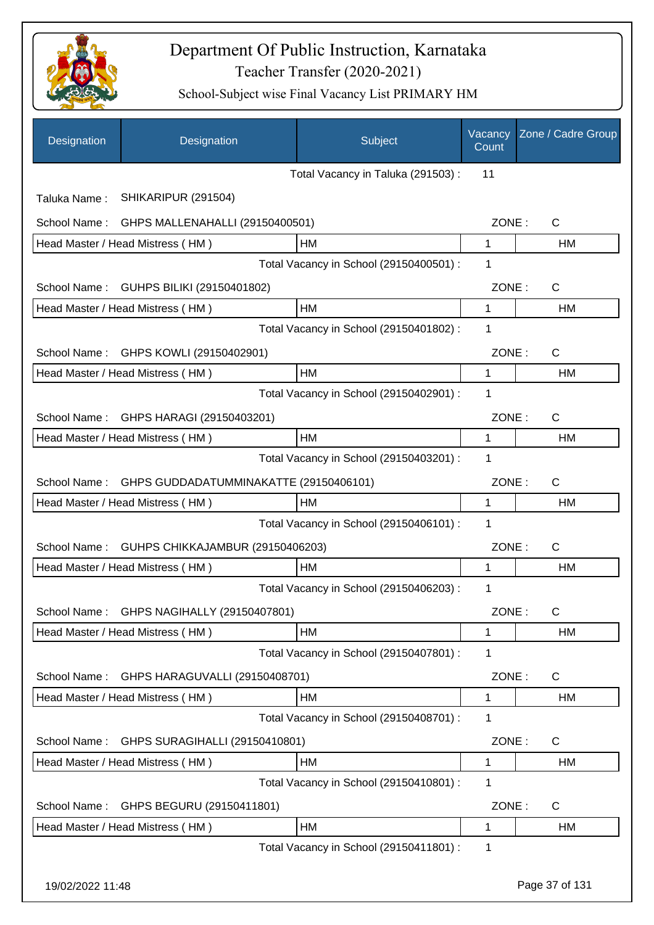

| Designation      | Designation                               | Subject                                 | Vacancy<br>Count | Zone / Cadre Group |
|------------------|-------------------------------------------|-----------------------------------------|------------------|--------------------|
|                  |                                           | Total Vacancy in Taluka (291503) :      | 11               |                    |
| Taluka Name:     | SHIKARIPUR (291504)                       |                                         |                  |                    |
| School Name:     | GHPS MALLENAHALLI (29150400501)           |                                         | ZONE:            | $\mathsf{C}$       |
|                  | Head Master / Head Mistress (HM)          | HM                                      | $\mathbf 1$      | HM                 |
|                  |                                           | Total Vacancy in School (29150400501) : | 1                |                    |
| School Name:     | GUHPS BILIKI (29150401802)                |                                         | ZONE:            | $\mathsf{C}$       |
|                  | Head Master / Head Mistress (HM)          | <b>HM</b>                               | $\mathbf{1}$     | HM                 |
|                  |                                           | Total Vacancy in School (29150401802) : | 1                |                    |
| School Name:     | GHPS KOWLI (29150402901)                  |                                         | ZONE:            | $\mathsf{C}$       |
|                  | Head Master / Head Mistress (HM)          | <b>HM</b>                               | 1                | HM                 |
|                  |                                           | Total Vacancy in School (29150402901) : | 1                |                    |
| School Name:     | GHPS HARAGI (29150403201)                 |                                         | ZONE:            | $\mathsf{C}$       |
|                  | Head Master / Head Mistress (HM)          | HM                                      | 1                | HM                 |
|                  |                                           | Total Vacancy in School (29150403201) : | 1                |                    |
| School Name:     | GHPS GUDDADATUMMINAKATTE (29150406101)    |                                         | ZONE:            | $\mathsf{C}$       |
|                  | Head Master / Head Mistress (HM)          | <b>HM</b>                               | 1                | HM                 |
|                  |                                           | Total Vacancy in School (29150406101) : | 1                |                    |
| School Name:     | GUHPS CHIKKAJAMBUR (29150406203)          |                                         | ZONE:            | $\mathsf{C}$       |
|                  | Head Master / Head Mistress (HM)          | <b>HM</b>                               | 1                | HM                 |
|                  |                                           | Total Vacancy in School (29150406203) : | 1                |                    |
|                  | School Name: GHPS NAGIHALLY (29150407801) |                                         | ZONE:            | C                  |
|                  | Head Master / Head Mistress (HM)          | HM                                      | 1                | HM                 |
|                  |                                           | Total Vacancy in School (29150407801) : | 1                |                    |
| School Name:     | GHPS HARAGUVALLI (29150408701)            |                                         | ZONE:            | C                  |
|                  | Head Master / Head Mistress (HM)          | HM                                      | 1                | HM                 |
|                  |                                           | Total Vacancy in School (29150408701) : | 1                |                    |
| School Name:     | GHPS SURAGIHALLI (29150410801)            |                                         | ZONE:            | C                  |
|                  | Head Master / Head Mistress (HM)          | HM                                      | 1                | HM                 |
|                  |                                           | Total Vacancy in School (29150410801) : | 1                |                    |
| School Name:     | GHPS BEGURU (29150411801)                 |                                         | ZONE:            | C                  |
|                  | Head Master / Head Mistress (HM)          | HM                                      | 1                | HM                 |
|                  |                                           | Total Vacancy in School (29150411801) : | 1                |                    |
| 19/02/2022 11:48 |                                           |                                         |                  | Page 37 of 131     |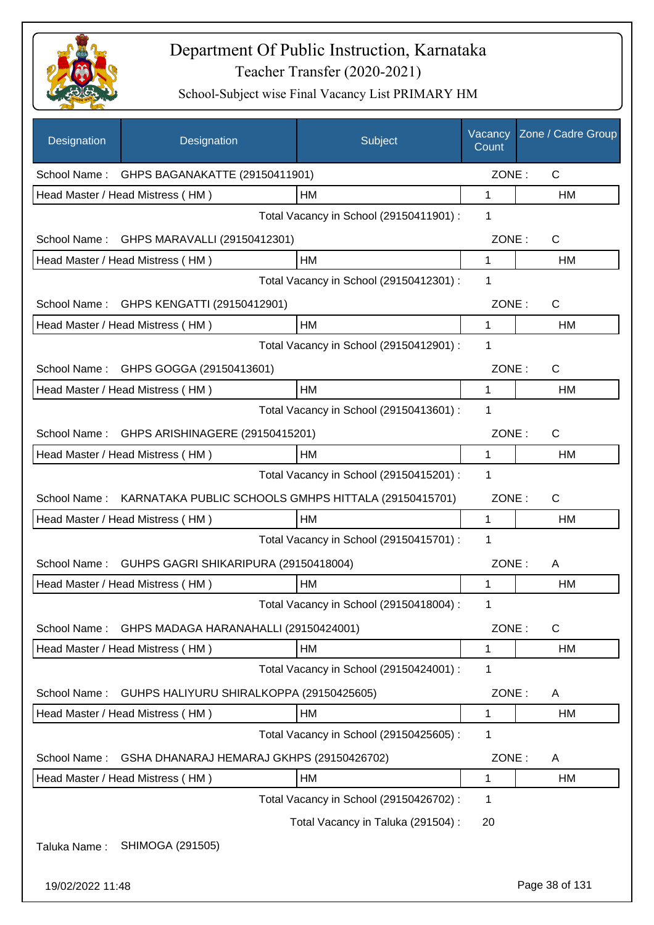

| Designation      | Designation                                          | Subject                                 | Vacancy<br>Count | Zone / Cadre Group |
|------------------|------------------------------------------------------|-----------------------------------------|------------------|--------------------|
| School Name:     | GHPS BAGANAKATTE (29150411901)                       |                                         | ZONE:            | $\mathsf{C}$       |
|                  | Head Master / Head Mistress (HM)                     | НM                                      | 1                | НM                 |
|                  |                                                      | Total Vacancy in School (29150411901) : | 1                |                    |
| School Name:     | GHPS MARAVALLI (29150412301)                         |                                         | ZONE:            | C                  |
|                  | Head Master / Head Mistress (HM)                     | HM                                      | 1                | HM                 |
|                  |                                                      | Total Vacancy in School (29150412301) : | 1                |                    |
| School Name:     | GHPS KENGATTI (29150412901)                          |                                         | ZONE:            | $\mathsf{C}$       |
|                  | Head Master / Head Mistress (HM)                     | HM                                      | 1                | HM                 |
|                  |                                                      | Total Vacancy in School (29150412901) : | 1                |                    |
| School Name:     | GHPS GOGGA (29150413601)                             |                                         | ZONE:            | C                  |
|                  | Head Master / Head Mistress (HM)                     | HM                                      | 1                | HM                 |
|                  |                                                      | Total Vacancy in School (29150413601) : | 1                |                    |
| School Name:     | GHPS ARISHINAGERE (29150415201)                      |                                         | ZONE:            | C                  |
|                  | Head Master / Head Mistress (HM)                     | HM                                      | 1                | HM                 |
|                  |                                                      | Total Vacancy in School (29150415201) : | 1                |                    |
| School Name:     | KARNATAKA PUBLIC SCHOOLS GMHPS HITTALA (29150415701) |                                         | ZONE:            | C                  |
|                  | Head Master / Head Mistress (HM)                     | НM                                      | 1                | НM                 |
|                  |                                                      | Total Vacancy in School (29150415701) : | 1                |                    |
| School Name:     | GUHPS GAGRI SHIKARIPURA (29150418004)                |                                         | ZONE:            | A                  |
|                  | Head Master / Head Mistress (HM)                     | HМ                                      | 1                | НM                 |
|                  |                                                      | Total Vacancy in School (29150418004) : | 1                |                    |
| School Name:     | GHPS MADAGA HARANAHALLI (29150424001)                |                                         | ZONE:            | $\mathsf C$        |
|                  | Head Master / Head Mistress (HM)                     | HM                                      | 1                | <b>HM</b>          |
|                  |                                                      | Total Vacancy in School (29150424001) : | 1                |                    |
| School Name:     | GUHPS HALIYURU SHIRALKOPPA (29150425605)             |                                         | ZONE:            | A                  |
|                  | Head Master / Head Mistress (HM)                     | HM                                      | 1                | HM                 |
|                  |                                                      | Total Vacancy in School (29150425605) : | 1                |                    |
| School Name:     | GSHA DHANARAJ HEMARAJ GKHPS (29150426702)            |                                         | ZONE:            | A                  |
|                  | Head Master / Head Mistress (HM)                     | HM                                      | 1                | HM                 |
|                  |                                                      | Total Vacancy in School (29150426702) : | 1                |                    |
|                  |                                                      | Total Vacancy in Taluka (291504) :      | 20               |                    |
| Taluka Name:     | SHIMOGA (291505)                                     |                                         |                  |                    |
| 19/02/2022 11:48 |                                                      |                                         |                  | Page 38 of 131     |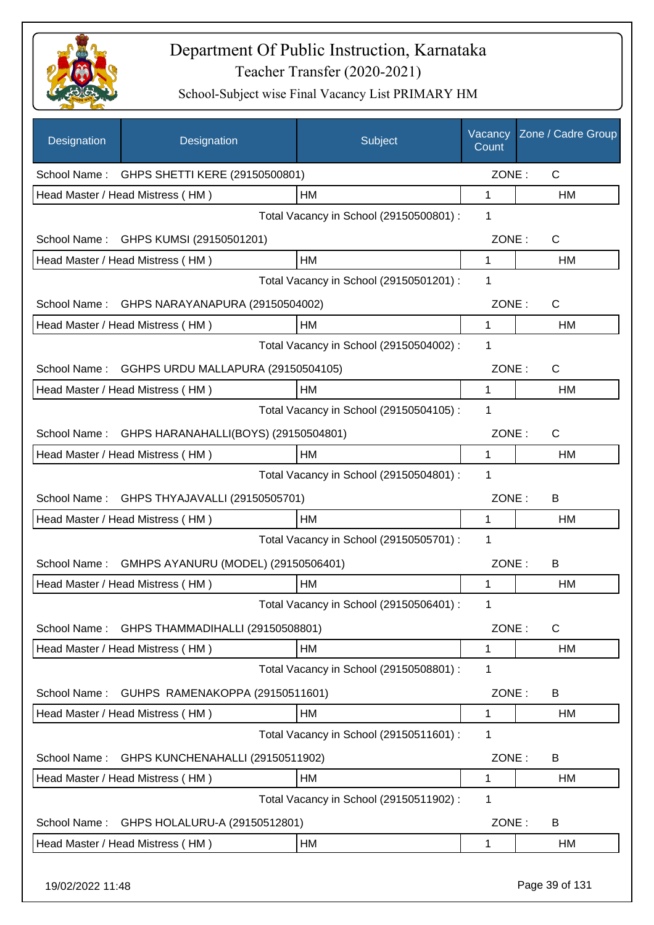

| <b>Designation</b> | Designation                                 | Subject                                 | Vacancy<br>Count | Zone / Cadre Group |
|--------------------|---------------------------------------------|-----------------------------------------|------------------|--------------------|
|                    | School Name: GHPS SHETTI KERE (29150500801) |                                         | ZONE:            | $\mathsf{C}$       |
|                    | Head Master / Head Mistress (HM)            | HM                                      | 1                | HM                 |
|                    |                                             | Total Vacancy in School (29150500801) : | 1                |                    |
|                    | School Name: GHPS KUMSI (29150501201)       |                                         | ZONE:            | $\mathsf{C}$       |
|                    | Head Master / Head Mistress (HM)            | <b>HM</b>                               | 1                | HM                 |
|                    |                                             | Total Vacancy in School (29150501201) : | 1                |                    |
| School Name:       | GHPS NARAYANAPURA (29150504002)             |                                         | ZONE:            | C                  |
|                    | Head Master / Head Mistress (HM)            | <b>HM</b>                               | 1                | HM                 |
|                    |                                             | Total Vacancy in School (29150504002) : | 1                |                    |
| School Name:       | GGHPS URDU MALLAPURA (29150504105)          |                                         | ZONE:            | $\mathsf{C}$       |
|                    | Head Master / Head Mistress (HM)            | HM                                      | 1                | HM                 |
|                    |                                             | Total Vacancy in School (29150504105) : | 1                |                    |
| School Name:       | GHPS HARANAHALLI(BOYS) (29150504801)        |                                         | ZONE:            | $\mathsf{C}$       |
|                    | Head Master / Head Mistress (HM)            | HM                                      | 1                | HM                 |
|                    |                                             | Total Vacancy in School (29150504801) : | 1                |                    |
| School Name:       | GHPS THYAJAVALLI (29150505701)              |                                         | ZONE:            | B                  |
|                    | Head Master / Head Mistress (HM)            | HM                                      | 1                | <b>HM</b>          |
|                    |                                             | Total Vacancy in School (29150505701) : | 1                |                    |
| School Name:       | GMHPS AYANURU (MODEL) (29150506401)         |                                         | ZONE:            | B                  |
|                    | Head Master / Head Mistress (HM)            | HM                                      | 1                | HM                 |
|                    |                                             | Total Vacancy in School (29150506401) : |                  |                    |
| School Name:       | GHPS THAMMADIHALLI (29150508801)            |                                         | ZONE:            | C                  |
|                    | Head Master / Head Mistress (HM)            | HM                                      | 1                | HM                 |
|                    |                                             | Total Vacancy in School (29150508801) : | 1                |                    |
| School Name:       | GUHPS RAMENAKOPPA (29150511601)             |                                         | ZONE:            | B                  |
|                    | Head Master / Head Mistress (HM)            | HM                                      | 1                | HM                 |
|                    |                                             | Total Vacancy in School (29150511601) : | 1                |                    |
| School Name:       | GHPS KUNCHENAHALLI (29150511902)            |                                         | ZONE:            | B                  |
|                    | Head Master / Head Mistress (HM)            | HM                                      | 1                | HM                 |
|                    |                                             | Total Vacancy in School (29150511902) : | 1                |                    |
| School Name:       | GHPS HOLALURU-A (29150512801)               |                                         | ZONE:            | B                  |
|                    | Head Master / Head Mistress (HM)            | HM                                      | 1                | HM                 |
| 19/02/2022 11:48   |                                             |                                         |                  | Page 39 of 131     |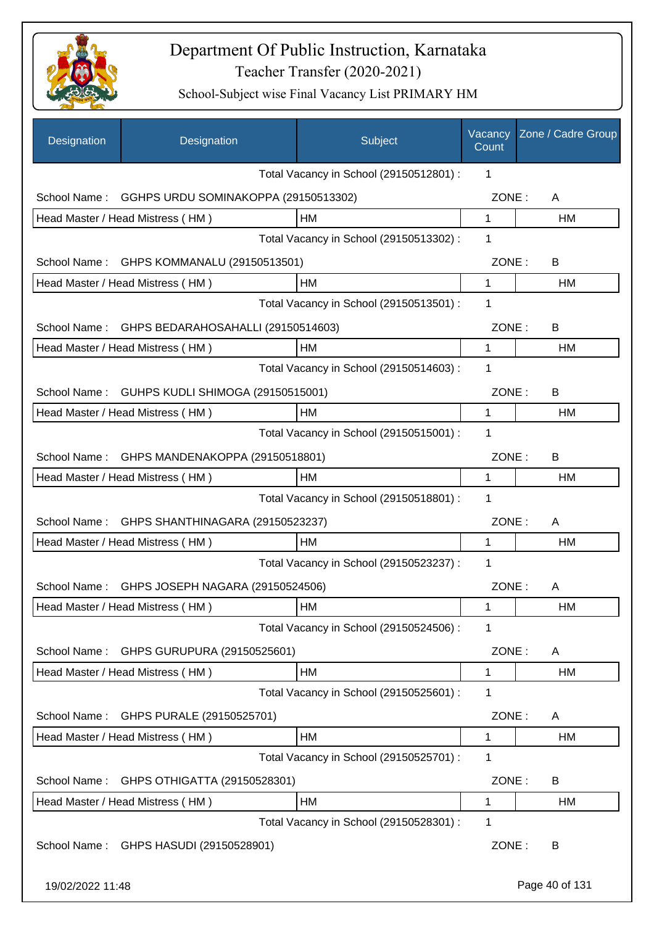

| Designation      | Designation                                   | Subject                                 | Vacancy<br>Count | Zone / Cadre Group |
|------------------|-----------------------------------------------|-----------------------------------------|------------------|--------------------|
|                  |                                               | Total Vacancy in School (29150512801) : | 1                |                    |
| School Name:     | GGHPS URDU SOMINAKOPPA (29150513302)          |                                         | ZONE:            | A                  |
|                  | Head Master / Head Mistress (HM)              | HM                                      | 1                | HM                 |
|                  |                                               | Total Vacancy in School (29150513302) : | 1                |                    |
| School Name:     | GHPS KOMMANALU (29150513501)                  |                                         | ZONE:            | B                  |
|                  | Head Master / Head Mistress (HM)              | HM                                      | 1                | <b>HM</b>          |
|                  |                                               | Total Vacancy in School (29150513501) : | 1                |                    |
| School Name:     | GHPS BEDARAHOSAHALLI (29150514603)            |                                         | ZONE:            | B                  |
|                  | Head Master / Head Mistress (HM)              | HM                                      | 1                | <b>HM</b>          |
|                  |                                               | Total Vacancy in School (29150514603) : | 1                |                    |
| School Name:     | GUHPS KUDLI SHIMOGA (29150515001)             |                                         | ZONE:            | B                  |
|                  | Head Master / Head Mistress (HM)              | HM                                      | 1                | HM                 |
|                  |                                               | Total Vacancy in School (29150515001) : | 1                |                    |
| School Name:     | GHPS MANDENAKOPPA (29150518801)               |                                         | ZONE:            | B                  |
|                  | Head Master / Head Mistress (HM)              | HM                                      | 1                | HM                 |
|                  |                                               | Total Vacancy in School (29150518801) : | 1                |                    |
| School Name:     | GHPS SHANTHINAGARA (29150523237)              |                                         | ZONE:            | A                  |
|                  | Head Master / Head Mistress (HM)              | HM                                      | 1                | <b>HM</b>          |
|                  |                                               | Total Vacancy in School (29150523237) : | 1                |                    |
|                  | School Name: GHPS JOSEPH NAGARA (29150524506) |                                         | ZONE:            | A                  |
|                  | Head Master / Head Mistress (HM)              | <b>HM</b>                               | 1                | HM                 |
|                  |                                               | Total Vacancy in School (29150524506) : | 1                |                    |
| School Name:     | GHPS GURUPURA (29150525601)                   |                                         | ZONE:            | A                  |
|                  | Head Master / Head Mistress (HM)              | HM                                      | 1                | HM                 |
|                  |                                               | Total Vacancy in School (29150525601) : | 1                |                    |
| School Name:     | GHPS PURALE (29150525701)                     |                                         | ZONE:            | A                  |
|                  | Head Master / Head Mistress (HM)              | HM                                      | $\mathbf 1$      | HM                 |
|                  |                                               | Total Vacancy in School (29150525701) : | 1                |                    |
| School Name:     | GHPS OTHIGATTA (29150528301)                  |                                         | ZONE:            | B                  |
|                  | Head Master / Head Mistress (HM)              | HM                                      | 1                | HM                 |
|                  |                                               | Total Vacancy in School (29150528301) : | 1                |                    |
| School Name:     | GHPS HASUDI (29150528901)                     |                                         | ZONE:            | B                  |
| 19/02/2022 11:48 |                                               |                                         |                  | Page 40 of 131     |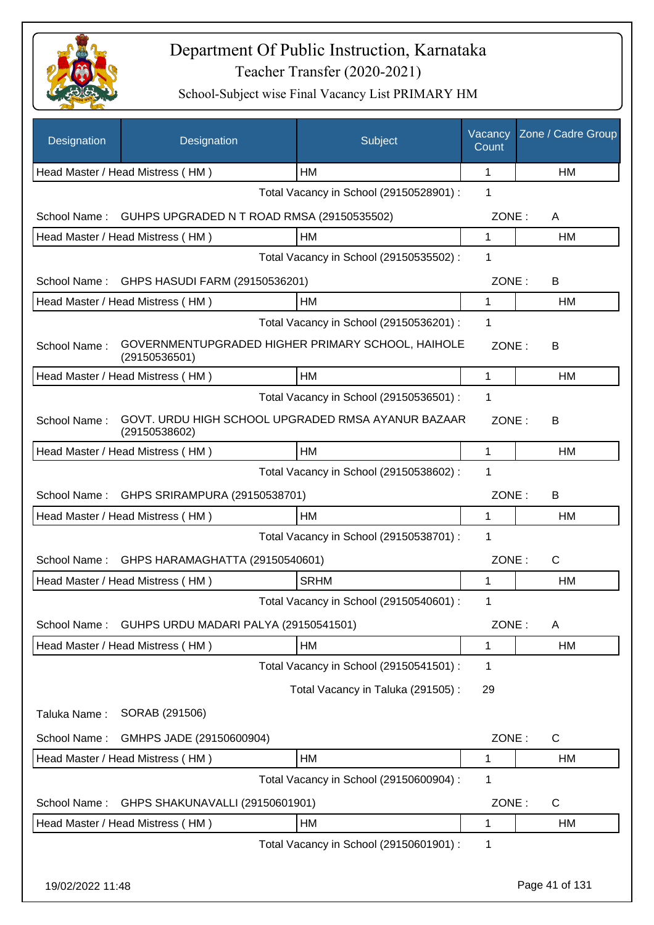

| Designation      | Designation                                                         | Subject                                 | Vacancy<br>Count | Zone / Cadre Group |
|------------------|---------------------------------------------------------------------|-----------------------------------------|------------------|--------------------|
|                  | Head Master / Head Mistress (HM)                                    | <b>HM</b>                               | 1                | HM                 |
|                  |                                                                     | Total Vacancy in School (29150528901) : | 1                |                    |
| School Name:     | GUHPS UPGRADED N T ROAD RMSA (29150535502)                          |                                         | ZONE:            | A                  |
|                  | Head Master / Head Mistress (HM)                                    | HM                                      | 1                | HM                 |
|                  |                                                                     | Total Vacancy in School (29150535502) : | 1                |                    |
| School Name:     | GHPS HASUDI FARM (29150536201)                                      |                                         | ZONE:            | B                  |
|                  | Head Master / Head Mistress (HM)                                    | <b>HM</b>                               | 1                | HM                 |
|                  |                                                                     | Total Vacancy in School (29150536201) : | 1                |                    |
| School Name:     | GOVERNMENTUPGRADED HIGHER PRIMARY SCHOOL, HAIHOLE<br>(29150536501)  |                                         | ZONE:            | В                  |
|                  | Head Master / Head Mistress (HM)                                    | <b>HM</b>                               | $\mathbf{1}$     | HM                 |
|                  |                                                                     | Total Vacancy in School (29150536501) : | 1                |                    |
| School Name:     | GOVT. URDU HIGH SCHOOL UPGRADED RMSA AYANUR BAZAAR<br>(29150538602) |                                         | ZONE:            | В                  |
|                  | Head Master / Head Mistress (HM)                                    | HM                                      | $\mathbf 1$      | HM                 |
|                  |                                                                     | Total Vacancy in School (29150538602) : | 1                |                    |
| School Name:     | GHPS SRIRAMPURA (29150538701)                                       |                                         | ZONE:            | В                  |
|                  | Head Master / Head Mistress (HM)                                    | HM                                      | 1                | HM                 |
|                  |                                                                     | Total Vacancy in School (29150538701) : | 1                |                    |
| School Name:     | GHPS HARAMAGHATTA (29150540601)                                     |                                         | ZONE:            | C                  |
|                  | Head Master / Head Mistress (HM)                                    | <b>SRHM</b>                             | 1                | <b>HM</b>          |
|                  |                                                                     | Total Vacancy in School (29150540601) : | 1                |                    |
| School Name:     | GUHPS URDU MADARI PALYA (29150541501)                               |                                         | ZONE:            | A                  |
|                  | Head Master / Head Mistress (HM)                                    | HM                                      | 1                | HM                 |
|                  |                                                                     | Total Vacancy in School (29150541501) : | 1                |                    |
|                  |                                                                     | Total Vacancy in Taluka (291505):       | 29               |                    |
| Taluka Name:     | SORAB (291506)                                                      |                                         |                  |                    |
| School Name:     | GMHPS JADE (29150600904)                                            |                                         | ZONE:            | $\mathsf C$        |
|                  | Head Master / Head Mistress (HM)                                    | HM                                      | 1                | HM                 |
|                  |                                                                     | Total Vacancy in School (29150600904) : | 1                |                    |
| School Name:     | GHPS SHAKUNAVALLI (29150601901)                                     |                                         | ZONE:            | $\mathsf C$        |
|                  | Head Master / Head Mistress (HM)                                    | HM                                      | 1                | HM                 |
|                  |                                                                     | Total Vacancy in School (29150601901) : | 1                |                    |
| 19/02/2022 11:48 |                                                                     |                                         |                  | Page 41 of 131     |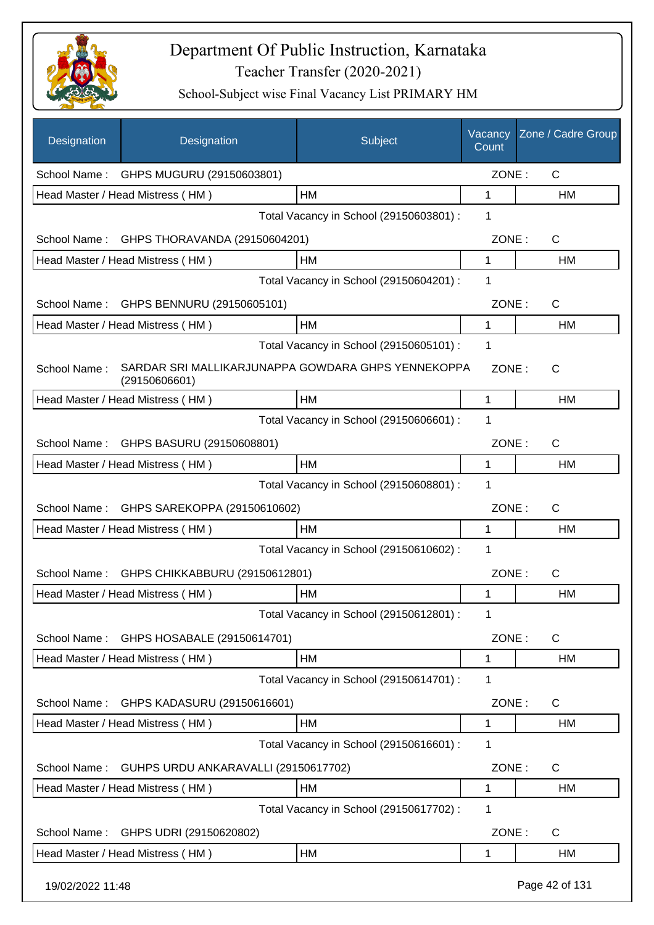

| <b>Designation</b> | Designation                                                         | Subject                                 | Vacancy<br>Count | Zone / Cadre Group |
|--------------------|---------------------------------------------------------------------|-----------------------------------------|------------------|--------------------|
|                    | School Name: GHPS MUGURU (29150603801)                              |                                         | ZONE:            | $\mathsf{C}$       |
|                    | Head Master / Head Mistress (HM)                                    | HM                                      | 1                | HM                 |
|                    |                                                                     | Total Vacancy in School (29150603801) : | 1                |                    |
| School Name:       | GHPS THORAVANDA (29150604201)                                       |                                         | ZONE:            | $\mathsf{C}$       |
|                    | Head Master / Head Mistress (HM)                                    | HM                                      | $\mathbf 1$      | HM                 |
|                    |                                                                     | Total Vacancy in School (29150604201) : | 1                |                    |
|                    | School Name: GHPS BENNURU (29150605101)                             |                                         | ZONE:            | $\mathsf{C}$       |
|                    | Head Master / Head Mistress (HM)                                    | <b>HM</b>                               | 1                | <b>HM</b>          |
|                    |                                                                     | Total Vacancy in School (29150605101) : | 1                |                    |
| School Name:       | SARDAR SRI MALLIKARJUNAPPA GOWDARA GHPS YENNEKOPPA<br>(29150606601) |                                         | ZONE:            | $\mathsf{C}$       |
|                    | Head Master / Head Mistress (HM)                                    | HМ                                      | 1                | HM                 |
|                    |                                                                     | Total Vacancy in School (29150606601) : | 1                |                    |
| School Name:       | GHPS BASURU (29150608801)                                           |                                         | ZONE:            | C                  |
|                    | Head Master / Head Mistress (HM)                                    | HM                                      | 1                | HM                 |
|                    |                                                                     | Total Vacancy in School (29150608801) : | 1                |                    |
| School Name:       | GHPS SAREKOPPA (29150610602)                                        |                                         | ZONE:            | C                  |
|                    | Head Master / Head Mistress (HM)                                    | <b>HM</b>                               | 1                | HM                 |
|                    |                                                                     | Total Vacancy in School (29150610602) : | 1                |                    |
| School Name:       | GHPS CHIKKABBURU (29150612801)                                      |                                         | ZONE:            | C                  |
|                    | Head Master / Head Mistress (HM)                                    | HМ                                      | 1                | HM                 |
|                    |                                                                     | Total Vacancy in School (29150612801) : | 1                |                    |
| School Name:       | GHPS HOSABALE (29150614701)                                         |                                         | ZONE:            | C                  |
|                    | Head Master / Head Mistress (HM)                                    | HM                                      | 1                | HM                 |
|                    |                                                                     | Total Vacancy in School (29150614701) : | 1                |                    |
| School Name:       | GHPS KADASURU (29150616601)                                         |                                         | ZONE:            | $\mathsf{C}$       |
|                    | Head Master / Head Mistress (HM)                                    | HM                                      | 1                | HM                 |
|                    |                                                                     | Total Vacancy in School (29150616601) : | 1                |                    |
| School Name:       | GUHPS URDU ANKARAVALLI (29150617702)                                |                                         | ZONE:            | $\mathsf{C}$       |
|                    | Head Master / Head Mistress (HM)                                    | HM                                      | 1                | HM                 |
|                    |                                                                     | Total Vacancy in School (29150617702) : | 1                |                    |
| School Name:       | GHPS UDRI (29150620802)                                             |                                         | ZONE:            | C                  |
|                    | Head Master / Head Mistress (HM)                                    | HM                                      | 1                | HM                 |
| 19/02/2022 11:48   |                                                                     |                                         |                  | Page 42 of 131     |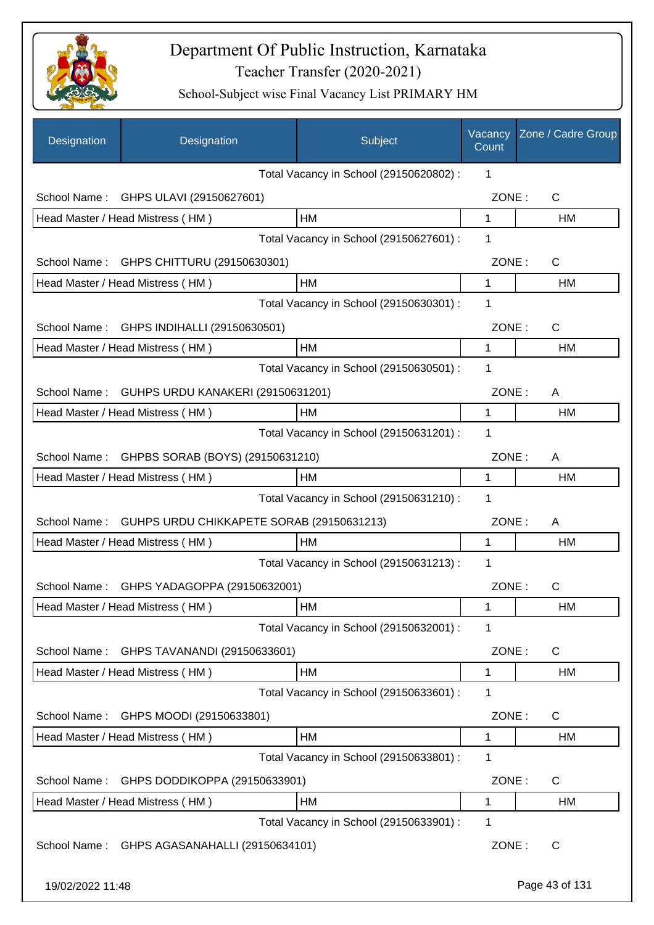

| Designation      | Designation                               | Subject                                 | Vacancy<br>Count | Zone / Cadre Group |
|------------------|-------------------------------------------|-----------------------------------------|------------------|--------------------|
|                  |                                           | Total Vacancy in School (29150620802) : | 1                |                    |
| School Name:     | GHPS ULAVI (29150627601)                  |                                         | ZONE:            | C                  |
|                  | Head Master / Head Mistress (HM)          | HM                                      | 1                | HM                 |
|                  |                                           | Total Vacancy in School (29150627601) : | 1                |                    |
| School Name:     | GHPS CHITTURU (29150630301)               |                                         | ZONE:            | C                  |
|                  | Head Master / Head Mistress (HM)          | HM                                      | 1                | HM                 |
|                  |                                           | Total Vacancy in School (29150630301) : | 1                |                    |
| School Name:     | GHPS INDIHALLI (29150630501)              |                                         | ZONE:            | C                  |
|                  | Head Master / Head Mistress (HM)          | HM                                      | 1                | НM                 |
|                  |                                           | Total Vacancy in School (29150630501) : | 1                |                    |
| School Name:     | GUHPS URDU KANAKERI (29150631201)         |                                         | ZONE:            | A                  |
|                  | Head Master / Head Mistress (HM)          | HM                                      | 1                | <b>HM</b>          |
|                  |                                           | Total Vacancy in School (29150631201) : | 1                |                    |
| School Name:     | GHPBS SORAB (BOYS) (29150631210)          |                                         | ZONE:            | A                  |
|                  | Head Master / Head Mistress (HM)          | HМ                                      | 1                | HM                 |
|                  |                                           | Total Vacancy in School (29150631210) : | 1                |                    |
| School Name:     | GUHPS URDU CHIKKAPETE SORAB (29150631213) |                                         | ZONE:            | A                  |
|                  | Head Master / Head Mistress (HM)          | HM                                      | 1                | HM                 |
|                  |                                           | Total Vacancy in School (29150631213) : | 1                |                    |
| School Name:     | GHPS YADAGOPPA (29150632001)              |                                         | ZONE:            | C                  |
|                  | Head Master / Head Mistress (HM)          | HM                                      | 1                | HM                 |
|                  |                                           | Total Vacancy in School (29150632001) : | 1                |                    |
| School Name:     | GHPS TAVANANDI (29150633601)              |                                         | ZONE:            | C                  |
|                  | Head Master / Head Mistress (HM)          | HM                                      | 1                | НM                 |
|                  |                                           | Total Vacancy in School (29150633601) : | 1                |                    |
| School Name:     | GHPS MOODI (29150633801)                  |                                         | ZONE:            | C                  |
|                  | Head Master / Head Mistress (HM)          | HM                                      | 1                | HM                 |
|                  |                                           | Total Vacancy in School (29150633801) : | 1                |                    |
| School Name:     | GHPS DODDIKOPPA (29150633901)             |                                         | ZONE:            | C                  |
|                  | Head Master / Head Mistress (HM)          | HM                                      | 1                | HM                 |
|                  |                                           | Total Vacancy in School (29150633901) : | 1                |                    |
| School Name:     | GHPS AGASANAHALLI (29150634101)           |                                         | ZONE:            | $\mathsf{C}$       |
| 19/02/2022 11:48 |                                           |                                         |                  | Page 43 of 131     |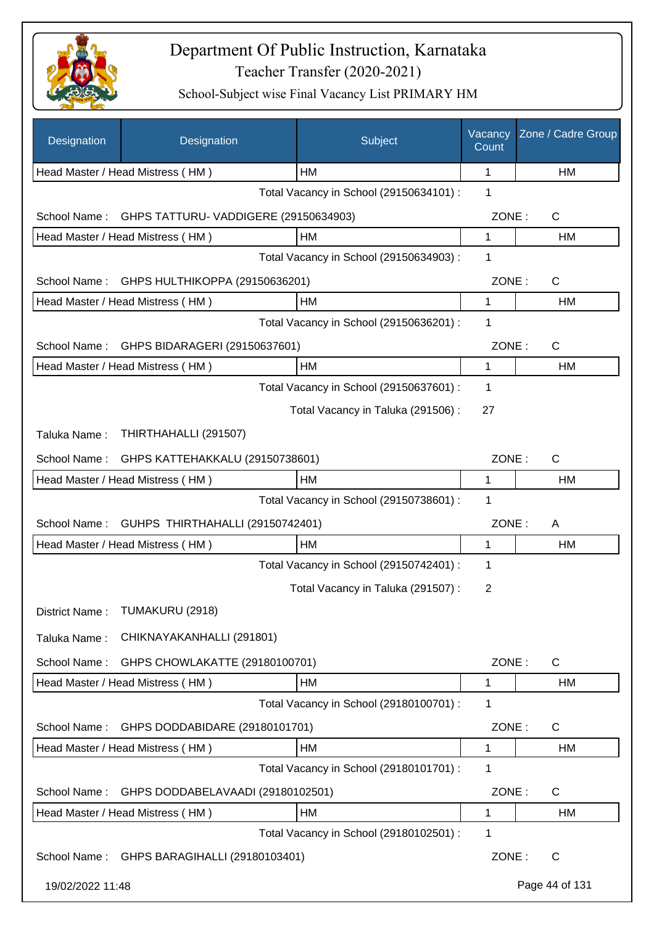

| Designation      | Designation                           | Subject                                 | Vacancy<br>Count | Zone / Cadre Group |
|------------------|---------------------------------------|-----------------------------------------|------------------|--------------------|
|                  | Head Master / Head Mistress (HM)      | HM                                      | 1                | HM                 |
|                  |                                       | Total Vacancy in School (29150634101) : | 1                |                    |
| School Name:     | GHPS TATTURU- VADDIGERE (29150634903) |                                         | ZONE:            | C                  |
|                  | Head Master / Head Mistress (HM)      | HM                                      | 1                | HM                 |
|                  |                                       | Total Vacancy in School (29150634903) : | 1                |                    |
| School Name:     | GHPS HULTHIKOPPA (29150636201)        |                                         | ZONE:            | $\mathsf{C}$       |
|                  | Head Master / Head Mistress (HM)      | HM                                      | 1                | HM                 |
|                  |                                       | Total Vacancy in School (29150636201) : | 1                |                    |
| School Name:     | GHPS BIDARAGERI (29150637601)         |                                         | ZONE:            | C                  |
|                  | Head Master / Head Mistress (HM)      | HM                                      | $\mathbf{1}$     | <b>HM</b>          |
|                  |                                       | Total Vacancy in School (29150637601) : | 1                |                    |
|                  |                                       | Total Vacancy in Taluka (291506) :      | 27               |                    |
| Taluka Name:     | THIRTHAHALLI (291507)                 |                                         |                  |                    |
| School Name:     | GHPS KATTEHAKKALU (29150738601)       |                                         | ZONE:            | $\mathsf{C}$       |
|                  | Head Master / Head Mistress (HM)      | НM                                      | 1                | HM                 |
|                  |                                       | Total Vacancy in School (29150738601) : | 1                |                    |
| School Name:     | GUHPS THIRTHAHALLI (29150742401)      |                                         | ZONE:            | A                  |
|                  | Head Master / Head Mistress (HM)      | HM                                      | 1                | <b>HM</b>          |
|                  |                                       | Total Vacancy in School (29150742401) : | 1                |                    |
|                  |                                       | Total Vacancy in Taluka (291507) :      | 2                |                    |
|                  | District Name: TUMAKURU (2918)        |                                         |                  |                    |
| Taluka Name:     | CHIKNAYAKANHALLI (291801)             |                                         |                  |                    |
| School Name:     | GHPS CHOWLAKATTE (29180100701)        |                                         | ZONE:            | $\mathsf{C}$       |
|                  | Head Master / Head Mistress (HM)      | HM                                      | 1                | <b>HM</b>          |
|                  |                                       | Total Vacancy in School (29180100701) : | 1                |                    |
| School Name:     | GHPS DODDABIDARE (29180101701)        |                                         | ZONE:            | C                  |
|                  | Head Master / Head Mistress (HM)      | HM                                      | 1                | <b>HM</b>          |
|                  |                                       | Total Vacancy in School (29180101701) : | 1                |                    |
| School Name:     | GHPS DODDABELAVAADI (29180102501)     |                                         | ZONE:            | C                  |
|                  | Head Master / Head Mistress (HM)      | HM                                      | 1                | <b>HM</b>          |
|                  |                                       | Total Vacancy in School (29180102501) : | 1                |                    |
| School Name:     | GHPS BARAGIHALLI (29180103401)        |                                         | ZONE:            | C                  |
| 19/02/2022 11:48 |                                       |                                         |                  | Page 44 of 131     |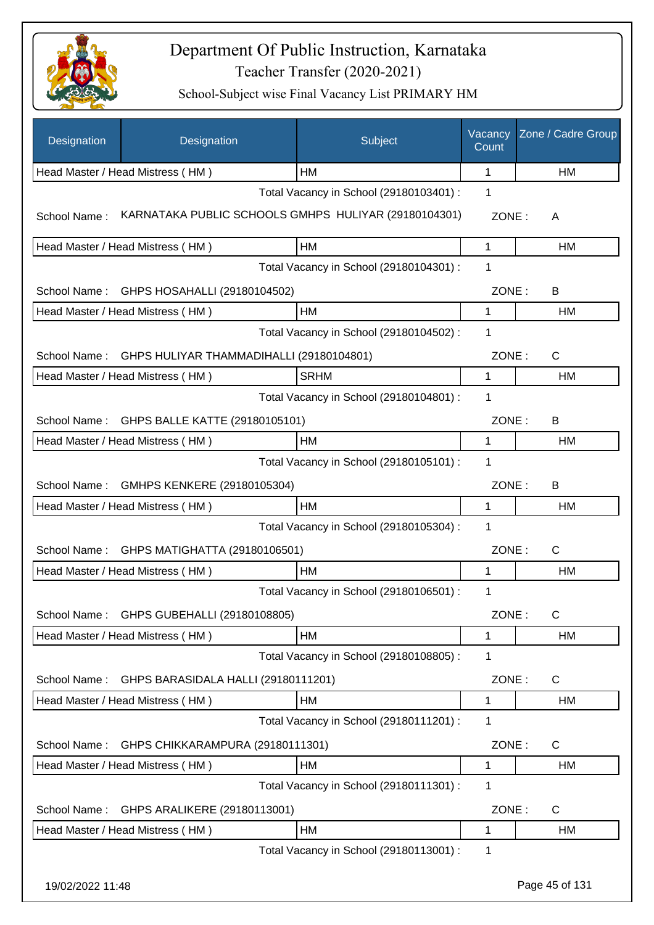

| Designation      | Designation                                           | Subject                                 | Vacancy<br>Count | Zone / Cadre Group |
|------------------|-------------------------------------------------------|-----------------------------------------|------------------|--------------------|
|                  | Head Master / Head Mistress (HM)                      | HM                                      | 1                | HM                 |
|                  |                                                       | Total Vacancy in School (29180103401) : | 1                |                    |
| School Name:     | KARNATAKA PUBLIC SCHOOLS GMHPS HULIYAR (29180104301)  |                                         | ZONE:            | A                  |
|                  | Head Master / Head Mistress (HM)                      | HM                                      | 1                | HM                 |
|                  |                                                       | Total Vacancy in School (29180104301) : | 1                |                    |
| School Name:     | GHPS HOSAHALLI (29180104502)                          |                                         | ZONE:            | B                  |
|                  | Head Master / Head Mistress (HM)                      | <b>HM</b>                               | $\mathbf 1$      | HM                 |
|                  |                                                       | Total Vacancy in School (29180104502) : | 1                |                    |
|                  | School Name: GHPS HULIYAR THAMMADIHALLI (29180104801) |                                         | ZONE:            | $\mathsf{C}$       |
|                  | Head Master / Head Mistress (HM)                      | <b>SRHM</b>                             | 1                | HM                 |
|                  |                                                       | Total Vacancy in School (29180104801) : | 1                |                    |
| School Name:     | GHPS BALLE KATTE (29180105101)                        |                                         | ZONE:            | B                  |
|                  | Head Master / Head Mistress (HM)                      | HM                                      | 1                | HM                 |
|                  |                                                       | Total Vacancy in School (29180105101) : | 1                |                    |
| School Name:     | GMHPS KENKERE (29180105304)                           |                                         | ZONE:            | B                  |
|                  | Head Master / Head Mistress (HM)                      | HM                                      | 1                | HM                 |
|                  |                                                       | Total Vacancy in School (29180105304) : | 1                |                    |
| School Name:     | GHPS MATIGHATTA (29180106501)                         |                                         | ZONE:            | $\mathsf{C}$       |
|                  | Head Master / Head Mistress (HM)                      | <b>HM</b>                               | 1                | HM                 |
|                  |                                                       | Total Vacancy in School (29180106501) : | 1                |                    |
| School Name:     | GHPS GUBEHALLI (29180108805)                          |                                         | ZONE:            | C                  |
|                  | Head Master / Head Mistress (HM)                      | HM                                      | 1                | HM                 |
|                  |                                                       | Total Vacancy in School (29180108805) : | 1                |                    |
| School Name:     | GHPS BARASIDALA HALLI (29180111201)                   |                                         | ZONE:            | C                  |
|                  | Head Master / Head Mistress (HM)                      | HM                                      | 1                | HM                 |
|                  |                                                       | Total Vacancy in School (29180111201) : | 1                |                    |
| School Name:     | GHPS CHIKKARAMPURA (29180111301)                      |                                         | ZONE:            | C                  |
|                  | Head Master / Head Mistress (HM)                      | HM                                      | 1                | HM                 |
|                  |                                                       | Total Vacancy in School (29180111301) : | 1                |                    |
| School Name:     | GHPS ARALIKERE (29180113001)                          |                                         | ZONE:            | C                  |
|                  | Head Master / Head Mistress (HM)                      | HM                                      | 1                | НM                 |
|                  |                                                       | Total Vacancy in School (29180113001) : | 1                |                    |
| 19/02/2022 11:48 |                                                       |                                         |                  | Page 45 of 131     |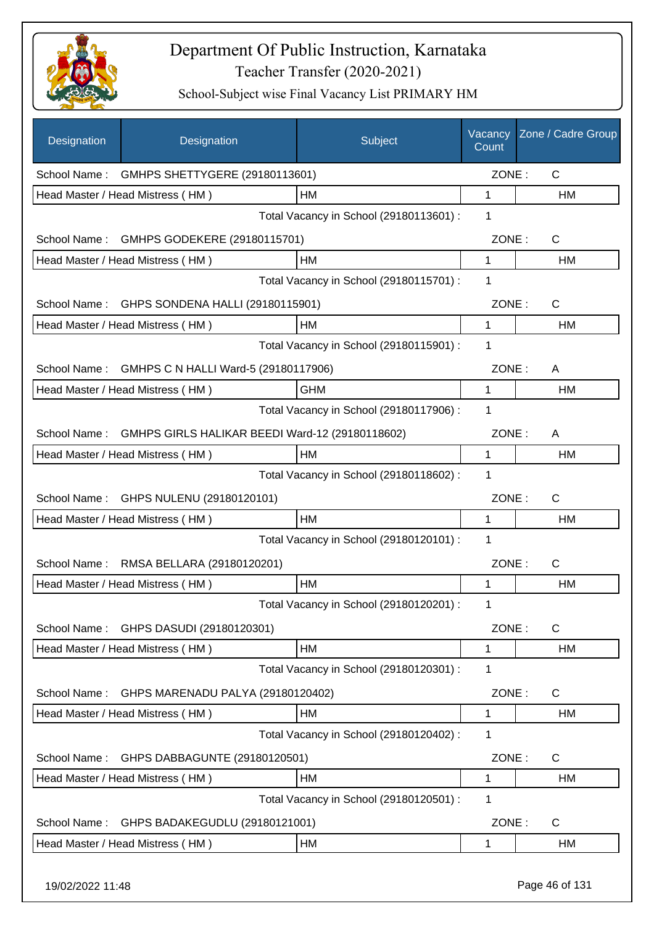

| Designation  | Designation                                     | Subject                                 | Vacancy<br>Count | Zone / Cadre Group |
|--------------|-------------------------------------------------|-----------------------------------------|------------------|--------------------|
| School Name: | GMHPS SHETTYGERE (29180113601)                  |                                         | ZONE:            | $\mathsf{C}$       |
|              | Head Master / Head Mistress (HM)                | HM                                      | 1                | HM                 |
|              |                                                 | Total Vacancy in School (29180113601) : | 1                |                    |
| School Name: | GMHPS GODEKERE (29180115701)                    |                                         | ZONE:            | C                  |
|              | Head Master / Head Mistress (HM)                | HM                                      | 1                | HM                 |
|              |                                                 | Total Vacancy in School (29180115701) : | 1                |                    |
| School Name: | GHPS SONDENA HALLI (29180115901)                |                                         | ZONE:            | C                  |
|              | Head Master / Head Mistress (HM)                | <b>HM</b>                               | 1                | HM                 |
|              |                                                 | Total Vacancy in School (29180115901) : | 1                |                    |
| School Name: | GMHPS C N HALLI Ward-5 (29180117906)            |                                         | ZONE:            | A                  |
|              | Head Master / Head Mistress (HM)                | <b>GHM</b>                              | 1                | HM                 |
|              |                                                 | Total Vacancy in School (29180117906) : | 1                |                    |
| School Name: | GMHPS GIRLS HALIKAR BEEDI Ward-12 (29180118602) |                                         | ZONE:            | Α                  |
|              | Head Master / Head Mistress (HM)                | HM                                      | 1                | HM                 |
|              |                                                 | Total Vacancy in School (29180118602) : | 1                |                    |
|              | School Name: GHPS NULENU (29180120101)          |                                         | ZONE:            | C                  |
|              | Head Master / Head Mistress (HM)                | <b>HM</b>                               | 1                | HM                 |
|              |                                                 | Total Vacancy in School (29180120101) : | 1                |                    |
| School Name: | RMSA BELLARA (29180120201)                      |                                         | ZONE:            | C                  |
|              | Head Master / Head Mistress (HM)                | HM                                      | 1                | HM                 |
|              |                                                 | Total Vacancy in School (29180120201) : | 1                |                    |
| School Name: | GHPS DASUDI (29180120301)                       |                                         | ZONE:            | $\mathsf C$        |
|              | Head Master / Head Mistress (HM)                | HM                                      | 1                | <b>HM</b>          |
|              |                                                 | Total Vacancy in School (29180120301) : | 1                |                    |
| School Name: | GHPS MARENADU PALYA (29180120402)               |                                         | ZONE:            | $\mathsf{C}$       |
|              | Head Master / Head Mistress (HM)                | HM                                      | 1                | HM                 |
|              |                                                 | Total Vacancy in School (29180120402) : | 1                |                    |
| School Name: | GHPS DABBAGUNTE (29180120501)                   |                                         | ZONE:            | C                  |
|              | Head Master / Head Mistress (HM)                | HM                                      | 1                | HM                 |
|              |                                                 | Total Vacancy in School (29180120501) : | 1                |                    |
| School Name: | GHPS BADAKEGUDLU (29180121001)                  |                                         | ZONE:            | C                  |
|              | Head Master / Head Mistress (HM)                | HM                                      | 1                | HM                 |
|              |                                                 |                                         |                  |                    |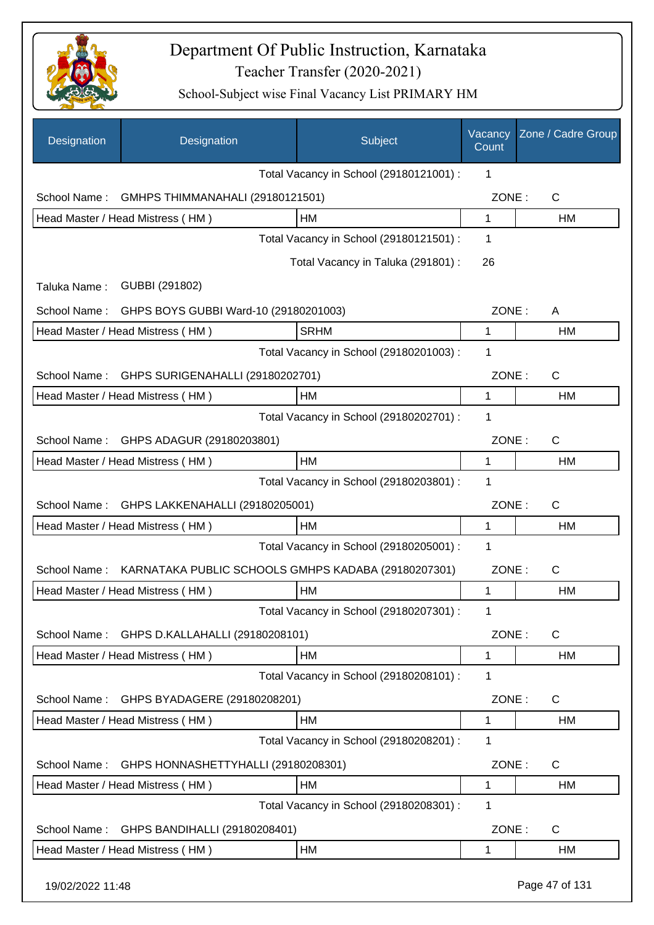

| Designation      | Designation                                         | Subject                                 | Vacancy<br>Count | Zone / Cadre Group |
|------------------|-----------------------------------------------------|-----------------------------------------|------------------|--------------------|
|                  |                                                     | Total Vacancy in School (29180121001) : | 1                |                    |
| School Name:     | GMHPS THIMMANAHALI (29180121501)                    |                                         | ZONE:            | $\mathsf{C}$       |
|                  | Head Master / Head Mistress (HM)                    | HM                                      | $\mathbf{1}$     | <b>HM</b>          |
|                  |                                                     | Total Vacancy in School (29180121501) : | 1                |                    |
|                  |                                                     | Total Vacancy in Taluka (291801) :      | 26               |                    |
| Taluka Name:     | GUBBI (291802)                                      |                                         |                  |                    |
| School Name:     | GHPS BOYS GUBBI Ward-10 (29180201003)               |                                         | ZONE:            | A                  |
|                  | Head Master / Head Mistress (HM)                    | <b>SRHM</b>                             | 1                | HM                 |
|                  |                                                     | Total Vacancy in School (29180201003) : | 1                |                    |
| School Name:     | GHPS SURIGENAHALLI (29180202701)                    |                                         | ZONE:            | $\mathsf{C}$       |
|                  | Head Master / Head Mistress (HM)                    | HM                                      | 1                | <b>HM</b>          |
|                  |                                                     | Total Vacancy in School (29180202701) : | 1                |                    |
| School Name:     | GHPS ADAGUR (29180203801)                           |                                         | ZONE:            | $\mathsf{C}$       |
|                  | Head Master / Head Mistress (HM)                    | <b>HM</b>                               | 1                | HM                 |
|                  |                                                     | Total Vacancy in School (29180203801) : | 1                |                    |
| School Name:     | GHPS LAKKENAHALLI (29180205001)                     |                                         | ZONE:            | C                  |
|                  | Head Master / Head Mistress (HM)                    | <b>HM</b>                               | $\mathbf{1}$     | HM                 |
|                  |                                                     | Total Vacancy in School (29180205001) : | 1                |                    |
| School Name:     | KARNATAKA PUBLIC SCHOOLS GMHPS KADABA (29180207301) |                                         | ZONE:            | C                  |
|                  | Head Master / Head Mistress (HM)                    | <b>HM</b>                               | 1                | <b>HM</b>          |
|                  |                                                     | Total Vacancy in School (29180207301) : | 1                |                    |
| School Name:     | GHPS D.KALLAHALLI (29180208101)                     |                                         | ZONE:            | $\mathsf{C}$       |
|                  | Head Master / Head Mistress (HM)                    | HM                                      | 1                | HM                 |
|                  |                                                     | Total Vacancy in School (29180208101) : | 1                |                    |
| School Name:     | GHPS BYADAGERE (29180208201)                        |                                         | ZONE:            | C                  |
|                  | Head Master / Head Mistress (HM)                    | HM                                      | 1                | HM                 |
|                  |                                                     | Total Vacancy in School (29180208201) : | 1                |                    |
| School Name:     | GHPS HONNASHETTYHALLI (29180208301)                 |                                         | ZONE:            | $\mathsf{C}$       |
|                  | Head Master / Head Mistress (HM)                    | HM                                      | 1                | HM                 |
|                  |                                                     | Total Vacancy in School (29180208301) : | 1                |                    |
| School Name:     | GHPS BANDIHALLI (29180208401)                       |                                         | ZONE:            | $\mathsf{C}$       |
|                  | Head Master / Head Mistress (HM)                    | HM                                      | 1                | HM                 |
| 19/02/2022 11:48 |                                                     |                                         |                  | Page 47 of 131     |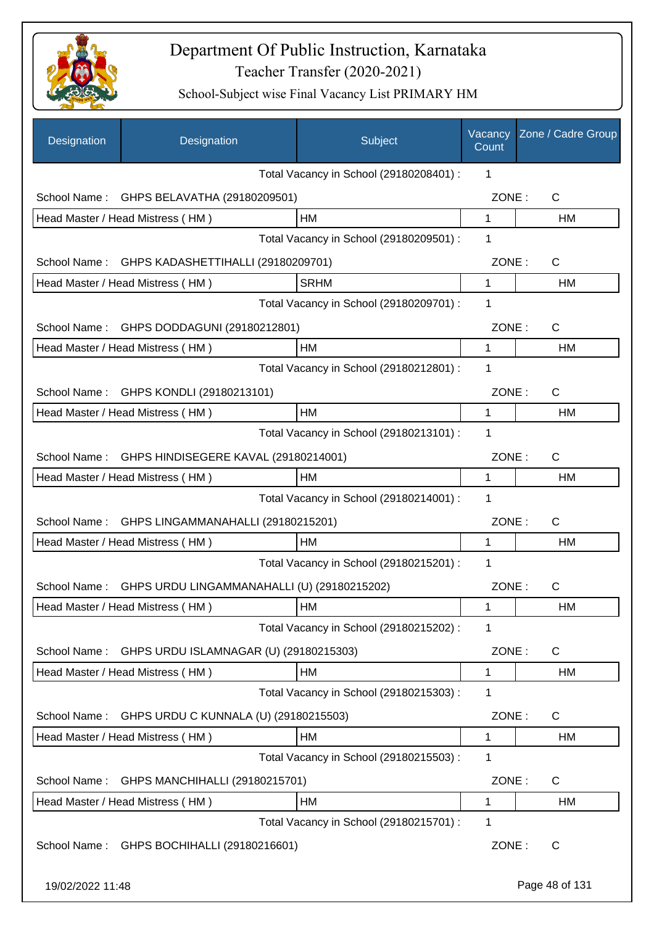

| Designation      | Designation                                       | Subject                                 | Vacancy<br>Count | Zone / Cadre Group |
|------------------|---------------------------------------------------|-----------------------------------------|------------------|--------------------|
|                  |                                                   | Total Vacancy in School (29180208401) : | 1                |                    |
| School Name:     | GHPS BELAVATHA (29180209501)                      |                                         | ZONE:            | C                  |
|                  | Head Master / Head Mistress (HM)                  | HM                                      | 1                | <b>HM</b>          |
|                  |                                                   | Total Vacancy in School (29180209501) : | 1                |                    |
| School Name:     | GHPS KADASHETTIHALLI (29180209701)                |                                         | ZONE:            | $\mathsf{C}$       |
|                  | Head Master / Head Mistress (HM)                  | <b>SRHM</b>                             | 1                | HM                 |
|                  |                                                   | Total Vacancy in School (29180209701) : | 1                |                    |
| School Name:     | GHPS DODDAGUNI (29180212801)                      |                                         | ZONE:            | $\mathsf{C}$       |
|                  | Head Master / Head Mistress (HM)                  | HM                                      | 1                | HM                 |
|                  |                                                   | Total Vacancy in School (29180212801) : | 1                |                    |
|                  | School Name: GHPS KONDLI (29180213101)            |                                         | ZONE:            | $\mathsf{C}$       |
|                  | Head Master / Head Mistress (HM)                  | HM                                      | 1                | HM                 |
|                  |                                                   | Total Vacancy in School (29180213101) : | 1                |                    |
|                  | School Name: GHPS HINDISEGERE KAVAL (29180214001) |                                         | ZONE:            | $\mathsf{C}$       |
|                  | Head Master / Head Mistress (HM)                  | НM                                      | 1                | HM                 |
|                  |                                                   | Total Vacancy in School (29180214001) : | 1                |                    |
| School Name:     | GHPS LINGAMMANAHALLI (29180215201)                |                                         | ZONE:            | $\mathsf{C}$       |
|                  | Head Master / Head Mistress (HM)                  | НM                                      | 1                | <b>HM</b>          |
|                  |                                                   | Total Vacancy in School (29180215201) : | 1                |                    |
| School Name:     | GHPS URDU LINGAMMANAHALLI (U) (29180215202)       |                                         | ZONE:            | С                  |
|                  | Head Master / Head Mistress (HM)                  | HM                                      | 1                | HM                 |
|                  |                                                   | Total Vacancy in School (29180215202) : | 1                |                    |
| School Name:     | GHPS URDU ISLAMNAGAR (U) (29180215303)            |                                         | ZONE:            | C                  |
|                  | Head Master / Head Mistress (HM)                  | HM                                      | 1                | HM                 |
|                  |                                                   | Total Vacancy in School (29180215303) : | 1                |                    |
| School Name:     | GHPS URDU C KUNNALA (U) (29180215503)             |                                         | ZONE:            | C                  |
|                  | Head Master / Head Mistress (HM)                  | HM                                      | 1                | HM                 |
|                  |                                                   | Total Vacancy in School (29180215503) : | 1                |                    |
| School Name:     | GHPS MANCHIHALLI (29180215701)                    |                                         | ZONE:            | C                  |
|                  | Head Master / Head Mistress (HM)                  | HM                                      | 1                | HM                 |
|                  |                                                   | Total Vacancy in School (29180215701) : | 1                |                    |
| School Name:     | GHPS BOCHIHALLI (29180216601)                     |                                         | ZONE:            | $\mathsf{C}$       |
| 19/02/2022 11:48 |                                                   |                                         |                  | Page 48 of 131     |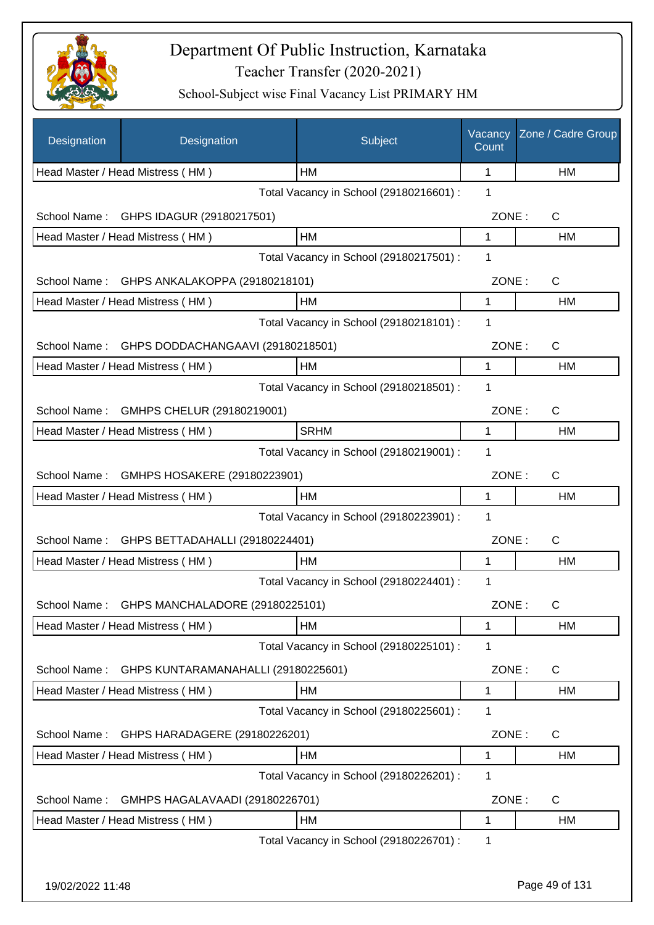

| Designation      | Designation                         | Subject                                 | Vacancy<br>Count | Zone / Cadre Group |
|------------------|-------------------------------------|-----------------------------------------|------------------|--------------------|
|                  | Head Master / Head Mistress (HM)    | HМ                                      | 1                | HM                 |
|                  |                                     | Total Vacancy in School (29180216601) : | 1                |                    |
| School Name:     | GHPS IDAGUR (29180217501)           |                                         | ZONE:            | C                  |
|                  | Head Master / Head Mistress (HM)    | HM                                      | 1                | НM                 |
|                  |                                     | Total Vacancy in School (29180217501) : | 1                |                    |
| School Name:     | GHPS ANKALAKOPPA (29180218101)      |                                         | ZONE:            | $\mathsf{C}$       |
|                  | Head Master / Head Mistress (HM)    | HM                                      | 1                | <b>HM</b>          |
|                  |                                     | Total Vacancy in School (29180218101) : | 1                |                    |
| School Name:     | GHPS DODDACHANGAAVI (29180218501)   |                                         | ZONE:            | C                  |
|                  | Head Master / Head Mistress (HM)    | HM                                      | $\mathbf{1}$     | HM                 |
|                  |                                     | Total Vacancy in School (29180218501) : | 1                |                    |
| School Name:     | GMHPS CHELUR (29180219001)          |                                         | ZONE:            | C                  |
|                  | Head Master / Head Mistress (HM)    | <b>SRHM</b>                             | 1                | HM                 |
|                  |                                     | Total Vacancy in School (29180219001) : | $\mathbf 1$      |                    |
| School Name:     | GMHPS HOSAKERE (29180223901)        |                                         | ZONE:            | C                  |
|                  | Head Master / Head Mistress (HM)    | HM                                      | 1                | HM                 |
|                  |                                     | Total Vacancy in School (29180223901) : | 1                |                    |
| School Name:     | GHPS BETTADAHALLI (29180224401)     |                                         | ZONE:            | C                  |
|                  | Head Master / Head Mistress (HM)    | НM                                      | 1                | НM                 |
|                  |                                     | Total Vacancy in School (29180224401) : | 1                |                    |
| School Name:     | GHPS MANCHALADORE (29180225101)     |                                         | ZONE:            | С                  |
|                  | Head Master / Head Mistress (HM)    | HМ                                      | 1                | HM                 |
|                  |                                     | Total Vacancy in School (29180225101) : | 1                |                    |
| School Name:     | GHPS KUNTARAMANAHALLI (29180225601) |                                         | ZONE:            | C                  |
|                  | Head Master / Head Mistress (HM)    | HM                                      | 1                | HM                 |
|                  |                                     | Total Vacancy in School (29180225601) : | 1                |                    |
| School Name:     | GHPS HARADAGERE (29180226201)       |                                         | ZONE:            | $\mathsf{C}$       |
|                  | Head Master / Head Mistress (HM)    | HM                                      | 1                | HM                 |
|                  |                                     | Total Vacancy in School (29180226201) : | 1                |                    |
| School Name:     | GMHPS HAGALAVAADI (29180226701)     |                                         | ZONE:            | C                  |
|                  | Head Master / Head Mistress (HM)    | HM                                      | 1                | HM                 |
|                  |                                     | Total Vacancy in School (29180226701) : | 1                |                    |
|                  |                                     |                                         |                  |                    |
| 19/02/2022 11:48 |                                     |                                         |                  | Page 49 of 131     |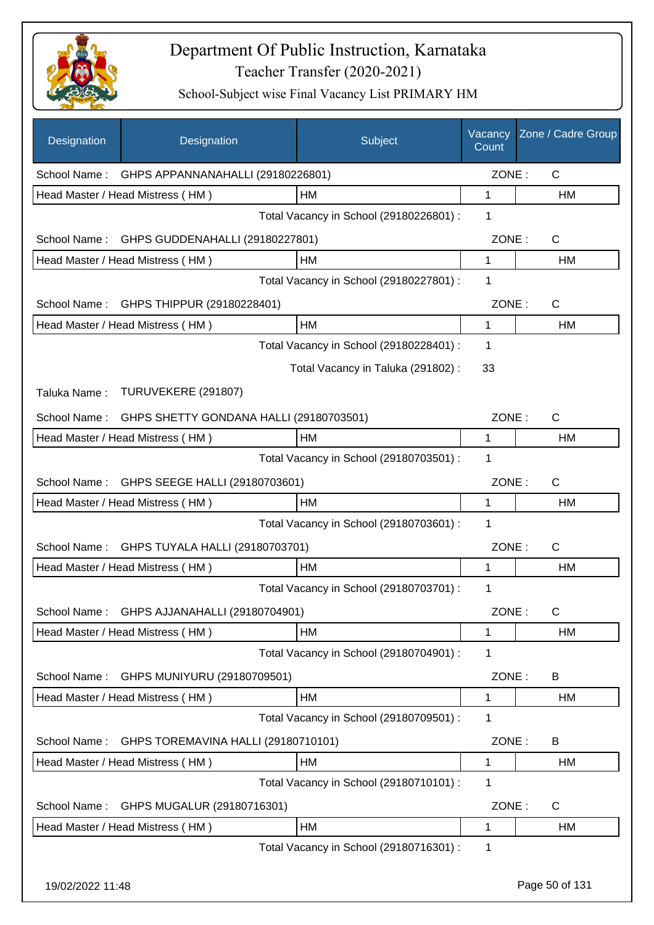

| Designation      | Designation                                    | Subject                                 | Vacancy<br>Count | Zone / Cadre Group |
|------------------|------------------------------------------------|-----------------------------------------|------------------|--------------------|
|                  | School Name: GHPS APPANNANAHALLI (29180226801) |                                         | ZONE:            | $\mathsf{C}$       |
|                  | Head Master / Head Mistress (HM)               | HM                                      | 1                | HM                 |
|                  |                                                | Total Vacancy in School (29180226801) : | 1                |                    |
| School Name:     | GHPS GUDDENAHALLI (29180227801)                |                                         | ZONE:            | $\mathsf{C}$       |
|                  | Head Master / Head Mistress (HM)               | НM                                      | $\mathbf{1}$     | HM                 |
|                  |                                                | Total Vacancy in School (29180227801) : | 1                |                    |
| School Name:     | GHPS THIPPUR (29180228401)                     |                                         | ZONE:            | C                  |
|                  | Head Master / Head Mistress (HM)               | HM                                      | $\mathbf{1}$     | HM                 |
|                  |                                                | Total Vacancy in School (29180228401) : | 1                |                    |
|                  |                                                | Total Vacancy in Taluka (291802):       | 33               |                    |
| Taluka Name:     | TURUVEKERE (291807)                            |                                         |                  |                    |
| School Name:     | GHPS SHETTY GONDANA HALLI (29180703501)        |                                         | ZONE:            | C                  |
|                  | Head Master / Head Mistress (HM)               | HМ                                      | 1                | HM                 |
|                  |                                                | Total Vacancy in School (29180703501) : | 1                |                    |
| School Name:     | GHPS SEEGE HALLI (29180703601)                 |                                         | ZONE:            | C                  |
|                  | Head Master / Head Mistress (HM)               | <b>HM</b>                               | 1                | HM                 |
|                  |                                                | Total Vacancy in School (29180703601) : | $\mathbf 1$      |                    |
| School Name:     | GHPS TUYALA HALLI (29180703701)                |                                         | ZONE:            | C                  |
|                  | Head Master / Head Mistress (HM)               | <b>HM</b>                               | 1                | <b>HM</b>          |
|                  |                                                | Total Vacancy in School (29180703701) : | 1                |                    |
| School Name:     | GHPS AJJANAHALLI (29180704901)                 |                                         | ZONE:            | С                  |
|                  | Head Master / Head Mistress (HM)               | HM                                      | 1                | HM                 |
|                  |                                                | Total Vacancy in School (29180704901) : | 1                |                    |
| School Name:     | GHPS MUNIYURU (29180709501)                    |                                         | ZONE:            | B                  |
|                  | Head Master / Head Mistress (HM)               | HM                                      | 1                | HM                 |
|                  |                                                | Total Vacancy in School (29180709501) : | 1                |                    |
| School Name:     | GHPS TOREMAVINA HALLI (29180710101)            |                                         | ZONE:            | B                  |
|                  | Head Master / Head Mistress (HM)               | HM                                      | 1                | HM                 |
|                  |                                                | Total Vacancy in School (29180710101) : | 1                |                    |
| School Name:     | GHPS MUGALUR (29180716301)                     |                                         | ZONE:            | $\mathsf{C}$       |
|                  | Head Master / Head Mistress (HM)               | HM                                      | 1                | HM                 |
|                  |                                                | Total Vacancy in School (29180716301) : | 1                |                    |
| 19/02/2022 11:48 |                                                |                                         |                  | Page 50 of 131     |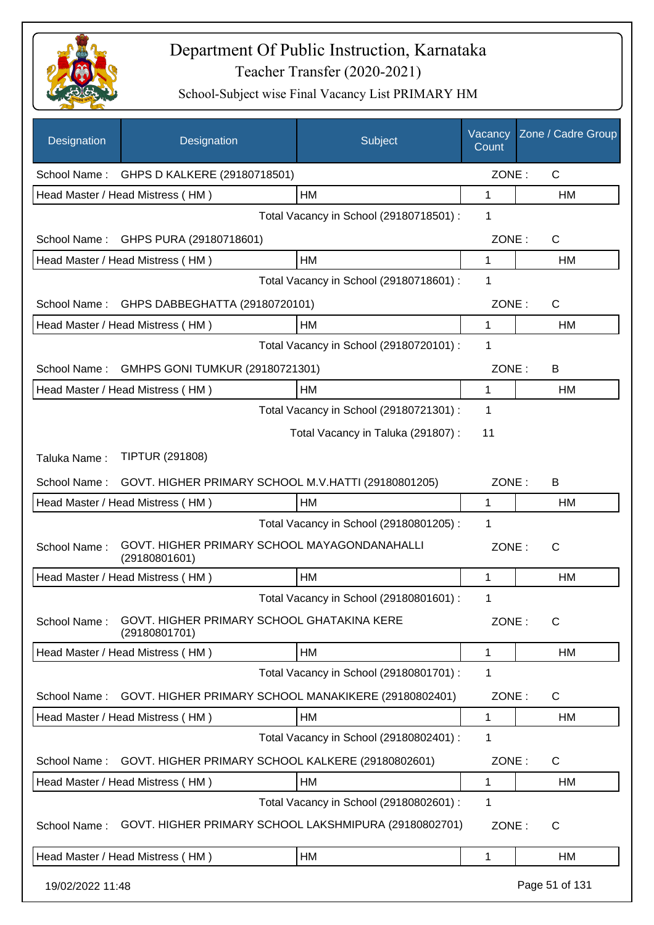

| Designation      | Designation                                                   | Subject                                 | Vacancy<br>Count | Zone / Cadre Group |
|------------------|---------------------------------------------------------------|-----------------------------------------|------------------|--------------------|
|                  | School Name: GHPS D KALKERE (29180718501)                     |                                         | ZONE:            | $\mathsf{C}$       |
|                  | Head Master / Head Mistress (HM)                              | HM                                      | 1                | HM                 |
|                  |                                                               | Total Vacancy in School (29180718501) : | 1                |                    |
| School Name:     | GHPS PURA (29180718601)                                       |                                         | ZONE:            | $\mathsf{C}$       |
|                  | Head Master / Head Mistress (HM)                              | HM                                      | $\mathbf{1}$     | HM                 |
|                  |                                                               | Total Vacancy in School (29180718601) : | 1                |                    |
| School Name:     | GHPS DABBEGHATTA (29180720101)                                |                                         | ZONE:            | $\mathsf C$        |
|                  | Head Master / Head Mistress (HM)                              | HM                                      | 1                | HM                 |
|                  |                                                               | Total Vacancy in School (29180720101) : | $\mathbf 1$      |                    |
| School Name:     | GMHPS GONI TUMKUR (29180721301)                               |                                         | ZONE:            | B                  |
|                  | Head Master / Head Mistress (HM)                              | HM                                      | 1                | HM                 |
|                  |                                                               | Total Vacancy in School (29180721301) : | 1                |                    |
|                  |                                                               | Total Vacancy in Taluka (291807) :      | 11               |                    |
| Taluka Name:     | <b>TIPTUR (291808)</b>                                        |                                         |                  |                    |
| School Name:     | GOVT. HIGHER PRIMARY SCHOOL M.V.HATTI (29180801205)           |                                         | ZONE:            | В                  |
|                  | Head Master / Head Mistress (HM)                              | <b>HM</b>                               | 1                | НM                 |
|                  |                                                               | Total Vacancy in School (29180801205) : | $\mathbf 1$      |                    |
| School Name:     | GOVT. HIGHER PRIMARY SCHOOL MAYAGONDANAHALLI<br>(29180801601) |                                         | ZONE:            | C                  |
|                  | Head Master / Head Mistress (HM)                              | HM                                      | 1                | HM                 |
|                  |                                                               | Total Vacancy in School (29180801601) : | 1                |                    |
| School Name:     | GOVT. HIGHER PRIMARY SCHOOL GHATAKINA KERE<br>(29180801701)   |                                         | ZONE:            | С                  |
|                  | Head Master / Head Mistress (HM)                              | HM                                      | 1                | НM                 |
|                  |                                                               | Total Vacancy in School (29180801701) : | 1                |                    |
| School Name:     | GOVT. HIGHER PRIMARY SCHOOL MANAKIKERE (29180802401)          |                                         | ZONE:            | C                  |
|                  | Head Master / Head Mistress (HM)                              | HM                                      | 1                | НM                 |
|                  |                                                               | Total Vacancy in School (29180802401) : | 1                |                    |
| School Name:     | GOVT. HIGHER PRIMARY SCHOOL KALKERE (29180802601)             |                                         | ZONE:            | C                  |
|                  | Head Master / Head Mistress (HM)                              | HM                                      | 1                | HM                 |
|                  |                                                               | Total Vacancy in School (29180802601) : | 1                |                    |
| School Name:     | GOVT. HIGHER PRIMARY SCHOOL LAKSHMIPURA (29180802701)         |                                         | ZONE:            | $\mathsf{C}$       |
|                  | Head Master / Head Mistress (HM)                              | HM                                      | 1                | НM                 |
| 19/02/2022 11:48 |                                                               |                                         |                  | Page 51 of 131     |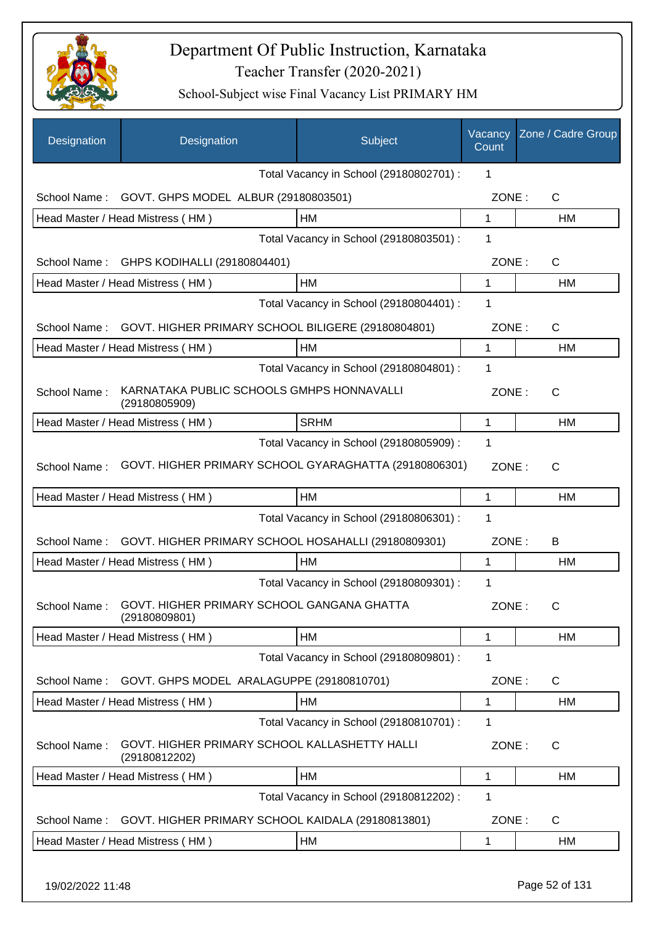

| Designation  | Designation                                                              | Subject                                 | Vacancy<br>Count | Zone / Cadre Group |
|--------------|--------------------------------------------------------------------------|-----------------------------------------|------------------|--------------------|
|              |                                                                          | Total Vacancy in School (29180802701) : | 1                |                    |
| School Name: | GOVT. GHPS MODEL ALBUR (29180803501)                                     |                                         | ZONE:            | C                  |
|              | Head Master / Head Mistress (HM)                                         | HM                                      | 1                | HM                 |
|              |                                                                          | Total Vacancy in School (29180803501) : | 1                |                    |
| School Name: | GHPS KODIHALLI (29180804401)                                             |                                         | ZONE:            | $\mathsf{C}$       |
|              | Head Master / Head Mistress (HM)                                         | HM                                      | 1                | HM                 |
|              |                                                                          | Total Vacancy in School (29180804401) : | 1                |                    |
| School Name: | GOVT. HIGHER PRIMARY SCHOOL BILIGERE (29180804801)                       |                                         | ZONE:            | C                  |
|              | Head Master / Head Mistress (HM)                                         | HM                                      | 1                | HM                 |
|              |                                                                          | Total Vacancy in School (29180804801) : | 1                |                    |
| School Name: | KARNATAKA PUBLIC SCHOOLS GMHPS HONNAVALLI<br>(29180805909)               |                                         | ZONE:            | $\mathsf{C}$       |
|              | Head Master / Head Mistress (HM)                                         | <b>SRHM</b>                             | 1                | HM                 |
|              |                                                                          | Total Vacancy in School (29180805909) : | 1                |                    |
| School Name: | GOVT. HIGHER PRIMARY SCHOOL GYARAGHATTA (29180806301)                    |                                         | ZONE:            | C                  |
|              | Head Master / Head Mistress (HM)                                         | HM                                      | 1                | HM                 |
|              |                                                                          | Total Vacancy in School (29180806301) : | 1                |                    |
| School Name: | GOVT. HIGHER PRIMARY SCHOOL HOSAHALLI (29180809301)                      |                                         | ZONE:            | B                  |
|              | Head Master / Head Mistress (HM)                                         | HM                                      | 1                | HM                 |
|              |                                                                          | Total Vacancy in School (29180809301) : | 1                |                    |
|              | School Name: GOVT. HIGHER PRIMARY SCHOOL GANGANA GHATTA<br>(29180809801) |                                         | ZONE:            | C                  |
|              | Head Master / Head Mistress (HM)                                         | HM                                      | 1                | HM                 |
|              |                                                                          | Total Vacancy in School (29180809801) : | 1                |                    |
| School Name: | GOVT. GHPS MODEL ARALAGUPPE (29180810701)                                |                                         | ZONE:            | C                  |
|              | Head Master / Head Mistress (HM)                                         | HM                                      | 1                | HM                 |
|              |                                                                          | Total Vacancy in School (29180810701) : | 1                |                    |
| School Name: | GOVT. HIGHER PRIMARY SCHOOL KALLASHETTY HALLI<br>(29180812202)           |                                         | ZONE:            | C                  |
|              | Head Master / Head Mistress (HM)                                         | HM                                      | 1                | НM                 |
|              |                                                                          | Total Vacancy in School (29180812202) : | 1                |                    |
| School Name: | GOVT. HIGHER PRIMARY SCHOOL KAIDALA (29180813801)                        |                                         | ZONE:            | C                  |
|              | Head Master / Head Mistress (HM)                                         | HM                                      | 1                | HM                 |
|              |                                                                          |                                         |                  |                    |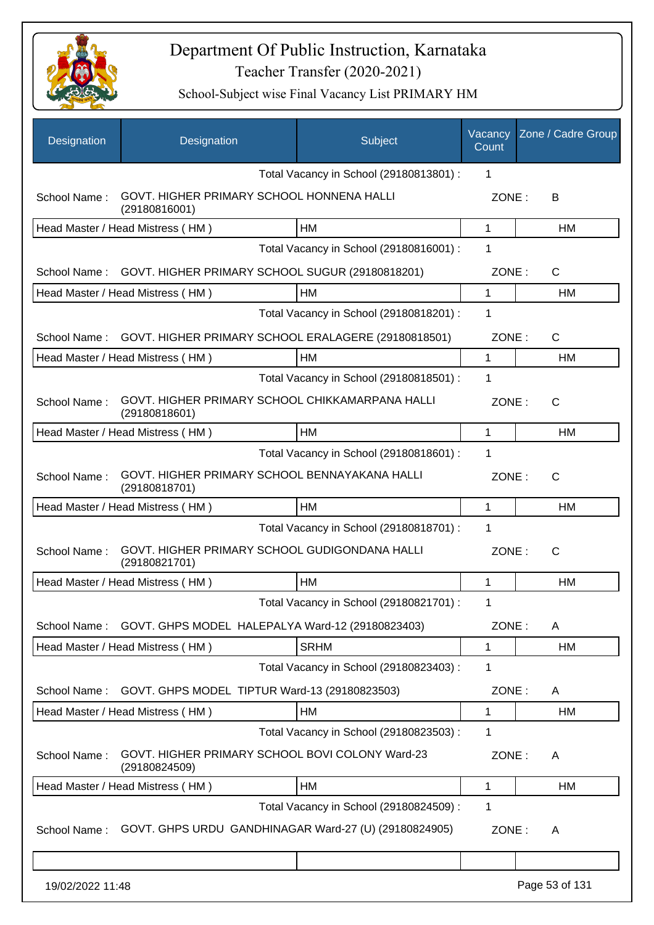

| Designation      | Designation                                                      | Subject                                 | Vacancy<br>Count | Zone / Cadre Group |
|------------------|------------------------------------------------------------------|-----------------------------------------|------------------|--------------------|
|                  |                                                                  | Total Vacancy in School (29180813801) : | 1                |                    |
| School Name:     | GOVT. HIGHER PRIMARY SCHOOL HONNENA HALLI<br>(29180816001)       |                                         | ZONE:            | B                  |
|                  | Head Master / Head Mistress (HM)                                 | HM                                      | 1                | НM                 |
|                  |                                                                  | Total Vacancy in School (29180816001) : | 1                |                    |
| School Name:     | GOVT. HIGHER PRIMARY SCHOOL SUGUR (29180818201)                  |                                         | ZONE:            | C                  |
|                  | Head Master / Head Mistress (HM)                                 | НM                                      | 1                | HM                 |
|                  |                                                                  | Total Vacancy in School (29180818201) : | 1                |                    |
| School Name:     | GOVT. HIGHER PRIMARY SCHOOL ERALAGERE (29180818501)              |                                         | ZONE:            | $\mathsf{C}$       |
|                  | Head Master / Head Mistress (HM)                                 | HМ                                      | 1                | HM                 |
|                  |                                                                  | Total Vacancy in School (29180818501) : | 1                |                    |
| School Name:     | GOVT. HIGHER PRIMARY SCHOOL CHIKKAMARPANA HALLI<br>(29180818601) |                                         | ZONE:            | $\mathsf{C}$       |
|                  | Head Master / Head Mistress (HM)                                 | HM                                      | 1                | HM                 |
|                  |                                                                  | Total Vacancy in School (29180818601) : | 1                |                    |
| School Name:     | GOVT. HIGHER PRIMARY SCHOOL BENNAYAKANA HALLI<br>(29180818701)   |                                         | ZONE:            | C                  |
|                  | Head Master / Head Mistress (HM)                                 | <b>HM</b>                               | 1                | HM                 |
|                  |                                                                  | Total Vacancy in School (29180818701) : | 1                |                    |
| School Name:     | GOVT. HIGHER PRIMARY SCHOOL GUDIGONDANA HALLI<br>(29180821701)   |                                         | ZONE:            | $\mathsf{C}$       |
|                  | Head Master / Head Mistress (HM)                                 | HМ                                      | 1                | НM                 |
|                  |                                                                  | Total Vacancy in School (29180821701) : | 1                |                    |
| School Name:     | GOVT. GHPS MODEL HALEPALYA Ward-12 (29180823403)                 |                                         | ZONE:            | A                  |
|                  | Head Master / Head Mistress (HM)                                 | <b>SRHM</b>                             | 1                | <b>HM</b>          |
|                  |                                                                  | Total Vacancy in School (29180823403) : | 1                |                    |
| School Name:     | GOVT. GHPS MODEL TIPTUR Ward-13 (29180823503)                    |                                         | ZONE:            | A                  |
|                  | Head Master / Head Mistress (HM)                                 | HM                                      | 1                | HM                 |
|                  |                                                                  | Total Vacancy in School (29180823503) : | 1                |                    |
| School Name:     | GOVT. HIGHER PRIMARY SCHOOL BOVI COLONY Ward-23<br>(29180824509) |                                         | ZONE:            | A                  |
|                  | Head Master / Head Mistress (HM)                                 | HM                                      | 1                | HM                 |
|                  |                                                                  | Total Vacancy in School (29180824509) : | 1                |                    |
| School Name:     | GOVT. GHPS URDU GANDHINAGAR Ward-27 (U) (29180824905)            |                                         | ZONE:            | A                  |
|                  |                                                                  |                                         |                  |                    |
| 19/02/2022 11:48 |                                                                  |                                         |                  | Page 53 of 131     |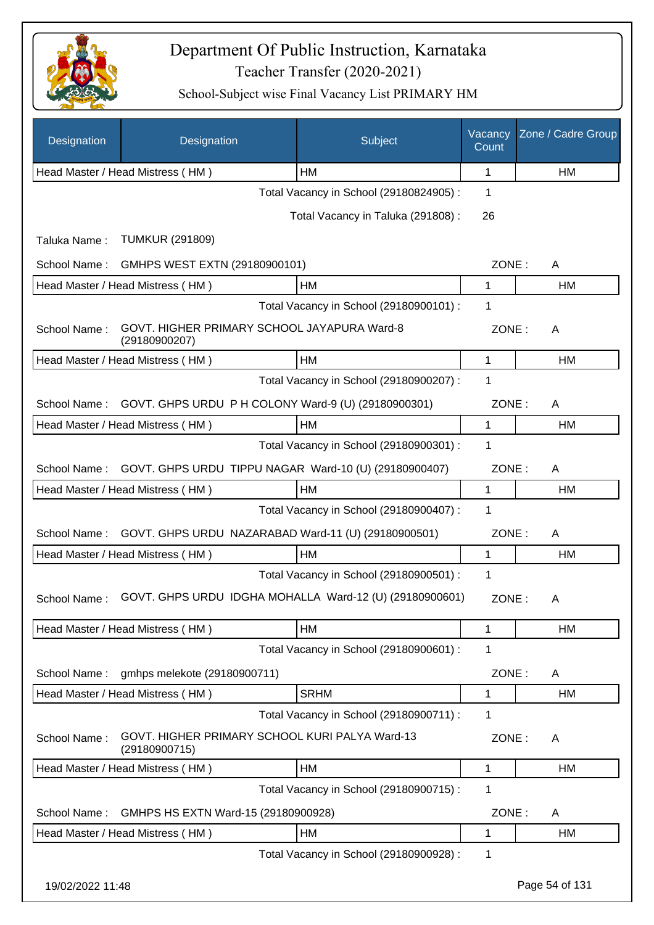

| Designation      | Designation                                                     | Subject                                 | Vacancy<br>Count | Zone / Cadre Group |
|------------------|-----------------------------------------------------------------|-----------------------------------------|------------------|--------------------|
|                  | Head Master / Head Mistress (HM)                                | HM                                      | 1                | НM                 |
|                  |                                                                 | Total Vacancy in School (29180824905) : | 1                |                    |
|                  |                                                                 | Total Vacancy in Taluka (291808) :      | 26               |                    |
| Taluka Name:     | <b>TUMKUR (291809)</b>                                          |                                         |                  |                    |
| School Name:     | GMHPS WEST EXTN (29180900101)                                   |                                         | ZONE:            | A                  |
|                  | Head Master / Head Mistress (HM)                                | HM                                      | 1                | HM                 |
|                  |                                                                 | Total Vacancy in School (29180900101) : | 1                |                    |
| School Name:     | GOVT. HIGHER PRIMARY SCHOOL JAYAPURA Ward-8<br>(29180900207)    |                                         | ZONE:            | A                  |
|                  | Head Master / Head Mistress (HM)                                | HM                                      | 1                | HM                 |
|                  |                                                                 | Total Vacancy in School (29180900207) : | 1                |                    |
| School Name:     | GOVT. GHPS URDU P H COLONY Ward-9 (U) (29180900301)             |                                         | ZONE:            | A                  |
|                  | Head Master / Head Mistress (HM)                                | HM                                      | 1                | HM                 |
|                  |                                                                 | Total Vacancy in School (29180900301) : | 1                |                    |
| School Name:     | GOVT. GHPS URDU TIPPU NAGAR Ward-10 (U) (29180900407)           |                                         | ZONE:            | A                  |
|                  | Head Master / Head Mistress (HM)                                | <b>HM</b>                               | 1                | HM                 |
|                  |                                                                 | Total Vacancy in School (29180900407) : | 1                |                    |
| School Name:     | GOVT. GHPS URDU NAZARABAD Ward-11 (U) (29180900501)             |                                         | ZONE:            | A                  |
|                  | Head Master / Head Mistress (HM)                                | HM                                      | 1                | HM                 |
|                  |                                                                 | Total Vacancy in School (29180900501) : | 1                |                    |
| School Name:     | GOVT. GHPS URDU IDGHA MOHALLA Ward-12 (U) (29180900601)         |                                         | ZONE:            | A                  |
|                  | Head Master / Head Mistress (HM)                                | HM                                      | 1                | HM                 |
|                  |                                                                 | Total Vacancy in School (29180900601) : | 1                |                    |
| School Name:     | gmhps melekote (29180900711)                                    |                                         | ZONE:            | A                  |
|                  | Head Master / Head Mistress (HM)                                | <b>SRHM</b>                             | $\mathbf{1}$     | HM                 |
|                  |                                                                 | Total Vacancy in School (29180900711) : | 1                |                    |
| School Name:     | GOVT. HIGHER PRIMARY SCHOOL KURI PALYA Ward-13<br>(29180900715) |                                         | ZONE:            | A                  |
|                  | Head Master / Head Mistress (HM)                                | HM                                      | 1                | HM                 |
|                  |                                                                 | Total Vacancy in School (29180900715) : | 1                |                    |
| School Name:     | GMHPS HS EXTN Ward-15 (29180900928)                             |                                         | ZONE:            | A                  |
|                  | Head Master / Head Mistress (HM)                                | HM                                      | 1                | HM                 |
|                  |                                                                 | Total Vacancy in School (29180900928) : | 1                |                    |
| 19/02/2022 11:48 |                                                                 |                                         |                  | Page 54 of 131     |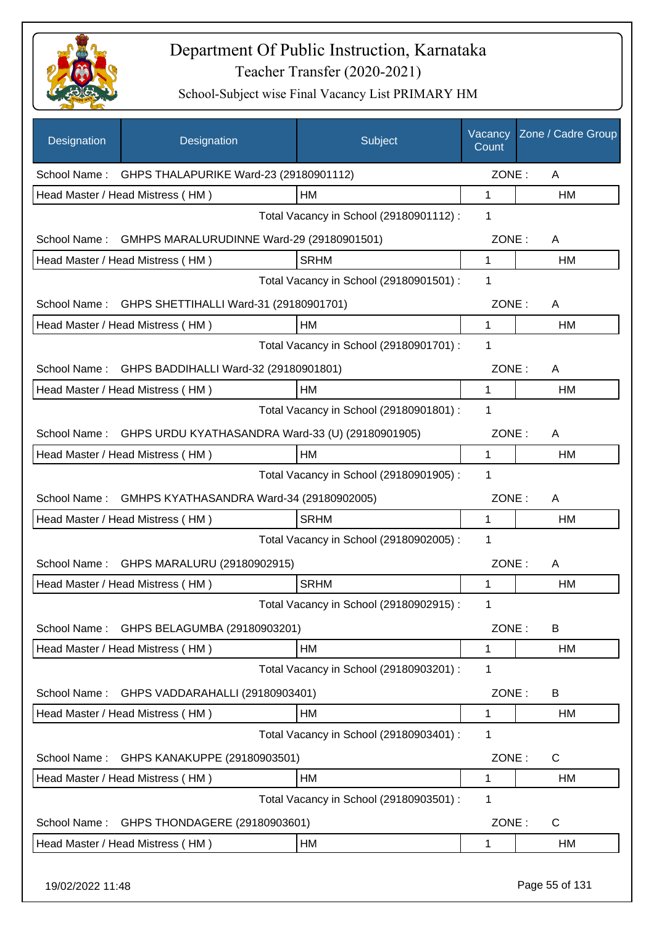

| Designation      | Designation                                         | Subject                                 | Vacancy<br>Count | Zone / Cadre Group |
|------------------|-----------------------------------------------------|-----------------------------------------|------------------|--------------------|
|                  | School Name: GHPS THALAPURIKE Ward-23 (29180901112) |                                         | ZONE:            | A                  |
|                  | Head Master / Head Mistress (HM)                    | <b>HM</b>                               | 1                | HM                 |
|                  |                                                     | Total Vacancy in School (29180901112) : | 1                |                    |
| School Name:     | GMHPS MARALURUDINNE Ward-29 (29180901501)           |                                         | ZONE:            | A                  |
|                  | Head Master / Head Mistress (HM)                    | <b>SRHM</b>                             | 1                | <b>HM</b>          |
|                  |                                                     | Total Vacancy in School (29180901501) : | 1                |                    |
| School Name:     | GHPS SHETTIHALLI Ward-31 (29180901701)              |                                         | ZONE:            | A                  |
|                  | Head Master / Head Mistress (HM)                    | HM                                      | $\mathbf 1$      | HM                 |
|                  |                                                     | Total Vacancy in School (29180901701) : | 1                |                    |
| School Name:     | GHPS BADDIHALLI Ward-32 (29180901801)               |                                         | ZONE:            | A                  |
|                  | Head Master / Head Mistress (HM)                    | HM                                      | 1                | HM                 |
|                  |                                                     | Total Vacancy in School (29180901801) : | 1                |                    |
| School Name:     | GHPS URDU KYATHASANDRA Ward-33 (U) (29180901905)    |                                         | ZONE:            | A                  |
|                  | Head Master / Head Mistress (HM)                    | <b>HM</b>                               | 1                | HM                 |
|                  |                                                     | Total Vacancy in School (29180901905) : | 1                |                    |
| School Name:     | GMHPS KYATHASANDRA Ward-34 (29180902005)            |                                         | ZONE:            | A                  |
|                  | Head Master / Head Mistress (HM)                    | <b>SRHM</b>                             | 1                | HM                 |
|                  |                                                     | Total Vacancy in School (29180902005) : | 1                |                    |
|                  | School Name: GHPS MARALURU (29180902915)            |                                         | ZONE:            | A                  |
|                  | Head Master / Head Mistress (HM)                    | <b>SRHM</b>                             | 1                | HM                 |
|                  |                                                     | Total Vacancy in School (29180902915) : | 1                |                    |
| School Name:     | GHPS BELAGUMBA (29180903201)                        |                                         | ZONE:            | B                  |
|                  | Head Master / Head Mistress (HM)                    | HM                                      | 1                | НM                 |
|                  |                                                     | Total Vacancy in School (29180903201) : | 1                |                    |
| School Name:     | GHPS VADDARAHALLI (29180903401)                     |                                         | ZONE:            | B                  |
|                  | Head Master / Head Mistress (HM)                    | HM                                      | 1                | HM                 |
|                  |                                                     | Total Vacancy in School (29180903401) : | 1                |                    |
| School Name:     | GHPS KANAKUPPE (29180903501)                        |                                         | ZONE:            | C                  |
|                  | Head Master / Head Mistress (HM)                    | HM                                      | 1                | HM                 |
|                  |                                                     | Total Vacancy in School (29180903501) : | 1                |                    |
| School Name:     | GHPS THONDAGERE (29180903601)                       |                                         | ZONE:            | C                  |
|                  | Head Master / Head Mistress (HM)                    | HM                                      | 1                | НM                 |
| 19/02/2022 11:48 |                                                     |                                         |                  | Page 55 of 131     |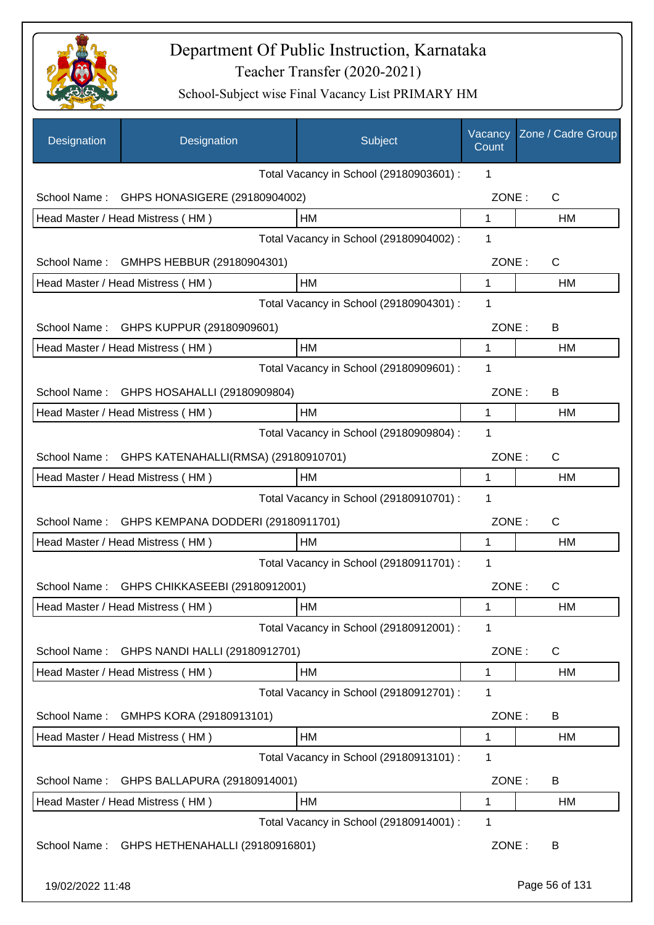

| Designation                             | Designation                            | Subject                                 | Vacancy<br>Count | Zone / Cadre Group |
|-----------------------------------------|----------------------------------------|-----------------------------------------|------------------|--------------------|
|                                         |                                        | Total Vacancy in School (29180903601) : | 1                |                    |
| School Name:                            | GHPS HONASIGERE (29180904002)          |                                         | ZONE:            | C                  |
|                                         | Head Master / Head Mistress (HM)       | <b>HM</b>                               | $\mathbf 1$      | <b>HM</b>          |
|                                         |                                        | Total Vacancy in School (29180904002) : | 1                |                    |
| School Name:                            | GMHPS HEBBUR (29180904301)             |                                         | ZONE:            | $\mathsf{C}$       |
|                                         | Head Master / Head Mistress (HM)       | HM                                      | 1                | HM                 |
|                                         |                                        | Total Vacancy in School (29180904301) : | 1                |                    |
|                                         | School Name: GHPS KUPPUR (29180909601) |                                         | ZONE:            | B                  |
|                                         | Head Master / Head Mistress (HM)       | HM                                      | 1                | HM                 |
|                                         |                                        | Total Vacancy in School (29180909601) : | 1                |                    |
| School Name:                            | GHPS HOSAHALLI (29180909804)           |                                         | ZONE:            | B                  |
|                                         | Head Master / Head Mistress (HM)       | HM                                      | 1                | <b>HM</b>          |
|                                         |                                        | Total Vacancy in School (29180909804) : | 1                |                    |
| School Name:                            | GHPS KATENAHALLI(RMSA) (29180910701)   |                                         | ZONE:            | $\mathsf{C}$       |
|                                         | Head Master / Head Mistress (HM)       | НM                                      | 1                | HM                 |
| Total Vacancy in School (29180910701) : |                                        |                                         |                  |                    |
| School Name:                            | GHPS KEMPANA DODDERI (29180911701)     |                                         | ZONE:            | $\mathsf{C}$       |
|                                         | Head Master / Head Mistress (HM)       | HM                                      | 1                | <b>HM</b>          |
|                                         |                                        | Total Vacancy in School (29180911701) : | 1                |                    |
| School Name:                            | GHPS CHIKKASEEBI (29180912001)         |                                         | ZONE:            | С                  |
|                                         | Head Master / Head Mistress (HM)       | HM                                      | 1                | HM                 |
|                                         |                                        | Total Vacancy in School (29180912001) : | 1                |                    |
| School Name:                            | GHPS NANDI HALLI (29180912701)         |                                         | ZONE:            | C                  |
|                                         | Head Master / Head Mistress (HM)       | HM                                      | 1                | HM                 |
|                                         |                                        | Total Vacancy in School (29180912701) : | 1                |                    |
| School Name:                            | GMHPS KORA (29180913101)               |                                         | ZONE:            | B                  |
|                                         | Head Master / Head Mistress (HM)       | HM                                      | 1                | HM                 |
|                                         |                                        | Total Vacancy in School (29180913101) : | 1                |                    |
| School Name:                            | GHPS BALLAPURA (29180914001)           |                                         | ZONE:            | B                  |
|                                         | Head Master / Head Mistress (HM)       | HM                                      | 1                | HM                 |
|                                         |                                        | Total Vacancy in School (29180914001) : | 1                |                    |
| School Name:                            | GHPS HETHENAHALLI (29180916801)        |                                         | ZONE:            | B                  |
| 19/02/2022 11:48                        |                                        |                                         |                  | Page 56 of 131     |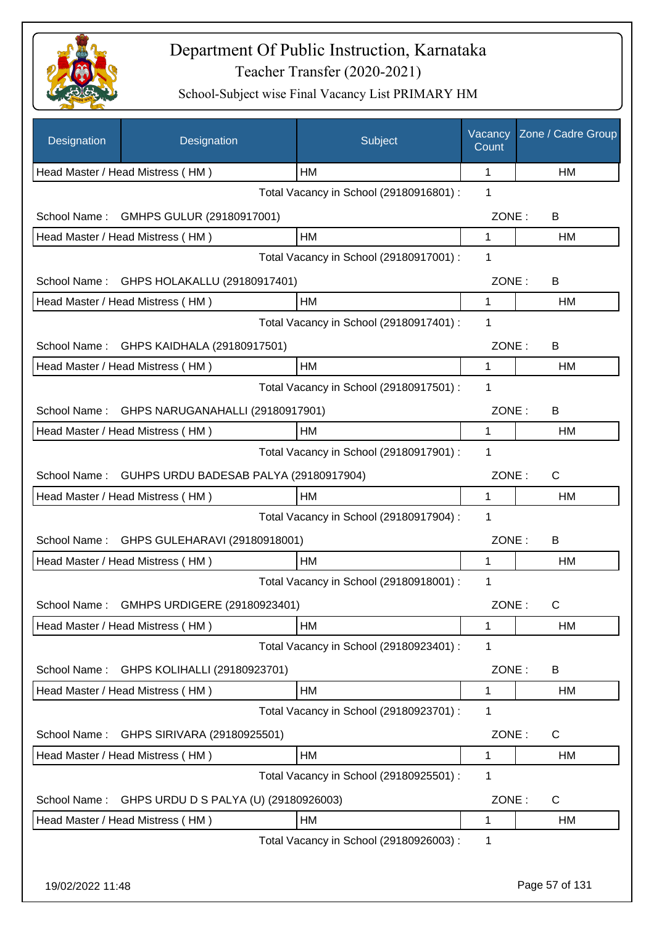

| Designation      | Designation                            | Subject                                 | Vacancy<br>Count | Zone / Cadre Group |
|------------------|----------------------------------------|-----------------------------------------|------------------|--------------------|
|                  | Head Master / Head Mistress (HM)       | HM                                      | 1                | НM                 |
|                  |                                        | Total Vacancy in School (29180916801) : | 1                |                    |
| School Name:     | GMHPS GULUR (29180917001)              |                                         | ZONE:            | B                  |
|                  | Head Master / Head Mistress (HM)       | <b>HM</b>                               | 1                | НM                 |
|                  |                                        | Total Vacancy in School (29180917001) : | 1                |                    |
| School Name:     | GHPS HOLAKALLU (29180917401)           |                                         | ZONE:            | B                  |
|                  | Head Master / Head Mistress (HM)       | <b>HM</b>                               | 1                | НM                 |
|                  |                                        | Total Vacancy in School (29180917401) : | 1                |                    |
| School Name:     | GHPS KAIDHALA (29180917501)            |                                         | ZONE:            | B                  |
|                  | Head Master / Head Mistress (HM)       | HM                                      | 1                | НM                 |
|                  |                                        | Total Vacancy in School (29180917501) : | 1                |                    |
| School Name:     | GHPS NARUGANAHALLI (29180917901)       |                                         | ZONE:            | B                  |
|                  | Head Master / Head Mistress (HM)       | HM                                      | 1                | HM                 |
|                  |                                        | Total Vacancy in School (29180917901) : | 1                |                    |
| School Name:     | GUHPS URDU BADESAB PALYA (29180917904) |                                         | ZONE:            | $\mathsf{C}$       |
|                  | Head Master / Head Mistress (HM)       | HM                                      | 1                | HM                 |
|                  |                                        | Total Vacancy in School (29180917904) : | 1                |                    |
| School Name:     | GHPS GULEHARAVI (29180918001)          |                                         | ZONE:            | B                  |
|                  | Head Master / Head Mistress (HM)       | HM                                      | 1                | НM                 |
|                  |                                        | Total Vacancy in School (29180918001) : | 1                |                    |
| School Name:     | GMHPS URDIGERE (29180923401)           |                                         | ZONE:            | С                  |
|                  | Head Master / Head Mistress (HM)       | НM                                      | 1                | НM                 |
|                  |                                        | Total Vacancy in School (29180923401) : | 1                |                    |
| School Name:     | GHPS KOLIHALLI (29180923701)           |                                         | ZONE:            | B                  |
|                  | Head Master / Head Mistress (HM)       | HM                                      | 1                | НM                 |
|                  |                                        | Total Vacancy in School (29180923701) : | 1                |                    |
| School Name:     | GHPS SIRIVARA (29180925501)            |                                         | ZONE:            | C                  |
|                  | Head Master / Head Mistress (HM)       | HM                                      | 1                | HM                 |
|                  |                                        | Total Vacancy in School (29180925501) : | 1                |                    |
| School Name:     | GHPS URDU D S PALYA (U) (29180926003)  |                                         | ZONE:            | C                  |
|                  | Head Master / Head Mistress (HM)       | HM                                      | 1                | HM                 |
|                  |                                        | Total Vacancy in School (29180926003) : | 1                |                    |
|                  |                                        |                                         |                  |                    |
| 19/02/2022 11:48 |                                        |                                         |                  | Page 57 of 131     |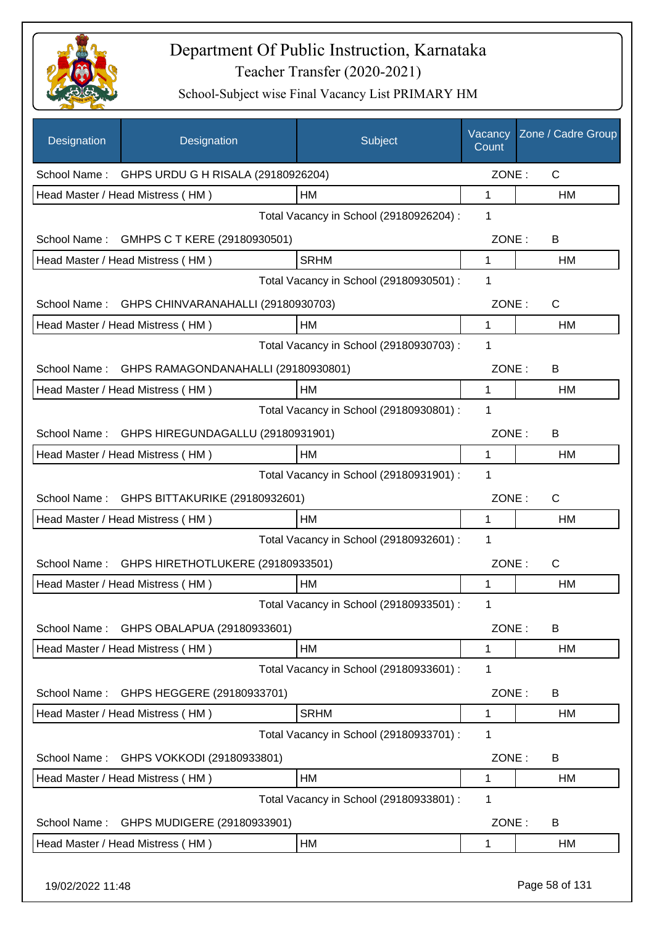

| Designation      | Designation                                     | Subject                                 | Vacancy<br>Count | Zone / Cadre Group |
|------------------|-------------------------------------------------|-----------------------------------------|------------------|--------------------|
|                  | School Name: GHPS URDU G H RISALA (29180926204) |                                         | ZONE:            | $\mathsf{C}$       |
|                  | Head Master / Head Mistress (HM)                | <b>HM</b>                               | 1                | HM                 |
|                  |                                                 | Total Vacancy in School (29180926204) : | 1                |                    |
| School Name:     | GMHPS C T KERE (29180930501)                    |                                         | ZONE:            | B                  |
|                  | Head Master / Head Mistress (HM)                | <b>SRHM</b>                             | $\mathbf{1}$     | HM                 |
|                  |                                                 | Total Vacancy in School (29180930501) : | 1                |                    |
| School Name:     | GHPS CHINVARANAHALLI (29180930703)              |                                         | ZONE:            | $\mathsf{C}$       |
|                  | Head Master / Head Mistress (HM)                | HM                                      | 1                | НM                 |
|                  |                                                 | Total Vacancy in School (29180930703) : | 1                |                    |
| School Name:     | GHPS RAMAGONDANAHALLI (29180930801)             |                                         | ZONE:            | B                  |
|                  | Head Master / Head Mistress (HM)                | HM                                      | 1                | HM                 |
|                  |                                                 | Total Vacancy in School (29180930801) : | 1                |                    |
| School Name:     | GHPS HIREGUNDAGALLU (29180931901)               |                                         | ZONE:            | B                  |
|                  | Head Master / Head Mistress (HM)                | HM                                      | 1                | HM                 |
|                  |                                                 | Total Vacancy in School (29180931901) : | 1                |                    |
| School Name:     | GHPS BITTAKURIKE (29180932601)                  |                                         | ZONE:            | C                  |
|                  | Head Master / Head Mistress (HM)                | HM                                      | 1                | НM                 |
|                  |                                                 | Total Vacancy in School (29180932601) : | 1                |                    |
| School Name:     | GHPS HIRETHOTLUKERE (29180933501)               |                                         | ZONE:            | C                  |
|                  | Head Master / Head Mistress (HM)                | HM                                      | 1                | <b>HM</b>          |
|                  |                                                 | Total Vacancy in School (29180933501) : | 1                |                    |
| School Name:     | GHPS OBALAPUA (29180933601)                     |                                         | ZONE:            | B                  |
|                  | Head Master / Head Mistress (HM)                | HM                                      | 1                | НM                 |
|                  |                                                 | Total Vacancy in School (29180933601) : | 1                |                    |
| School Name:     | GHPS HEGGERE (29180933701)                      |                                         | ZONE:            | B                  |
|                  | Head Master / Head Mistress (HM)                | <b>SRHM</b>                             | 1                | HM                 |
|                  |                                                 | Total Vacancy in School (29180933701) : | 1                |                    |
| School Name:     | GHPS VOKKODI (29180933801)                      |                                         | ZONE:            | B                  |
|                  | Head Master / Head Mistress (HM)                | HM                                      | 1                | HM                 |
|                  |                                                 | Total Vacancy in School (29180933801) : | 1                |                    |
| School Name:     | GHPS MUDIGERE (29180933901)                     |                                         | ZONE:            | B                  |
|                  | Head Master / Head Mistress (HM)                | HM                                      | 1                | HM                 |
| 19/02/2022 11:48 |                                                 |                                         |                  | Page 58 of 131     |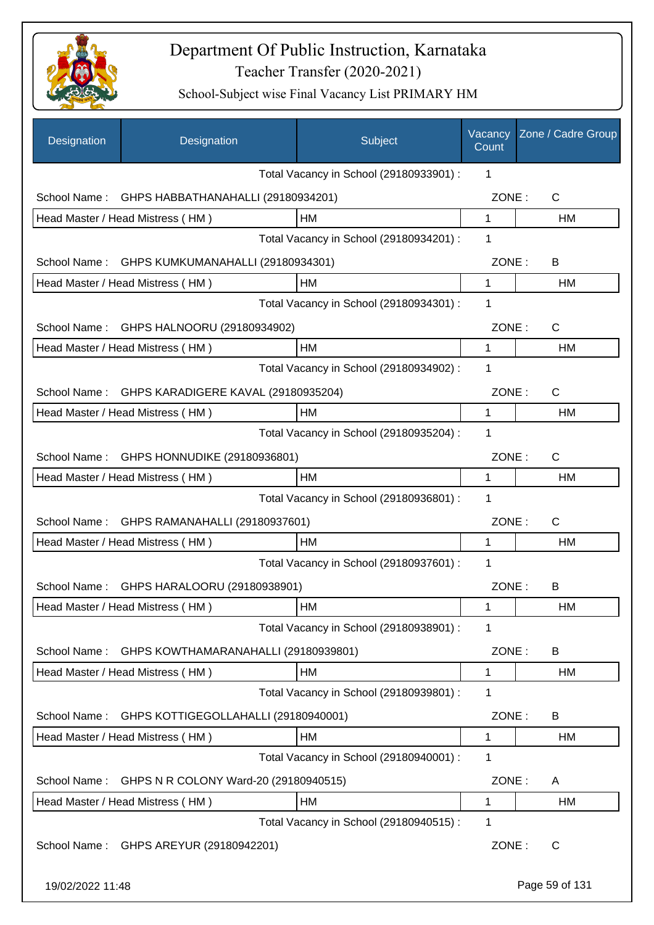

| Designation      | Designation                               | Subject                                 | Vacancy<br>Count | Zone / Cadre Group |
|------------------|-------------------------------------------|-----------------------------------------|------------------|--------------------|
|                  |                                           | Total Vacancy in School (29180933901) : | 1                |                    |
| School Name:     | GHPS HABBATHANAHALLI (29180934201)        |                                         | ZONE:            | $\mathsf{C}$       |
|                  | Head Master / Head Mistress (HM)          | HM                                      | $\mathbf{1}$     | HM                 |
|                  |                                           | Total Vacancy in School (29180934201) : | 1                |                    |
| School Name:     | GHPS KUMKUMANAHALLI (29180934301)         |                                         | ZONE:            | B                  |
|                  | Head Master / Head Mistress (HM)          | HM                                      | 1                | <b>HM</b>          |
|                  |                                           | Total Vacancy in School (29180934301) : | 1                |                    |
| School Name:     | GHPS HALNOORU (29180934902)               |                                         | ZONE:            | C                  |
|                  | Head Master / Head Mistress (HM)          | HM                                      | 1                | HM                 |
|                  |                                           | Total Vacancy in School (29180934902) : | 1                |                    |
| School Name:     | GHPS KARADIGERE KAVAL (29180935204)       |                                         | ZONE:            | C                  |
|                  | Head Master / Head Mistress (HM)          | HM                                      | 1                | HM                 |
|                  |                                           | Total Vacancy in School (29180935204) : | 1                |                    |
| School Name:     | GHPS HONNUDIKE (29180936801)              |                                         | ZONE:            | C                  |
|                  | Head Master / Head Mistress (HM)          | HM                                      | 1                | НM                 |
|                  |                                           | Total Vacancy in School (29180936801) : | 1                |                    |
| School Name:     | GHPS RAMANAHALLI (29180937601)            |                                         | ZONE:            | C                  |
|                  | Head Master / Head Mistress (HM)          | HM                                      | 1                | <b>HM</b>          |
|                  |                                           | Total Vacancy in School (29180937601) : | 1                |                    |
|                  | School Name: GHPS HARALOORU (29180938901) |                                         | ZONE:            | B                  |
|                  | Head Master / Head Mistress (HM)          | <b>HM</b>                               | 1                | HM                 |
|                  |                                           | Total Vacancy in School (29180938901) : | 1                |                    |
| School Name:     | GHPS KOWTHAMARANAHALLI (29180939801)      |                                         | ZONE:            | B                  |
|                  | Head Master / Head Mistress (HM)          | HM                                      | 1                | HM                 |
|                  |                                           | Total Vacancy in School (29180939801) : | 1                |                    |
| School Name:     | GHPS KOTTIGEGOLLAHALLI (29180940001)      |                                         | ZONE:            | B                  |
|                  | Head Master / Head Mistress (HM)          | HM                                      | 1                | HM                 |
|                  |                                           | Total Vacancy in School (29180940001) : | 1                |                    |
| School Name:     | GHPS N R COLONY Ward-20 (29180940515)     |                                         | ZONE:            | A                  |
|                  | Head Master / Head Mistress (HM)          | HM                                      | 1                | HM                 |
|                  |                                           | Total Vacancy in School (29180940515) : | 1                |                    |
| School Name:     | GHPS AREYUR (29180942201)                 |                                         | ZONE:            | C                  |
| 19/02/2022 11:48 |                                           |                                         |                  | Page 59 of 131     |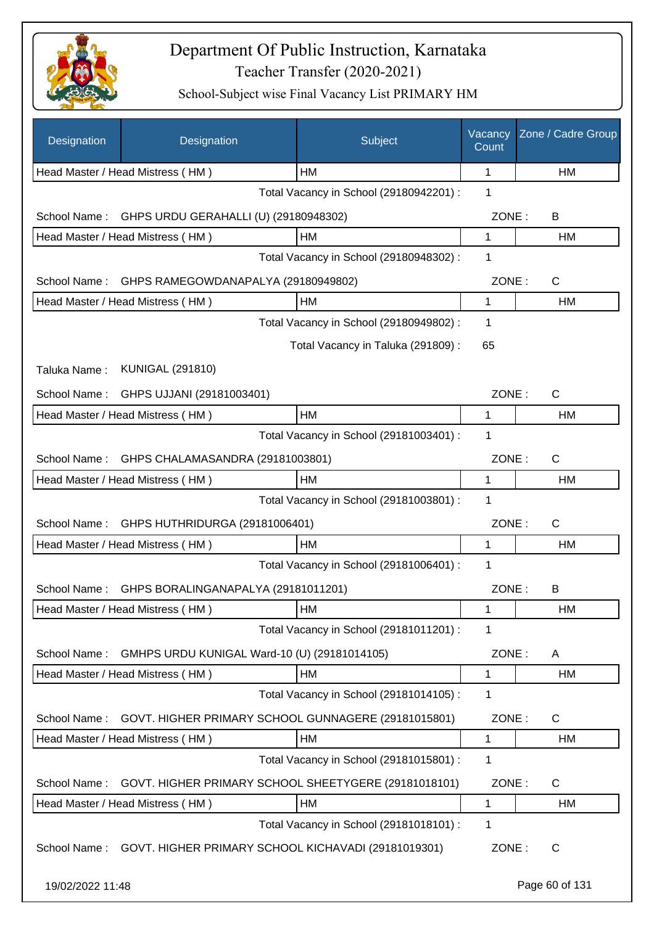

| Designation      | Designation                                          | Subject                                 | Vacancy<br>Count | Zone / Cadre Group |
|------------------|------------------------------------------------------|-----------------------------------------|------------------|--------------------|
|                  | Head Master / Head Mistress (HM)                     | HM                                      | 1                | HM                 |
|                  |                                                      | Total Vacancy in School (29180942201) : | 1                |                    |
| School Name:     | GHPS URDU GERAHALLI (U) (29180948302)                |                                         | ZONE:            | B                  |
|                  | Head Master / Head Mistress (HM)                     | HM                                      | 1                | HM                 |
|                  |                                                      | Total Vacancy in School (29180948302) : | 1                |                    |
| School Name:     | GHPS RAMEGOWDANAPALYA (29180949802)                  |                                         | ZONE:            | C                  |
|                  | Head Master / Head Mistress (HM)                     | HM                                      | 1                | HM                 |
|                  |                                                      | Total Vacancy in School (29180949802) : | 1                |                    |
|                  |                                                      | Total Vacancy in Taluka (291809):       | 65               |                    |
| Taluka Name:     | <b>KUNIGAL (291810)</b>                              |                                         |                  |                    |
| School Name:     | GHPS UJJANI (29181003401)                            |                                         | ZONE:            | $\mathsf C$        |
|                  | Head Master / Head Mistress (HM)                     | HM                                      | 1                | НM                 |
|                  |                                                      | Total Vacancy in School (29181003401) : | 1                |                    |
| School Name:     | GHPS CHALAMASANDRA (29181003801)                     |                                         | ZONE:            | C                  |
|                  | Head Master / Head Mistress (HM)                     | HM                                      | 1                | HM                 |
|                  |                                                      | Total Vacancy in School (29181003801) : | 1                |                    |
| School Name:     | GHPS HUTHRIDURGA (29181006401)                       |                                         | ZONE:            | $\mathsf{C}$       |
|                  | Head Master / Head Mistress (HM)                     | HM                                      | 1                | HM                 |
|                  |                                                      | Total Vacancy in School (29181006401) : | 1                |                    |
| School Name:     | GHPS BORALINGANAPALYA (29181011201)                  |                                         | ZONE:            | B                  |
|                  | Head Master / Head Mistress (HM)                     | HM                                      | 1                | HM                 |
|                  |                                                      | Total Vacancy in School (29181011201) : | 1                |                    |
| School Name:     |                                                      |                                         |                  |                    |
|                  | GMHPS URDU KUNIGAL Ward-10 (U) (29181014105)         | HM                                      | ZONE:            | A                  |
|                  | Head Master / Head Mistress (HM)                     | Total Vacancy in School (29181014105) : | 1<br>1           | HM                 |
|                  |                                                      |                                         |                  |                    |
| School Name:     | GOVT. HIGHER PRIMARY SCHOOL GUNNAGERE (29181015801)  |                                         | ZONE:            | C                  |
|                  | Head Master / Head Mistress (HM)                     | HM                                      | 1                | HM                 |
|                  |                                                      | Total Vacancy in School (29181015801) : | 1                |                    |
| School Name:     | GOVT. HIGHER PRIMARY SCHOOL SHEETYGERE (29181018101) |                                         | ZONE:            | C                  |
|                  | Head Master / Head Mistress (HM)                     | HM                                      | 1                | HM                 |
|                  |                                                      | Total Vacancy in School (29181018101) : | 1                |                    |
| School Name:     | GOVT. HIGHER PRIMARY SCHOOL KICHAVADI (29181019301)  |                                         | ZONE:            | C                  |
| 19/02/2022 11:48 |                                                      |                                         |                  | Page 60 of 131     |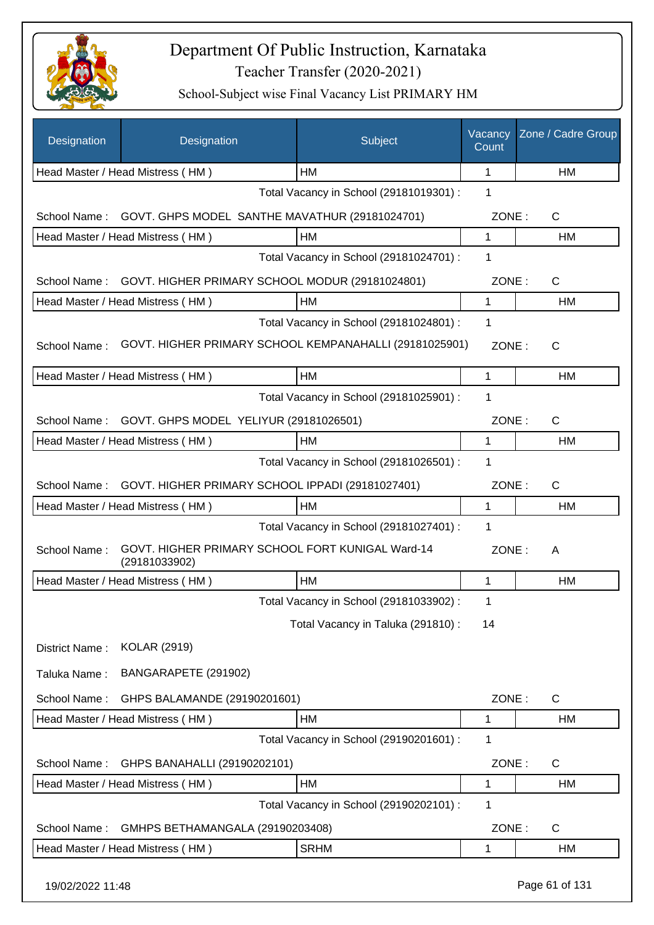

| Designation      | Designation                                                       | Subject                                 | Vacancy<br>Count | Zone / Cadre Group |
|------------------|-------------------------------------------------------------------|-----------------------------------------|------------------|--------------------|
|                  | Head Master / Head Mistress (HM)                                  | HM                                      | 1                | HM                 |
|                  |                                                                   | Total Vacancy in School (29181019301) : | 1                |                    |
| School Name:     | GOVT. GHPS MODEL SANTHE MAVATHUR (29181024701)                    |                                         | ZONE:            | $\mathsf{C}$       |
|                  | Head Master / Head Mistress (HM)                                  | HM                                      | 1                | HM                 |
|                  |                                                                   | Total Vacancy in School (29181024701) : | 1                |                    |
| School Name:     | GOVT. HIGHER PRIMARY SCHOOL MODUR (29181024801)                   |                                         | ZONE:            | $\mathsf{C}$       |
|                  | Head Master / Head Mistress (HM)                                  | HM                                      | 1                | HM                 |
|                  |                                                                   | Total Vacancy in School (29181024801) : | 1                |                    |
| School Name:     | GOVT. HIGHER PRIMARY SCHOOL KEMPANAHALLI (29181025901)            |                                         | ZONE:            | $\mathsf{C}$       |
|                  | Head Master / Head Mistress (HM)                                  | HM                                      | 1                | HM                 |
|                  |                                                                   | Total Vacancy in School (29181025901) : | 1                |                    |
| School Name:     | GOVT. GHPS MODEL YELIYUR (29181026501)                            |                                         | ZONE:            | $\mathsf{C}$       |
|                  | Head Master / Head Mistress (HM)                                  | HM                                      | 1                | HM                 |
|                  |                                                                   | Total Vacancy in School (29181026501) : | 1                |                    |
| School Name:     | GOVT. HIGHER PRIMARY SCHOOL IPPADI (29181027401)                  |                                         | ZONE:            | $\mathsf{C}$       |
|                  | Head Master / Head Mistress (HM)                                  | <b>HM</b>                               | 1                | <b>HM</b>          |
|                  |                                                                   | Total Vacancy in School (29181027401) : | 1                |                    |
| School Name:     | GOVT. HIGHER PRIMARY SCHOOL FORT KUNIGAL Ward-14<br>(29181033902) |                                         | ZONE:            | A                  |
|                  | Head Master / Head Mistress (HM)                                  | HM                                      | 1                | HM                 |
|                  |                                                                   | Total Vacancy in School (29181033902) : | 1                |                    |
|                  |                                                                   | Total Vacancy in Taluka (291810) :      | 14               |                    |
| District Name:   | <b>KOLAR (2919)</b>                                               |                                         |                  |                    |
| Taluka Name:     | BANGARAPETE (291902)                                              |                                         |                  |                    |
| School Name:     | GHPS BALAMANDE (29190201601)                                      |                                         | ZONE:            | $\mathsf{C}$       |
|                  | Head Master / Head Mistress (HM)                                  | HM                                      | 1                | HM                 |
|                  |                                                                   | Total Vacancy in School (29190201601) : | 1                |                    |
| School Name:     | GHPS BANAHALLI (29190202101)                                      |                                         | ZONE:            | C                  |
|                  | Head Master / Head Mistress (HM)                                  | HM                                      | 1                | HM                 |
|                  |                                                                   | Total Vacancy in School (29190202101) : | 1                |                    |
| School Name:     | GMHPS BETHAMANGALA (29190203408)                                  |                                         | ZONE:            | C                  |
|                  | Head Master / Head Mistress (HM)                                  | <b>SRHM</b>                             | 1                | HM                 |
| 19/02/2022 11:48 |                                                                   |                                         |                  | Page 61 of 131     |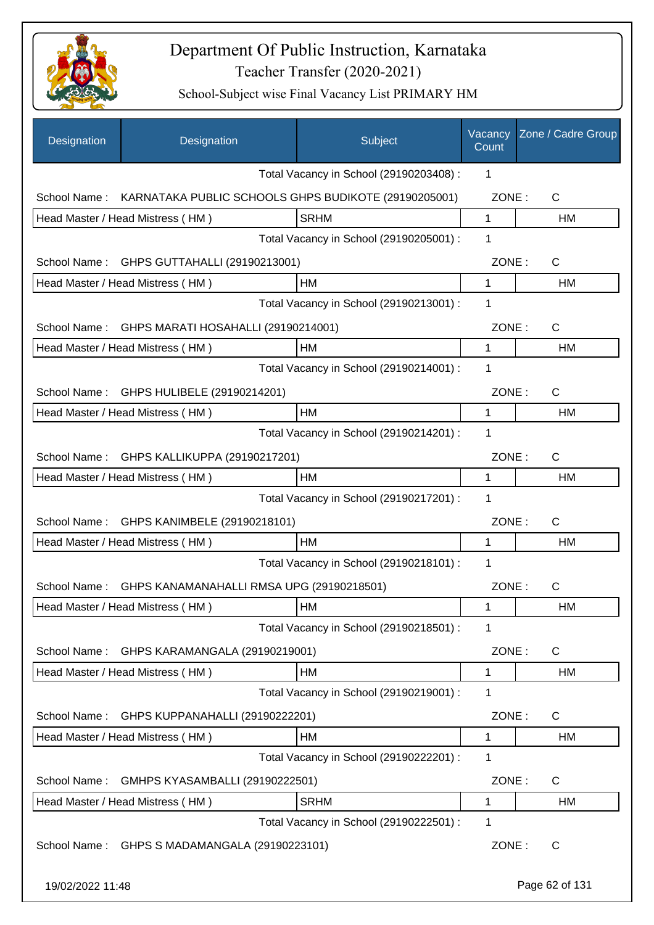

| Designation      | Designation                                          | Subject                                 | Vacancy<br>Count | Zone / Cadre Group |
|------------------|------------------------------------------------------|-----------------------------------------|------------------|--------------------|
|                  |                                                      | Total Vacancy in School (29190203408) : | 1                |                    |
| School Name:     | KARNATAKA PUBLIC SCHOOLS GHPS BUDIKOTE (29190205001) |                                         | ZONE:            | C                  |
|                  | Head Master / Head Mistress (HM)                     | <b>SRHM</b>                             | 1                | <b>HM</b>          |
|                  |                                                      | Total Vacancy in School (29190205001) : | 1                |                    |
| School Name:     | GHPS GUTTAHALLI (29190213001)                        |                                         | ZONE:            | C                  |
|                  | Head Master / Head Mistress (HM)                     | HM                                      | 1                | НM                 |
|                  |                                                      | Total Vacancy in School (29190213001) : | 1                |                    |
| School Name:     | GHPS MARATI HOSAHALLI (29190214001)                  |                                         | ZONE:            | C                  |
|                  | Head Master / Head Mistress (HM)                     | HM                                      | 1                | НM                 |
|                  |                                                      | Total Vacancy in School (29190214001) : | 1                |                    |
|                  | School Name: GHPS HULIBELE (29190214201)             |                                         | ZONE:            | $\mathsf{C}$       |
|                  | Head Master / Head Mistress (HM)                     | HM                                      | 1                | <b>HM</b>          |
|                  |                                                      | Total Vacancy in School (29190214201) : | 1                |                    |
| School Name:     | GHPS KALLIKUPPA (29190217201)                        |                                         | ZONE:            | $\mathsf{C}$       |
|                  | Head Master / Head Mistress (HM)                     | HМ                                      | 1                | HM                 |
|                  |                                                      | Total Vacancy in School (29190217201) : | 1                |                    |
| School Name:     | GHPS KANIMBELE (29190218101)                         |                                         | ZONE:            | C                  |
|                  | Head Master / Head Mistress (HM)                     | <b>HM</b>                               | 1                | HM                 |
|                  |                                                      | Total Vacancy in School (29190218101) : | 1                |                    |
| School Name:     | GHPS KANAMANAHALLI RMSA UPG (29190218501)            |                                         | ZONE:            | C                  |
|                  | Head Master / Head Mistress (HM)                     | HM                                      | 1                | HM                 |
|                  |                                                      | Total Vacancy in School (29190218501) : | 1                |                    |
| School Name:     | GHPS KARAMANGALA (29190219001)                       |                                         | ZONE:            | C                  |
|                  | Head Master / Head Mistress (HM)                     | HМ                                      | 1                | НM                 |
|                  |                                                      | Total Vacancy in School (29190219001) : | 1                |                    |
| School Name:     | GHPS KUPPANAHALLI (29190222201)                      |                                         | ZONE:            | C                  |
|                  | Head Master / Head Mistress (HM)                     | HM                                      | 1                | HM                 |
|                  |                                                      | Total Vacancy in School (29190222201) : | 1                |                    |
| School Name:     | GMHPS KYASAMBALLI (29190222501)                      |                                         | ZONE:            | $\mathsf{C}$       |
|                  | Head Master / Head Mistress (HM)                     | <b>SRHM</b>                             | 1                | HM                 |
|                  |                                                      | Total Vacancy in School (29190222501) : | 1                |                    |
|                  | School Name: GHPS S MADAMANGALA (29190223101)        |                                         | ZONE:            | $\mathsf{C}$       |
| 19/02/2022 11:48 |                                                      |                                         |                  | Page 62 of 131     |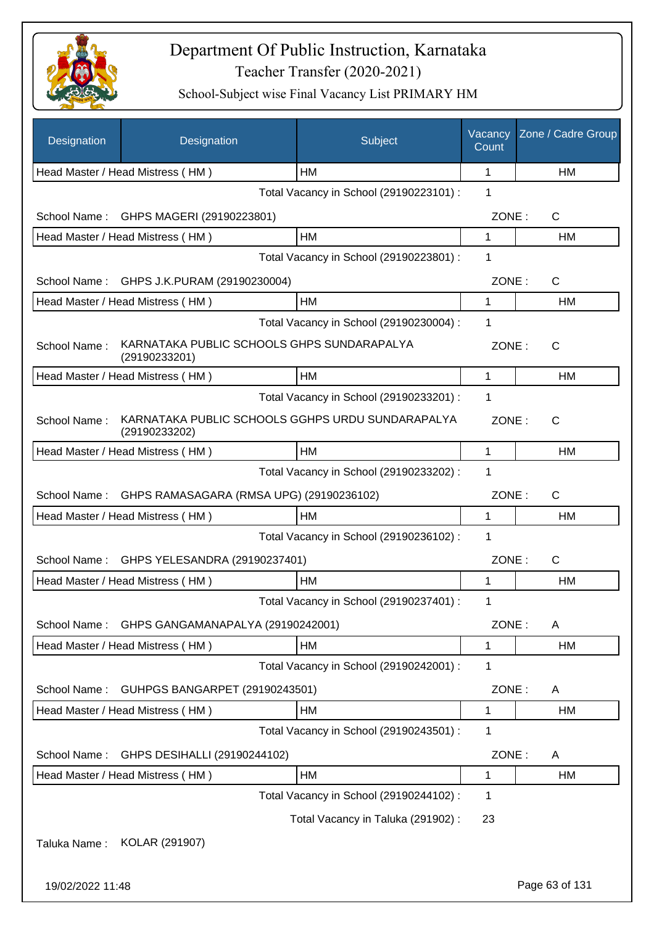

| Designation      | Designation                                                       | Subject                                 | Vacancy<br>Count | Zone / Cadre Group |
|------------------|-------------------------------------------------------------------|-----------------------------------------|------------------|--------------------|
|                  | Head Master / Head Mistress (HM)                                  | <b>HM</b>                               | 1                | <b>HM</b>          |
|                  |                                                                   | Total Vacancy in School (29190223101) : | 1                |                    |
| School Name:     | GHPS MAGERI (29190223801)                                         |                                         | ZONE:            | C                  |
|                  | Head Master / Head Mistress (HM)                                  | <b>HM</b>                               | 1                | HM                 |
|                  |                                                                   | Total Vacancy in School (29190223801) : | 1                |                    |
| School Name:     | GHPS J.K.PURAM (29190230004)                                      |                                         | ZONE:            | C                  |
|                  | Head Master / Head Mistress (HM)                                  | HM                                      | 1                | HM                 |
|                  |                                                                   | Total Vacancy in School (29190230004) : | 1                |                    |
| School Name:     | KARNATAKA PUBLIC SCHOOLS GHPS SUNDARAPALYA<br>(29190233201)       |                                         | ZONE:            | C                  |
|                  | Head Master / Head Mistress (HM)                                  | <b>HM</b>                               | 1                | HM                 |
|                  |                                                                   | Total Vacancy in School (29190233201) : | 1                |                    |
| School Name:     | KARNATAKA PUBLIC SCHOOLS GGHPS URDU SUNDARAPALYA<br>(29190233202) |                                         | ZONE:            | $\mathsf{C}$       |
|                  | Head Master / Head Mistress (HM)                                  | <b>HM</b>                               | 1                | HM                 |
|                  |                                                                   | Total Vacancy in School (29190233202) : | 1                |                    |
| School Name:     | GHPS RAMASAGARA (RMSA UPG) (29190236102)                          |                                         | ZONE:            | C                  |
|                  | Head Master / Head Mistress (HM)                                  | HM                                      | 1                | HM                 |
|                  |                                                                   | Total Vacancy in School (29190236102) : | 1                |                    |
| School Name:     | GHPS YELESANDRA (29190237401)                                     |                                         | ZONE:            | C                  |
|                  | Head Master / Head Mistress (HM)                                  | <b>HM</b>                               | 1                | <b>HM</b>          |
|                  |                                                                   | Total Vacancy in School (29190237401) : | 1                |                    |
| School Name:     | GHPS GANGAMANAPALYA (29190242001)                                 |                                         | ZONE:            | A                  |
|                  | Head Master / Head Mistress (HM)                                  | HM                                      | 1                | HM                 |
|                  |                                                                   | Total Vacancy in School (29190242001) : | 1                |                    |
| School Name:     | GUHPGS BANGARPET (29190243501)                                    |                                         | ZONE:            | A                  |
|                  | Head Master / Head Mistress (HM)                                  | HM                                      | 1                | HM                 |
|                  |                                                                   | Total Vacancy in School (29190243501) : | 1                |                    |
| School Name:     | GHPS DESIHALLI (29190244102)                                      |                                         | ZONE:            | A                  |
|                  | Head Master / Head Mistress (HM)                                  | HM                                      | 1                | <b>HM</b>          |
|                  |                                                                   | Total Vacancy in School (29190244102) : | 1                |                    |
|                  |                                                                   | Total Vacancy in Taluka (291902) :      | 23               |                    |
| Taluka Name:     | KOLAR (291907)                                                    |                                         |                  |                    |
| 19/02/2022 11:48 |                                                                   |                                         |                  | Page 63 of 131     |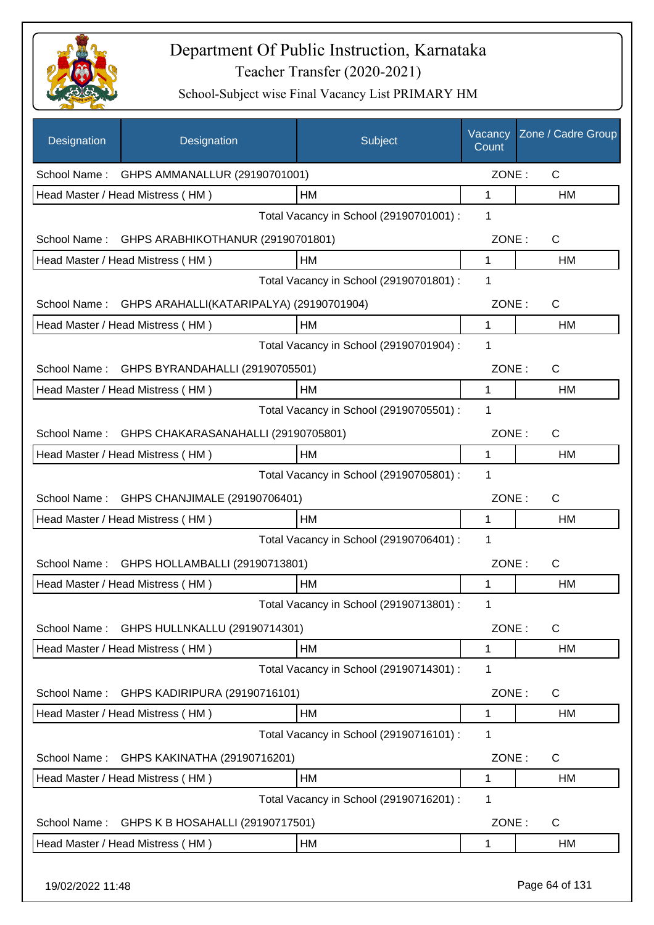

| Designation      | Designation                                      | Subject                                 | Vacancy<br>Count | Zone / Cadre Group |
|------------------|--------------------------------------------------|-----------------------------------------|------------------|--------------------|
|                  | School Name: GHPS AMMANALLUR (29190701001)       |                                         | ZONE:            | $\mathsf{C}$       |
|                  | Head Master / Head Mistress (HM)                 | HM                                      | 1                | HM                 |
|                  |                                                  | Total Vacancy in School (29190701001) : | 1                |                    |
|                  | School Name: GHPS ARABHIKOTHANUR (29190701801)   |                                         | ZONE:            | $\mathsf{C}$       |
|                  | Head Master / Head Mistress (HM)                 | HM                                      | 1                | HM                 |
|                  |                                                  | Total Vacancy in School (29190701801) : | 1                |                    |
| School Name:     | GHPS ARAHALLI(KATARIPALYA) (29190701904)         |                                         | ZONE:            | C                  |
|                  | Head Master / Head Mistress (HM)                 | HM                                      | 1                | HM                 |
|                  |                                                  | Total Vacancy in School (29190701904) : | 1                |                    |
| School Name:     | GHPS BYRANDAHALLI (29190705501)                  |                                         | ZONE:            | C                  |
|                  | Head Master / Head Mistress (HM)                 | <b>HM</b>                               | 1                | HM                 |
|                  |                                                  | Total Vacancy in School (29190705501) : | 1                |                    |
|                  | School Name: GHPS CHAKARASANAHALLI (29190705801) |                                         | ZONE:            | C                  |
|                  | Head Master / Head Mistress (HM)                 | HM                                      | 1                | HM                 |
|                  |                                                  | Total Vacancy in School (29190705801) : | 1                |                    |
| School Name:     | GHPS CHANJIMALE (29190706401)                    |                                         | ZONE:            | C                  |
|                  | Head Master / Head Mistress (HM)                 | HM                                      | 1                | HM                 |
|                  |                                                  | Total Vacancy in School (29190706401) : | 1                |                    |
| School Name:     | GHPS HOLLAMBALLI (29190713801)                   |                                         | ZONE:            | C                  |
|                  | Head Master / Head Mistress (HM)                 | HM                                      | 1                | HM                 |
|                  |                                                  | Total Vacancy in School (29190713801) : | 1                |                    |
|                  | School Name: GHPS HULLNKALLU (29190714301)       |                                         | ZONE:            | $\mathsf{C}$       |
|                  | Head Master / Head Mistress (HM)                 | HM                                      | 1                | HM                 |
|                  |                                                  | Total Vacancy in School (29190714301) : | 1                |                    |
| School Name:     | GHPS KADIRIPURA (29190716101)                    |                                         | ZONE:            | C                  |
|                  | Head Master / Head Mistress (HM)                 | HM                                      | 1                | HM                 |
|                  |                                                  | Total Vacancy in School (29190716101) : | 1                |                    |
| School Name:     | GHPS KAKINATHA (29190716201)                     |                                         | ZONE:            | C                  |
|                  | Head Master / Head Mistress (HM)                 | HM                                      | 1                | HM                 |
|                  |                                                  | Total Vacancy in School (29190716201) : | 1                |                    |
| School Name:     | GHPS K B HOSAHALLI (29190717501)                 |                                         | ZONE:            | C                  |
|                  | Head Master / Head Mistress (HM)                 | HM                                      | 1                | HM                 |
| 19/02/2022 11:48 |                                                  |                                         |                  | Page 64 of 131     |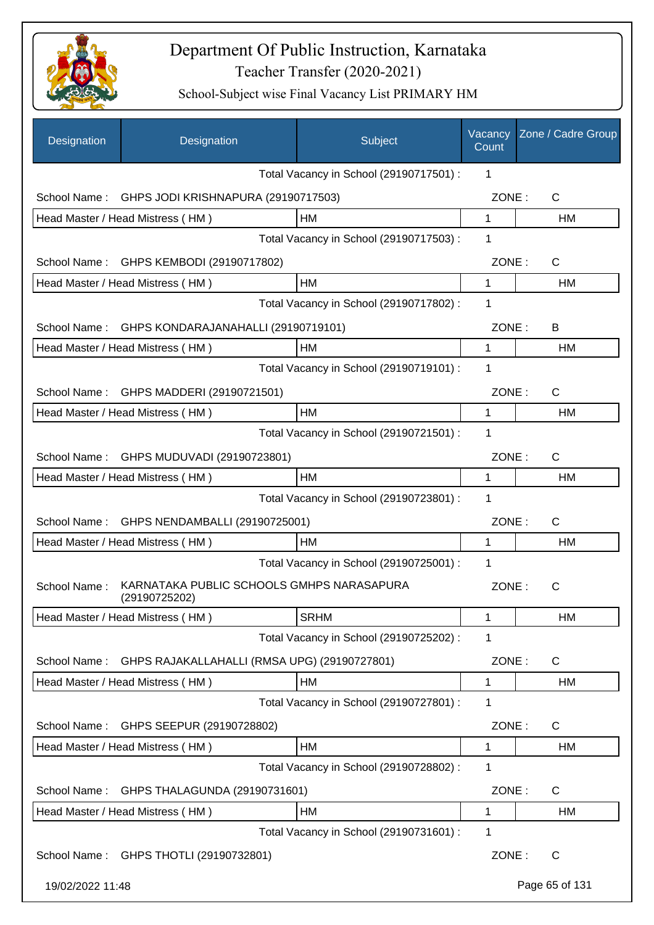

| Designation      | Designation                                                | Subject                                 | Vacancy<br>Count | Zone / Cadre Group |
|------------------|------------------------------------------------------------|-----------------------------------------|------------------|--------------------|
|                  |                                                            | Total Vacancy in School (29190717501) : | 1                |                    |
| School Name:     | GHPS JODI KRISHNAPURA (29190717503)                        |                                         | ZONE:            | $\mathsf{C}$       |
|                  | Head Master / Head Mistress (HM)                           | HM                                      | 1                | <b>HM</b>          |
|                  |                                                            | Total Vacancy in School (29190717503) : | 1                |                    |
| School Name:     | GHPS KEMBODI (29190717802)                                 |                                         | ZONE:            | C                  |
|                  | Head Master / Head Mistress (HM)                           | HM                                      | $\mathbf{1}$     | HM                 |
|                  |                                                            | Total Vacancy in School (29190717802) : | 1                |                    |
| School Name:     | GHPS KONDARAJANAHALLI (29190719101)                        |                                         | ZONE:            | B                  |
|                  | Head Master / Head Mistress (HM)                           | HM                                      | 1                | <b>HM</b>          |
|                  |                                                            | Total Vacancy in School (29190719101) : | 1                |                    |
| School Name:     | GHPS MADDERI (29190721501)                                 |                                         | ZONE:            | C                  |
|                  | Head Master / Head Mistress (HM)                           | HM                                      | 1                | HM                 |
|                  |                                                            | Total Vacancy in School (29190721501) : | 1                |                    |
| School Name:     | GHPS MUDUVADI (29190723801)                                |                                         | ZONE:            | $\mathsf{C}$       |
|                  | Head Master / Head Mistress (HM)                           | HM                                      | 1                | HM                 |
|                  |                                                            | Total Vacancy in School (29190723801) : | 1                |                    |
| School Name:     | GHPS NENDAMBALLI (29190725001)                             |                                         | ZONE:            | C                  |
|                  | Head Master / Head Mistress (HM)                           | HM                                      | 1                | НM                 |
|                  |                                                            | Total Vacancy in School (29190725001) : | 1                |                    |
| School Name:     | KARNATAKA PUBLIC SCHOOLS GMHPS NARASAPURA<br>(29190725202) |                                         | ZONE:            | С                  |
|                  | Head Master / Head Mistress (HM)                           | <b>SRHM</b>                             | 1                | HM                 |
|                  |                                                            | Total Vacancy in School (29190725202) : | 1                |                    |
| School Name:     | GHPS RAJAKALLAHALLI (RMSA UPG) (29190727801)               |                                         | ZONE:            | C                  |
|                  | Head Master / Head Mistress (HM)                           | HМ                                      | 1                | НM                 |
|                  |                                                            | Total Vacancy in School (29190727801) : | 1                |                    |
| School Name:     | GHPS SEEPUR (29190728802)                                  |                                         | ZONE:            | C                  |
|                  | Head Master / Head Mistress (HM)                           | HM                                      | 1                | HM                 |
|                  |                                                            | Total Vacancy in School (29190728802) : | 1                |                    |
| School Name:     | GHPS THALAGUNDA (29190731601)                              |                                         | ZONE:            | $\mathsf{C}$       |
|                  | Head Master / Head Mistress (HM)                           | HM                                      | 1                | <b>HM</b>          |
|                  |                                                            | Total Vacancy in School (29190731601) : | 1                |                    |
|                  | School Name: GHPS THOTLI (29190732801)                     |                                         | ZONE:            | $\mathsf{C}$       |
| 19/02/2022 11:48 |                                                            |                                         |                  | Page 65 of 131     |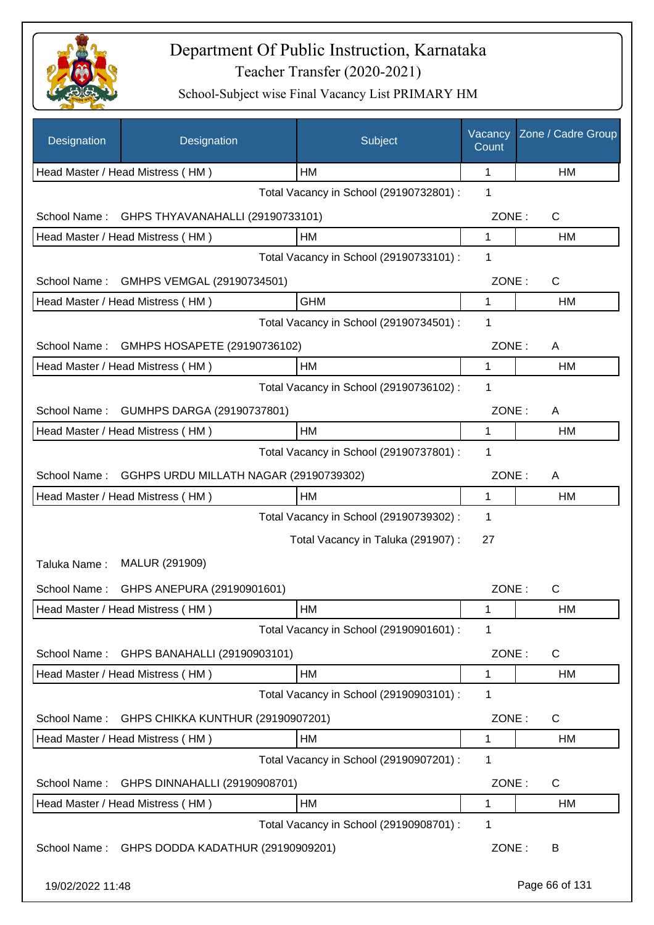

| Designation      | Designation                             | Subject                                 | Vacancy<br>Count | Zone / Cadre Group |
|------------------|-----------------------------------------|-----------------------------------------|------------------|--------------------|
|                  | Head Master / Head Mistress (HM)        | HМ                                      | 1                | НM                 |
|                  |                                         | Total Vacancy in School (29190732801) : | 1                |                    |
| School Name:     | GHPS THYAVANAHALLI (29190733101)        |                                         | ZONE:            | C                  |
|                  | Head Master / Head Mistress (HM)        | HM                                      | 1                | НM                 |
|                  |                                         | Total Vacancy in School (29190733101) : | 1                |                    |
| School Name:     | GMHPS VEMGAL (29190734501)              |                                         | ZONE:            | C                  |
|                  | Head Master / Head Mistress (HM)        | <b>GHM</b>                              | 1                | HM                 |
|                  |                                         | Total Vacancy in School (29190734501) : | 1                |                    |
| School Name:     | GMHPS HOSAPETE (29190736102)            |                                         | ZONE:            | A                  |
|                  | Head Master / Head Mistress (HM)        | HM                                      | 1                | HM                 |
|                  |                                         | Total Vacancy in School (29190736102) : | 1                |                    |
| School Name:     | GUMHPS DARGA (29190737801)              |                                         | ZONE:            | A                  |
|                  | Head Master / Head Mistress (HM)        | HM                                      | 1                | HM                 |
|                  |                                         | Total Vacancy in School (29190737801) : | 1                |                    |
| School Name:     | GGHPS URDU MILLATH NAGAR (29190739302)  |                                         | ZONE:            | A                  |
|                  | Head Master / Head Mistress (HM)        | HM                                      | 1                | HM                 |
|                  |                                         | Total Vacancy in School (29190739302) : | 1                |                    |
|                  |                                         | Total Vacancy in Taluka (291907) :      | 27               |                    |
| Taluka Name:     | MALUR (291909)                          |                                         |                  |                    |
|                  | School Name: GHPS ANEPURA (29190901601) |                                         | ZONE:            | C                  |
|                  | Head Master / Head Mistress (HM)        | HM                                      | 1                | HM                 |
|                  |                                         | Total Vacancy in School (29190901601) : | 1                |                    |
| School Name:     | GHPS BANAHALLI (29190903101)            |                                         | ZONE:            | C                  |
|                  | Head Master / Head Mistress (HM)        | HM                                      | 1                | HM                 |
|                  |                                         | Total Vacancy in School (29190903101) : | 1                |                    |
| School Name:     | GHPS CHIKKA KUNTHUR (29190907201)       |                                         | ZONE:            | C                  |
|                  | Head Master / Head Mistress (HM)        | HM                                      | 1                | HM                 |
|                  |                                         | Total Vacancy in School (29190907201) : | 1                |                    |
| School Name:     | GHPS DINNAHALLI (29190908701)           |                                         | ZONE:            | C                  |
|                  | Head Master / Head Mistress (HM)        | HM                                      | 1                | HM                 |
|                  |                                         | Total Vacancy in School (29190908701) : | 1                |                    |
| School Name:     | GHPS DODDA KADATHUR (29190909201)       |                                         | ZONE:            | B                  |
| 19/02/2022 11:48 |                                         |                                         |                  | Page 66 of 131     |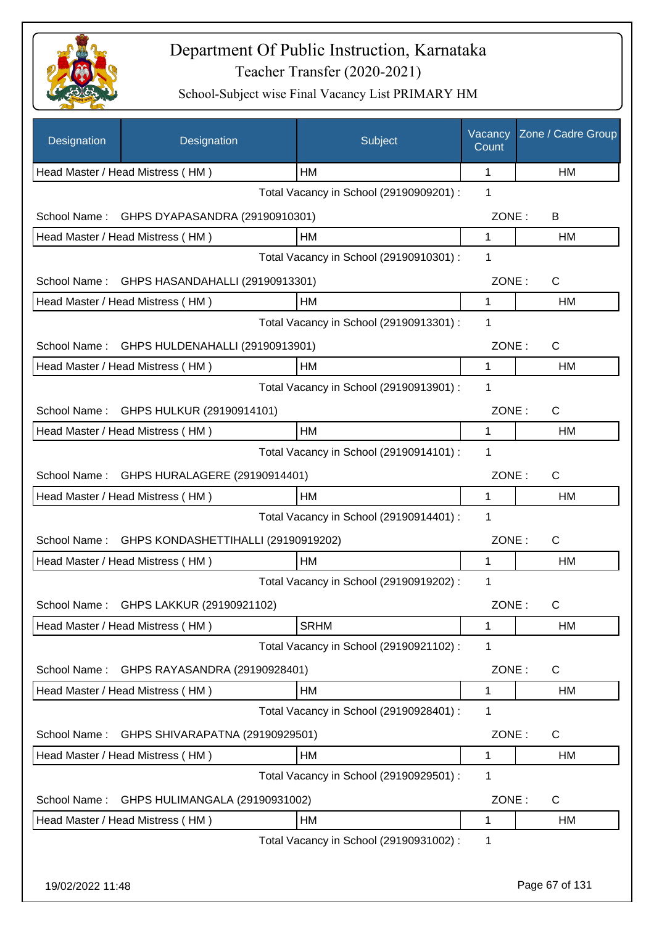

| Designation      | Designation                                  | Subject                                 | Vacancy<br>Count | Zone / Cadre Group |
|------------------|----------------------------------------------|-----------------------------------------|------------------|--------------------|
|                  | Head Master / Head Mistress (HM)             | HМ                                      | 1                | НM                 |
|                  |                                              | Total Vacancy in School (29190909201) : | 1                |                    |
| School Name:     | GHPS DYAPASANDRA (29190910301)               |                                         | ZONE:            | B                  |
|                  | Head Master / Head Mistress (HM)             | НM                                      | 1                | НM                 |
|                  |                                              | Total Vacancy in School (29190910301) : | 1                |                    |
| School Name:     | GHPS HASANDAHALLI (29190913301)              |                                         | ZONE:            | C                  |
|                  | Head Master / Head Mistress (HM)             | HM                                      | 1                | HM                 |
|                  |                                              | Total Vacancy in School (29190913301) : | 1                |                    |
|                  | School Name: GHPS HULDENAHALLI (29190913901) |                                         | ZONE:            | $\mathsf{C}$       |
|                  | Head Master / Head Mistress (HM)             | HM                                      | 1                | HM                 |
|                  |                                              | Total Vacancy in School (29190913901) : | 1                |                    |
|                  | School Name: GHPS HULKUR (29190914101)       |                                         | ZONE:            | C                  |
|                  | Head Master / Head Mistress (HM)             | HM                                      | 1                | HM                 |
|                  |                                              | Total Vacancy in School (29190914101) : | 1                |                    |
| School Name:     | GHPS HURALAGERE (29190914401)                |                                         | ZONE:            | C                  |
|                  | Head Master / Head Mistress (HM)             | HM                                      | 1                | HM                 |
|                  |                                              | Total Vacancy in School (29190914401) : | 1                |                    |
| School Name:     | GHPS KONDASHETTIHALLI (29190919202)          |                                         | ZONE:            | C                  |
|                  | Head Master / Head Mistress (HM)             | HM                                      | 1                | HM                 |
|                  |                                              | Total Vacancy in School (29190919202) : | 1                |                    |
| School Name:     | GHPS LAKKUR (29190921102)                    |                                         | ZONE:            | С                  |
|                  | Head Master / Head Mistress (HM)             | <b>SRHM</b>                             | 1                | НM                 |
|                  |                                              | Total Vacancy in School (29190921102) : | 1                |                    |
| School Name:     | GHPS RAYASANDRA (29190928401)                |                                         | ZONE:            | C                  |
|                  | Head Master / Head Mistress (HM)             | HM                                      | 1                | HM                 |
|                  |                                              | Total Vacancy in School (29190928401) : | 1                |                    |
| School Name:     | GHPS SHIVARAPATNA (29190929501)              |                                         | ZONE:            | $\mathsf{C}$       |
|                  | Head Master / Head Mistress (HM)             | HM                                      | 1                | HM                 |
|                  |                                              | Total Vacancy in School (29190929501) : | 1                |                    |
| School Name:     | GHPS HULIMANGALA (29190931002)               |                                         | ZONE:            | C                  |
|                  | Head Master / Head Mistress (HM)             | HM                                      | 1                | HM                 |
|                  |                                              | Total Vacancy in School (29190931002) : | 1                |                    |
|                  |                                              |                                         |                  |                    |
| 19/02/2022 11:48 |                                              |                                         |                  | Page 67 of 131     |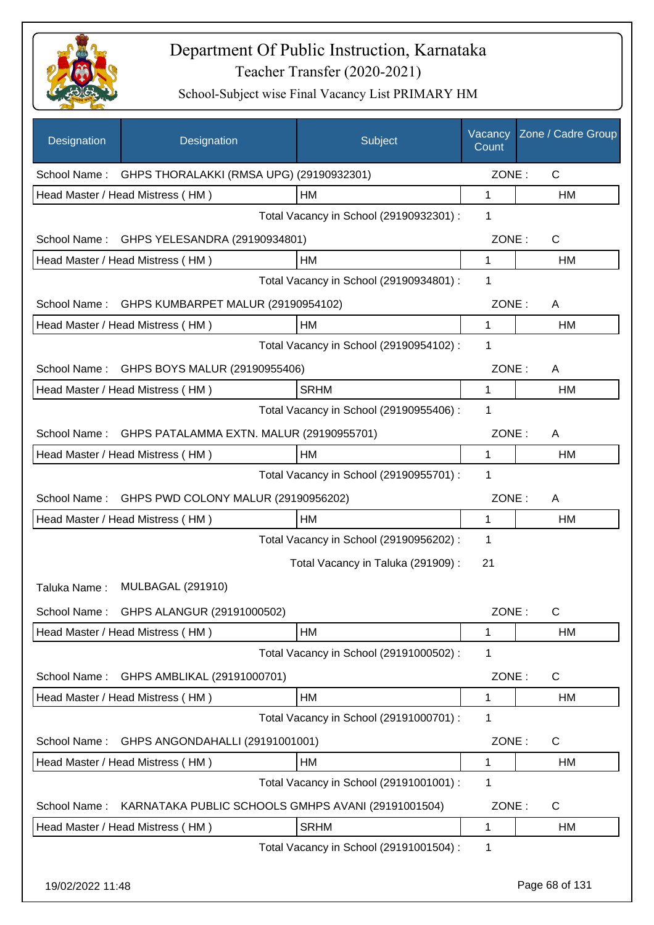

| Designation  | Designation                                           | Subject                                 | Vacancy<br>Count | Zone / Cadre Group |
|--------------|-------------------------------------------------------|-----------------------------------------|------------------|--------------------|
|              | School Name: GHPS THORALAKKI (RMSA UPG) (29190932301) |                                         | ZONE:            | $\mathsf{C}$       |
|              | Head Master / Head Mistress (HM)                      | HM                                      | 1                | HM                 |
|              |                                                       | Total Vacancy in School (29190932301) : | 1                |                    |
|              | School Name: GHPS YELESANDRA (29190934801)            |                                         | ZONE:            | $\mathsf{C}$       |
|              | Head Master / Head Mistress (HM)                      | HM                                      | 1                | HM                 |
|              |                                                       | Total Vacancy in School (29190934801) : | 1                |                    |
|              | School Name: GHPS KUMBARPET MALUR (29190954102)       |                                         | ZONE:            | A                  |
|              | Head Master / Head Mistress (HM)                      | HM                                      | 1                | HM                 |
|              |                                                       | Total Vacancy in School (29190954102) : | 1                |                    |
| School Name: | GHPS BOYS MALUR (29190955406)                         |                                         | ZONE:            | A                  |
|              | Head Master / Head Mistress (HM)                      | <b>SRHM</b>                             | $\mathbf{1}$     | HM                 |
|              |                                                       | Total Vacancy in School (29190955406) : | 1                |                    |
| School Name: | GHPS PATALAMMA EXTN. MALUR (29190955701)              |                                         | ZONE:            | A                  |
|              | Head Master / Head Mistress (HM)                      | HM                                      | 1                | HM                 |
|              |                                                       | Total Vacancy in School (29190955701) : | 1                |                    |
| School Name: | GHPS PWD COLONY MALUR (29190956202)                   |                                         | ZONE:            | A                  |
|              | Head Master / Head Mistress (HM)                      | HM                                      | 1                | HM                 |
|              |                                                       | Total Vacancy in School (29190956202) : | 1                |                    |
|              |                                                       | Total Vacancy in Taluka (291909):       | 21               |                    |
| Taluka Name: | <b>MULBAGAL (291910)</b>                              |                                         |                  |                    |
| School Name: | GHPS ALANGUR (29191000502)                            |                                         | ZONE:            | C                  |
|              | Head Master / Head Mistress (HM)                      | HM                                      | 1                | HM                 |
|              |                                                       | Total Vacancy in School (29191000502) : | 1                |                    |
| School Name: | GHPS AMBLIKAL (29191000701)                           |                                         | ZONE:            | C                  |
|              | Head Master / Head Mistress (HM)                      | HM                                      | 1                | HM                 |
|              |                                                       | Total Vacancy in School (29191000701) : | 1                |                    |
| School Name: | GHPS ANGONDAHALLI (29191001001)                       |                                         | ZONE:            | C                  |
|              | Head Master / Head Mistress (HM)                      | HM                                      | 1                | HM                 |
|              |                                                       | Total Vacancy in School (29191001001) : | 1                |                    |
| School Name: | KARNATAKA PUBLIC SCHOOLS GMHPS AVANI (29191001504)    |                                         | ZONE:            | $\mathsf{C}$       |
|              | Head Master / Head Mistress (HM)                      | <b>SRHM</b>                             | 1                | HM                 |
|              |                                                       | Total Vacancy in School (29191001504) : | 1                |                    |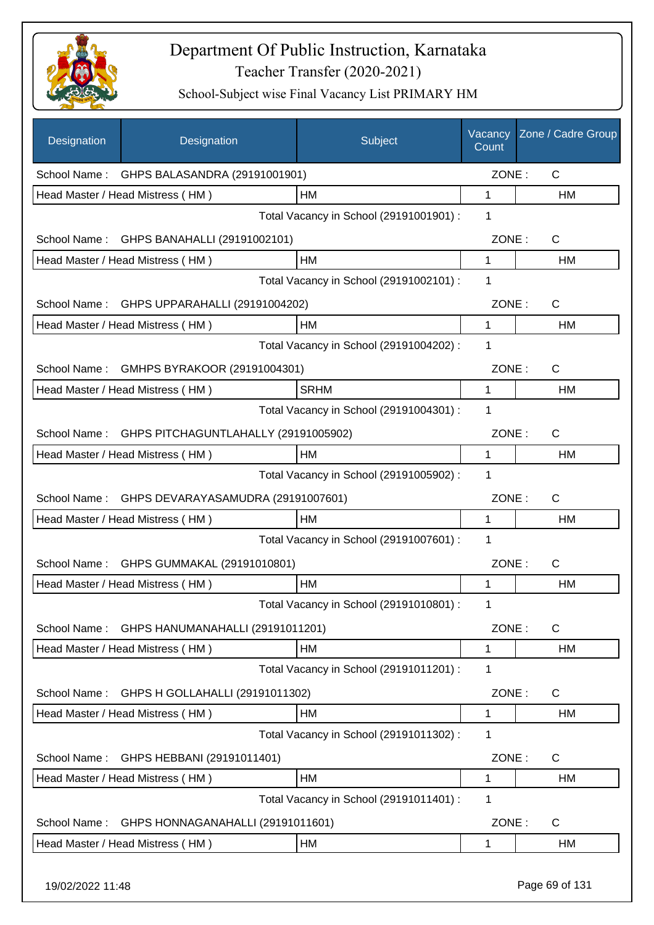

| Designation      | Designation                                | Subject                                 | Vacancy<br>Count | Zone / Cadre Group |
|------------------|--------------------------------------------|-----------------------------------------|------------------|--------------------|
|                  | School Name: GHPS BALASANDRA (29191001901) |                                         | ZONE:            | $\mathsf{C}$       |
|                  | Head Master / Head Mistress (HM)           | HM                                      | 1                | HM                 |
|                  |                                            | Total Vacancy in School (29191001901) : | 1                |                    |
| School Name:     | GHPS BANAHALLI (29191002101)               |                                         | ZONE:            | $\mathsf{C}$       |
|                  | Head Master / Head Mistress (HM)           | HM                                      | $\mathbf{1}$     | HM                 |
|                  |                                            | Total Vacancy in School (29191002101) : | 1                |                    |
| School Name:     | GHPS UPPARAHALLI (29191004202)             |                                         | ZONE:            | $\mathsf C$        |
|                  | Head Master / Head Mistress (HM)           | НM                                      | 1                | HM                 |
|                  |                                            | Total Vacancy in School (29191004202) : | $\mathbf 1$      |                    |
| School Name:     | GMHPS BYRAKOOR (29191004301)               |                                         | ZONE:            | C                  |
|                  | Head Master / Head Mistress (HM)           | <b>SRHM</b>                             | 1                | HM                 |
|                  |                                            | Total Vacancy in School (29191004301) : | 1                |                    |
| School Name:     | GHPS PITCHAGUNTLAHALLY (29191005902)       |                                         | ZONE:            | C                  |
|                  | Head Master / Head Mistress (HM)           | HМ                                      | 1                | HM                 |
|                  |                                            | Total Vacancy in School (29191005902) : | 1                |                    |
| School Name:     | GHPS DEVARAYASAMUDRA (29191007601)         |                                         | ZONE:            | C                  |
|                  | Head Master / Head Mistress (HM)           | HM                                      | 1                | НM                 |
|                  |                                            | Total Vacancy in School (29191007601) : | 1                |                    |
| School Name:     | GHPS GUMMAKAL (29191010801)                |                                         | ZONE:            | C                  |
|                  | Head Master / Head Mistress (HM)           | HM                                      | 1                | HM                 |
|                  |                                            | Total Vacancy in School (29191010801) : | 1                |                    |
| School Name:     | GHPS HANUMANAHALLI (29191011201)           |                                         | ZONE:            | $\mathsf{C}$       |
|                  | Head Master / Head Mistress (HM)           | HM                                      | 1                | <b>HM</b>          |
|                  |                                            | Total Vacancy in School (29191011201) : | 1                |                    |
| School Name:     | GHPS H GOLLAHALLI (29191011302)            |                                         | ZONE:            | C                  |
|                  | Head Master / Head Mistress (HM)           | HM                                      | 1                | HM                 |
|                  |                                            | Total Vacancy in School (29191011302) : | 1                |                    |
| School Name:     | GHPS HEBBANI (29191011401)                 |                                         | ZONE:            | C                  |
|                  | Head Master / Head Mistress (HM)           | HM                                      | 1                | HM                 |
|                  |                                            | Total Vacancy in School (29191011401) : | 1                |                    |
| School Name:     | GHPS HONNAGANAHALLI (29191011601)          |                                         | ZONE:            | C                  |
|                  | Head Master / Head Mistress (HM)           | HM                                      | 1                | HM                 |
| 19/02/2022 11:48 |                                            |                                         |                  | Page 69 of 131     |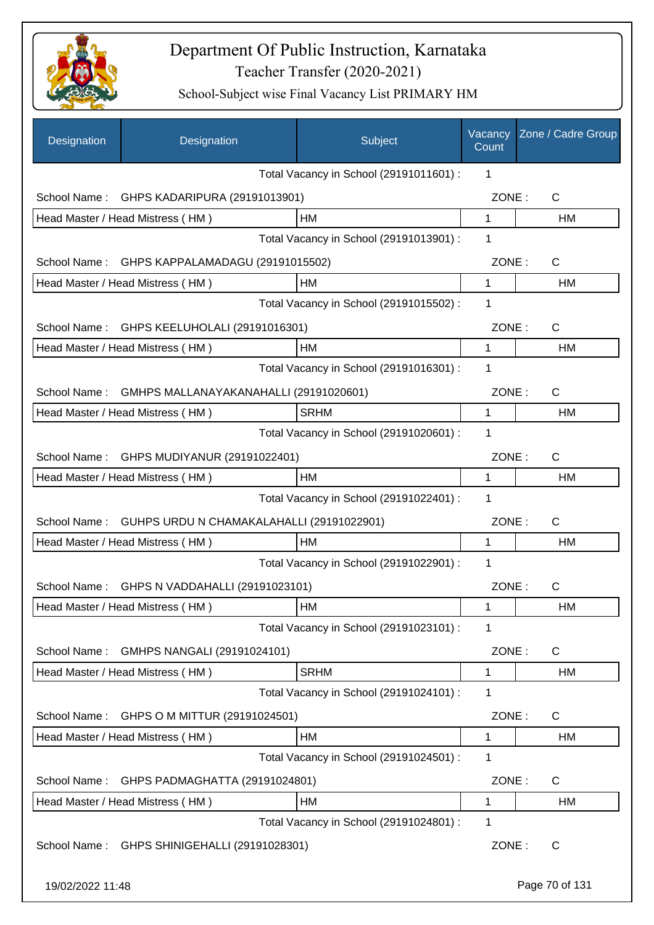

| Designation      | Designation                                  | Subject                                 | Vacancy<br>Count | Zone / Cadre Group |
|------------------|----------------------------------------------|-----------------------------------------|------------------|--------------------|
|                  |                                              | Total Vacancy in School (29191011601) : | 1                |                    |
| School Name:     | GHPS KADARIPURA (29191013901)                |                                         | ZONE:            | $\mathsf{C}$       |
|                  | Head Master / Head Mistress (HM)             | HM                                      | $\mathbf{1}$     | HM                 |
|                  |                                              | Total Vacancy in School (29191013901) : | 1                |                    |
| School Name:     | GHPS KAPPALAMADAGU (29191015502)             |                                         | ZONE:            | C                  |
|                  | Head Master / Head Mistress (HM)             | <b>HM</b>                               | $\mathbf{1}$     | <b>HM</b>          |
|                  |                                              | Total Vacancy in School (29191015502) : | 1                |                    |
| School Name:     | GHPS KEELUHOLALI (29191016301)               |                                         | ZONE:            | $\mathsf{C}$       |
|                  | Head Master / Head Mistress (HM)             | HM                                      | 1                | <b>HM</b>          |
|                  |                                              | Total Vacancy in School (29191016301) : | 1                |                    |
| School Name:     | GMHPS MALLANAYAKANAHALLI (29191020601)       |                                         | ZONE:            | C                  |
|                  | Head Master / Head Mistress (HM)             | <b>SRHM</b>                             | 1                | HM                 |
|                  |                                              | Total Vacancy in School (29191020601) : | 1                |                    |
| School Name:     | GHPS MUDIYANUR (29191022401)                 |                                         | ZONE:            | C                  |
|                  | Head Master / Head Mistress (HM)             | HM                                      | 1                | <b>HM</b>          |
|                  |                                              | Total Vacancy in School (29191022401) : | 1                |                    |
| School Name:     | GUHPS URDU N CHAMAKALAHALLI (29191022901)    |                                         | ZONE:            | $\mathsf{C}$       |
|                  | Head Master / Head Mistress (HM)             | HM                                      | 1                | <b>HM</b>          |
|                  |                                              | Total Vacancy in School (29191022901) : | 1                |                    |
|                  | School Name: GHPS N VADDAHALLI (29191023101) |                                         | ZONE:            | $\mathsf{C}$       |
|                  | Head Master / Head Mistress (HM)             | HM                                      | 1                | HM                 |
|                  |                                              | Total Vacancy in School (29191023101) : | 1                |                    |
| School Name:     | GMHPS NANGALI (29191024101)                  |                                         | ZONE:            | C                  |
|                  | Head Master / Head Mistress (HM)             | <b>SRHM</b>                             | $\mathbf 1$      | HM                 |
|                  |                                              | Total Vacancy in School (29191024101) : | 1                |                    |
| School Name:     | GHPS O M MITTUR (29191024501)                |                                         | ZONE:            | C                  |
|                  | Head Master / Head Mistress (HM)             | HM                                      | 1                | <b>HM</b>          |
|                  |                                              | Total Vacancy in School (29191024501) : | 1                |                    |
| School Name:     | GHPS PADMAGHATTA (29191024801)               |                                         | ZONE:            | C                  |
|                  | Head Master / Head Mistress (HM)             | HM                                      | 1                | HM                 |
|                  |                                              | Total Vacancy in School (29191024801) : | 1                |                    |
| School Name:     | GHPS SHINIGEHALLI (29191028301)              |                                         | ZONE:            | C                  |
| 19/02/2022 11:48 |                                              |                                         |                  | Page 70 of 131     |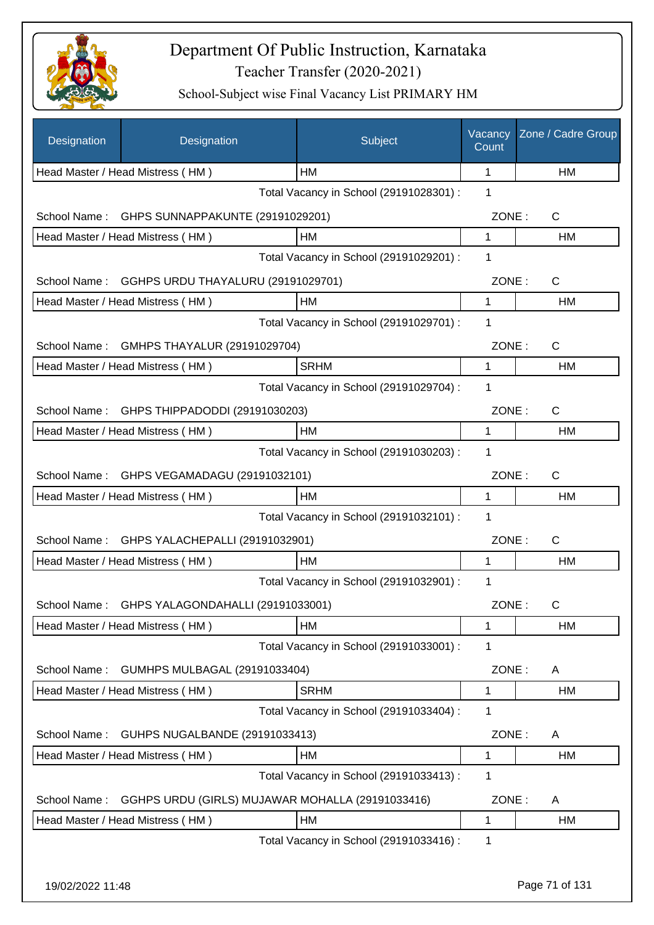

| Designation  | Designation                                      | Subject                                 | Vacancy<br>Count | Zone / Cadre Group |
|--------------|--------------------------------------------------|-----------------------------------------|------------------|--------------------|
|              | Head Master / Head Mistress (HM)                 | <b>HM</b>                               | 1                | HM                 |
|              |                                                  | Total Vacancy in School (29191028301) : | 1                |                    |
| School Name: | GHPS SUNNAPPAKUNTE (29191029201)                 |                                         | ZONE:            | $\mathsf{C}$       |
|              | Head Master / Head Mistress (HM)                 | HM                                      | 1                | НM                 |
|              |                                                  | Total Vacancy in School (29191029201) : | 1                |                    |
| School Name: | GGHPS URDU THAYALURU (29191029701)               |                                         | ZONE:            | $\mathsf{C}$       |
|              | Head Master / Head Mistress (HM)                 | HM                                      | 1                | НM                 |
|              |                                                  | Total Vacancy in School (29191029701) : | 1                |                    |
| School Name: | GMHPS THAYALUR (29191029704)                     |                                         | ZONE:            | C                  |
|              | Head Master / Head Mistress (HM)                 | <b>SRHM</b>                             | 1                | HM                 |
|              |                                                  | Total Vacancy in School (29191029704) : | 1                |                    |
| School Name: | GHPS THIPPADODDI (29191030203)                   |                                         | ZONE:            | $\mathsf{C}$       |
|              | Head Master / Head Mistress (HM)                 | HM                                      | 1                | HM                 |
|              |                                                  | Total Vacancy in School (29191030203) : | 1                |                    |
| School Name: | GHPS VEGAMADAGU (29191032101)                    |                                         | ZONE:            | $\mathsf{C}$       |
|              | Head Master / Head Mistress (HM)                 | HM                                      | 1                | HM                 |
|              |                                                  | Total Vacancy in School (29191032101) : | 1                |                    |
| School Name: | GHPS YALACHEPALLI (29191032901)                  |                                         | ZONE:            | $\mathsf{C}$       |
|              | Head Master / Head Mistress (HM)                 | HM                                      | 1                | HM                 |
|              |                                                  | Total Vacancy in School (29191032901) : | 1                |                    |
| School Name: | GHPS YALAGONDAHALLI (29191033001)                |                                         | ZONE:            | C                  |
|              | Head Master / Head Mistress (HM)                 | HM                                      | 1                | HM                 |
|              |                                                  | Total Vacancy in School (29191033001) : | 1                |                    |
| School Name: | GUMHPS MULBAGAL (29191033404)                    |                                         | ZONE:            | A                  |
|              | Head Master / Head Mistress (HM)                 | <b>SRHM</b>                             | 1                | НM                 |
|              |                                                  | Total Vacancy in School (29191033404) : | 1                |                    |
| School Name: | GUHPS NUGALBANDE (29191033413)                   |                                         | ZONE:            | A                  |
|              | Head Master / Head Mistress (HM)                 | HM                                      | 1                | HM                 |
|              |                                                  | Total Vacancy in School (29191033413) : | 1                |                    |
| School Name: | GGHPS URDU (GIRLS) MUJAWAR MOHALLA (29191033416) |                                         | ZONE:            | A                  |
|              | Head Master / Head Mistress (HM)                 | HM                                      | 1                | HM                 |
|              |                                                  | Total Vacancy in School (29191033416) : | 1                |                    |
|              |                                                  |                                         |                  |                    |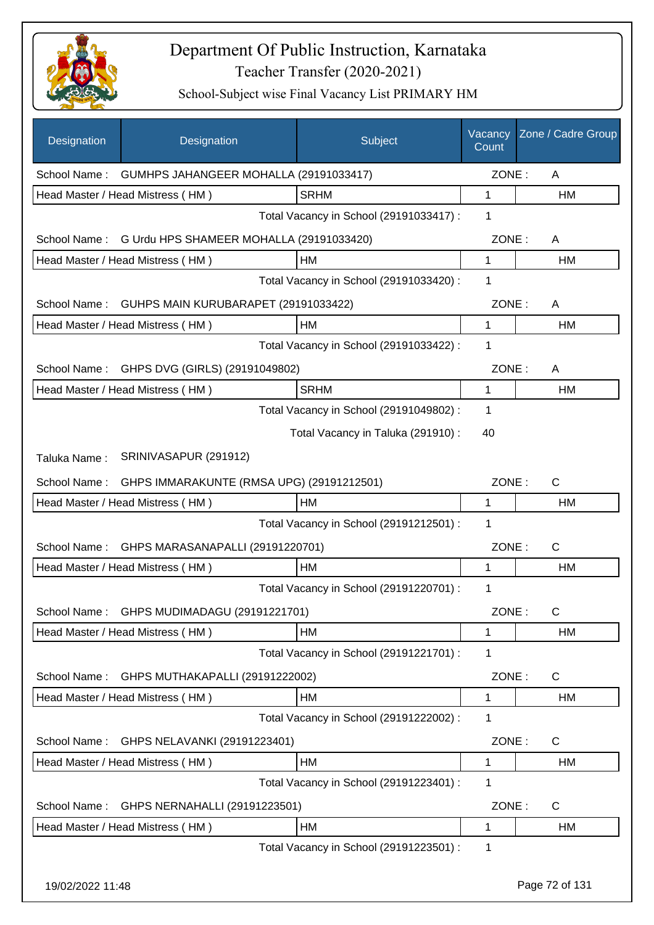

| Designation      | Designation                                         | Subject                                 | Vacancy<br>Count | Zone / Cadre Group |
|------------------|-----------------------------------------------------|-----------------------------------------|------------------|--------------------|
|                  | School Name: GUMHPS JAHANGEER MOHALLA (29191033417) |                                         | ZONE:            | A                  |
|                  | Head Master / Head Mistress (HM)                    | <b>SRHM</b>                             | 1                | <b>HM</b>          |
|                  |                                                     | Total Vacancy in School (29191033417) : | 1                |                    |
| School Name:     | G Urdu HPS SHAMEER MOHALLA (29191033420)            |                                         | ZONE:            | A                  |
|                  | Head Master / Head Mistress (HM)                    | HM                                      | 1                | <b>HM</b>          |
|                  |                                                     | Total Vacancy in School (29191033420) : | 1                |                    |
| School Name:     | GUHPS MAIN KURUBARAPET (29191033422)                |                                         | ZONE:            | A                  |
|                  | Head Master / Head Mistress (HM)                    | HM                                      | $\mathbf 1$      | HM                 |
|                  |                                                     | Total Vacancy in School (29191033422) : | 1                |                    |
| School Name:     | GHPS DVG (GIRLS) (29191049802)                      |                                         | ZONE:            | A                  |
|                  | Head Master / Head Mistress (HM)                    | <b>SRHM</b>                             | 1                | <b>HM</b>          |
|                  |                                                     | Total Vacancy in School (29191049802) : | 1                |                    |
|                  |                                                     | Total Vacancy in Taluka (291910) :      | 40               |                    |
| Taluka Name:     | SRINIVASAPUR (291912)                               |                                         |                  |                    |
| School Name:     | GHPS IMMARAKUNTE (RMSA UPG) (29191212501)           |                                         | ZONE:            | C                  |
|                  | Head Master / Head Mistress (HM)                    | <b>HM</b>                               | 1                | HM                 |
|                  |                                                     | Total Vacancy in School (29191212501) : | 1                |                    |
| School Name:     | GHPS MARASANAPALLI (29191220701)                    |                                         | ZONE:            | C                  |
|                  | Head Master / Head Mistress (HM)                    | <b>HM</b>                               | 1                | <b>HM</b>          |
|                  |                                                     | Total Vacancy in School (29191220701) : | 1                |                    |
| School Name:     | GHPS MUDIMADAGU (29191221701)                       |                                         | ZONE:            | С                  |
|                  | Head Master / Head Mistress (HM)                    | HM                                      | 1                | HM                 |
|                  |                                                     | Total Vacancy in School (29191221701) : | 1                |                    |
| School Name:     | GHPS MUTHAKAPALLI (29191222002)                     |                                         | ZONE:            | C                  |
|                  | Head Master / Head Mistress (HM)                    | HM                                      | 1                | HM                 |
|                  |                                                     | Total Vacancy in School (29191222002) : | 1                |                    |
| School Name:     | GHPS NELAVANKI (29191223401)                        |                                         | ZONE:            | C                  |
|                  | Head Master / Head Mistress (HM)                    | HM                                      | 1                | HM                 |
|                  |                                                     | Total Vacancy in School (29191223401) : | 1                |                    |
| School Name:     | GHPS NERNAHALLI (29191223501)                       |                                         | ZONE:            | C                  |
|                  | Head Master / Head Mistress (HM)                    | HM                                      | 1                | HM                 |
|                  |                                                     | Total Vacancy in School (29191223501) : | 1                |                    |
| 19/02/2022 11:48 |                                                     |                                         |                  | Page 72 of 131     |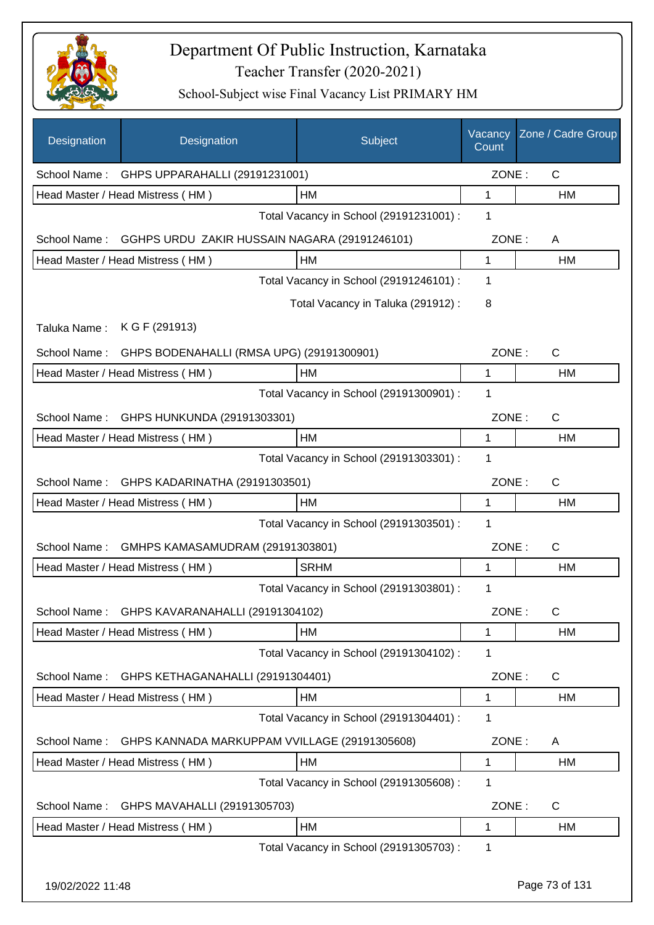

| Designation      | Designation                                                | Subject                                 | Vacancy<br>Count | Zone / Cadre Group |
|------------------|------------------------------------------------------------|-----------------------------------------|------------------|--------------------|
| School Name:     | GHPS UPPARAHALLI (29191231001)                             |                                         | ZONE:            | C                  |
|                  | Head Master / Head Mistress (HM)                           | НM                                      | 1                | НM                 |
|                  |                                                            | Total Vacancy in School (29191231001) : | 1                |                    |
|                  | School Name: GGHPS URDU ZAKIR HUSSAIN NAGARA (29191246101) |                                         | ZONE:            | A                  |
|                  | Head Master / Head Mistress (HM)                           | HM                                      | 1                | <b>HM</b>          |
|                  |                                                            | Total Vacancy in School (29191246101) : | 1                |                    |
|                  |                                                            | Total Vacancy in Taluka (291912) :      | 8                |                    |
| Taluka Name:     | K G F (291913)                                             |                                         |                  |                    |
| School Name:     | GHPS BODENAHALLI (RMSA UPG) (29191300901)                  |                                         | ZONE:            | C                  |
|                  | Head Master / Head Mistress (HM)                           | НM                                      | 1                | НM                 |
|                  |                                                            | Total Vacancy in School (29191300901) : | 1                |                    |
| School Name:     | GHPS HUNKUNDA (29191303301)                                |                                         | ZONE:            | $\mathsf{C}$       |
|                  | Head Master / Head Mistress (HM)                           | HM                                      | 1                | HM                 |
|                  |                                                            | Total Vacancy in School (29191303301) : | 1                |                    |
| School Name:     | GHPS KADARINATHA (29191303501)                             |                                         | ZONE:            | $\mathsf{C}$       |
|                  | Head Master / Head Mistress (HM)                           | HМ                                      | 1                | HM                 |
|                  |                                                            | Total Vacancy in School (29191303501) : | 1                |                    |
| School Name:     | GMHPS KAMASAMUDRAM (29191303801)                           |                                         | ZONE:            | C                  |
|                  | Head Master / Head Mistress (HM)                           | <b>SRHM</b>                             | 1                | HM                 |
|                  |                                                            | Total Vacancy in School (29191303801) : | 1                |                    |
| School Name:     | GHPS KAVARANAHALLI (29191304102)                           |                                         | ZONE:            | $\mathsf{C}$       |
|                  | Head Master / Head Mistress (HM)                           | HM                                      | 1                | HM                 |
|                  |                                                            | Total Vacancy in School (29191304102) : | 1                |                    |
| School Name:     | GHPS KETHAGANAHALLI (29191304401)                          |                                         | ZONE:            | C                  |
|                  | Head Master / Head Mistress (HM)                           | НM                                      | 1                | НM                 |
|                  |                                                            | Total Vacancy in School (29191304401) : | 1                |                    |
| School Name:     | GHPS KANNADA MARKUPPAM VVILLAGE (29191305608)              |                                         | ZONE:            | A                  |
|                  | Head Master / Head Mistress (HM)                           | HM                                      | 1                | HM                 |
|                  |                                                            | Total Vacancy in School (29191305608) : | 1                |                    |
| School Name:     | GHPS MAVAHALLI (29191305703)                               |                                         | ZONE:            | $\mathsf{C}$       |
|                  | Head Master / Head Mistress (HM)                           | HM                                      | 1                | HM                 |
|                  |                                                            | Total Vacancy in School (29191305703) : | 1                |                    |
| 19/02/2022 11:48 |                                                            |                                         |                  | Page 73 of 131     |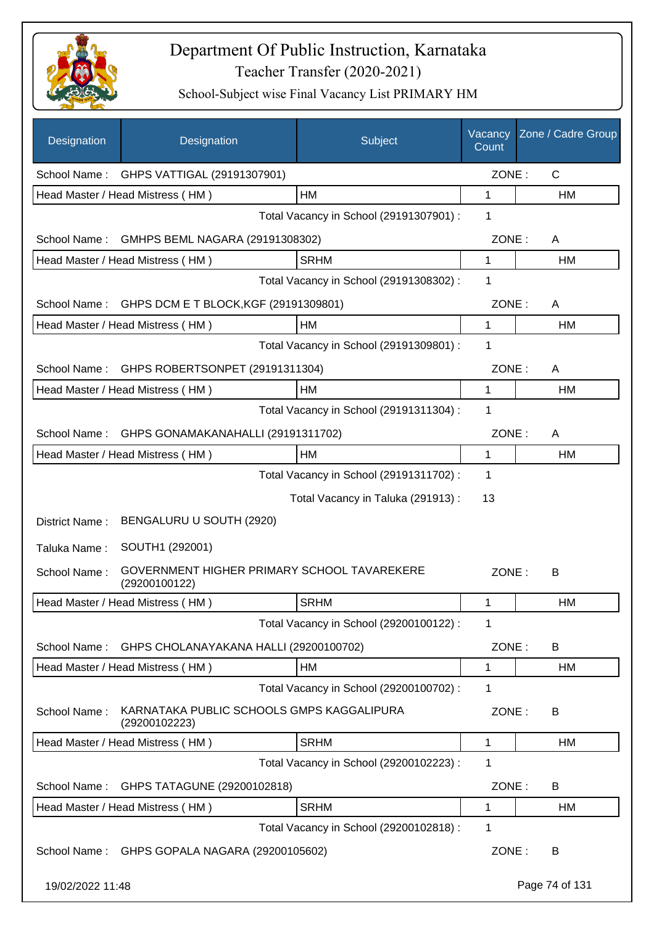

| Designation      | Designation                                                  | Subject                                 | Vacancy<br>Count | Zone / Cadre Group |
|------------------|--------------------------------------------------------------|-----------------------------------------|------------------|--------------------|
|                  | School Name: GHPS VATTIGAL (29191307901)                     |                                         | ZONE:            | $\mathsf{C}$       |
|                  | Head Master / Head Mistress (HM)                             | HM                                      | 1                | HM                 |
|                  |                                                              | Total Vacancy in School (29191307901) : | 1                |                    |
| School Name:     | GMHPS BEML NAGARA (29191308302)                              |                                         | ZONE:            | A                  |
|                  | Head Master / Head Mistress (HM)                             | <b>SRHM</b>                             | $\mathbf{1}$     | HM                 |
|                  |                                                              | Total Vacancy in School (29191308302) : | 1                |                    |
| School Name:     | GHPS DCM E T BLOCK, KGF (29191309801)                        |                                         | ZONE:            | A                  |
|                  | Head Master / Head Mistress (HM)                             | HM                                      | 1                | HM                 |
|                  |                                                              | Total Vacancy in School (29191309801) : | $\mathbf 1$      |                    |
| School Name:     | GHPS ROBERTSONPET (29191311304)                              |                                         | ZONE:            | A                  |
|                  | Head Master / Head Mistress (HM)                             | HM                                      | 1                | HM                 |
|                  |                                                              | Total Vacancy in School (29191311304) : | 1                |                    |
| School Name:     | GHPS GONAMAKANAHALLI (29191311702)                           |                                         | ZONE:            | A                  |
|                  | Head Master / Head Mistress (HM)                             | HM                                      | 1                | HM                 |
|                  |                                                              | Total Vacancy in School (29191311702) : | 1                |                    |
|                  |                                                              | Total Vacancy in Taluka (291913):       | 13               |                    |
| District Name:   | BENGALURU U SOUTH (2920)                                     |                                         |                  |                    |
| Taluka Name:     | SOUTH1 (292001)                                              |                                         |                  |                    |
| School Name:     | GOVERNMENT HIGHER PRIMARY SCHOOL TAVAREKERE<br>(29200100122) |                                         | ZONE:            | В                  |
|                  | Head Master / Head Mistress (HM)                             | <b>SRHM</b>                             | 1                | HM                 |
|                  |                                                              | Total Vacancy in School (29200100122) : | 1                |                    |
| School Name:     | GHPS CHOLANAYAKANA HALLI (29200100702)                       |                                         | ZONE:            | B                  |
|                  | Head Master / Head Mistress (HM)                             | HM                                      | 1                | HM                 |
|                  |                                                              | Total Vacancy in School (29200100702) : | 1                |                    |
| School Name:     | KARNATAKA PUBLIC SCHOOLS GMPS KAGGALIPURA<br>(29200102223)   |                                         | ZONE:            | B                  |
|                  | Head Master / Head Mistress (HM)                             | <b>SRHM</b>                             | 1                | НM                 |
|                  |                                                              | Total Vacancy in School (29200102223) : | 1                |                    |
| School Name:     | GHPS TATAGUNE (29200102818)                                  |                                         | ZONE:            | B                  |
|                  | Head Master / Head Mistress (HM)                             | <b>SRHM</b>                             | 1                | HM                 |
|                  |                                                              | Total Vacancy in School (29200102818) : | 1                |                    |
| School Name:     | GHPS GOPALA NAGARA (29200105602)                             |                                         | ZONE:            | B                  |
| 19/02/2022 11:48 |                                                              |                                         |                  | Page 74 of 131     |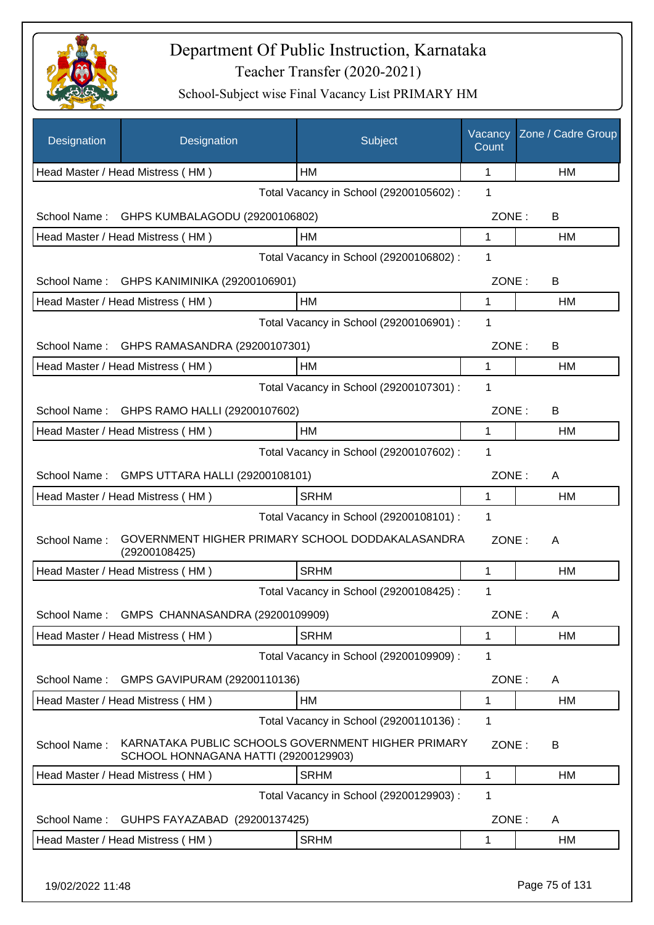

| Designation      | Designation                                                                                | Subject                                 | Vacancy<br>Count | Zone / Cadre Group |
|------------------|--------------------------------------------------------------------------------------------|-----------------------------------------|------------------|--------------------|
|                  | Head Master / Head Mistress (HM)                                                           | <b>HM</b>                               | 1                | HM                 |
|                  |                                                                                            | Total Vacancy in School (29200105602) : | 1                |                    |
| School Name:     | GHPS KUMBALAGODU (29200106802)                                                             |                                         | ZONE:            | B                  |
|                  | Head Master / Head Mistress (HM)                                                           | HM                                      | 1                | HM                 |
|                  |                                                                                            | Total Vacancy in School (29200106802) : | 1                |                    |
|                  | School Name: GHPS KANIMINIKA (29200106901)                                                 |                                         | ZONE:            | B                  |
|                  | Head Master / Head Mistress (HM)                                                           | HM                                      | 1                | НM                 |
|                  |                                                                                            | Total Vacancy in School (29200106901) : | 1                |                    |
|                  | School Name: GHPS RAMASANDRA (29200107301)                                                 |                                         | ZONE:            | B                  |
|                  | Head Master / Head Mistress (HM)                                                           | <b>HM</b>                               | $\mathbf{1}$     | HM                 |
|                  |                                                                                            | Total Vacancy in School (29200107301) : | 1                |                    |
| School Name:     | GHPS RAMO HALLI (29200107602)                                                              |                                         | ZONE:            | B                  |
|                  | Head Master / Head Mistress (HM)                                                           | <b>HM</b>                               | 1                | <b>HM</b>          |
|                  |                                                                                            | Total Vacancy in School (29200107602) : | 1                |                    |
| School Name:     | GMPS UTTARA HALLI (29200108101)                                                            |                                         | ZONE:            | A                  |
|                  | Head Master / Head Mistress (HM)                                                           | <b>SRHM</b>                             | 1                | HM                 |
|                  |                                                                                            | Total Vacancy in School (29200108101) : | 1                |                    |
| School Name:     | GOVERNMENT HIGHER PRIMARY SCHOOL DODDAKALASANDRA<br>(29200108425)                          |                                         | ZONE:            | A                  |
|                  | Head Master / Head Mistress (HM)                                                           | <b>SRHM</b>                             | 1                | HM                 |
|                  |                                                                                            | Total Vacancy in School (29200108425) : | 1                |                    |
|                  | School Name: GMPS CHANNASANDRA (29200109909)                                               |                                         | ZONE:            | A                  |
|                  | Head Master / Head Mistress (HM)                                                           | <b>SRHM</b>                             | 1                | HM                 |
|                  |                                                                                            | Total Vacancy in School (29200109909) : | 1                |                    |
| School Name:     | GMPS GAVIPURAM (29200110136)                                                               |                                         | ZONE:            | A                  |
|                  | Head Master / Head Mistress (HM)                                                           | HM                                      | 1                | HM                 |
|                  |                                                                                            | Total Vacancy in School (29200110136) : | 1                |                    |
| School Name:     | KARNATAKA PUBLIC SCHOOLS GOVERNMENT HIGHER PRIMARY<br>SCHOOL HONNAGANA HATTI (29200129903) |                                         | ZONE:            | B                  |
|                  | Head Master / Head Mistress (HM)                                                           | <b>SRHM</b>                             | 1                | HM                 |
|                  |                                                                                            | Total Vacancy in School (29200129903) : | 1                |                    |
| School Name:     | GUHPS FAYAZABAD (29200137425)                                                              |                                         | ZONE:            | A                  |
|                  | Head Master / Head Mistress (HM)                                                           | <b>SRHM</b>                             | 1                | HM                 |
| 19/02/2022 11:48 |                                                                                            |                                         |                  | Page 75 of 131     |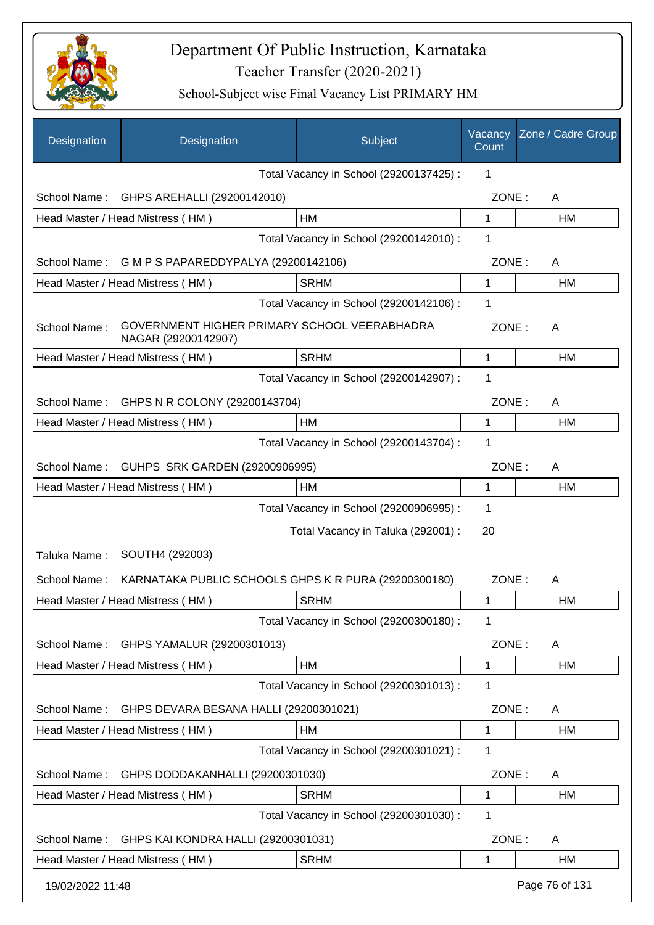

| Designation      | Designation                                                         | Subject                                 | Vacancy<br>Count | Zone / Cadre Group |
|------------------|---------------------------------------------------------------------|-----------------------------------------|------------------|--------------------|
|                  |                                                                     | Total Vacancy in School (29200137425) : | 1                |                    |
| School Name:     | GHPS AREHALLI (29200142010)                                         |                                         | ZONE:            | A                  |
|                  | Head Master / Head Mistress (HM)                                    | HM                                      | 1                | HM                 |
|                  |                                                                     | Total Vacancy in School (29200142010) : | 1                |                    |
| School Name:     | G M P S PAPAREDDYPALYA (29200142106)                                |                                         | ZONE:            | A                  |
|                  | Head Master / Head Mistress (HM)                                    | <b>SRHM</b>                             | 1                | <b>HM</b>          |
|                  |                                                                     | Total Vacancy in School (29200142106) : | 1                |                    |
| School Name:     | GOVERNMENT HIGHER PRIMARY SCHOOL VEERABHADRA<br>NAGAR (29200142907) |                                         | ZONE:            | A                  |
|                  | Head Master / Head Mistress (HM)                                    | <b>SRHM</b>                             | 1                | HM                 |
|                  |                                                                     | Total Vacancy in School (29200142907) : | 1                |                    |
| School Name:     | GHPS N R COLONY (29200143704)                                       |                                         | ZONE:            | A                  |
|                  | Head Master / Head Mistress (HM)                                    | НM                                      | 1                | HM                 |
|                  |                                                                     | Total Vacancy in School (29200143704) : | 1                |                    |
| School Name:     | GUHPS SRK GARDEN (29200906995)                                      |                                         | ZONE:            | A                  |
|                  | Head Master / Head Mistress (HM)                                    | HM                                      | 1                | HM                 |
|                  |                                                                     | Total Vacancy in School (29200906995) : | 1                |                    |
|                  |                                                                     | Total Vacancy in Taluka (292001) :      | 20               |                    |
| Taluka Name:     | SOUTH4 (292003)                                                     |                                         |                  |                    |
| School Name:     | KARNATAKA PUBLIC SCHOOLS GHPS K R PURA (29200300180)                |                                         | ZONE:            | A                  |
|                  | Head Master / Head Mistress (HM)                                    | <b>SRHM</b>                             | 1                | HM                 |
|                  |                                                                     | Total Vacancy in School (29200300180) : | 1                |                    |
| School Name:     | GHPS YAMALUR (29200301013)                                          |                                         | ZONE:            | A                  |
|                  | Head Master / Head Mistress (HM)                                    | HM                                      | 1                | <b>HM</b>          |
|                  |                                                                     | Total Vacancy in School (29200301013) : | 1                |                    |
| School Name:     | GHPS DEVARA BESANA HALLI (29200301021)                              |                                         | ZONE:            | A                  |
|                  | Head Master / Head Mistress (HM)                                    | HM                                      | 1                | HM                 |
|                  |                                                                     | Total Vacancy in School (29200301021) : | 1                |                    |
| School Name:     | GHPS DODDAKANHALLI (29200301030)                                    |                                         | ZONE:            | A                  |
|                  | Head Master / Head Mistress (HM)                                    | <b>SRHM</b>                             | 1                | HM                 |
|                  |                                                                     | Total Vacancy in School (29200301030) : | 1                |                    |
| School Name:     | GHPS KAI KONDRA HALLI (29200301031)                                 |                                         | ZONE:            | A                  |
|                  | Head Master / Head Mistress (HM)                                    | <b>SRHM</b>                             | 1                | HM                 |
| 19/02/2022 11:48 |                                                                     |                                         |                  | Page 76 of 131     |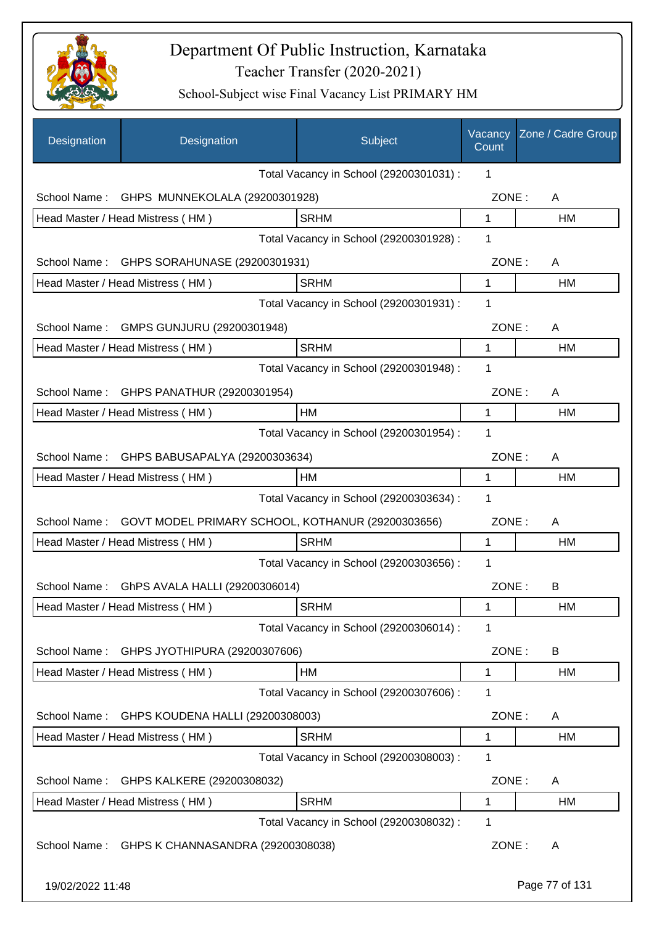

| Designation      | Designation                                       | Subject                                 | Vacancy<br>Count | Zone / Cadre Group |
|------------------|---------------------------------------------------|-----------------------------------------|------------------|--------------------|
|                  |                                                   | Total Vacancy in School (29200301031) : | 1                |                    |
| School Name:     | GHPS MUNNEKOLALA (29200301928)                    |                                         | ZONE:            | A                  |
|                  | Head Master / Head Mistress (HM)                  | <b>SRHM</b>                             | 1                | HM                 |
|                  |                                                   | Total Vacancy in School (29200301928) : | 1                |                    |
| School Name:     | GHPS SORAHUNASE (29200301931)                     |                                         | ZONE:            | A                  |
|                  | Head Master / Head Mistress (HM)                  | <b>SRHM</b>                             | $\mathbf{1}$     | HM                 |
|                  |                                                   | Total Vacancy in School (29200301931) : | 1                |                    |
| School Name:     | GMPS GUNJURU (29200301948)                        |                                         | ZONE:            | A                  |
|                  | Head Master / Head Mistress (HM)                  | <b>SRHM</b>                             | $\mathbf{1}$     | HM                 |
|                  |                                                   | Total Vacancy in School (29200301948) : | 1                |                    |
| School Name:     | GHPS PANATHUR (29200301954)                       |                                         | ZONE:            | A                  |
|                  | Head Master / Head Mistress (HM)                  | HM                                      | 1                | HM                 |
|                  |                                                   | Total Vacancy in School (29200301954) : | 1                |                    |
| School Name:     | GHPS BABUSAPALYA (29200303634)                    |                                         | ZONE:            | A                  |
|                  | Head Master / Head Mistress (HM)                  | HM                                      | 1                | HM                 |
|                  |                                                   | Total Vacancy in School (29200303634) : | 1                |                    |
| School Name:     | GOVT MODEL PRIMARY SCHOOL, KOTHANUR (29200303656) |                                         | ZONE:            | A                  |
|                  | Head Master / Head Mistress (HM)                  | <b>SRHM</b>                             | 1                | HM                 |
|                  |                                                   | Total Vacancy in School (29200303656) : | 1                |                    |
| School Name:     | GhPS AVALA HALLI (29200306014)                    |                                         | ZONE:            | B                  |
|                  | Head Master / Head Mistress (HM)                  | <b>SRHM</b>                             | 1                | HM                 |
|                  |                                                   | Total Vacancy in School (29200306014) : | 1                |                    |
| School Name:     | GHPS JYOTHIPURA (29200307606)                     |                                         | ZONE:            | B                  |
|                  | Head Master / Head Mistress (HM)                  | HM                                      | 1                | HM                 |
|                  |                                                   | Total Vacancy in School (29200307606) : | 1                |                    |
| School Name:     | GHPS KOUDENA HALLI (29200308003)                  |                                         | ZONE:            | A                  |
|                  | Head Master / Head Mistress (HM)                  | <b>SRHM</b>                             | 1                | HM                 |
|                  |                                                   | Total Vacancy in School (29200308003) : | 1                |                    |
| School Name:     | GHPS KALKERE (29200308032)                        |                                         | ZONE:            | A                  |
|                  | Head Master / Head Mistress (HM)                  | <b>SRHM</b>                             | 1                | HM                 |
|                  |                                                   | Total Vacancy in School (29200308032) : | 1                |                    |
| School Name:     | GHPS K CHANNASANDRA (29200308038)                 |                                         | ZONE:            | A                  |
| 19/02/2022 11:48 |                                                   |                                         |                  | Page 77 of 131     |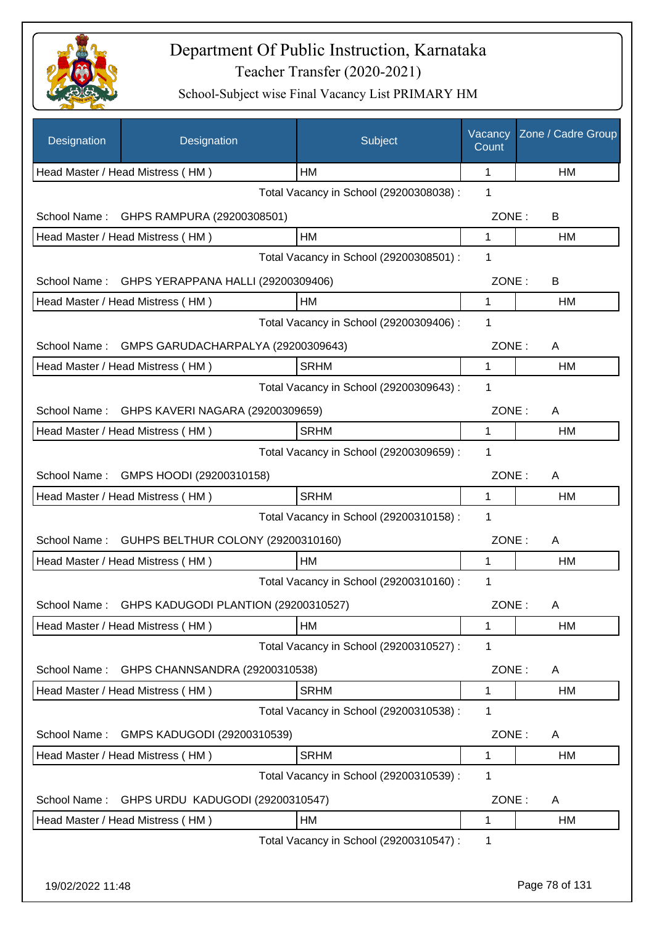

| Designation      | Designation                          | Subject                                 | Vacancy<br>Count | Zone / Cadre Group |
|------------------|--------------------------------------|-----------------------------------------|------------------|--------------------|
|                  | Head Master / Head Mistress (HM)     | HМ                                      | 1                | НM                 |
|                  |                                      | Total Vacancy in School (29200308038) : | 1                |                    |
| School Name:     | GHPS RAMPURA (29200308501)           |                                         | ZONE:            | B                  |
|                  | Head Master / Head Mistress (HM)     | HM                                      | 1                | НM                 |
|                  |                                      | Total Vacancy in School (29200308501) : | 1                |                    |
| School Name:     | GHPS YERAPPANA HALLI (29200309406)   |                                         | ZONE:            | B                  |
|                  | Head Master / Head Mistress (HM)     | HM                                      | 1                | HM                 |
|                  |                                      | Total Vacancy in School (29200309406) : | 1                |                    |
| School Name:     | GMPS GARUDACHARPALYA (29200309643)   |                                         | ZONE:            | A                  |
|                  | Head Master / Head Mistress (HM)     | <b>SRHM</b>                             | 1                | HM                 |
|                  |                                      | Total Vacancy in School (29200309643) : | 1                |                    |
| School Name:     | GHPS KAVERI NAGARA (29200309659)     |                                         | ZONE:            | A                  |
|                  | Head Master / Head Mistress (HM)     | <b>SRHM</b>                             | 1                | HM                 |
|                  |                                      | Total Vacancy in School (29200309659) : | 1                |                    |
| School Name:     | GMPS HOODI (29200310158)             |                                         | ZONE:            | A                  |
|                  | Head Master / Head Mistress (HM)     | <b>SRHM</b>                             | 1                | HM                 |
|                  |                                      | Total Vacancy in School (29200310158) : | 1                |                    |
| School Name:     | GUHPS BELTHUR COLONY (29200310160)   |                                         | ZONE:            | Α                  |
|                  | Head Master / Head Mistress (HM)     | HM                                      | 1                | HM                 |
|                  |                                      | Total Vacancy in School (29200310160) : | 1                |                    |
| School Name:     | GHPS KADUGODI PLANTION (29200310527) |                                         | ZONE:            | A                  |
|                  | Head Master / Head Mistress (HM)     | HM                                      | 1                | НM                 |
|                  |                                      | Total Vacancy in School (29200310527) : | 1                |                    |
| School Name:     | GHPS CHANNSANDRA (29200310538)       |                                         | ZONE:            | A                  |
|                  | Head Master / Head Mistress (HM)     | <b>SRHM</b>                             | 1                | HM                 |
|                  |                                      | Total Vacancy in School (29200310538) : | 1                |                    |
| School Name:     | GMPS KADUGODI (29200310539)          |                                         | ZONE:            | A                  |
|                  | Head Master / Head Mistress (HM)     | <b>SRHM</b>                             | 1                | HM                 |
|                  |                                      | Total Vacancy in School (29200310539) : | 1                |                    |
| School Name:     | GHPS URDU KADUGODI (29200310547)     |                                         | ZONE:            | A                  |
|                  | Head Master / Head Mistress (HM)     | HM                                      | 1                | HM                 |
|                  |                                      | Total Vacancy in School (29200310547) : | 1                |                    |
|                  |                                      |                                         |                  |                    |
| 19/02/2022 11:48 |                                      |                                         |                  | Page 78 of 131     |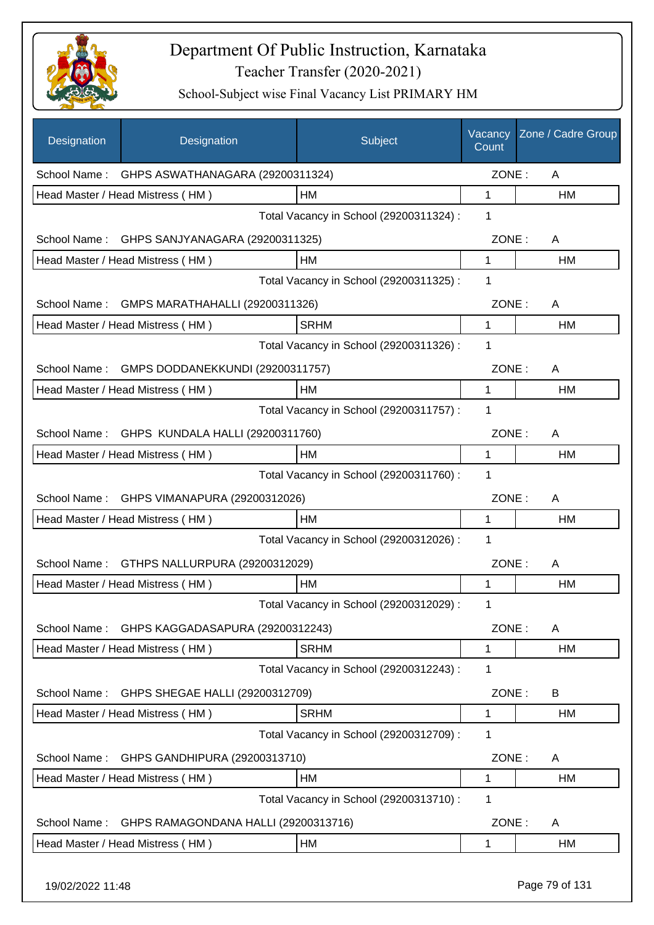

| Designation  | Designation                                  | Subject                                 | Vacancy<br>Count | Zone / Cadre Group |
|--------------|----------------------------------------------|-----------------------------------------|------------------|--------------------|
| School Name: | GHPS ASWATHANAGARA (29200311324)             |                                         | ZONE:            | A                  |
|              | Head Master / Head Mistress (HM)             | HM                                      | 1                | НM                 |
|              |                                              | Total Vacancy in School (29200311324) : | 1                |                    |
|              | School Name: GHPS SANJYANAGARA (29200311325) |                                         | ZONE:            | A                  |
|              | Head Master / Head Mistress (HM)             | HM                                      | 1                | HM                 |
|              |                                              | Total Vacancy in School (29200311325) : | 1                |                    |
| School Name: | GMPS MARATHAHALLI (29200311326)              |                                         | ZONE:            | A                  |
|              | Head Master / Head Mistress (HM)             | <b>SRHM</b>                             | 1                | HM                 |
|              |                                              | Total Vacancy in School (29200311326) : | 1                |                    |
| School Name: | GMPS DODDANEKKUNDI (29200311757)             |                                         | ZONE:            | A                  |
|              | Head Master / Head Mistress (HM)             | HM                                      | 1                | HM                 |
|              |                                              | Total Vacancy in School (29200311757) : | 1                |                    |
| School Name: | GHPS KUNDALA HALLI (29200311760)             |                                         | ZONE:            | A                  |
|              | Head Master / Head Mistress (HM)             | HM                                      | 1                | HM                 |
|              |                                              | Total Vacancy in School (29200311760) : | 1                |                    |
| School Name: | GHPS VIMANAPURA (29200312026)                |                                         | ZONE:            | A                  |
|              | Head Master / Head Mistress (HM)             | HM                                      | 1                | НM                 |
|              |                                              | Total Vacancy in School (29200312026) : | 1                |                    |
| School Name: | GTHPS NALLURPURA (29200312029)               |                                         | ZONE:            | A                  |
|              | Head Master / Head Mistress (HM)             | HM                                      | 1                | <b>HM</b>          |
|              |                                              | Total Vacancy in School (29200312029) : | 1                |                    |
| School Name: | GHPS KAGGADASAPURA (29200312243)             |                                         | ZONE:            | A                  |
|              | Head Master / Head Mistress (HM)             | <b>SRHM</b>                             | 1                | HM                 |
|              |                                              | Total Vacancy in School (29200312243) : | 1                |                    |
| School Name: | GHPS SHEGAE HALLI (29200312709)              |                                         | ZONE:            | B                  |
|              | Head Master / Head Mistress (HM)             | <b>SRHM</b>                             | 1                | HM                 |
|              |                                              | Total Vacancy in School (29200312709) : | 1                |                    |
| School Name: | GHPS GANDHIPURA (29200313710)                |                                         | ZONE:            | A                  |
|              | Head Master / Head Mistress (HM)             | HM                                      | 1                | HM                 |
|              |                                              | Total Vacancy in School (29200313710) : | 1                |                    |
| School Name: | GHPS RAMAGONDANA HALLI (29200313716)         |                                         | ZONE:            | A                  |
|              | Head Master / Head Mistress (HM)             | HM                                      | 1                | HM                 |
|              |                                              |                                         |                  |                    |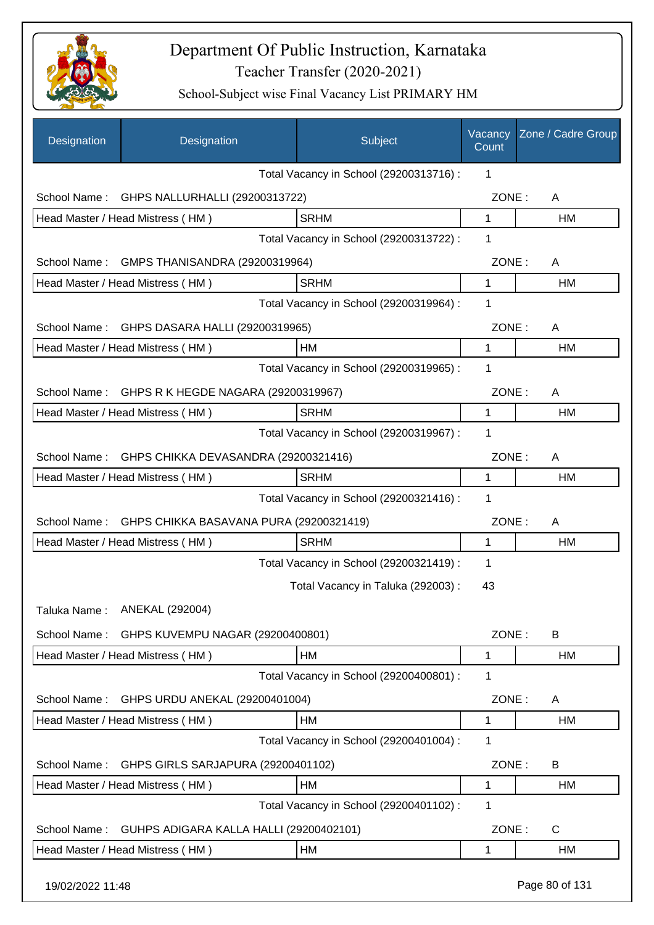

| Designation                             | Designation                             | Subject                                 | Vacancy<br>Count | Zone / Cadre Group |
|-----------------------------------------|-----------------------------------------|-----------------------------------------|------------------|--------------------|
|                                         |                                         | Total Vacancy in School (29200313716) : | 1                |                    |
| School Name:                            | GHPS NALLURHALLI (29200313722)          |                                         | ZONE:            | A                  |
|                                         | Head Master / Head Mistress (HM)        | <b>SRHM</b>                             | $\mathbf{1}$     | <b>HM</b>          |
|                                         |                                         | Total Vacancy in School (29200313722) : | 1                |                    |
| School Name:                            | GMPS THANISANDRA (29200319964)          |                                         | ZONE:            | A                  |
|                                         | Head Master / Head Mistress (HM)        | <b>SRHM</b>                             | $\mathbf{1}$     | <b>HM</b>          |
|                                         |                                         | Total Vacancy in School (29200319964) : | 1                |                    |
| School Name:                            | GHPS DASARA HALLI (29200319965)         |                                         | ZONE:            | A                  |
|                                         | Head Master / Head Mistress (HM)        | <b>HM</b>                               | 1                | HM                 |
|                                         |                                         | Total Vacancy in School (29200319965) : | 1                |                    |
| School Name:                            | GHPS R K HEGDE NAGARA (29200319967)     |                                         | ZONE:            | A                  |
|                                         | Head Master / Head Mistress (HM)        | <b>SRHM</b>                             | 1                | <b>HM</b>          |
|                                         |                                         | Total Vacancy in School (29200319967) : | 1                |                    |
| School Name:                            | GHPS CHIKKA DEVASANDRA (29200321416)    |                                         | ZONE:            | A                  |
|                                         | Head Master / Head Mistress (HM)        | <b>SRHM</b>                             | 1                | <b>HM</b>          |
| Total Vacancy in School (29200321416) : |                                         |                                         |                  |                    |
| School Name:                            | GHPS CHIKKA BASAVANA PURA (29200321419) |                                         | ZONE:            | A                  |
|                                         | Head Master / Head Mistress (HM)        | <b>SRHM</b>                             | 1                | HM                 |
|                                         |                                         | Total Vacancy in School (29200321419) : | 1                |                    |
|                                         |                                         | Total Vacancy in Taluka (292003) :      | 43               |                    |
|                                         | Taluka Name: ANEKAL (292004)            |                                         |                  |                    |
| School Name:                            | GHPS KUVEMPU NAGAR (29200400801)        |                                         | ZONE:            | B                  |
|                                         | Head Master / Head Mistress (HM)        | HM                                      | 1                | HM                 |
|                                         |                                         | Total Vacancy in School (29200400801) : | 1                |                    |
| School Name:                            | GHPS URDU ANEKAL (29200401004)          |                                         | ZONE:            | A                  |
|                                         | Head Master / Head Mistress (HM)        | HM                                      | 1                | HM                 |
|                                         |                                         | Total Vacancy in School (29200401004) : | 1                |                    |
| School Name:                            | GHPS GIRLS SARJAPURA (29200401102)      |                                         | ZONE:            | B                  |
|                                         | Head Master / Head Mistress (HM)        | HM                                      | 1                | HM                 |
|                                         |                                         | Total Vacancy in School (29200401102) : | 1                |                    |
| School Name:                            | GUHPS ADIGARA KALLA HALLI (29200402101) |                                         | ZONE:            | C                  |
|                                         | Head Master / Head Mistress (HM)        | HM                                      | 1                | HM                 |
| 19/02/2022 11:48                        |                                         |                                         |                  | Page 80 of 131     |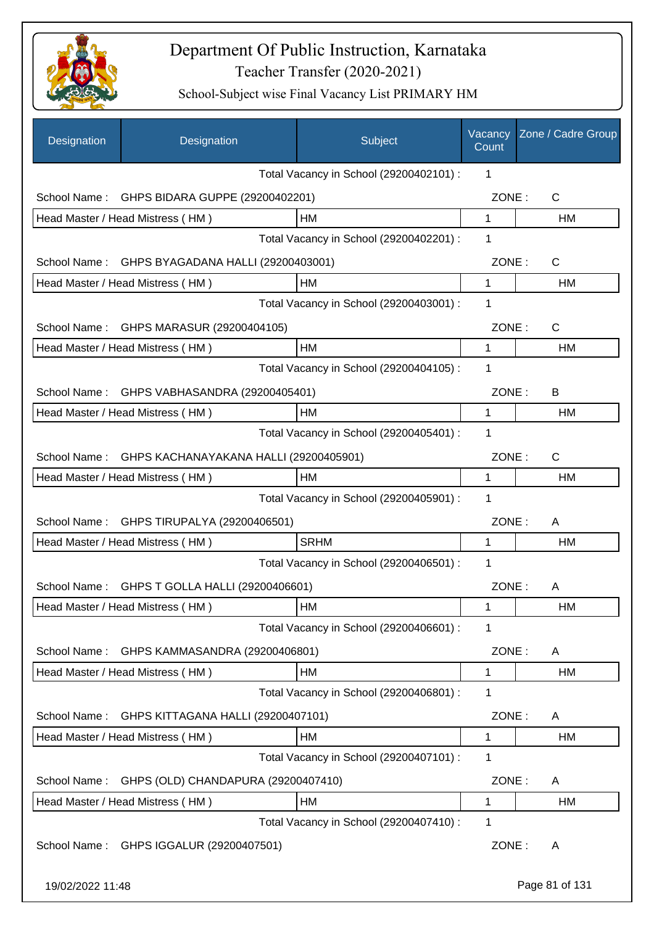

| Designation                             | Designation                                   | Subject                                 | Vacancy<br>Count | Zone / Cadre Group |
|-----------------------------------------|-----------------------------------------------|-----------------------------------------|------------------|--------------------|
|                                         |                                               | Total Vacancy in School (29200402101) : | 1                |                    |
| School Name:                            | GHPS BIDARA GUPPE (29200402201)               |                                         | ZONE:            | $\mathsf{C}$       |
|                                         | Head Master / Head Mistress (HM)              | HM                                      | $\mathbf{1}$     | HM                 |
|                                         |                                               | Total Vacancy in School (29200402201) : | 1                |                    |
| School Name:                            | GHPS BYAGADANA HALLI (29200403001)            |                                         | ZONE:            | C                  |
|                                         | Head Master / Head Mistress (HM)              | HM                                      | $\mathbf{1}$     | <b>HM</b>          |
|                                         |                                               | Total Vacancy in School (29200403001) : | 1                |                    |
|                                         | School Name: GHPS MARASUR (29200404105)       |                                         | ZONE:            | $\mathsf{C}$       |
|                                         | Head Master / Head Mistress (HM)              | HM                                      | 1                | HM                 |
|                                         |                                               | Total Vacancy in School (29200404105) : | 1                |                    |
| School Name:                            | GHPS VABHASANDRA (29200405401)                |                                         | ZONE:            | B                  |
|                                         | Head Master / Head Mistress (HM)              | <b>HM</b>                               | 1                | HM                 |
|                                         |                                               | Total Vacancy in School (29200405401) : | 1                |                    |
| School Name:                            | GHPS KACHANAYAKANA HALLI (29200405901)        |                                         | ZONE:            | $\mathsf{C}$       |
|                                         | Head Master / Head Mistress (HM)              | HM                                      | 1                | <b>HM</b>          |
| Total Vacancy in School (29200405901) : |                                               |                                         |                  |                    |
|                                         | School Name: GHPS TIRUPALYA (29200406501)     |                                         | ZONE:            | A                  |
|                                         | Head Master / Head Mistress (HM)              | <b>SRHM</b>                             | 1                | <b>HM</b>          |
|                                         |                                               | Total Vacancy in School (29200406501) : | 1                |                    |
|                                         | School Name: GHPS T GOLLA HALLI (29200406601) |                                         | ZONE:            | A                  |
|                                         | Head Master / Head Mistress (HM)              | HM                                      | 1                | HM                 |
|                                         |                                               | Total Vacancy in School (29200406601) : | 1                |                    |
| School Name:                            | GHPS KAMMASANDRA (29200406801)                |                                         | ZONE:            | A                  |
|                                         | Head Master / Head Mistress (HM)              | HM                                      | $\mathbf 1$      | HM                 |
|                                         |                                               | Total Vacancy in School (29200406801) : | 1                |                    |
| School Name:                            | GHPS KITTAGANA HALLI (29200407101)            |                                         | ZONE:            | A                  |
|                                         | Head Master / Head Mistress (HM)              | HM                                      | 1                | <b>HM</b>          |
|                                         |                                               | Total Vacancy in School (29200407101) : | 1                |                    |
| School Name:                            | GHPS (OLD) CHANDAPURA (29200407410)           |                                         | ZONE:            | A                  |
|                                         | Head Master / Head Mistress (HM)              | HM                                      | 1                | HM                 |
|                                         |                                               | Total Vacancy in School (29200407410) : | 1                |                    |
| School Name:                            | GHPS IGGALUR (29200407501)                    |                                         | ZONE:            | A                  |
| 19/02/2022 11:48                        |                                               |                                         |                  | Page 81 of 131     |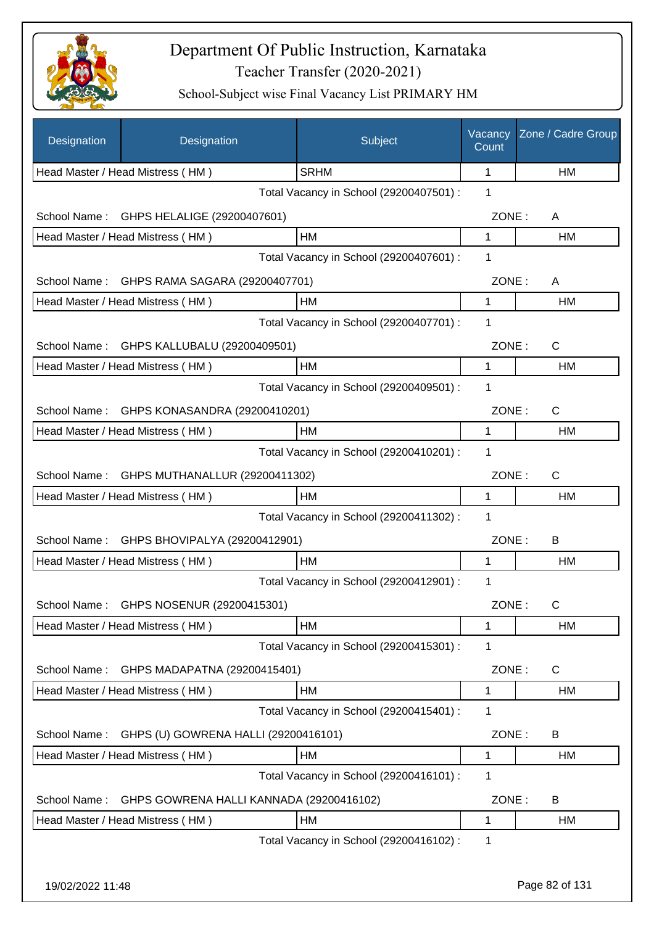

| Designation  | Designation                                 | Subject                                 | Vacancy<br>Count | Zone / Cadre Group |
|--------------|---------------------------------------------|-----------------------------------------|------------------|--------------------|
|              | Head Master / Head Mistress (HM)            | <b>SRHM</b>                             | 1                | HM                 |
|              |                                             | Total Vacancy in School (29200407501) : | 1                |                    |
| School Name: | GHPS HELALIGE (29200407601)                 |                                         | ZONE:            | A                  |
|              | Head Master / Head Mistress (HM)            | HM                                      | 1                | HM                 |
|              |                                             | Total Vacancy in School (29200407601) : | 1                |                    |
|              | School Name: GHPS RAMA SAGARA (29200407701) |                                         | ZONE:            | A                  |
|              | Head Master / Head Mistress (HM)            | HM                                      | 1                | HM                 |
|              |                                             | Total Vacancy in School (29200407701) : | 1                |                    |
| School Name: | GHPS KALLUBALU (29200409501)                |                                         | ZONE:            | $\mathsf{C}$       |
|              | Head Master / Head Mistress (HM)            | HM                                      | 1                | HM                 |
|              |                                             | Total Vacancy in School (29200409501) : | 1                |                    |
| School Name: | GHPS KONASANDRA (29200410201)               |                                         | ZONE:            | $\mathsf{C}$       |
|              | Head Master / Head Mistress (HM)            | HM                                      | 1                | HM                 |
|              |                                             | Total Vacancy in School (29200410201) : | 1                |                    |
| School Name: | GHPS MUTHANALLUR (29200411302)              |                                         | ZONE:            | $\mathsf{C}$       |
|              | Head Master / Head Mistress (HM)            | HM                                      | 1                | HM                 |
|              |                                             | Total Vacancy in School (29200411302) : | 1                |                    |
| School Name: | GHPS BHOVIPALYA (29200412901)               |                                         | ZONE:            | B                  |
|              | Head Master / Head Mistress (HM)            | HM                                      | 1                | НM                 |
|              |                                             | Total Vacancy in School (29200412901) : | 1                |                    |
| School Name: | GHPS NOSENUR (29200415301)                  |                                         | ZONE:            | C                  |
|              | Head Master / Head Mistress (HM)            | HM                                      | 1                | HM                 |
|              |                                             | Total Vacancy in School (29200415301) : | 1                |                    |
| School Name: | GHPS MADAPATNA (29200415401)                |                                         | ZONE:            | $\mathsf{C}$       |
|              | Head Master / Head Mistress (HM)            | HM                                      | 1                | HM                 |
|              |                                             | Total Vacancy in School (29200415401) : | 1                |                    |
| School Name: | GHPS (U) GOWRENA HALLI (29200416101)        |                                         | ZONE:            | B                  |
|              | Head Master / Head Mistress (HM)            | HM                                      | 1                | HM                 |
|              |                                             | Total Vacancy in School (29200416101) : | 1                |                    |
| School Name: | GHPS GOWRENA HALLI KANNADA (29200416102)    |                                         | ZONE:            | B                  |
|              | Head Master / Head Mistress (HM)            | HM                                      | 1                | HM                 |
|              |                                             | Total Vacancy in School (29200416102) : | 1                |                    |
|              |                                             |                                         |                  |                    |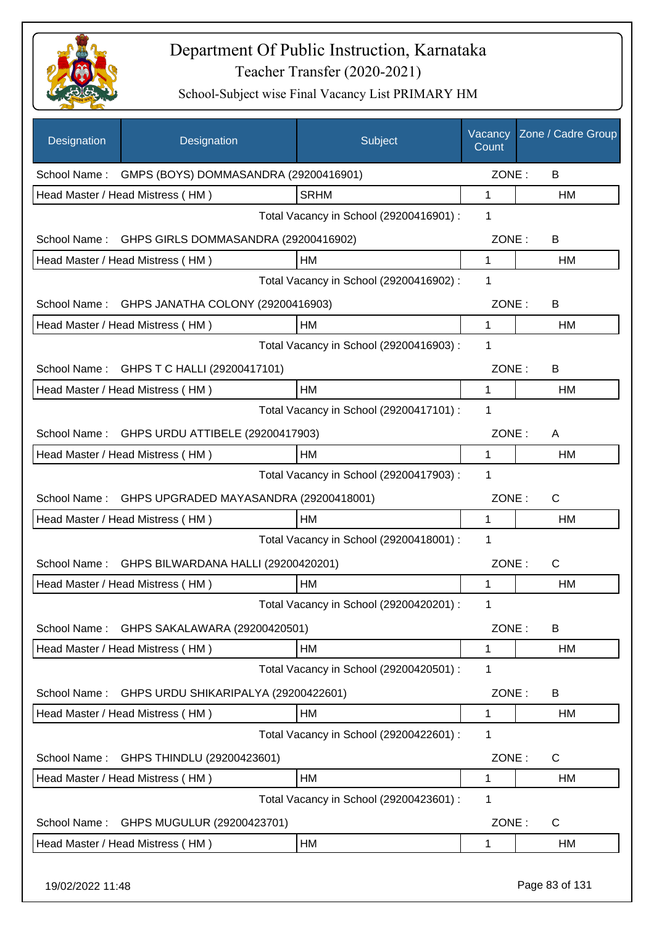

| Designation      | Designation                                        | Subject                                 | Vacancy<br>Count | Zone / Cadre Group |
|------------------|----------------------------------------------------|-----------------------------------------|------------------|--------------------|
|                  | School Name: GMPS (BOYS) DOMMASANDRA (29200416901) |                                         | ZONE:            | B                  |
|                  | Head Master / Head Mistress (HM)                   | <b>SRHM</b>                             | 1                | HM                 |
|                  |                                                    | Total Vacancy in School (29200416901) : | 1                |                    |
| School Name:     | GHPS GIRLS DOMMASANDRA (29200416902)               |                                         | ZONE:            | B                  |
|                  | Head Master / Head Mistress (HM)                   | HM                                      | $\mathbf{1}$     | HM                 |
|                  |                                                    | Total Vacancy in School (29200416902) : | 1                |                    |
| School Name:     | GHPS JANATHA COLONY (29200416903)                  |                                         | ZONE:            | B                  |
|                  | Head Master / Head Mistress (HM)                   | HM                                      | 1                | НM                 |
|                  |                                                    | Total Vacancy in School (29200416903) : | 1                |                    |
|                  | School Name: GHPS T C HALLI (29200417101)          |                                         | ZONE:            | B                  |
|                  | Head Master / Head Mistress (HM)                   | <b>HM</b>                               | 1                | HM                 |
|                  |                                                    | Total Vacancy in School (29200417101) : | 1                |                    |
| School Name:     | GHPS URDU ATTIBELE (29200417903)                   |                                         | ZONE:            | A                  |
|                  | Head Master / Head Mistress (HM)                   | HM                                      | 1                | HM                 |
|                  |                                                    | Total Vacancy in School (29200417903) : | 1                |                    |
| School Name:     | GHPS UPGRADED MAYASANDRA (29200418001)             |                                         | ZONE:            | C                  |
|                  | Head Master / Head Mistress (HM)                   | HM                                      | 1                | НM                 |
|                  |                                                    | Total Vacancy in School (29200418001) : | 1                |                    |
| School Name:     | GHPS BILWARDANA HALLI (29200420201)                |                                         | ZONE:            | C                  |
|                  | Head Master / Head Mistress (HM)                   | HM                                      | 1                | <b>HM</b>          |
|                  |                                                    | Total Vacancy in School (29200420201) : | 1                |                    |
| School Name:     | GHPS SAKALAWARA (29200420501)                      |                                         | ZONE:            | B                  |
|                  | Head Master / Head Mistress (HM)                   | HM                                      | 1                | НM                 |
|                  |                                                    | Total Vacancy in School (29200420501) : | 1                |                    |
| School Name:     | GHPS URDU SHIKARIPALYA (29200422601)               |                                         | ZONE:            | B                  |
|                  | Head Master / Head Mistress (HM)                   | HM                                      | 1                | HM                 |
|                  |                                                    | Total Vacancy in School (29200422601) : | 1                |                    |
| School Name:     | GHPS THINDLU (29200423601)                         |                                         | ZONE:            | C                  |
|                  | Head Master / Head Mistress (HM)                   | HM                                      | 1                | HM                 |
|                  |                                                    | Total Vacancy in School (29200423601) : | 1                |                    |
| School Name:     | GHPS MUGULUR (29200423701)                         |                                         | ZONE:            | C                  |
|                  | Head Master / Head Mistress (HM)                   | HM                                      | 1                | HM                 |
| 19/02/2022 11:48 |                                                    |                                         |                  | Page 83 of 131     |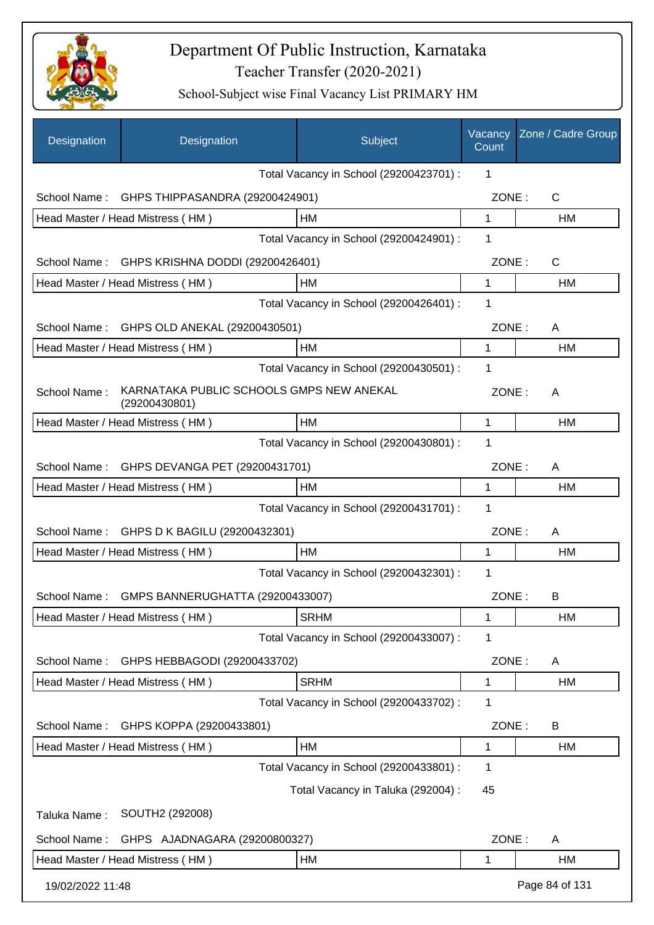

| Designation      | Designation                                               | Subject                                 | Vacancy<br>Count | Zone / Cadre Group |
|------------------|-----------------------------------------------------------|-----------------------------------------|------------------|--------------------|
|                  |                                                           | Total Vacancy in School (29200423701) : | 1                |                    |
| School Name:     | GHPS THIPPASANDRA (29200424901)                           |                                         | ZONE:            | $\mathsf{C}$       |
|                  | Head Master / Head Mistress (HM)                          | НM                                      | $\mathbf{1}$     | HM                 |
|                  |                                                           | Total Vacancy in School (29200424901) : | 1                |                    |
| School Name:     | GHPS KRISHNA DODDI (29200426401)                          |                                         | ZONE:            | C                  |
|                  | Head Master / Head Mistress (HM)                          | НM                                      | $\mathbf 1$      | HM                 |
|                  |                                                           | Total Vacancy in School (29200426401) : | 1                |                    |
| School Name:     | GHPS OLD ANEKAL (29200430501)                             |                                         | ZONE:            | A                  |
|                  | Head Master / Head Mistress (HM)                          | <b>HM</b>                               | 1                | HM                 |
|                  |                                                           | Total Vacancy in School (29200430501) : | 1                |                    |
| School Name:     | KARNATAKA PUBLIC SCHOOLS GMPS NEW ANEKAL<br>(29200430801) |                                         | ZONE:            | A                  |
|                  | Head Master / Head Mistress (HM)                          | HM                                      | 1                | НM                 |
|                  |                                                           | Total Vacancy in School (29200430801) : | 1                |                    |
| School Name:     | GHPS DEVANGA PET (29200431701)                            |                                         | ZONE:            | A                  |
|                  | Head Master / Head Mistress (HM)                          | HM                                      | 1                | HM                 |
|                  |                                                           | Total Vacancy in School (29200431701) : | 1                |                    |
| School Name:     | GHPS D K BAGILU (29200432301)                             |                                         | ZONE:            | A                  |
|                  | Head Master / Head Mistress (HM)                          | <b>HM</b>                               | 1                | HM                 |
|                  |                                                           | Total Vacancy in School (29200432301) : | 1                |                    |
| School Name:     | GMPS BANNERUGHATTA (29200433007)                          |                                         | ZONE:            | B                  |
|                  | Head Master / Head Mistress (HM)                          | <b>SRHM</b>                             | 1                | HM                 |
|                  |                                                           | Total Vacancy in School (29200433007) : | 1                |                    |
| School Name:     | GHPS HEBBAGODI (29200433702)                              |                                         | ZONE:            | A                  |
|                  | Head Master / Head Mistress (HM)                          | <b>SRHM</b>                             | 1                | НM                 |
|                  |                                                           | Total Vacancy in School (29200433702) : | 1                |                    |
| School Name:     | GHPS KOPPA (29200433801)                                  |                                         | ZONE:            | B                  |
|                  | Head Master / Head Mistress (HM)                          | HM                                      | 1                | НM                 |
|                  |                                                           | Total Vacancy in School (29200433801) : | 1                |                    |
|                  |                                                           | Total Vacancy in Taluka (292004) :      | 45               |                    |
| Taluka Name:     | SOUTH2 (292008)                                           |                                         |                  |                    |
| School Name:     | GHPS AJADNAGARA (29200800327)                             |                                         | ZONE:            | Α                  |
|                  | Head Master / Head Mistress (HM)                          | НM                                      | 1                | НM                 |
| 19/02/2022 11:48 |                                                           |                                         |                  | Page 84 of 131     |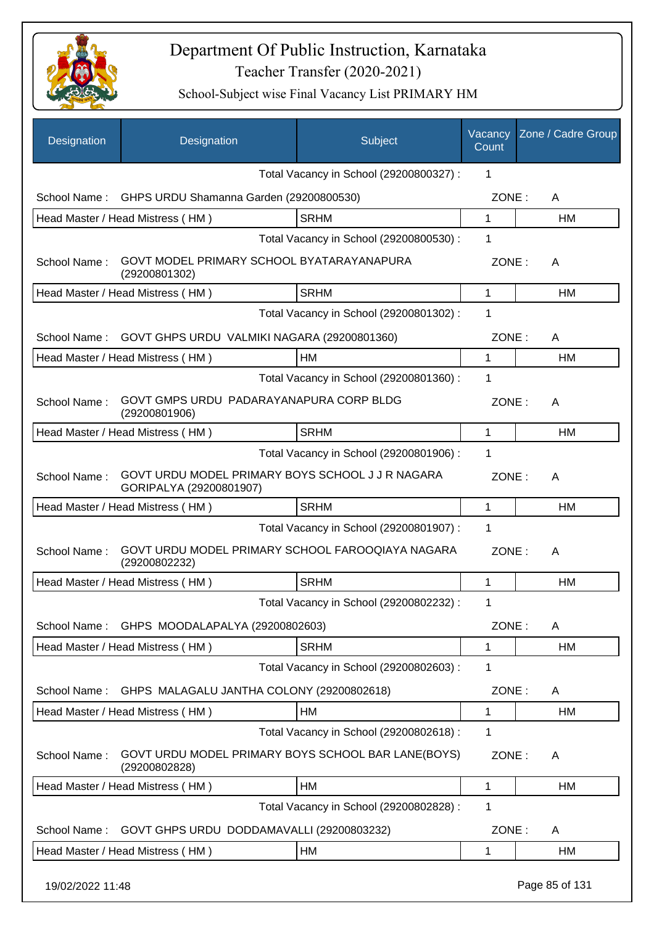

| Designation      | Designation                                                                 | Subject                                 | Vacancy<br>Count | Zone / Cadre Group |
|------------------|-----------------------------------------------------------------------------|-----------------------------------------|------------------|--------------------|
|                  |                                                                             | Total Vacancy in School (29200800327) : | 1                |                    |
| School Name:     | GHPS URDU Shamanna Garden (29200800530)                                     |                                         | ZONE:            | A                  |
|                  | Head Master / Head Mistress (HM)                                            | <b>SRHM</b>                             | 1                | HM                 |
|                  |                                                                             | Total Vacancy in School (29200800530) : | 1                |                    |
| School Name:     | GOVT MODEL PRIMARY SCHOOL BYATARAYANAPURA<br>(29200801302)                  |                                         | ZONE:            | A                  |
|                  | Head Master / Head Mistress (HM)                                            | <b>SRHM</b>                             | 1                | HM                 |
|                  |                                                                             | Total Vacancy in School (29200801302) : | 1                |                    |
| School Name:     | GOVT GHPS URDU VALMIKI NAGARA (29200801360)                                 |                                         | ZONE:            | A                  |
|                  | Head Master / Head Mistress (HM)                                            | HM                                      | 1                | HM                 |
|                  |                                                                             | Total Vacancy in School (29200801360) : | 1                |                    |
| School Name:     | GOVT GMPS URDU PADARAYANAPURA CORP BLDG<br>(29200801906)                    |                                         | ZONE:            | A                  |
|                  | Head Master / Head Mistress (HM)                                            | <b>SRHM</b>                             | 1                | HM                 |
|                  |                                                                             | Total Vacancy in School (29200801906) : | 1                |                    |
| School Name:     | GOVT URDU MODEL PRIMARY BOYS SCHOOL J J R NAGARA<br>GORIPALYA (29200801907) |                                         | ZONE:            | A                  |
|                  | Head Master / Head Mistress (HM)                                            | <b>SRHM</b>                             | 1                | HM                 |
|                  |                                                                             | Total Vacancy in School (29200801907) : | 1                |                    |
| School Name:     | GOVT URDU MODEL PRIMARY SCHOOL FAROOQIAYA NAGARA<br>(29200802232)           |                                         | ZONE:            | A                  |
|                  | Head Master / Head Mistress (HM)                                            | <b>SRHM</b>                             | 1                | <b>HM</b>          |
|                  |                                                                             | Total Vacancy in School (29200802232) : | 1                |                    |
| School Name:     | GHPS MOODALAPALYA (29200802603)                                             |                                         | ZONE:            | A                  |
|                  | Head Master / Head Mistress (HM)                                            | <b>SRHM</b>                             | 1                | <b>HM</b>          |
|                  |                                                                             | Total Vacancy in School (29200802603) : | 1                |                    |
| School Name:     | GHPS MALAGALU JANTHA COLONY (29200802618)                                   |                                         | ZONE:            | A                  |
|                  | Head Master / Head Mistress (HM)                                            | HM                                      | 1                | HM                 |
|                  |                                                                             | Total Vacancy in School (29200802618) : | 1                |                    |
| School Name:     | GOVT URDU MODEL PRIMARY BOYS SCHOOL BAR LANE(BOYS)<br>(29200802828)         |                                         | ZONE:            | A                  |
|                  | Head Master / Head Mistress (HM)                                            | HM                                      | 1                | HM                 |
|                  |                                                                             | Total Vacancy in School (29200802828) : | 1                |                    |
| School Name:     | GOVT GHPS URDU DODDAMAVALLI (29200803232)                                   |                                         | ZONE:            | A                  |
|                  | Head Master / Head Mistress (HM)                                            | HM                                      | 1                | <b>HM</b>          |
| 19/02/2022 11:48 |                                                                             |                                         |                  | Page 85 of 131     |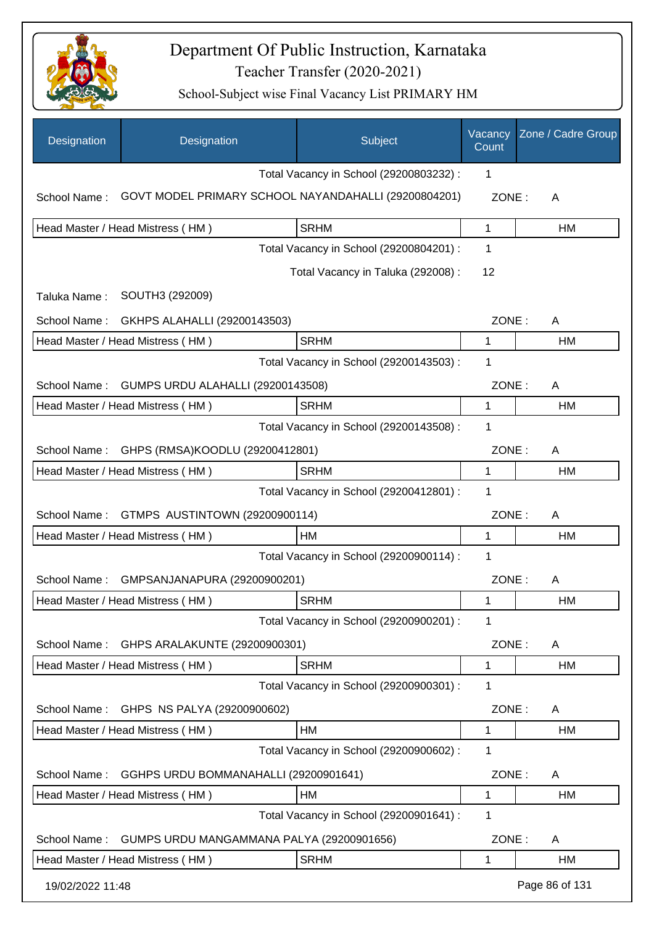

| Designation                                              | Designation                                          | Subject                                 | Vacancy<br>Count | Zone / Cadre Group |
|----------------------------------------------------------|------------------------------------------------------|-----------------------------------------|------------------|--------------------|
|                                                          |                                                      | Total Vacancy in School (29200803232) : | 1                |                    |
| School Name:                                             | GOVT MODEL PRIMARY SCHOOL NAYANDAHALLI (29200804201) |                                         | ZONE:            | A                  |
|                                                          | Head Master / Head Mistress (HM)                     | <b>SRHM</b>                             | 1                | НM                 |
|                                                          |                                                      | Total Vacancy in School (29200804201) : | 1                |                    |
|                                                          |                                                      | Total Vacancy in Taluka (292008) :      | 12               |                    |
| Taluka Name:                                             | SOUTH3 (292009)                                      |                                         |                  |                    |
| School Name:                                             | GKHPS ALAHALLI (29200143503)                         |                                         | ZONE:            | A                  |
|                                                          | Head Master / Head Mistress (HM)                     | <b>SRHM</b>                             | 1                | НM                 |
|                                                          |                                                      | Total Vacancy in School (29200143503) : | 1                |                    |
| <b>GUMPS URDU ALAHALLI (29200143508)</b><br>School Name: |                                                      |                                         | ZONE:            | A                  |
|                                                          | Head Master / Head Mistress (HM)                     | <b>SRHM</b>                             | 1                | НM                 |
|                                                          |                                                      | Total Vacancy in School (29200143508) : | 1                |                    |
| School Name:                                             | GHPS (RMSA)KOODLU (29200412801)                      |                                         | ZONE:            | A                  |
|                                                          | Head Master / Head Mistress (HM)                     | <b>SRHM</b>                             | 1                | HM                 |
|                                                          |                                                      | Total Vacancy in School (29200412801) : | 1                |                    |
| School Name:                                             | GTMPS AUSTINTOWN (29200900114)                       |                                         | ZONE:            | A                  |
|                                                          | Head Master / Head Mistress (HM)                     | <b>HM</b>                               | $\mathbf{1}$     | HM                 |
|                                                          |                                                      | Total Vacancy in School (29200900114) : | 1                |                    |
| School Name:                                             | GMPSANJANAPURA (29200900201)                         |                                         | ZONE:            | A                  |
|                                                          | Head Master / Head Mistress (HM)                     | <b>SRHM</b>                             | 1                | HM                 |
|                                                          |                                                      | Total Vacancy in School (29200900201) : | 1                |                    |
| School Name:                                             | GHPS ARALAKUNTE (29200900301)                        |                                         | ZONE:            | A                  |
|                                                          | Head Master / Head Mistress (HM)                     | <b>SRHM</b>                             | 1                | HM                 |
|                                                          |                                                      | Total Vacancy in School (29200900301) : | 1                |                    |
| School Name:                                             | GHPS NS PALYA (29200900602)                          |                                         | ZONE:            | A                  |
|                                                          | Head Master / Head Mistress (HM)                     | <b>HM</b>                               | 1                | HM                 |
|                                                          |                                                      | Total Vacancy in School (29200900602) : | 1                |                    |
| School Name:                                             | GGHPS URDU BOMMANAHALLI (29200901641)                |                                         | ZONE:            | A                  |
|                                                          | Head Master / Head Mistress (HM)                     | HM                                      | 1                | НM                 |
|                                                          |                                                      | Total Vacancy in School (29200901641) : | 1                |                    |
| School Name:                                             | GUMPS URDU MANGAMMANA PALYA (29200901656)            |                                         | ZONE:            | A                  |
|                                                          | Head Master / Head Mistress (HM)                     | <b>SRHM</b>                             | 1                | HM                 |
| 19/02/2022 11:48                                         |                                                      |                                         |                  | Page 86 of 131     |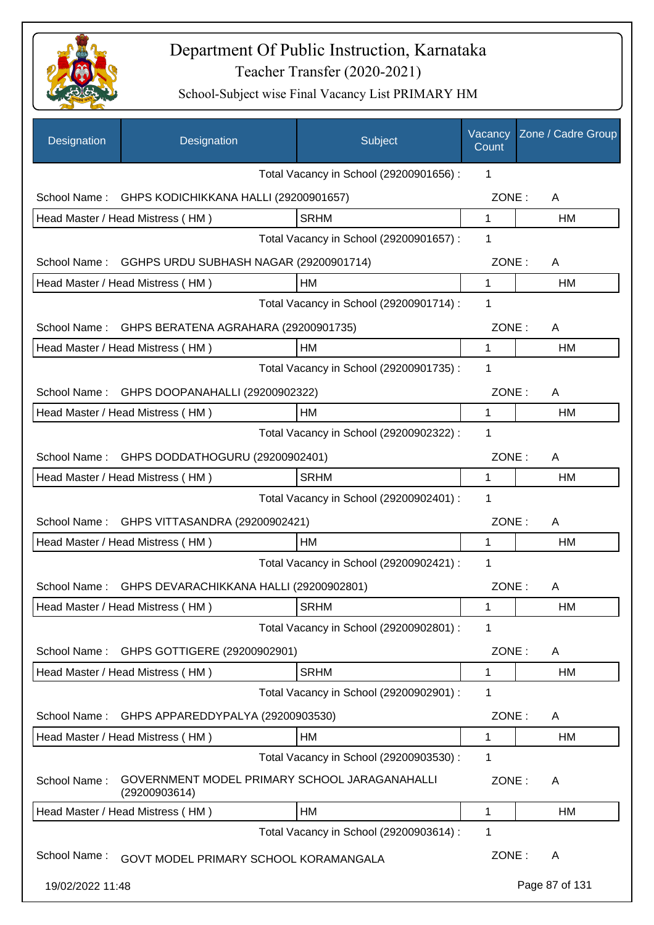

| Designation                             | Designation                                                    | Subject                                 | Vacancy<br>Count | Zone / Cadre Group |
|-----------------------------------------|----------------------------------------------------------------|-----------------------------------------|------------------|--------------------|
|                                         |                                                                | Total Vacancy in School (29200901656) : | 1                |                    |
| School Name:                            | GHPS KODICHIKKANA HALLI (29200901657)                          |                                         | ZONE:            | A                  |
|                                         | Head Master / Head Mistress (HM)                               | <b>SRHM</b>                             | $\mathbf{1}$     | <b>HM</b>          |
|                                         |                                                                | Total Vacancy in School (29200901657) : | 1                |                    |
| School Name:                            | GGHPS URDU SUBHASH NAGAR (29200901714)                         |                                         | ZONE:            | A                  |
|                                         | Head Master / Head Mistress (HM)                               | HM                                      | 1                | HM                 |
|                                         |                                                                | Total Vacancy in School (29200901714) : | 1                |                    |
|                                         | School Name: GHPS BERATENA AGRAHARA (29200901735)              |                                         | ZONE:            | A                  |
|                                         | Head Master / Head Mistress (HM)                               | HM                                      | 1                | HM                 |
|                                         |                                                                | Total Vacancy in School (29200901735) : | 1                |                    |
| School Name:                            | GHPS DOOPANAHALLI (29200902322)                                |                                         | ZONE:            | A                  |
|                                         | Head Master / Head Mistress (HM)                               | HM                                      | 1                | HM                 |
|                                         |                                                                | Total Vacancy in School (29200902322) : | 1                |                    |
| School Name:                            | GHPS DODDATHOGURU (29200902401)                                |                                         | ZONE:            | A                  |
|                                         | Head Master / Head Mistress (HM)                               | <b>SRHM</b>                             | 1                | HM                 |
| Total Vacancy in School (29200902401) : |                                                                |                                         |                  |                    |
| School Name:                            | GHPS VITTASANDRA (29200902421)                                 |                                         | ZONE:            | A                  |
|                                         | Head Master / Head Mistress (HM)                               | HM                                      | 1                | НM                 |
|                                         |                                                                | Total Vacancy in School (29200902421) : | 1                |                    |
| School Name:                            | GHPS DEVARACHIKKANA HALLI (29200902801)                        |                                         | ZONE:            | Α                  |
|                                         | Head Master / Head Mistress (HM)                               | SRHM                                    | 1                | HM                 |
|                                         |                                                                | Total Vacancy in School (29200902801) : | 1                |                    |
| School Name:                            | GHPS GOTTIGERE (29200902901)                                   |                                         | ZONE:            | A                  |
|                                         | Head Master / Head Mistress (HM)                               | <b>SRHM</b>                             | 1                | HM                 |
|                                         |                                                                | Total Vacancy in School (29200902901) : | 1                |                    |
| School Name:                            | GHPS APPAREDDYPALYA (29200903530)                              |                                         | ZONE:            | A                  |
|                                         | Head Master / Head Mistress (HM)                               | HM                                      | 1                | HM                 |
|                                         |                                                                | Total Vacancy in School (29200903530) : | 1                |                    |
| School Name:                            | GOVERNMENT MODEL PRIMARY SCHOOL JARAGANAHALLI<br>(29200903614) |                                         | ZONE:            | A                  |
|                                         | Head Master / Head Mistress (HM)                               | HM                                      | 1                | HM                 |
|                                         |                                                                | Total Vacancy in School (29200903614) : | 1                |                    |
| School Name:                            | GOVT MODEL PRIMARY SCHOOL KORAMANGALA                          |                                         | ZONE:            | A                  |
| 19/02/2022 11:48                        |                                                                |                                         |                  | Page 87 of 131     |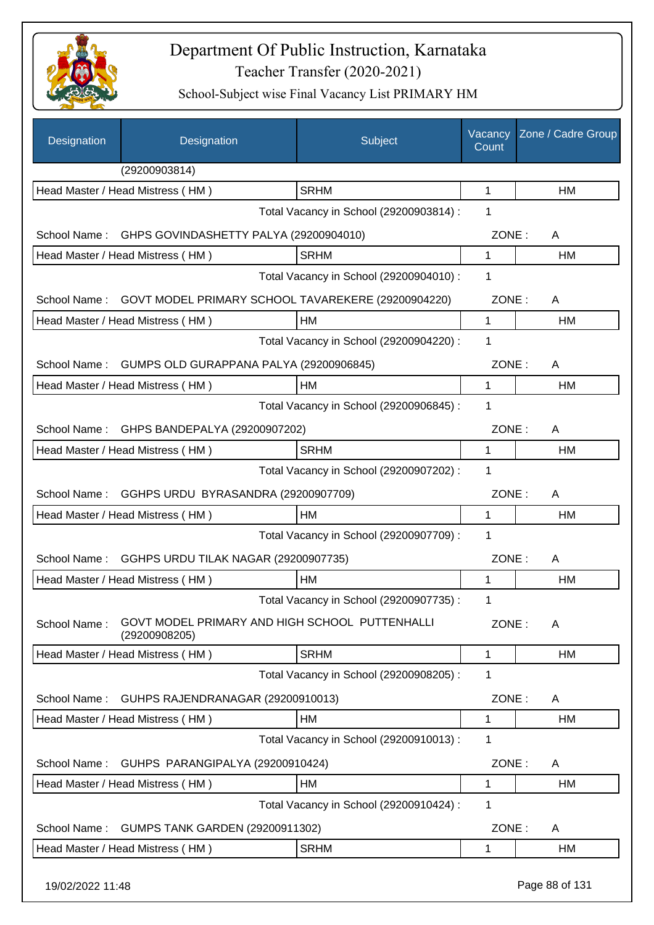

| Designation                             | Designation                                                     | Subject                                 | Vacancy<br>Count | Zone / Cadre Group |
|-----------------------------------------|-----------------------------------------------------------------|-----------------------------------------|------------------|--------------------|
|                                         | (29200903814)                                                   |                                         |                  |                    |
|                                         | Head Master / Head Mistress (HM)                                | <b>SRHM</b>                             | 1                | HM                 |
|                                         |                                                                 | Total Vacancy in School (29200903814) : | 1                |                    |
| School Name:                            | GHPS GOVINDASHETTY PALYA (29200904010)                          |                                         | ZONE:            | A                  |
|                                         | Head Master / Head Mistress (HM)                                | <b>SRHM</b>                             | 1                | <b>HM</b>          |
|                                         | Total Vacancy in School (29200904010) :                         |                                         |                  |                    |
| School Name:                            | GOVT MODEL PRIMARY SCHOOL TAVAREKERE (29200904220)              |                                         | ZONE:            | A                  |
|                                         | Head Master / Head Mistress (HM)                                | НM                                      | 1                | HM                 |
|                                         |                                                                 | Total Vacancy in School (29200904220) : | 1                |                    |
| School Name:                            | GUMPS OLD GURAPPANA PALYA (29200906845)                         |                                         | ZONE:            | A                  |
|                                         | Head Master / Head Mistress (HM)                                | HM                                      | 1                | HM                 |
|                                         |                                                                 | Total Vacancy in School (29200906845) : | 1                |                    |
| School Name:                            | GHPS BANDEPALYA (29200907202)                                   |                                         | ZONE:            | A                  |
|                                         | Head Master / Head Mistress (HM)                                | <b>SRHM</b>                             | 1                | <b>HM</b>          |
|                                         |                                                                 | Total Vacancy in School (29200907202) : | 1                |                    |
| School Name:                            | GGHPS URDU BYRASANDRA (29200907709)                             |                                         | ZONE:            | A                  |
|                                         | Head Master / Head Mistress (HM)                                | HM                                      | 1                | HM                 |
| Total Vacancy in School (29200907709) : |                                                                 |                                         |                  |                    |
| School Name:                            | GGHPS URDU TILAK NAGAR (29200907735)                            |                                         | ZONE:            | A                  |
|                                         | Head Master / Head Mistress (HM)                                | HM                                      | 1                | HM                 |
|                                         |                                                                 | Total Vacancy in School (29200907735) : | 1                |                    |
| School Name:                            | GOVT MODEL PRIMARY AND HIGH SCHOOL PUTTENHALLI<br>(29200908205) |                                         | ZONE:            | A                  |
|                                         | Head Master / Head Mistress (HM)                                | <b>SRHM</b>                             | 1                | HM                 |
|                                         |                                                                 | Total Vacancy in School (29200908205) : | 1                |                    |
| School Name:                            | GUHPS RAJENDRANAGAR (29200910013)                               |                                         | ZONE:            | A                  |
|                                         | Head Master / Head Mistress (HM)                                | HM                                      | 1                | HM                 |
|                                         |                                                                 | Total Vacancy in School (29200910013) : | 1                |                    |
| School Name:                            | GUHPS PARANGIPALYA (29200910424)                                |                                         | ZONE:            | A                  |
|                                         | Head Master / Head Mistress (HM)                                | HM                                      | 1                | HM                 |
|                                         |                                                                 | Total Vacancy in School (29200910424) : | 1                |                    |
| School Name:                            | <b>GUMPS TANK GARDEN (29200911302)</b>                          |                                         | ZONE:            | A                  |
|                                         | Head Master / Head Mistress (HM)                                | <b>SRHM</b>                             | 1                | HM                 |
| 19/02/2022 11:48                        |                                                                 |                                         |                  | Page 88 of 131     |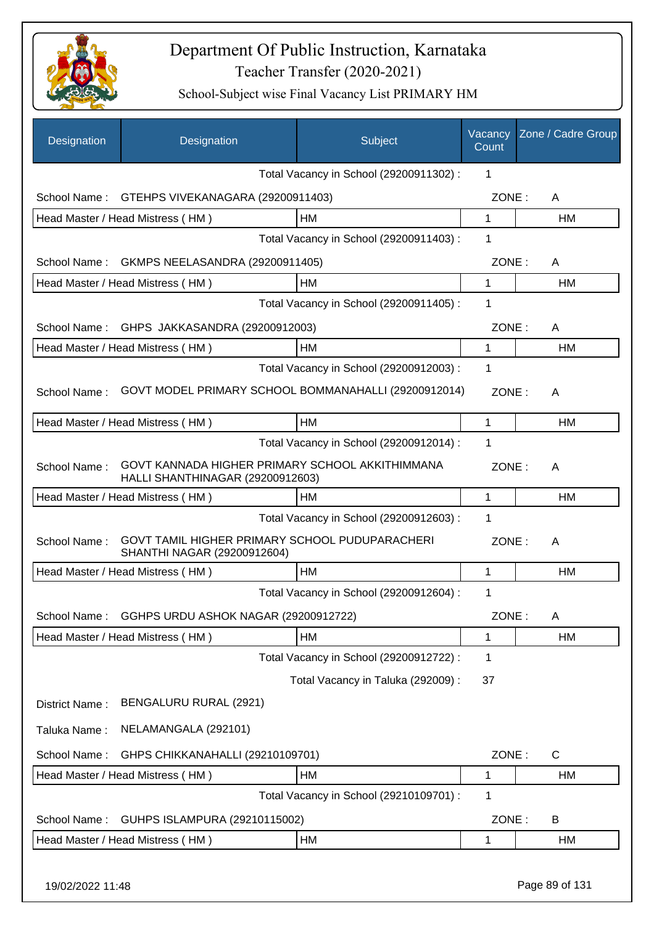

| Designation      | Designation                                                                         | Subject                                 | Vacancy<br>Count | Zone / Cadre Group |
|------------------|-------------------------------------------------------------------------------------|-----------------------------------------|------------------|--------------------|
|                  |                                                                                     | Total Vacancy in School (29200911302) : | 1                |                    |
| School Name:     | GTEHPS VIVEKANAGARA (29200911403)                                                   |                                         | ZONE:            | A                  |
|                  | Head Master / Head Mistress (HM)                                                    | НM                                      | 1                | HM                 |
|                  |                                                                                     | Total Vacancy in School (29200911403) : | 1                |                    |
| School Name:     | <b>GKMPS NEELASANDRA (29200911405)</b>                                              |                                         | ZONE:            | A                  |
|                  | Head Master / Head Mistress (HM)                                                    | HM                                      | 1                | HM                 |
|                  |                                                                                     | Total Vacancy in School (29200911405) : | 1                |                    |
| School Name:     | GHPS JAKKASANDRA (29200912003)                                                      |                                         | ZONE:            | A                  |
|                  | Head Master / Head Mistress (HM)                                                    | <b>HM</b>                               | 1                | <b>HM</b>          |
|                  |                                                                                     | Total Vacancy in School (29200912003) : | 1                |                    |
| School Name:     | GOVT MODEL PRIMARY SCHOOL BOMMANAHALLI (29200912014)                                |                                         | ZONE:            | A                  |
|                  | Head Master / Head Mistress (HM)                                                    | HM                                      | 1                | HM                 |
|                  |                                                                                     | Total Vacancy in School (29200912014) : | 1                |                    |
| School Name:     | GOVT KANNADA HIGHER PRIMARY SCHOOL AKKITHIMMANA<br>HALLI SHANTHINAGAR (29200912603) |                                         | ZONE:            | A                  |
|                  | Head Master / Head Mistress (HM)                                                    | HM                                      | 1                | HM                 |
|                  |                                                                                     | Total Vacancy in School (29200912603) : | 1                |                    |
| School Name:     | GOVT TAMIL HIGHER PRIMARY SCHOOL PUDUPARACHERI<br>SHANTHI NAGAR (29200912604)       |                                         | ZONE:            | A                  |
|                  | Head Master / Head Mistress (HM)                                                    | <b>HM</b>                               | 1                | <b>HM</b>          |
|                  |                                                                                     | Total Vacancy in School (29200912604) : | 1                |                    |
| School Name:     | GGHPS URDU ASHOK NAGAR (29200912722)                                                |                                         | ZONE:            | A                  |
|                  | Head Master / Head Mistress (HM)                                                    | HM                                      | 1                | HM                 |
|                  |                                                                                     | Total Vacancy in School (29200912722) : | 1                |                    |
|                  |                                                                                     | Total Vacancy in Taluka (292009):       | 37               |                    |
| District Name:   | BENGALURU RURAL (2921)                                                              |                                         |                  |                    |
| Taluka Name:     | NELAMANGALA (292101)                                                                |                                         |                  |                    |
| School Name:     | GHPS CHIKKANAHALLI (29210109701)                                                    |                                         | ZONE:            | C                  |
|                  | Head Master / Head Mistress (HM)                                                    | HM                                      | 1                | HM                 |
|                  |                                                                                     | Total Vacancy in School (29210109701) : | 1                |                    |
| School Name:     | GUHPS ISLAMPURA (29210115002)                                                       |                                         | ZONE:            | B                  |
|                  | Head Master / Head Mistress (HM)                                                    | HM                                      | 1                | HM                 |
| 19/02/2022 11:48 |                                                                                     |                                         |                  | Page 89 of 131     |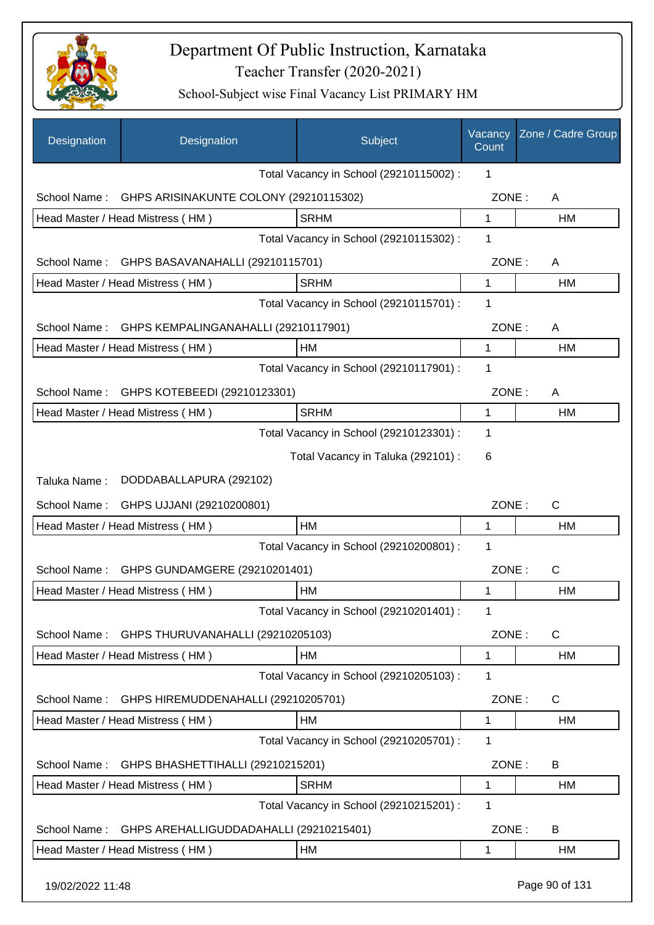

| Designation      | Designation                             | Subject                                 | Vacancy<br>Count | Zone / Cadre Group |
|------------------|-----------------------------------------|-----------------------------------------|------------------|--------------------|
|                  |                                         | Total Vacancy in School (29210115002) : | 1                |                    |
| School Name:     | GHPS ARISINAKUNTE COLONY (29210115302)  |                                         | ZONE:            | A                  |
|                  | Head Master / Head Mistress (HM)        | <b>SRHM</b>                             | 1                | HM                 |
|                  |                                         | Total Vacancy in School (29210115302) : | 1                |                    |
| School Name:     | GHPS BASAVANAHALLI (29210115701)        |                                         | ZONE:            | A                  |
|                  | Head Master / Head Mistress (HM)        | <b>SRHM</b>                             | 1                | HM                 |
|                  |                                         | Total Vacancy in School (29210115701) : | 1                |                    |
| School Name:     | GHPS KEMPALINGANAHALLI (29210117901)    |                                         | ZONE:            | A                  |
|                  | Head Master / Head Mistress (HM)        | <b>HM</b>                               | 1                | <b>HM</b>          |
|                  |                                         | Total Vacancy in School (29210117901) : | 1                |                    |
| School Name:     | GHPS KOTEBEEDI (29210123301)            |                                         | ZONE:            | A                  |
|                  | Head Master / Head Mistress (HM)        | <b>SRHM</b>                             | 1                | HM                 |
|                  |                                         | Total Vacancy in School (29210123301) : | 1                |                    |
|                  |                                         | Total Vacancy in Taluka (292101) :      | 6                |                    |
| Taluka Name:     | DODDABALLAPURA (292102)                 |                                         |                  |                    |
| School Name:     | GHPS UJJANI (29210200801)               |                                         | ZONE:            | C                  |
|                  | Head Master / Head Mistress (HM)        | <b>HM</b>                               | 1                | <b>HM</b>          |
|                  |                                         | Total Vacancy in School (29210200801) : | 1                |                    |
| School Name:     | GHPS GUNDAMGERE (29210201401)           |                                         | ZONE:            | C                  |
|                  | Head Master / Head Mistress (HM)        | НM                                      | 1                | HM                 |
|                  |                                         | Total Vacancy in School (29210201401) : | 1                |                    |
| School Name:     | GHPS THURUVANAHALLI (29210205103)       |                                         | ZONE:            | $\mathsf{C}$       |
|                  | Head Master / Head Mistress (HM)        | HM                                      | 1                | HM                 |
|                  |                                         | Total Vacancy in School (29210205103) : | 1                |                    |
| School Name:     | GHPS HIREMUDDENAHALLI (29210205701)     |                                         | ZONE:            | $\mathsf{C}$       |
|                  | Head Master / Head Mistress (HM)        | HM                                      | 1                | <b>HM</b>          |
|                  |                                         | Total Vacancy in School (29210205701) : | 1                |                    |
| School Name:     | GHPS BHASHETTIHALLI (29210215201)       |                                         | ZONE:            | B                  |
|                  | Head Master / Head Mistress (HM)        | <b>SRHM</b>                             | 1                | HM                 |
|                  |                                         | Total Vacancy in School (29210215201) : | 1                |                    |
| School Name:     | GHPS AREHALLIGUDDADAHALLI (29210215401) |                                         | ZONE:            | B                  |
|                  | Head Master / Head Mistress (HM)        | HM                                      | 1                | HM                 |
| 19/02/2022 11:48 |                                         |                                         |                  | Page 90 of 131     |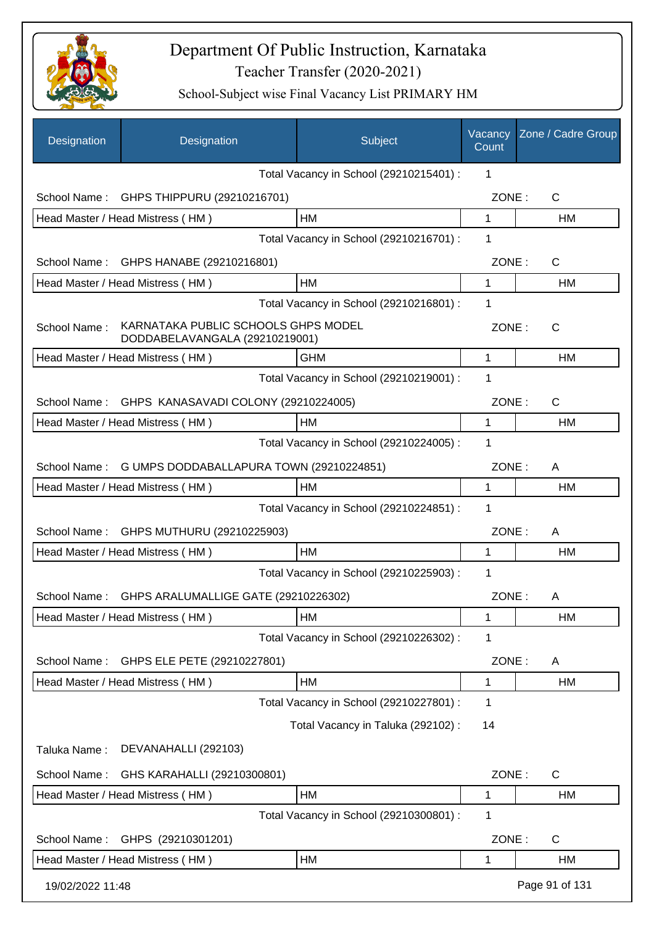

| Designation      | Designation                                                           | Subject                                 | Vacancy<br>Count | Zone / Cadre Group |
|------------------|-----------------------------------------------------------------------|-----------------------------------------|------------------|--------------------|
|                  |                                                                       | Total Vacancy in School (29210215401) : | 1                |                    |
| School Name:     | GHPS THIPPURU (29210216701)                                           |                                         | ZONE:            | $\mathsf{C}$       |
|                  | Head Master / Head Mistress (HM)                                      | <b>HM</b>                               | 1                | <b>HM</b>          |
|                  |                                                                       | Total Vacancy in School (29210216701) : | 1                |                    |
| School Name:     | GHPS HANABE (29210216801)                                             |                                         | ZONE:            | $\mathsf{C}$       |
|                  | Head Master / Head Mistress (HM)                                      | HM                                      | 1                | HM                 |
|                  |                                                                       | Total Vacancy in School (29210216801) : | 1                |                    |
| School Name:     | KARNATAKA PUBLIC SCHOOLS GHPS MODEL<br>DODDABELAVANGALA (29210219001) |                                         | ZONE:            | $\mathsf{C}$       |
|                  | Head Master / Head Mistress (HM)                                      | <b>GHM</b>                              | 1                | <b>HM</b>          |
|                  |                                                                       | Total Vacancy in School (29210219001) : | 1                |                    |
| School Name:     | GHPS KANASAVADI COLONY (29210224005)                                  |                                         | ZONE:            | $\mathsf{C}$       |
|                  | Head Master / Head Mistress (HM)                                      | <b>HM</b>                               | 1                | HM                 |
|                  |                                                                       | Total Vacancy in School (29210224005) : | 1                |                    |
| School Name:     | G UMPS DODDABALLAPURA TOWN (29210224851)                              |                                         | ZONE:            | A                  |
|                  | Head Master / Head Mistress (HM)                                      | <b>HM</b>                               | 1                | HM                 |
|                  |                                                                       | Total Vacancy in School (29210224851) : | 1                |                    |
| School Name:     | GHPS MUTHURU (29210225903)                                            |                                         | ZONE:            | A                  |
|                  | Head Master / Head Mistress (HM)                                      | <b>HM</b>                               | 1                | HM                 |
|                  |                                                                       | Total Vacancy in School (29210225903) : | 1                |                    |
| School Name:     | GHPS ARALUMALLIGE GATE (29210226302)                                  |                                         | ZONE:            | A                  |
|                  | Head Master / Head Mistress (HM)                                      | HM                                      | 1                | HM                 |
|                  |                                                                       | Total Vacancy in School (29210226302) : | 1                |                    |
| School Name:     | GHPS ELE PETE (29210227801)                                           |                                         | ZONE:            | A                  |
|                  | Head Master / Head Mistress (HM)                                      | HM                                      | 1                | HM                 |
|                  |                                                                       | Total Vacancy in School (29210227801) : | 1                |                    |
|                  |                                                                       | Total Vacancy in Taluka (292102) :      | 14               |                    |
| Taluka Name:     | DEVANAHALLI (292103)                                                  |                                         |                  |                    |
| School Name:     | GHS KARAHALLI (29210300801)                                           |                                         | ZONE:            | C                  |
|                  | Head Master / Head Mistress (HM)                                      | НM                                      | 1                | HM                 |
|                  |                                                                       | Total Vacancy in School (29210300801) : | 1                |                    |
| School Name:     | GHPS (29210301201)                                                    |                                         | ZONE:            | C                  |
|                  | Head Master / Head Mistress (HM)                                      | HM                                      | 1                | HM                 |
| 19/02/2022 11:48 |                                                                       |                                         |                  | Page 91 of 131     |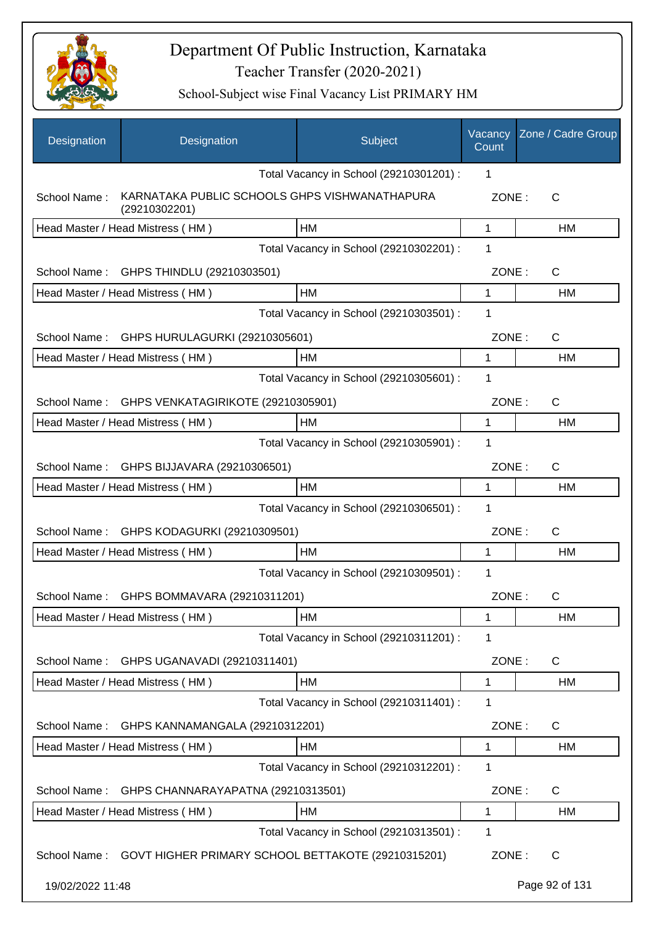

| Designation      | Designation                                                    | Subject                                 | Vacancy<br>Count | Zone / Cadre Group |
|------------------|----------------------------------------------------------------|-----------------------------------------|------------------|--------------------|
|                  |                                                                | Total Vacancy in School (29210301201) : | 1                |                    |
| School Name:     | KARNATAKA PUBLIC SCHOOLS GHPS VISHWANATHAPURA<br>(29210302201) |                                         | ZONE:            | С                  |
|                  | Head Master / Head Mistress (HM)                               | HM                                      | 1                | HM                 |
|                  |                                                                | Total Vacancy in School (29210302201) : | 1                |                    |
| School Name:     | GHPS THINDLU (29210303501)                                     |                                         | ZONE:            | C                  |
|                  | Head Master / Head Mistress (HM)                               | HM                                      | 1                | HM                 |
|                  |                                                                | Total Vacancy in School (29210303501) : | 1                |                    |
| School Name:     | GHPS HURULAGURKI (29210305601)                                 |                                         | ZONE:            | C                  |
|                  | Head Master / Head Mistress (HM)                               | HM                                      | 1                | HM                 |
|                  |                                                                | Total Vacancy in School (29210305601) : | 1                |                    |
| School Name:     | GHPS VENKATAGIRIKOTE (29210305901)                             |                                         | ZONE:            | C                  |
|                  | Head Master / Head Mistress (HM)                               | <b>HM</b>                               | 1                | HM                 |
|                  |                                                                | Total Vacancy in School (29210305901) : | 1                |                    |
| School Name:     | GHPS BIJJAVARA (29210306501)                                   |                                         | ZONE:            | C                  |
|                  | Head Master / Head Mistress (HM)                               | HM                                      | 1                | HM                 |
|                  |                                                                | Total Vacancy in School (29210306501) : | 1                |                    |
| School Name:     | GHPS KODAGURKI (29210309501)                                   |                                         | ZONE:            | C                  |
|                  | Head Master / Head Mistress (HM)                               | HM                                      | 1                | HM                 |
|                  |                                                                | Total Vacancy in School (29210309501) : | 1                |                    |
| School Name:     | GHPS BOMMAVARA (29210311201)                                   |                                         | ZONE:            | C                  |
|                  | Head Master / Head Mistress (HM)                               | HM                                      | 1                | HM                 |
|                  |                                                                | Total Vacancy in School (29210311201) : | 1                |                    |
| School Name:     | GHPS UGANAVADI (29210311401)                                   |                                         | ZONE:            | $\mathsf{C}$       |
|                  | Head Master / Head Mistress (HM)                               | HM                                      | 1                | HM                 |
|                  |                                                                | Total Vacancy in School (29210311401) : | 1                |                    |
| School Name:     | GHPS KANNAMANGALA (29210312201)                                |                                         | ZONE:            | C                  |
|                  | Head Master / Head Mistress (HM)                               | HM                                      | 1                | <b>HM</b>          |
|                  |                                                                | Total Vacancy in School (29210312201) : | 1                |                    |
| School Name:     | GHPS CHANNARAYAPATNA (29210313501)                             |                                         | ZONE:            | C                  |
|                  | Head Master / Head Mistress (HM)                               | HM                                      | 1                | HM                 |
|                  |                                                                | Total Vacancy in School (29210313501) : | 1                |                    |
| School Name:     | GOVT HIGHER PRIMARY SCHOOL BETTAKOTE (29210315201)             |                                         | ZONE:            | C                  |
| 19/02/2022 11:48 |                                                                |                                         |                  | Page 92 of 131     |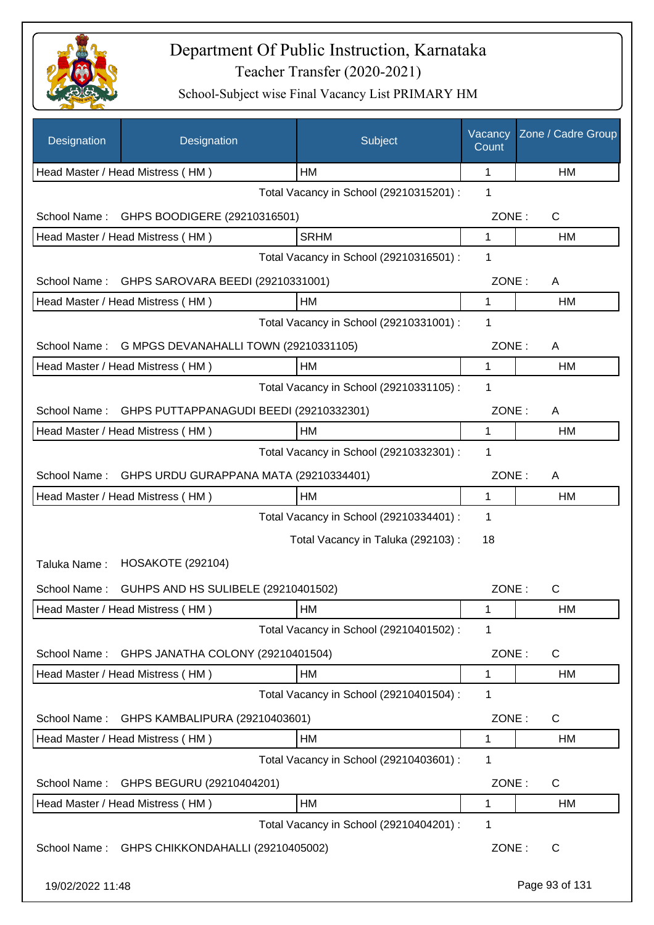

| Designation      | Designation                             | Subject                                 | Vacancy<br>Count | Zone / Cadre Group |
|------------------|-----------------------------------------|-----------------------------------------|------------------|--------------------|
|                  | Head Master / Head Mistress (HM)        | HМ                                      | 1                | НM                 |
|                  |                                         | Total Vacancy in School (29210315201) : | 1                |                    |
| School Name:     | GHPS BOODIGERE (29210316501)            |                                         | ZONE:            | $\mathsf C$        |
|                  | Head Master / Head Mistress (HM)        | <b>SRHM</b>                             | 1                | НM                 |
|                  |                                         | Total Vacancy in School (29210316501) : | 1                |                    |
| School Name:     | GHPS SAROVARA BEEDI (29210331001)       |                                         | ZONE:            | A                  |
|                  | Head Master / Head Mistress (HM)        | HM                                      | 1                | <b>HM</b>          |
|                  |                                         | Total Vacancy in School (29210331001) : | 1                |                    |
| School Name:     | G MPGS DEVANAHALLI TOWN (29210331105)   |                                         | ZONE:            | A                  |
|                  | Head Master / Head Mistress (HM)        | HM                                      | $\mathbf{1}$     | HM                 |
|                  |                                         | Total Vacancy in School (29210331105) : | 1                |                    |
| School Name:     | GHPS PUTTAPPANAGUDI BEEDI (29210332301) |                                         | ZONE:            | A                  |
|                  | Head Master / Head Mistress (HM)        | HM                                      | 1                | HM                 |
|                  |                                         | Total Vacancy in School (29210332301) : | $\mathbf 1$      |                    |
| School Name:     | GHPS URDU GURAPPANA MATA (29210334401)  |                                         | ZONE:            | A                  |
|                  | Head Master / Head Mistress (HM)        | HM                                      | 1                | HM                 |
|                  |                                         | Total Vacancy in School (29210334401) : | 1                |                    |
|                  |                                         | Total Vacancy in Taluka (292103):       | 18               |                    |
| Taluka Name:     | <b>HOSAKOTE (292104)</b>                |                                         |                  |                    |
| School Name:     | GUHPS AND HS SULIBELE (29210401502)     |                                         | ZONE:            | $\mathsf{C}$       |
|                  | Head Master / Head Mistress (HM)        | HM                                      | 1                | HM                 |
|                  |                                         | Total Vacancy in School (29210401502) : | 1                |                    |
| School Name:     | GHPS JANATHA COLONY (29210401504)       |                                         | ZONE:            | C                  |
|                  | Head Master / Head Mistress (HM)        | HM                                      | 1                | HM                 |
|                  |                                         | Total Vacancy in School (29210401504) : | 1                |                    |
| School Name:     | GHPS KAMBALIPURA (29210403601)          |                                         | ZONE:            | C                  |
|                  | Head Master / Head Mistress (HM)        | HM                                      | 1                | HM                 |
|                  |                                         | Total Vacancy in School (29210403601) : | 1                |                    |
| School Name:     | GHPS BEGURU (29210404201)               |                                         | ZONE:            | C                  |
|                  | Head Master / Head Mistress (HM)        | HM                                      | 1                | HM                 |
|                  |                                         | Total Vacancy in School (29210404201) : | 1                |                    |
| School Name:     | GHPS CHIKKONDAHALLI (29210405002)       |                                         | ZONE:            | C                  |
| 19/02/2022 11:48 |                                         |                                         |                  | Page 93 of 131     |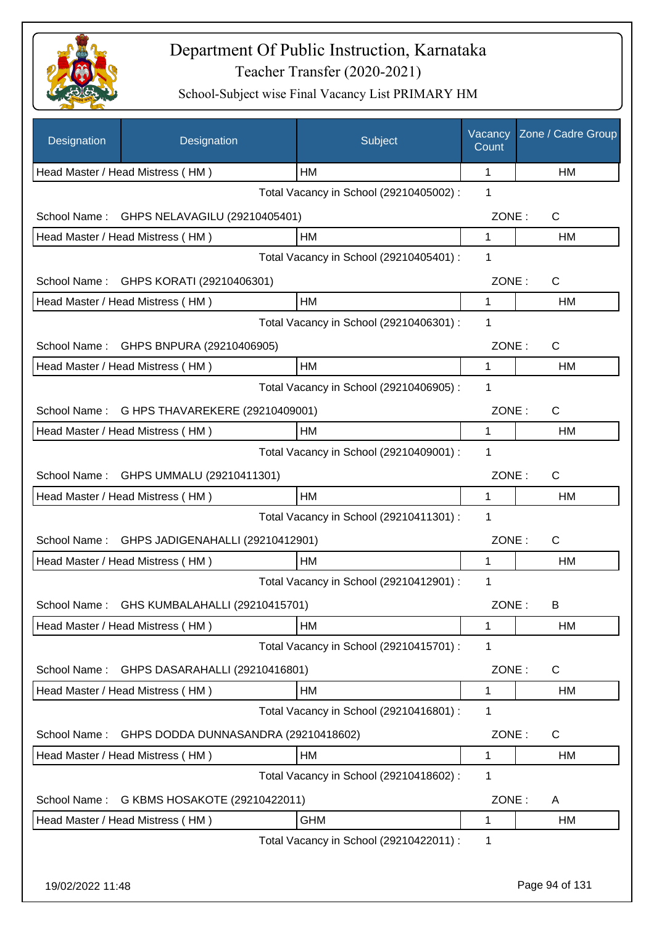

| Designation      | Designation                            | Subject                                 | Vacancy<br>Count | Zone / Cadre Group |
|------------------|----------------------------------------|-----------------------------------------|------------------|--------------------|
|                  | Head Master / Head Mistress (HM)       | НM                                      | 1                | HM                 |
|                  |                                        | Total Vacancy in School (29210405002) : | 1                |                    |
| School Name:     | GHPS NELAVAGILU (29210405401)          |                                         | ZONE:            | C                  |
|                  | Head Master / Head Mistress (HM)       | HM                                      | 1                | HM                 |
|                  |                                        | Total Vacancy in School (29210405401) : | 1                |                    |
|                  | School Name: GHPS KORATI (29210406301) |                                         | ZONE:            | $\mathsf{C}$       |
|                  | Head Master / Head Mistress (HM)       | HM                                      | 1                | HM                 |
|                  |                                        | Total Vacancy in School (29210406301) : | 1                |                    |
| School Name:     | GHPS BNPURA (29210406905)              |                                         | ZONE:            | C                  |
|                  | Head Master / Head Mistress (HM)       | HM                                      | 1                | <b>HM</b>          |
|                  |                                        | Total Vacancy in School (29210406905) : | 1                |                    |
| School Name:     | G HPS THAVAREKERE (29210409001)        |                                         | ZONE:            | $\mathsf{C}$       |
|                  | Head Master / Head Mistress (HM)       | <b>HM</b>                               | 1                | HM                 |
|                  |                                        | Total Vacancy in School (29210409001) : | 1                |                    |
| School Name:     | GHPS UMMALU (29210411301)              |                                         | ZONE:            | $\mathsf{C}$       |
|                  | Head Master / Head Mistress (HM)       | HM                                      | 1                | HM                 |
|                  |                                        | Total Vacancy in School (29210411301) : | 1                |                    |
| School Name:     | GHPS JADIGENAHALLI (29210412901)       |                                         | ZONE:            | $\mathsf{C}$       |
|                  | Head Master / Head Mistress (HM)       | <b>HM</b>                               | 1                | НM                 |
|                  |                                        | Total Vacancy in School (29210412901) : | 1                |                    |
| School Name:     | GHS KUMBALAHALLI (29210415701)         |                                         | ZONE:            | в                  |
|                  | Head Master / Head Mistress (HM)       | HM                                      | 1                | HM                 |
|                  |                                        | Total Vacancy in School (29210415701) : | 1                |                    |
| School Name:     | GHPS DASARAHALLI (29210416801)         |                                         | ZONE:            | C                  |
|                  | Head Master / Head Mistress (HM)       | HM                                      | 1                | HM                 |
|                  |                                        | Total Vacancy in School (29210416801) : | 1                |                    |
| School Name:     | GHPS DODDA DUNNASANDRA (29210418602)   |                                         | ZONE:            | C                  |
|                  | Head Master / Head Mistress (HM)       | HM                                      | 1                | HM                 |
|                  |                                        | Total Vacancy in School (29210418602) : | 1                |                    |
| School Name:     | G KBMS HOSAKOTE (29210422011)          |                                         | ZONE:            | A                  |
|                  | Head Master / Head Mistress (HM)       | <b>GHM</b>                              | 1                | HM                 |
|                  |                                        | Total Vacancy in School (29210422011) : | 1                |                    |
|                  |                                        |                                         |                  |                    |
| 19/02/2022 11:48 |                                        |                                         |                  | Page 94 of 131     |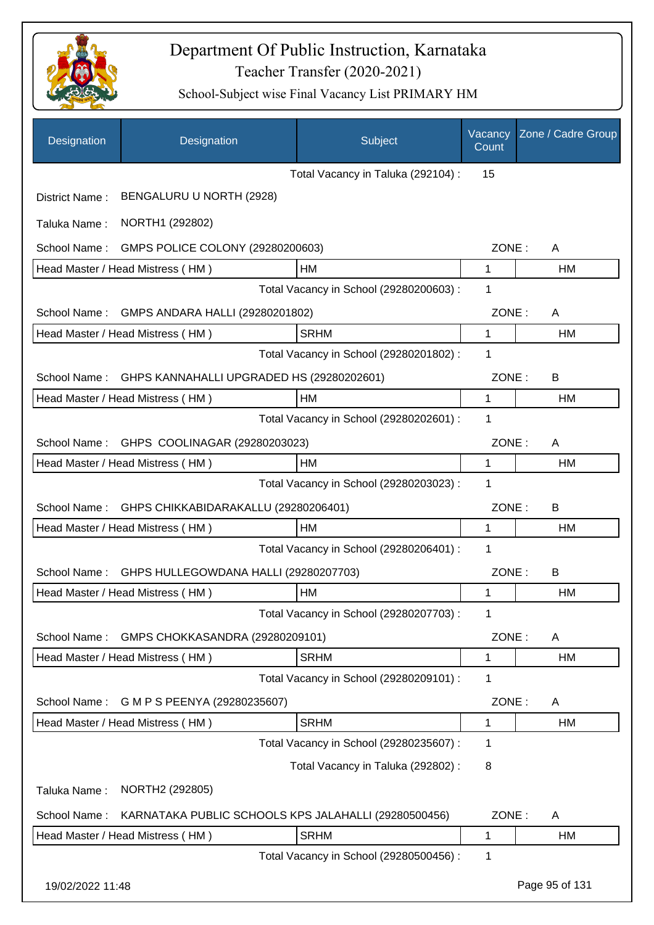

| Designation      | Designation                                          | Subject                                 | Vacancy<br>Count | Zone / Cadre Group |
|------------------|------------------------------------------------------|-----------------------------------------|------------------|--------------------|
|                  |                                                      | Total Vacancy in Taluka (292104) :      | 15               |                    |
| District Name:   | BENGALURU U NORTH (2928)                             |                                         |                  |                    |
| Taluka Name:     | NORTH1 (292802)                                      |                                         |                  |                    |
| School Name:     | GMPS POLICE COLONY (29280200603)                     |                                         | ZONE:            | A                  |
|                  | Head Master / Head Mistress (HM)                     | <b>HM</b>                               | 1                | HM                 |
|                  |                                                      | Total Vacancy in School (29280200603) : | 1                |                    |
| School Name:     | GMPS ANDARA HALLI (29280201802)                      |                                         | ZONE:            | A                  |
|                  | Head Master / Head Mistress (HM)                     | <b>SRHM</b>                             | 1                | HM                 |
|                  |                                                      | Total Vacancy in School (29280201802) : | 1                |                    |
| School Name:     | GHPS KANNAHALLI UPGRADED HS (29280202601)            |                                         | ZONE:            | B                  |
|                  | Head Master / Head Mistress (HM)                     | HM                                      | 1                | HM                 |
|                  |                                                      | Total Vacancy in School (29280202601) : | 1                |                    |
| School Name:     | GHPS COOLINAGAR (29280203023)                        |                                         | ZONE:            | A                  |
|                  | Head Master / Head Mistress (HM)                     | HM                                      | 1                | <b>HM</b>          |
|                  |                                                      | Total Vacancy in School (29280203023) : | 1                |                    |
| School Name:     | GHPS CHIKKABIDARAKALLU (29280206401)                 |                                         | ZONE:            | B                  |
|                  | Head Master / Head Mistress (HM)                     | <b>HM</b>                               | 1                | <b>HM</b>          |
|                  |                                                      | Total Vacancy in School (29280206401) : | 1                |                    |
| School Name:     | GHPS HULLEGOWDANA HALLI (29280207703)                |                                         | ZONE:            | B                  |
|                  | Head Master / Head Mistress (HM)                     | <b>HM</b>                               | 1                | <b>HM</b>          |
|                  |                                                      | Total Vacancy in School (29280207703) : | 1                |                    |
| School Name:     | GMPS CHOKKASANDRA (29280209101)                      |                                         | ZONE:            | A                  |
|                  | Head Master / Head Mistress (HM)                     | <b>SRHM</b>                             | 1                | HM                 |
|                  |                                                      | Total Vacancy in School (29280209101) : | 1                |                    |
| School Name:     | G M P S PEENYA (29280235607)                         |                                         | ZONE:            | A                  |
|                  | Head Master / Head Mistress (HM)                     | <b>SRHM</b>                             | 1                | HM                 |
|                  |                                                      | Total Vacancy in School (29280235607) : | 1                |                    |
|                  |                                                      | Total Vacancy in Taluka (292802) :      | 8                |                    |
| Taluka Name:     | NORTH2 (292805)                                      |                                         |                  |                    |
| School Name:     | KARNATAKA PUBLIC SCHOOLS KPS JALAHALLI (29280500456) |                                         | ZONE:            | A                  |
|                  | Head Master / Head Mistress (HM)                     | <b>SRHM</b>                             | 1                | <b>HM</b>          |
|                  |                                                      | Total Vacancy in School (29280500456) : | 1                |                    |
| 19/02/2022 11:48 |                                                      |                                         |                  | Page 95 of 131     |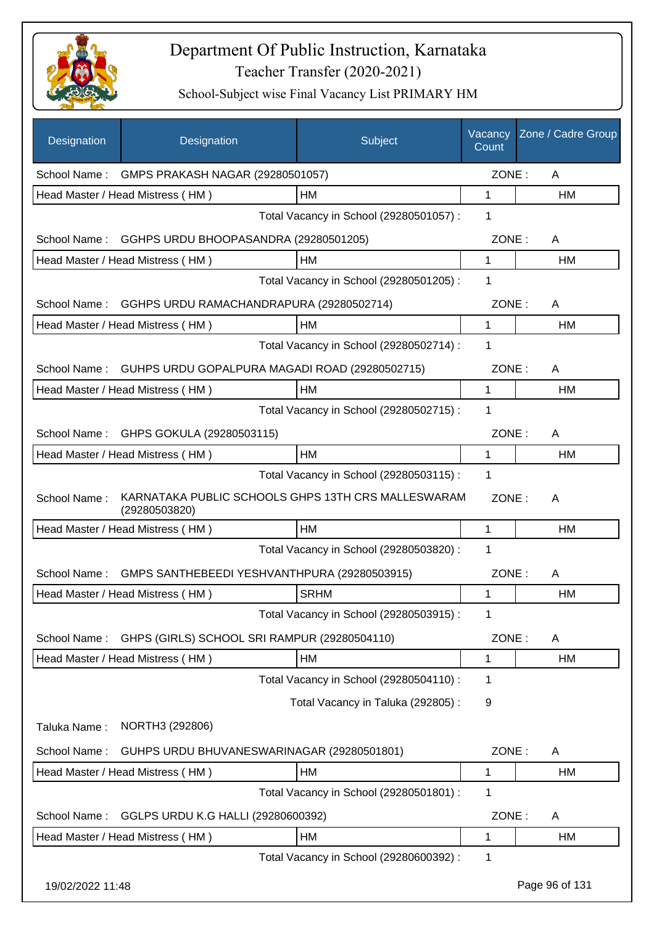

| Designation      | Designation                                                         | Subject                                 | Vacancy<br>Count | Zone / Cadre Group |
|------------------|---------------------------------------------------------------------|-----------------------------------------|------------------|--------------------|
|                  | School Name: GMPS PRAKASH NAGAR (29280501057)                       |                                         | ZONE:            | A                  |
|                  | Head Master / Head Mistress (HM)                                    | HM                                      | 1                | HM                 |
|                  |                                                                     | Total Vacancy in School (29280501057) : | 1                |                    |
| School Name:     | GGHPS URDU BHOOPASANDRA (29280501205)                               |                                         | ZONE:            | A                  |
|                  | Head Master / Head Mistress (HM)                                    | HМ                                      | $\mathbf{1}$     | HM                 |
|                  |                                                                     | Total Vacancy in School (29280501205) : | 1                |                    |
| School Name:     | GGHPS URDU RAMACHANDRAPURA (29280502714)                            |                                         | ZONE:            | A                  |
|                  | Head Master / Head Mistress (HM)                                    | НM                                      | $\mathbf{1}$     | HM                 |
|                  |                                                                     | Total Vacancy in School (29280502714) : | $\mathbf 1$      |                    |
| School Name:     | GUHPS URDU GOPALPURA MAGADI ROAD (29280502715)                      |                                         | ZONE:            | A                  |
|                  | Head Master / Head Mistress (HM)                                    | <b>HM</b>                               | 1                | <b>HM</b>          |
|                  |                                                                     | Total Vacancy in School (29280502715) : | 1                |                    |
| School Name:     | GHPS GOKULA (29280503115)                                           |                                         | ZONE:            | A                  |
|                  | Head Master / Head Mistress (HM)                                    | HM                                      | 1                | HM                 |
|                  |                                                                     | Total Vacancy in School (29280503115) : | 1                |                    |
| School Name:     | KARNATAKA PUBLIC SCHOOLS GHPS 13TH CRS MALLESWARAM<br>(29280503820) |                                         | ZONE:            | A                  |
|                  | Head Master / Head Mistress (HM)                                    | <b>HM</b>                               | 1                | HM                 |
|                  |                                                                     | Total Vacancy in School (29280503820) : | 1                |                    |
| School Name:     | GMPS SANTHEBEEDI YESHVANTHPURA (29280503915)                        |                                         | ZONE:            | A                  |
|                  | Head Master / Head Mistress (HM)                                    | <b>SRHM</b>                             | 1                | <b>HM</b>          |
|                  |                                                                     | Total Vacancy in School (29280503915) : | 1                |                    |
| School Name:     | GHPS (GIRLS) SCHOOL SRI RAMPUR (29280504110)                        |                                         | ZONE:            | A                  |
|                  | Head Master / Head Mistress (HM)                                    | HM                                      | 1                | НM                 |
|                  |                                                                     | Total Vacancy in School (29280504110) : | 1                |                    |
|                  |                                                                     | Total Vacancy in Taluka (292805):       | 9                |                    |
| Taluka Name:     | NORTH3 (292806)                                                     |                                         |                  |                    |
| School Name:     | GUHPS URDU BHUVANESWARINAGAR (29280501801)                          |                                         | ZONE:            | A                  |
|                  | Head Master / Head Mistress (HM)                                    | HM                                      | 1                | HM                 |
|                  |                                                                     | Total Vacancy in School (29280501801) : | 1                |                    |
| School Name:     | GGLPS URDU K.G HALLI (29280600392)                                  |                                         | ZONE:            | Α                  |
|                  | Head Master / Head Mistress (HM)                                    | HM                                      | 1                | HM                 |
|                  |                                                                     | Total Vacancy in School (29280600392) : | 1                |                    |
| 19/02/2022 11:48 |                                                                     |                                         |                  | Page 96 of 131     |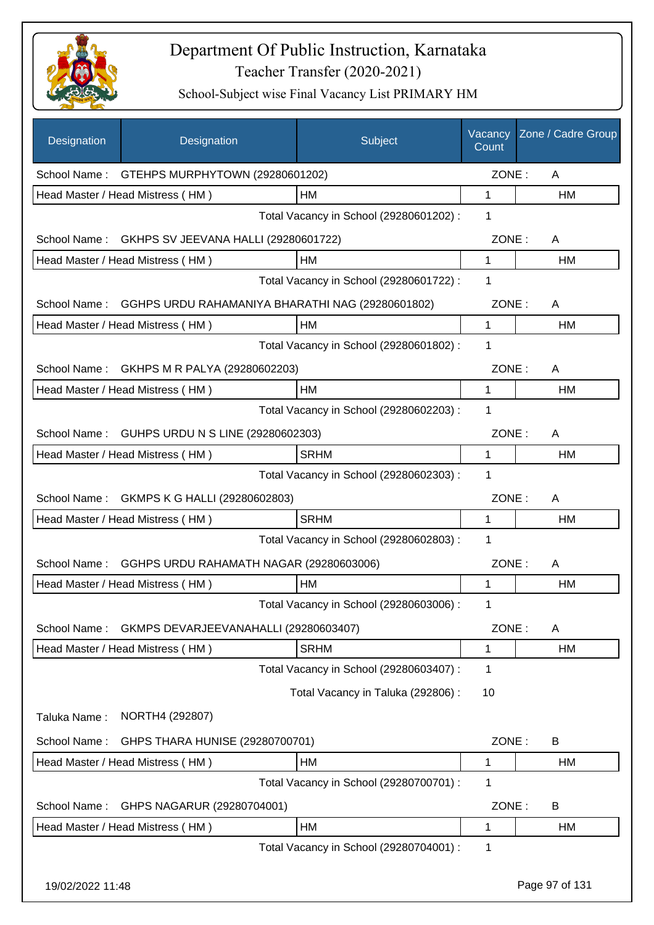

| Designation      | Designation                                       | Subject                                 | Vacancy<br>Count | Zone / Cadre Group |
|------------------|---------------------------------------------------|-----------------------------------------|------------------|--------------------|
| School Name:     | GTEHPS MURPHYTOWN (29280601202)                   |                                         | ZONE:            | A                  |
|                  | Head Master / Head Mistress (HM)                  | HM                                      | 1                | HM                 |
|                  |                                                   | Total Vacancy in School (29280601202) : | 1                |                    |
|                  | School Name: GKHPS SV JEEVANA HALLI (29280601722) |                                         | ZONE:            | A                  |
|                  | Head Master / Head Mistress (HM)                  | HM                                      | 1                | HM                 |
|                  |                                                   | Total Vacancy in School (29280601722) : | 1                |                    |
| School Name:     | GGHPS URDU RAHAMANIYA BHARATHI NAG (29280601802)  |                                         | ZONE:            | A                  |
|                  | Head Master / Head Mistress (HM)                  | HM                                      | $\mathbf{1}$     | HM                 |
|                  |                                                   | Total Vacancy in School (29280601802) : | 1                |                    |
| School Name:     | GKHPS M R PALYA (29280602203)                     |                                         | ZONE:            | A                  |
|                  | Head Master / Head Mistress (HM)                  | HM                                      | $\mathbf{1}$     | <b>HM</b>          |
|                  |                                                   | Total Vacancy in School (29280602203) : | 1                |                    |
| School Name:     | GUHPS URDU N S LINE (29280602303)                 |                                         | ZONE:            | A                  |
|                  | Head Master / Head Mistress (HM)                  | <b>SRHM</b>                             | 1                | HM                 |
|                  |                                                   | Total Vacancy in School (29280602303) : | $\mathbf{1}$     |                    |
| School Name:     | GKMPS K G HALLI (29280602803)                     |                                         | ZONE:            | A                  |
|                  | Head Master / Head Mistress (HM)                  | <b>SRHM</b>                             | 1                | HM                 |
|                  |                                                   | Total Vacancy in School (29280602803) : | 1                |                    |
| School Name:     | GGHPS URDU RAHAMATH NAGAR (29280603006)           |                                         | ZONE:            | A                  |
|                  | Head Master / Head Mistress (HM)                  | HM                                      | 1                | <b>HM</b>          |
|                  |                                                   | Total Vacancy in School (29280603006) : | 1.               |                    |
| School Name:     | GKMPS DEVARJEEVANAHALLI (29280603407)             |                                         | ZONE:            | A                  |
|                  | Head Master / Head Mistress (HM)                  | <b>SRHM</b>                             | 1                | HM                 |
|                  |                                                   | Total Vacancy in School (29280603407) : | 1                |                    |
|                  |                                                   | Total Vacancy in Taluka (292806) :      | 10               |                    |
| Taluka Name:     | NORTH4 (292807)                                   |                                         |                  |                    |
| School Name:     | GHPS THARA HUNISE (29280700701)                   |                                         | ZONE:            | B                  |
|                  | Head Master / Head Mistress (HM)                  | HM                                      | 1                | HM                 |
|                  |                                                   | Total Vacancy in School (29280700701) : | 1                |                    |
| School Name:     | GHPS NAGARUR (29280704001)                        |                                         | ZONE:            | B                  |
|                  | Head Master / Head Mistress (HM)                  | HM                                      | 1                | HM                 |
|                  |                                                   | Total Vacancy in School (29280704001) : | 1                |                    |
| 19/02/2022 11:48 |                                                   |                                         |                  | Page 97 of 131     |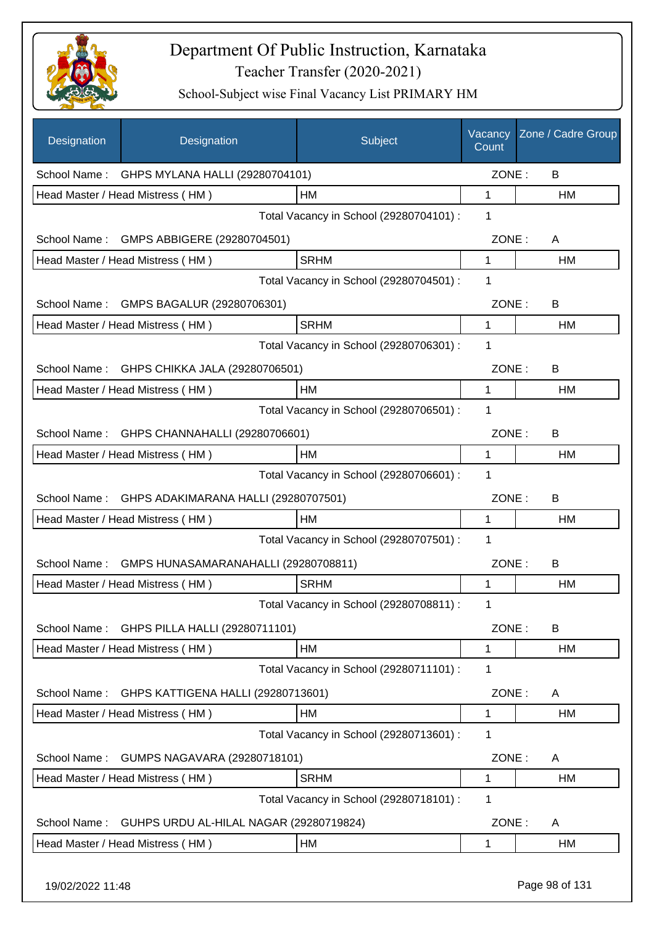

| Designation  | Designation                             | Subject                                 | Vacancy<br>Count | Zone / Cadre Group |
|--------------|-----------------------------------------|-----------------------------------------|------------------|--------------------|
| School Name: | GHPS MYLANA HALLI (29280704101)         |                                         | ZONE:            | B                  |
|              | Head Master / Head Mistress (HM)        | <b>HM</b>                               | 1                | НM                 |
|              |                                         | Total Vacancy in School (29280704101) : | 1                |                    |
| School Name: | GMPS ABBIGERE (29280704501)             |                                         | ZONE:            | A                  |
|              | Head Master / Head Mistress (HM)        | <b>SRHM</b>                             | 1                | НM                 |
|              |                                         | Total Vacancy in School (29280704501) : | 1                |                    |
|              | School Name: GMPS BAGALUR (29280706301) |                                         | ZONE:            | B                  |
|              | Head Master / Head Mistress (HM)        | <b>SRHM</b>                             | 1                | НM                 |
|              |                                         | Total Vacancy in School (29280706301) : | 1                |                    |
| School Name: | GHPS CHIKKA JALA (29280706501)          |                                         | ZONE:            | B                  |
|              | Head Master / Head Mistress (HM)        | HM                                      | 1                | HM                 |
|              |                                         | Total Vacancy in School (29280706501) : | 1                |                    |
| School Name: | GHPS CHANNAHALLI (29280706601)          |                                         | ZONE:            | B                  |
|              | Head Master / Head Mistress (HM)        | HM                                      | 1                | НM                 |
|              |                                         | Total Vacancy in School (29280706601) : | 1                |                    |
| School Name: | GHPS ADAKIMARANA HALLI (29280707501)    |                                         | ZONE:            | B                  |
|              | Head Master / Head Mistress (HM)        | HM                                      | 1                | НM                 |
|              |                                         | Total Vacancy in School (29280707501) : | 1                |                    |
| School Name: | GMPS HUNASAMARANAHALLI (29280708811)    |                                         | ZONE:            | B                  |
|              | Head Master / Head Mistress (HM)        | <b>SRHM</b>                             | 1                | <b>HM</b>          |
|              |                                         | Total Vacancy in School (29280708811) : | 1                |                    |
| School Name: | GHPS PILLA HALLI (29280711101)          |                                         | ZONE:            | B                  |
|              | Head Master / Head Mistress (HM)        | HM                                      | 1                | HM                 |
|              |                                         | Total Vacancy in School (29280711101) : | 1                |                    |
| School Name: | GHPS KATTIGENA HALLI (29280713601)      |                                         | ZONE:            | A                  |
|              | Head Master / Head Mistress (HM)        | HM                                      | 1                | HM                 |
|              |                                         | Total Vacancy in School (29280713601) : | 1                |                    |
| School Name: | GUMPS NAGAVARA (29280718101)            |                                         | ZONE:            | A                  |
|              | Head Master / Head Mistress (HM)        | <b>SRHM</b>                             | 1                | HM                 |
|              |                                         | Total Vacancy in School (29280718101) : | 1                |                    |
| School Name: | GUHPS URDU AL-HILAL NAGAR (29280719824) |                                         | ZONE:            | A                  |
|              | Head Master / Head Mistress (HM)        | HM                                      | 1                | HM                 |
|              |                                         |                                         |                  |                    |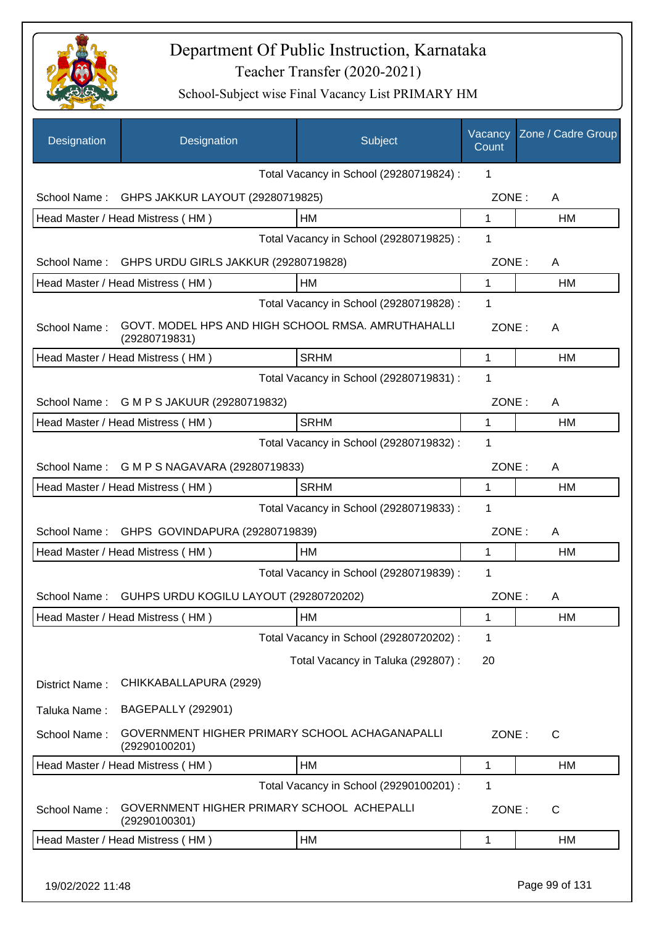

| Designation    | Designation                                                 | Subject                                            | Vacancy<br>Count | Zone / Cadre Group |
|----------------|-------------------------------------------------------------|----------------------------------------------------|------------------|--------------------|
|                |                                                             | Total Vacancy in School (29280719824) :            | 1                |                    |
| School Name:   | GHPS JAKKUR LAYOUT (29280719825)                            |                                                    | ZONE:            | A                  |
|                | Head Master / Head Mistress (HM)                            | HM                                                 | 1                | HM                 |
|                |                                                             | Total Vacancy in School (29280719825) :            | 1                |                    |
| School Name:   | GHPS URDU GIRLS JAKKUR (29280719828)                        |                                                    | ZONE:            | A                  |
|                | Head Master / Head Mistress (HM)                            | НM                                                 | 1                | HM                 |
|                |                                                             | Total Vacancy in School (29280719828) :            | 1                |                    |
| School Name:   | (29280719831)                                               | GOVT. MODEL HPS AND HIGH SCHOOL RMSA. AMRUTHAHALLI | ZONE:            | A                  |
|                | Head Master / Head Mistress (HM)                            | <b>SRHM</b>                                        | 1                | HM                 |
|                |                                                             | Total Vacancy in School (29280719831) :            | 1                |                    |
| School Name:   | G M P S JAKUUR (29280719832)                                |                                                    | ZONE:            | A                  |
|                | Head Master / Head Mistress (HM)                            | <b>SRHM</b>                                        | 1                | <b>HM</b>          |
|                |                                                             | Total Vacancy in School (29280719832) :            | 1                |                    |
| School Name:   | G M P S NAGAVARA (29280719833)                              |                                                    | ZONE:            | A                  |
|                | Head Master / Head Mistress (HM)                            | <b>SRHM</b>                                        | 1                | HM                 |
|                |                                                             | Total Vacancy in School (29280719833) :            | 1                |                    |
| School Name:   | GHPS GOVINDAPURA (29280719839)                              |                                                    | ZONE:            | A                  |
|                | Head Master / Head Mistress (HM)                            | <b>HM</b>                                          | 1                | HM                 |
|                |                                                             | Total Vacancy in School (29280719839) :            | 1                |                    |
| School Name:   | GUHPS URDU KOGILU LAYOUT (29280720202)                      |                                                    | ZONE:            | A                  |
|                | Head Master / Head Mistress (HM)                            | HM                                                 | 1                | HM                 |
|                |                                                             | Total Vacancy in School (29280720202) :            | 1                |                    |
|                |                                                             | Total Vacancy in Taluka (292807) :                 | 20               |                    |
| District Name: | CHIKKABALLAPURA (2929)                                      |                                                    |                  |                    |
| Taluka Name:   | <b>BAGEPALLY (292901)</b>                                   |                                                    |                  |                    |
| School Name:   | (29290100201)                                               | GOVERNMENT HIGHER PRIMARY SCHOOL ACHAGANAPALLI     | ZONE:            | C                  |
|                | Head Master / Head Mistress (HM)                            | HM                                                 | 1                | HM                 |
|                |                                                             | Total Vacancy in School (29290100201) :            | 1                |                    |
| School Name:   | GOVERNMENT HIGHER PRIMARY SCHOOL ACHEPALLI<br>(29290100301) |                                                    | ZONE:            | C                  |
|                | Head Master / Head Mistress (HM)                            | HM                                                 | 1                | НM                 |
|                |                                                             |                                                    |                  |                    |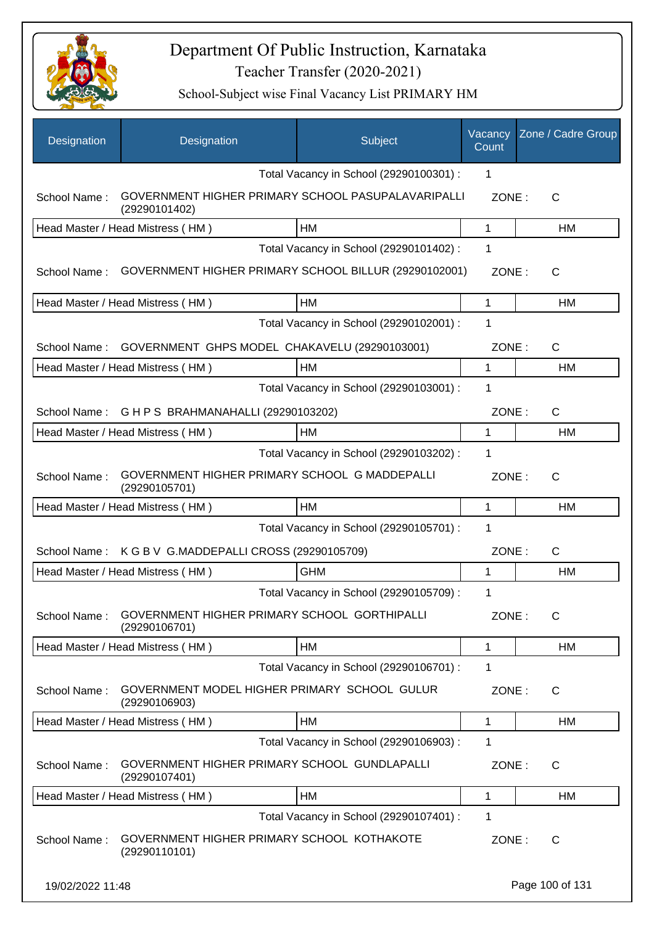

| Designation      | Designation                                                         | Subject                                 | Vacancy<br>Count | Zone / Cadre Group |
|------------------|---------------------------------------------------------------------|-----------------------------------------|------------------|--------------------|
|                  |                                                                     | Total Vacancy in School (29290100301) : | 1                |                    |
| School Name:     | GOVERNMENT HIGHER PRIMARY SCHOOL PASUPALAVARIPALLI<br>(29290101402) |                                         | ZONE:            | C                  |
|                  | Head Master / Head Mistress (HM)                                    | HM                                      | 1                | НM                 |
|                  |                                                                     | Total Vacancy in School (29290101402) : | 1                |                    |
| School Name:     | GOVERNMENT HIGHER PRIMARY SCHOOL BILLUR (29290102001)               |                                         | ZONE:            | C                  |
|                  | Head Master / Head Mistress (HM)                                    | <b>HM</b>                               | 1                | <b>HM</b>          |
|                  |                                                                     | Total Vacancy in School (29290102001) : | 1                |                    |
| School Name:     | GOVERNMENT GHPS MODEL CHAKAVELU (29290103001)                       |                                         | ZONE:            | $\mathsf{C}$       |
|                  | Head Master / Head Mistress (HM)                                    | <b>HM</b>                               | 1                | HM                 |
|                  |                                                                     | Total Vacancy in School (29290103001) : | 1                |                    |
| School Name:     | G H P S BRAHMANAHALLI (29290103202)                                 |                                         | ZONE:            | $\mathsf{C}$       |
|                  | Head Master / Head Mistress (HM)                                    | HM                                      | 1                | НM                 |
|                  |                                                                     | Total Vacancy in School (29290103202) : | 1                |                    |
| School Name:     | GOVERNMENT HIGHER PRIMARY SCHOOL G MADDEPALLI<br>(29290105701)      |                                         | ZONE:            | C                  |
|                  | Head Master / Head Mistress (HM)                                    | <b>HM</b>                               | 1                | <b>HM</b>          |
|                  |                                                                     | Total Vacancy in School (29290105701) : | 1                |                    |
| School Name:     | K G B V G.MADDEPALLI CROSS (29290105709)                            |                                         | ZONE:            | $\mathsf{C}$       |
|                  | Head Master / Head Mistress (HM)                                    | <b>GHM</b>                              | 1                | HM                 |
|                  |                                                                     | Total Vacancy in School (29290105709) : | 1                |                    |
| School Name:     | GOVERNMENT HIGHER PRIMARY SCHOOL GORTHIPALLI<br>(29290106701)       |                                         | ZONE:            | C                  |
|                  | Head Master / Head Mistress (HM)                                    | HM                                      | 1                | HM                 |
|                  |                                                                     | Total Vacancy in School (29290106701) : | 1                |                    |
| School Name:     | GOVERNMENT MODEL HIGHER PRIMARY SCHOOL GULUR<br>(29290106903)       |                                         | ZONE:            | C                  |
|                  | Head Master / Head Mistress (HM)                                    | <b>HM</b>                               | 1                | HM                 |
|                  |                                                                     | Total Vacancy in School (29290106903) : | $\mathbf 1$      |                    |
| School Name:     | GOVERNMENT HIGHER PRIMARY SCHOOL GUNDLAPALLI<br>(29290107401)       |                                         | ZONE:            | $\mathsf{C}$       |
|                  | Head Master / Head Mistress (HM)                                    | HM                                      | 1                | HM                 |
|                  |                                                                     | Total Vacancy in School (29290107401) : | $\mathbf 1$      |                    |
| School Name:     | GOVERNMENT HIGHER PRIMARY SCHOOL KOTHAKOTE<br>(29290110101)         |                                         | ZONE:            | C                  |
| 19/02/2022 11:48 |                                                                     |                                         |                  | Page 100 of 131    |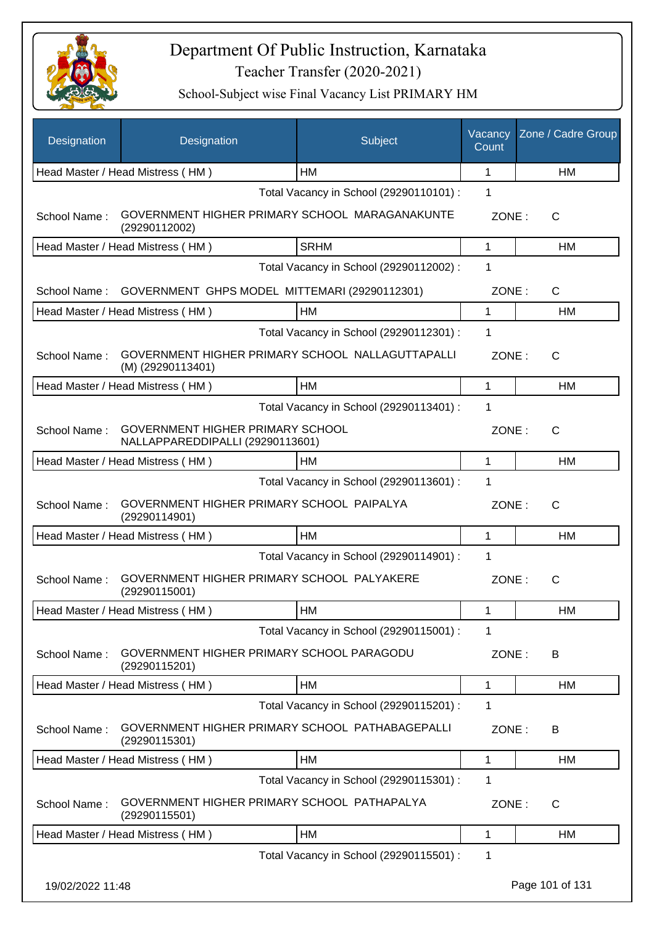

| Designation      | Designation                                                                 | Subject                                 | Vacancy<br>Count | Zone / Cadre Group |
|------------------|-----------------------------------------------------------------------------|-----------------------------------------|------------------|--------------------|
|                  | Head Master / Head Mistress (HM)                                            | HМ                                      | $\mathbf 1$      | HM                 |
|                  |                                                                             | Total Vacancy in School (29290110101) : | 1                |                    |
| School Name:     | GOVERNMENT HIGHER PRIMARY SCHOOL MARAGANAKUNTE<br>(29290112002)             |                                         | ZONE:            | С                  |
|                  | Head Master / Head Mistress (HM)                                            | <b>SRHM</b>                             | 1                | <b>HM</b>          |
|                  |                                                                             | Total Vacancy in School (29290112002) : | 1                |                    |
| School Name:     | GOVERNMENT GHPS MODEL MITTEMARI (29290112301)                               |                                         | ZONE:            | C                  |
|                  | Head Master / Head Mistress (HM)                                            | HM                                      | 1                | <b>HM</b>          |
|                  |                                                                             | Total Vacancy in School (29290112301) : | 1                |                    |
| School Name:     | GOVERNMENT HIGHER PRIMARY SCHOOL NALLAGUTTAPALLI<br>(M) (29290113401)       |                                         | ZONE:            | $\mathsf{C}$       |
|                  | Head Master / Head Mistress (HM)                                            | НM                                      | 1                | HM                 |
|                  |                                                                             | Total Vacancy in School (29290113401) : | 1                |                    |
| School Name:     | <b>GOVERNMENT HIGHER PRIMARY SCHOOL</b><br>NALLAPPAREDDIPALLI (29290113601) |                                         | ZONE:            | $\mathsf{C}$       |
|                  | Head Master / Head Mistress (HM)                                            | HM                                      | 1                | HM                 |
|                  |                                                                             | Total Vacancy in School (29290113601) : | 1                |                    |
| School Name:     | GOVERNMENT HIGHER PRIMARY SCHOOL PAIPALYA<br>(29290114901)                  |                                         | ZONE:            | C                  |
|                  | Head Master / Head Mistress (HM)                                            | <b>HM</b>                               | 1                | HM                 |
|                  |                                                                             | Total Vacancy in School (29290114901) : | 1                |                    |
| School Name:     | GOVERNMENT HIGHER PRIMARY SCHOOL PALYAKERE<br>(29290115001)                 |                                         | ZONE:            | $\mathsf{C}$       |
|                  | Head Master / Head Mistress (HM)                                            | <b>HM</b>                               | 1                | HM                 |
|                  |                                                                             | Total Vacancy in School (29290115001) : | 1                |                    |
| School Name:     | GOVERNMENT HIGHER PRIMARY SCHOOL PARAGODU<br>(29290115201)                  |                                         | ZONE:            | B                  |
|                  | Head Master / Head Mistress (HM)                                            | HM                                      | 1                | НM                 |
|                  |                                                                             | Total Vacancy in School (29290115201) : | 1                |                    |
| School Name:     | GOVERNMENT HIGHER PRIMARY SCHOOL PATHABAGEPALLI<br>(29290115301)            |                                         | ZONE:            | B                  |
|                  | Head Master / Head Mistress (HM)                                            | HM                                      | 1                | НM                 |
|                  |                                                                             | Total Vacancy in School (29290115301) : | 1                |                    |
| School Name:     | GOVERNMENT HIGHER PRIMARY SCHOOL PATHAPALYA<br>(29290115501)                |                                         | ZONE:            | C                  |
|                  | Head Master / Head Mistress (HM)                                            | HM                                      | 1                | <b>HM</b>          |
|                  |                                                                             | Total Vacancy in School (29290115501) : | 1                |                    |
| 19/02/2022 11:48 |                                                                             |                                         |                  | Page 101 of 131    |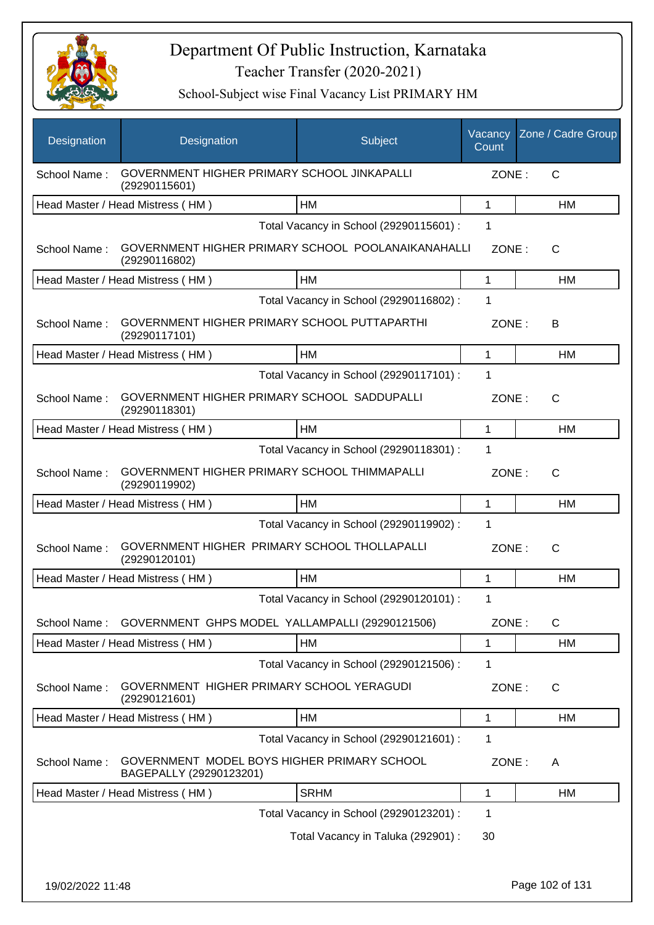

| Designation  | Designation                                                            | Subject                                 | Vacancy<br>Count | Zone / Cadre Group |
|--------------|------------------------------------------------------------------------|-----------------------------------------|------------------|--------------------|
| School Name: | GOVERNMENT HIGHER PRIMARY SCHOOL JINKAPALLI<br>(29290115601)           |                                         | ZONE:            | $\mathsf{C}$       |
|              | Head Master / Head Mistress (HM)                                       | <b>HM</b>                               | 1                | HM                 |
|              |                                                                        | Total Vacancy in School (29290115601) : | 1                |                    |
| School Name: | GOVERNMENT HIGHER PRIMARY SCHOOL POOLANAIKANAHALLI<br>(29290116802)    |                                         | ZONE:            | $\mathsf{C}$       |
|              | Head Master / Head Mistress (HM)                                       | <b>HM</b>                               | 1                | HM                 |
|              |                                                                        | Total Vacancy in School (29290116802) : | 1                |                    |
| School Name: | GOVERNMENT HIGHER PRIMARY SCHOOL PUTTAPARTHI<br>(29290117101)          |                                         | ZONE:            | B                  |
|              | Head Master / Head Mistress (HM)                                       | HM                                      | 1                | HM                 |
|              |                                                                        | Total Vacancy in School (29290117101) : | 1                |                    |
| School Name: | GOVERNMENT HIGHER PRIMARY SCHOOL SADDUPALLI<br>(29290118301)           |                                         | ZONE:            | C                  |
|              | Head Master / Head Mistress (HM)                                       | <b>HM</b>                               | 1                | <b>HM</b>          |
|              |                                                                        | Total Vacancy in School (29290118301) : | 1                |                    |
| School Name: | GOVERNMENT HIGHER PRIMARY SCHOOL THIMMAPALLI<br>(29290119902)          |                                         | ZONE:            | $\mathsf{C}$       |
|              | Head Master / Head Mistress (HM)                                       | <b>HM</b>                               | 1                | <b>HM</b>          |
|              |                                                                        | Total Vacancy in School (29290119902) : | 1                |                    |
| School Name: | GOVERNMENT HIGHER PRIMARY SCHOOL THOLLAPALLI<br>(29290120101)          |                                         | ZONE:            | $\mathsf{C}$       |
|              | Head Master / Head Mistress (HM)                                       | HM                                      | 1                | HM                 |
|              |                                                                        | Total Vacancy in School (29290120101) : | 1                |                    |
| School Name: | GOVERNMENT GHPS MODEL YALLAMPALLI (29290121506)                        |                                         | ZONE:            | $\mathsf{C}$       |
|              | Head Master / Head Mistress (HM)                                       | HM                                      | 1                | HM                 |
|              |                                                                        | Total Vacancy in School (29290121506) : | 1                |                    |
| School Name: | GOVERNMENT HIGHER PRIMARY SCHOOL YERAGUDI<br>(29290121601)             |                                         | ZONE:            | C                  |
|              | Head Master / Head Mistress (HM)                                       | HM                                      | 1                | HM                 |
|              |                                                                        | Total Vacancy in School (29290121601) : | 1                |                    |
| School Name: | GOVERNMENT MODEL BOYS HIGHER PRIMARY SCHOOL<br>BAGEPALLY (29290123201) |                                         | ZONE:            | A                  |
|              | Head Master / Head Mistress (HM)                                       | <b>SRHM</b>                             | 1                | <b>HM</b>          |
|              |                                                                        | Total Vacancy in School (29290123201) : | 1                |                    |
|              |                                                                        | Total Vacancy in Taluka (292901) :      | 30               |                    |
|              |                                                                        |                                         |                  |                    |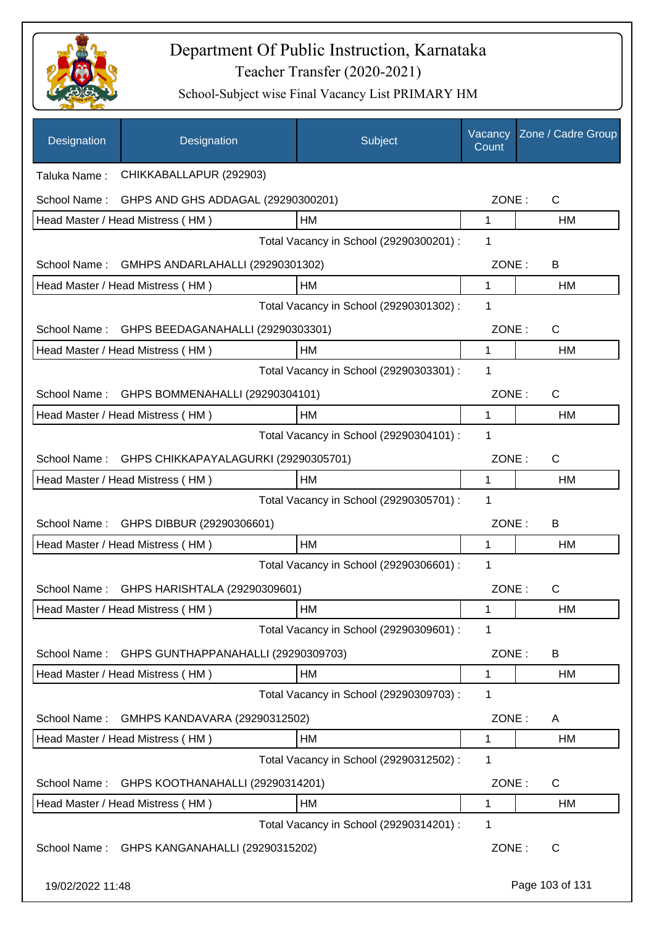

| Designation      | Designation                                    | Subject                                 | Vacancy<br>Count | Zone / Cadre Group |
|------------------|------------------------------------------------|-----------------------------------------|------------------|--------------------|
| Taluka Name:     | CHIKKABALLAPUR (292903)                        |                                         |                  |                    |
| School Name:     | GHPS AND GHS ADDAGAL (29290300201)             |                                         | ZONE:            | $\mathsf{C}$       |
|                  | Head Master / Head Mistress (HM)               | <b>HM</b>                               | 1                | HM                 |
|                  |                                                | Total Vacancy in School (29290300201) : | 1                |                    |
| School Name:     | GMHPS ANDARLAHALLI (29290301302)               |                                         | ZONE:            | B                  |
|                  | Head Master / Head Mistress (HM)               | HM                                      | 1                | HM                 |
|                  |                                                | Total Vacancy in School (29290301302) : | 1                |                    |
|                  | School Name: GHPS BEEDAGANAHALLI (29290303301) |                                         | ZONE:            | $\mathsf{C}$       |
|                  | Head Master / Head Mistress (HM)               | HM                                      | 1                | <b>HM</b>          |
|                  |                                                | Total Vacancy in School (29290303301) : | 1                |                    |
|                  | School Name: GHPS BOMMENAHALLI (29290304101)   |                                         | ZONE:            | $\mathsf{C}$       |
|                  | Head Master / Head Mistress (HM)               | <b>HM</b>                               | 1                | <b>HM</b>          |
|                  |                                                | Total Vacancy in School (29290304101) : | 1                |                    |
| School Name:     | GHPS CHIKKAPAYALAGURKI (29290305701)           |                                         | ZONE:            | $\mathsf{C}$       |
|                  | Head Master / Head Mistress (HM)               | HM                                      | $\mathbf{1}$     | HM                 |
|                  |                                                | Total Vacancy in School (29290305701) : | 1                |                    |
| School Name:     | GHPS DIBBUR (29290306601)                      |                                         | ZONE:            | B                  |
|                  | Head Master / Head Mistress (HM)               | HM                                      | 1                | HM                 |
|                  |                                                | Total Vacancy in School (29290306601) : | 1                |                    |
| School Name:     | GHPS HARISHTALA (29290309601)                  |                                         | ZONE:            | C                  |
|                  | Head Master / Head Mistress (HM)               | <b>HM</b>                               | 1                | HM                 |
|                  |                                                | Total Vacancy in School (29290309601) : | 1                |                    |
| School Name:     | GHPS GUNTHAPPANAHALLI (29290309703)            |                                         | ZONE:            | B                  |
|                  | Head Master / Head Mistress (HM)               | HM                                      | 1                | HM                 |
|                  |                                                | Total Vacancy in School (29290309703) : | 1                |                    |
| School Name:     | GMHPS KANDAVARA (29290312502)                  |                                         | ZONE:            | A                  |
|                  | Head Master / Head Mistress (HM)               | HM                                      | 1                | <b>HM</b>          |
|                  |                                                | Total Vacancy in School (29290312502) : | 1                |                    |
| School Name:     | GHPS KOOTHANAHALLI (29290314201)               |                                         | ZONE:            | C                  |
|                  | Head Master / Head Mistress (HM)               | НM                                      | 1                | <b>HM</b>          |
|                  |                                                | Total Vacancy in School (29290314201) : | 1                |                    |
| School Name:     | GHPS KANGANAHALLI (29290315202)                |                                         | ZONE:            | $\mathsf{C}$       |
| 19/02/2022 11:48 |                                                |                                         |                  | Page 103 of 131    |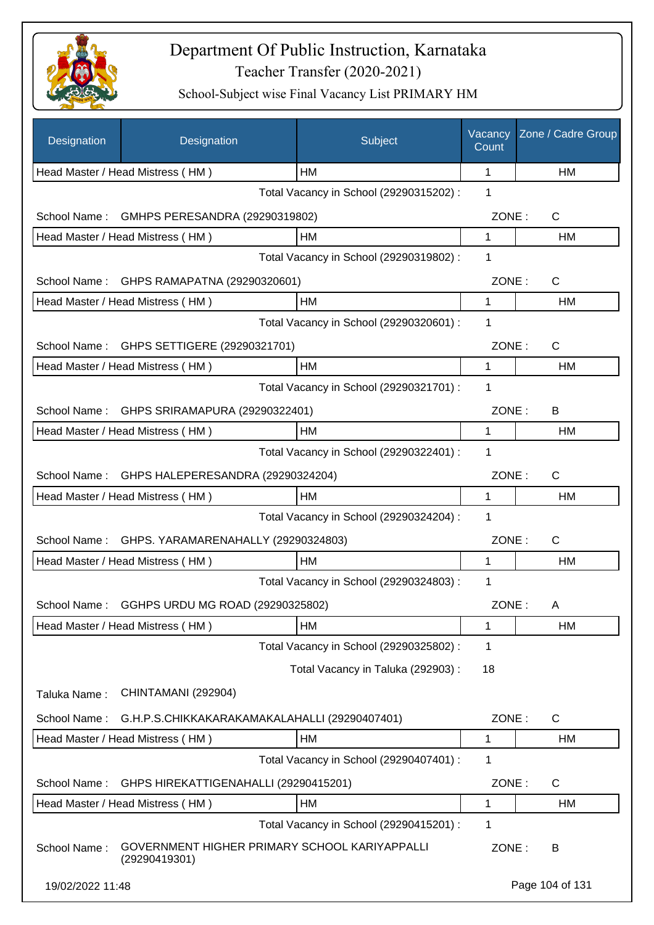

| <b>Designation</b> | Designation                                                    | Subject                                 | Vacancy<br>Count | Zone / Cadre Group |
|--------------------|----------------------------------------------------------------|-----------------------------------------|------------------|--------------------|
|                    | Head Master / Head Mistress (HM)                               | HМ                                      | 1                | НM                 |
|                    |                                                                | Total Vacancy in School (29290315202) : | 1                |                    |
| School Name:       | GMHPS PERESANDRA (29290319802)                                 |                                         | ZONE:            | $\mathsf{C}$       |
|                    | Head Master / Head Mistress (HM)                               | HM                                      | 1                | НM                 |
|                    |                                                                | Total Vacancy in School (29290319802) : | 1                |                    |
|                    | School Name: GHPS RAMAPATNA (29290320601)                      |                                         | ZONE:            | $\mathsf{C}$       |
|                    | Head Master / Head Mistress (HM)                               | <b>HM</b>                               | $\mathbf{1}$     | HM                 |
|                    |                                                                | Total Vacancy in School (29290320601) : | 1                |                    |
|                    | School Name: GHPS SETTIGERE (29290321701)                      |                                         | ZONE:            | C                  |
|                    | Head Master / Head Mistress (HM)                               | <b>HM</b>                               | 1                | <b>HM</b>          |
|                    |                                                                | Total Vacancy in School (29290321701) : | 1                |                    |
|                    | School Name: GHPS SRIRAMAPURA (29290322401)                    |                                         | ZONE:            | B                  |
|                    | Head Master / Head Mistress (HM)                               | HM                                      | 1                | HM                 |
|                    |                                                                | Total Vacancy in School (29290322401) : | 1                |                    |
|                    | School Name: GHPS HALEPERESANDRA (29290324204)                 |                                         | ZONE:            | $\mathsf{C}$       |
|                    | Head Master / Head Mistress (HM)                               | HM                                      | 1                | HM                 |
|                    |                                                                | Total Vacancy in School (29290324204) : | 1                |                    |
| School Name:       | GHPS. YARAMARENAHALLY (29290324803)                            |                                         | ZONE:            | $\mathsf{C}$       |
|                    | Head Master / Head Mistress (HM)                               | HM                                      | 1                | HM                 |
|                    |                                                                | Total Vacancy in School (29290324803) : | 1                |                    |
| School Name:       | GGHPS URDU MG ROAD (29290325802)                               |                                         | ZONE:            | A                  |
|                    | Head Master / Head Mistress (HM)                               | HM                                      | 1                | HM                 |
|                    |                                                                | Total Vacancy in School (29290325802) : | 1                |                    |
|                    |                                                                | Total Vacancy in Taluka (292903):       | 18               |                    |
| Taluka Name:       | CHINTAMANI (292904)                                            |                                         |                  |                    |
| School Name:       | G.H.P.S.CHIKKAKARAKAMAKALAHALLI (29290407401)                  |                                         | ZONE:            | $\mathsf{C}$       |
|                    | Head Master / Head Mistress (HM)                               | НM                                      | 1                | HM                 |
|                    |                                                                | Total Vacancy in School (29290407401) : | 1                |                    |
| School Name:       | GHPS HIREKATTIGENAHALLI (29290415201)                          |                                         | ZONE:            | $\mathsf{C}$       |
|                    | Head Master / Head Mistress (HM)                               | HM                                      | 1                | HM                 |
|                    |                                                                | Total Vacancy in School (29290415201) : | 1                |                    |
| School Name:       | GOVERNMENT HIGHER PRIMARY SCHOOL KARIYAPPALLI<br>(29290419301) |                                         | ZONE:            | B                  |
| 19/02/2022 11:48   |                                                                |                                         |                  | Page 104 of 131    |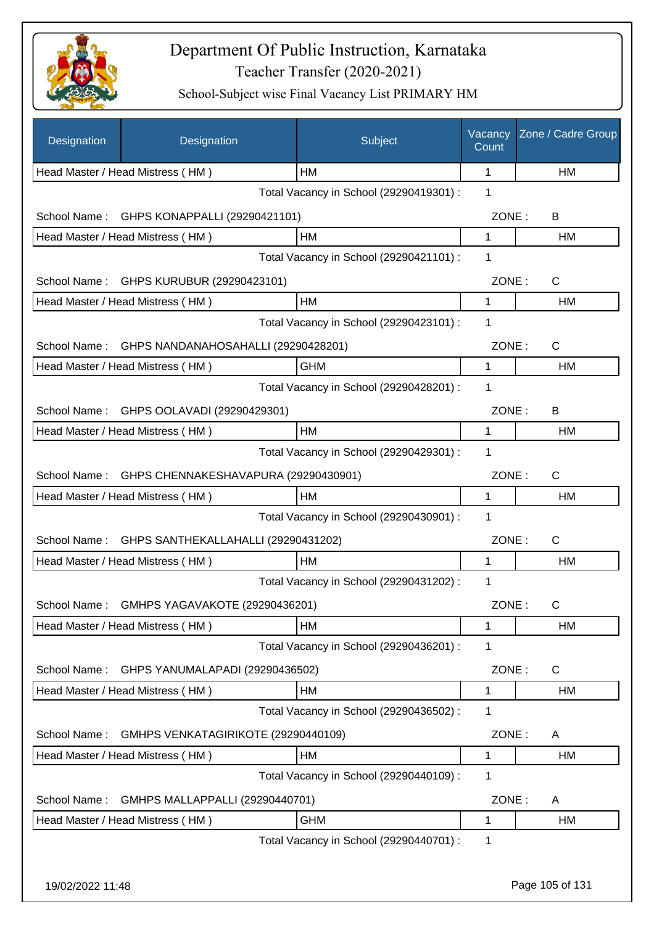

| Designation      | Designation                              | Subject                                 | Vacancy<br>Count | Zone / Cadre Group |
|------------------|------------------------------------------|-----------------------------------------|------------------|--------------------|
|                  | Head Master / Head Mistress (HM)         | HМ                                      | 1                | HM                 |
|                  |                                          | Total Vacancy in School (29290419301) : | 1                |                    |
| School Name:     | GHPS KONAPPALLI (29290421101)            |                                         | ZONE:            | B                  |
|                  | Head Master / Head Mistress (HM)         | HM                                      | 1                | НM                 |
|                  |                                          | Total Vacancy in School (29290421101) : | 1                |                    |
| School Name:     | GHPS KURUBUR (29290423101)               |                                         | ZONE:            | $\mathsf{C}$       |
|                  | Head Master / Head Mistress (HM)         | HM                                      | 1                | <b>HM</b>          |
|                  |                                          | Total Vacancy in School (29290423101) : | 1                |                    |
| School Name:     | GHPS NANDANAHOSAHALLI (29290428201)      |                                         | ZONE:            | C                  |
|                  | Head Master / Head Mistress (HM)         | <b>GHM</b>                              | $\mathbf{1}$     | HM                 |
|                  |                                          | Total Vacancy in School (29290428201) : | 1                |                    |
|                  | School Name: GHPS OOLAVADI (29290429301) |                                         | ZONE:            | B                  |
|                  | Head Master / Head Mistress (HM)         | HM                                      | 1                | HM                 |
|                  |                                          | Total Vacancy in School (29290429301) : | $\mathbf 1$      |                    |
| School Name:     | GHPS CHENNAKESHAVAPURA (29290430901)     |                                         | ZONE:            | C                  |
|                  | Head Master / Head Mistress (HM)         | HM                                      | 1                | HM                 |
|                  |                                          | Total Vacancy in School (29290430901) : | 1                |                    |
| School Name:     | GHPS SANTHEKALLAHALLI (29290431202)      |                                         | ZONE:            | C                  |
|                  | Head Master / Head Mistress (HM)         | HМ                                      | 1                | НM                 |
|                  |                                          | Total Vacancy in School (29290431202) : | 1                |                    |
| School Name:     | GMHPS YAGAVAKOTE (29290436201)           |                                         | ZONE:            | С                  |
|                  | Head Master / Head Mistress (HM)         | HМ                                      | 1                | HM                 |
|                  |                                          | Total Vacancy in School (29290436201) : | 1                |                    |
| School Name:     | GHPS YANUMALAPADI (29290436502)          |                                         | ZONE:            | C                  |
|                  | Head Master / Head Mistress (HM)         | HM                                      | 1                | HM                 |
|                  |                                          | Total Vacancy in School (29290436502) : | 1                |                    |
| School Name:     | GMHPS VENKATAGIRIKOTE (29290440109)      |                                         | ZONE:            | Α                  |
|                  | Head Master / Head Mistress (HM)         | HM                                      | 1                | HM                 |
|                  |                                          | Total Vacancy in School (29290440109) : | 1                |                    |
| School Name:     | GMHPS MALLAPPALLI (29290440701)          |                                         | ZONE:            | A                  |
|                  | Head Master / Head Mistress (HM)         | <b>GHM</b>                              | 1                | HM                 |
|                  |                                          | Total Vacancy in School (29290440701) : | 1                |                    |
|                  |                                          |                                         |                  |                    |
| 19/02/2022 11:48 |                                          |                                         |                  | Page 105 of 131    |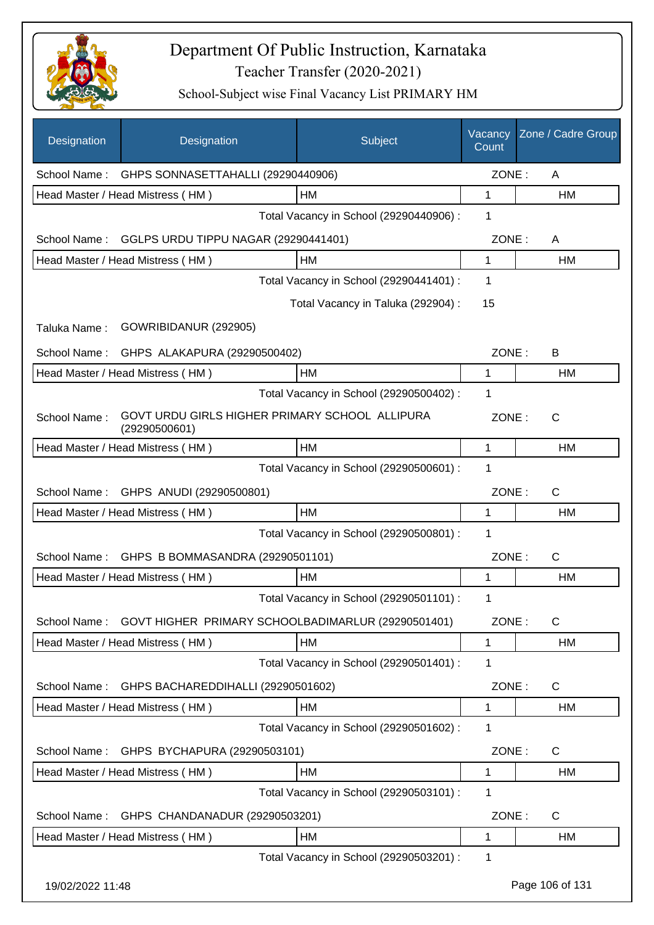

| <b>Designation</b> | Designation                                                     | Subject                                 | Vacancy<br>Count | Zone / Cadre Group |
|--------------------|-----------------------------------------------------------------|-----------------------------------------|------------------|--------------------|
|                    | School Name: GHPS SONNASETTAHALLI (29290440906)                 |                                         | ZONE:            | A                  |
|                    | Head Master / Head Mistress (HM)                                | НM                                      | 1                | HM                 |
|                    |                                                                 | Total Vacancy in School (29290440906) : | 1                |                    |
| School Name:       | GGLPS URDU TIPPU NAGAR (29290441401)                            |                                         | ZONE:            | A                  |
|                    | Head Master / Head Mistress (HM)                                | HM                                      | 1                | <b>HM</b>          |
|                    |                                                                 | Total Vacancy in School (29290441401) : | 1                |                    |
|                    |                                                                 | Total Vacancy in Taluka (292904) :      | 15               |                    |
| Taluka Name:       | GOWRIBIDANUR (292905)                                           |                                         |                  |                    |
| School Name:       | GHPS ALAKAPURA (29290500402)                                    |                                         | ZONE:            | B                  |
|                    | Head Master / Head Mistress (HM)                                | НM                                      | 1                | HM                 |
|                    |                                                                 | Total Vacancy in School (29290500402) : | 1                |                    |
| School Name:       | GOVT URDU GIRLS HIGHER PRIMARY SCHOOL ALLIPURA<br>(29290500601) |                                         | ZONE:            | $\mathsf{C}$       |
|                    | Head Master / Head Mistress (HM)                                | HM                                      | 1                | HM                 |
|                    |                                                                 | Total Vacancy in School (29290500601) : | 1                |                    |
| School Name:       | GHPS ANUDI (29290500801)                                        |                                         | ZONE:            | $\mathsf{C}$       |
|                    | Head Master / Head Mistress (HM)                                | HM                                      | 1                | HM                 |
|                    |                                                                 | Total Vacancy in School (29290500801) : | 1                |                    |
|                    | School Name: GHPS B BOMMASANDRA (29290501101)                   |                                         | ZONE:            | $\mathsf{C}$       |
|                    | Head Master / Head Mistress (HM)                                | HM                                      | 1                | HM                 |
|                    |                                                                 | Total Vacancy in School (29290501101) : | 1                |                    |
| School Name:       | GOVT HIGHER PRIMARY SCHOOLBADIMARLUR (29290501401)              |                                         | ZONE:            | $\mathsf{C}$       |
|                    | Head Master / Head Mistress (HM)                                | HM                                      | 1                | <b>HM</b>          |
|                    |                                                                 | Total Vacancy in School (29290501401) : | 1                |                    |
| School Name:       | GHPS BACHAREDDIHALLI (29290501602)                              |                                         | ZONE:            | C                  |
|                    | Head Master / Head Mistress (HM)                                | HM                                      | 1                | HM                 |
|                    |                                                                 | Total Vacancy in School (29290501602):  | 1                |                    |
| School Name:       | GHPS BYCHAPURA (29290503101)                                    |                                         | ZONE:            | C                  |
|                    | Head Master / Head Mistress (HM)                                | HM                                      | 1                | HM                 |
|                    |                                                                 | Total Vacancy in School (29290503101) : | 1                |                    |
| School Name:       | GHPS CHANDANADUR (29290503201)                                  |                                         | ZONE:            | C                  |
|                    | Head Master / Head Mistress (HM)                                | HM                                      | 1                | HM                 |
|                    |                                                                 | Total Vacancy in School (29290503201) : | 1                |                    |
| 19/02/2022 11:48   |                                                                 |                                         |                  | Page 106 of 131    |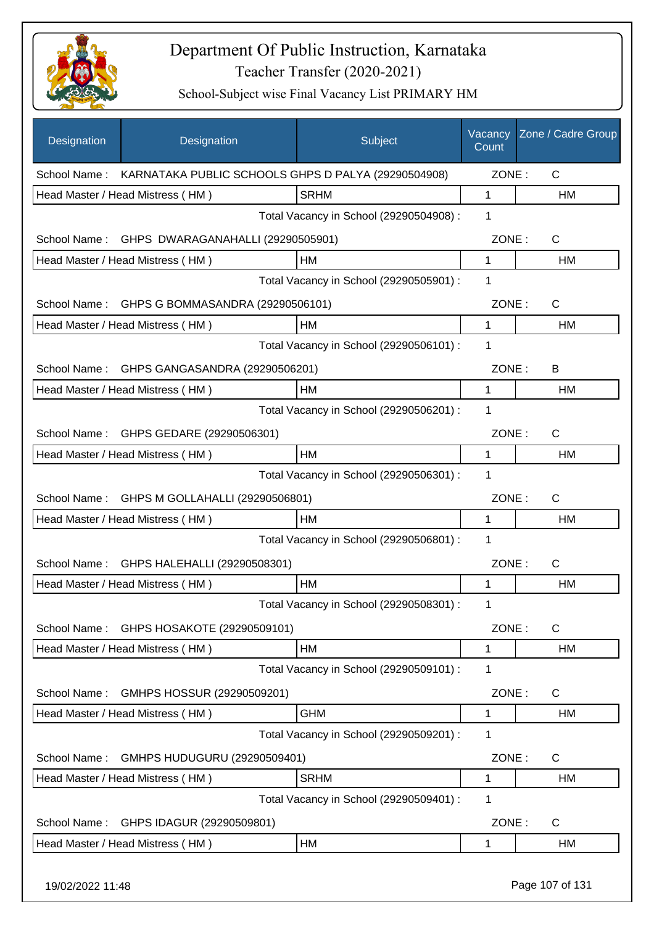

| <b>Designation</b> | Designation                                                      | Subject                                 | Vacancy<br>Count | Zone / Cadre Group |
|--------------------|------------------------------------------------------------------|-----------------------------------------|------------------|--------------------|
|                    | School Name: KARNATAKA PUBLIC SCHOOLS GHPS D PALYA (29290504908) |                                         | ZONE:            | C                  |
|                    | Head Master / Head Mistress (HM)                                 | <b>SRHM</b>                             | 1                | <b>HM</b>          |
|                    |                                                                  | Total Vacancy in School (29290504908) : | 1                |                    |
| School Name:       | GHPS DWARAGANAHALLI (29290505901)                                |                                         | ZONE:            | $\mathsf{C}$       |
|                    | Head Master / Head Mistress (HM)                                 | HM                                      | 1                | HM                 |
|                    |                                                                  | Total Vacancy in School (29290505901) : | 1                |                    |
| School Name:       | GHPS G BOMMASANDRA (29290506101)                                 |                                         | ZONE:            | C                  |
|                    | Head Master / Head Mistress (HM)                                 | HM                                      | $\mathbf{1}$     | HM                 |
|                    |                                                                  | Total Vacancy in School (29290506101) : | 1                |                    |
| School Name:       | GHPS GANGASANDRA (29290506201)                                   |                                         | ZONE:            | B                  |
|                    | Head Master / Head Mistress (HM)                                 | HM                                      | 1                | HM                 |
|                    |                                                                  | Total Vacancy in School (29290506201) : | 1                |                    |
| School Name:       | GHPS GEDARE (29290506301)                                        |                                         | ZONE:            | $\mathsf{C}$       |
|                    | Head Master / Head Mistress (HM)                                 | HM                                      | 1                | HM                 |
|                    |                                                                  | Total Vacancy in School (29290506301) : | 1                |                    |
| School Name:       | GHPS M GOLLAHALLI (29290506801)                                  |                                         | ZONE:            | C                  |
|                    | Head Master / Head Mistress (HM)                                 | HM                                      | 1                | <b>HM</b>          |
|                    |                                                                  | Total Vacancy in School (29290506801) : | 1                |                    |
| School Name:       | GHPS HALEHALLI (29290508301)                                     |                                         | ZONE:            | $\mathsf{C}$       |
|                    | Head Master / Head Mistress (HM)                                 | HM                                      | 1                | <b>HM</b>          |
|                    |                                                                  | Total Vacancy in School (29290508301) : | 1                |                    |
| School Name:       | GHPS HOSAKOTE (29290509101)                                      |                                         | ZONE:            | C                  |
|                    | Head Master / Head Mistress (HM)                                 | HM                                      | 1                | HM                 |
|                    |                                                                  | Total Vacancy in School (29290509101) : | 1                |                    |
| School Name:       | GMHPS HOSSUR (29290509201)                                       |                                         | ZONE:            | C                  |
|                    | Head Master / Head Mistress (HM)                                 | <b>GHM</b>                              | 1                | HM                 |
|                    |                                                                  | Total Vacancy in School (29290509201) : | 1                |                    |
| School Name:       | GMHPS HUDUGURU (29290509401)                                     |                                         | ZONE:            | C                  |
|                    | Head Master / Head Mistress (HM)                                 | <b>SRHM</b>                             | 1                | HM                 |
|                    |                                                                  | Total Vacancy in School (29290509401) : | 1                |                    |
| School Name:       | GHPS IDAGUR (29290509801)                                        |                                         | ZONE:            | C                  |
|                    | Head Master / Head Mistress (HM)                                 | HM                                      | 1                | HM                 |
|                    |                                                                  |                                         |                  |                    |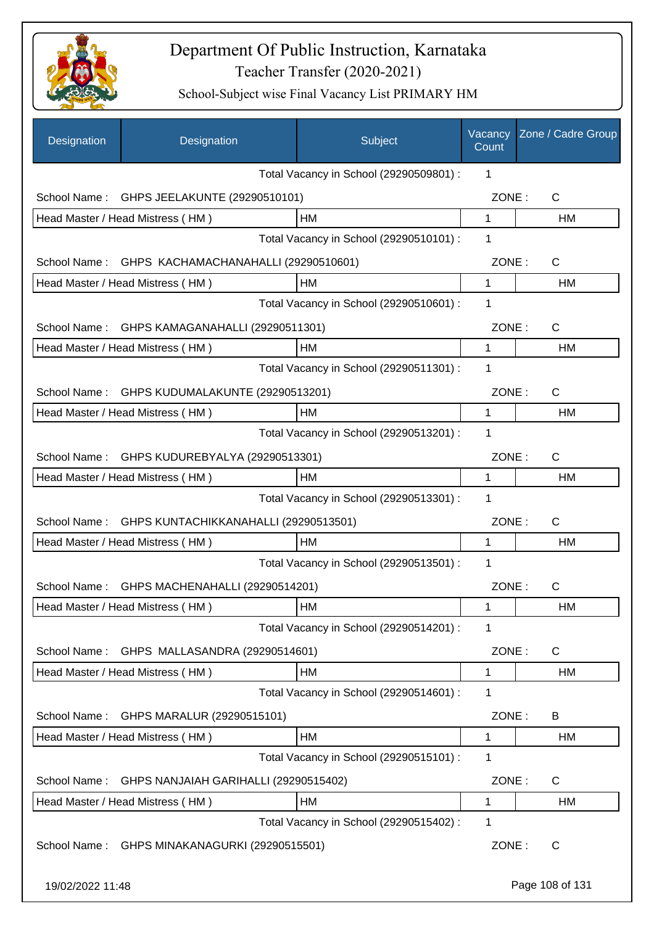

| Designation                                  | Designation                                  | Subject                                 | Vacancy<br>Count | Zone / Cadre Group |
|----------------------------------------------|----------------------------------------------|-----------------------------------------|------------------|--------------------|
|                                              |                                              | Total Vacancy in School (29290509801) : | 1                |                    |
| School Name:                                 | GHPS JEELAKUNTE (29290510101)                |                                         | ZONE:            | C                  |
|                                              | Head Master / Head Mistress (HM)             | <b>HM</b>                               | $\mathbf 1$      | HM                 |
|                                              |                                              | Total Vacancy in School (29290510101) : | 1                |                    |
| School Name:                                 | GHPS KACHAMACHANAHALLI (29290510601)         |                                         | ZONE:            | C                  |
|                                              | Head Master / Head Mistress (HM)             | HM                                      | 1                | <b>HM</b>          |
|                                              |                                              | Total Vacancy in School (29290510601) : | 1                |                    |
| School Name:                                 | GHPS KAMAGANAHALLI (29290511301)             |                                         | ZONE:            | $\mathsf{C}$       |
|                                              | Head Master / Head Mistress (HM)             | HM                                      | 1                | HM                 |
|                                              |                                              | Total Vacancy in School (29290511301) : | 1                |                    |
| School Name:                                 | GHPS KUDUMALAKUNTE (29290513201)             |                                         | ZONE:            | $\mathsf{C}$       |
|                                              | Head Master / Head Mistress (HM)             | HM                                      | 1                | HM                 |
|                                              |                                              | Total Vacancy in School (29290513201) : | 1                |                    |
|                                              | School Name: GHPS KUDUREBYALYA (29290513301) |                                         | ZONE:            | C                  |
|                                              | Head Master / Head Mistress (HM)             | HM                                      | 1                | <b>HM</b>          |
| 1<br>Total Vacancy in School (29290513301) : |                                              |                                         |                  |                    |
| School Name:                                 | GHPS KUNTACHIKKANAHALLI (29290513501)        |                                         | ZONE:            | $\mathsf{C}$       |
|                                              | Head Master / Head Mistress (HM)             | HМ                                      | 1                | HM                 |
|                                              |                                              | Total Vacancy in School (29290513501) : | 1                |                    |
|                                              | School Name: GHPS MACHENAHALLI (29290514201) |                                         | ZONE:            | C                  |
|                                              | Head Master / Head Mistress (HM)             | HM                                      | 1                | HM                 |
|                                              |                                              | Total Vacancy in School (29290514201) : | 1                |                    |
| School Name:                                 | GHPS MALLASANDRA (29290514601)               |                                         | ZONE:            | C                  |
|                                              | Head Master / Head Mistress (HM)             | <b>HM</b>                               | 1                | HM                 |
|                                              |                                              | Total Vacancy in School (29290514601) : | 1                |                    |
| School Name:                                 | GHPS MARALUR (29290515101)                   |                                         | ZONE:            | B                  |
|                                              | Head Master / Head Mistress (HM)             | HM                                      | 1                | HM                 |
|                                              |                                              | Total Vacancy in School (29290515101) : | 1                |                    |
| School Name:                                 | GHPS NANJAIAH GARIHALLI (29290515402)        |                                         | ZONE:            | C                  |
|                                              | Head Master / Head Mistress (HM)             | HM                                      | 1                | HM                 |
|                                              |                                              | Total Vacancy in School (29290515402) : | 1                |                    |
| School Name:                                 | GHPS MINAKANAGURKI (29290515501)             |                                         | ZONE:            | C                  |
| 19/02/2022 11:48                             |                                              |                                         |                  | Page 108 of 131    |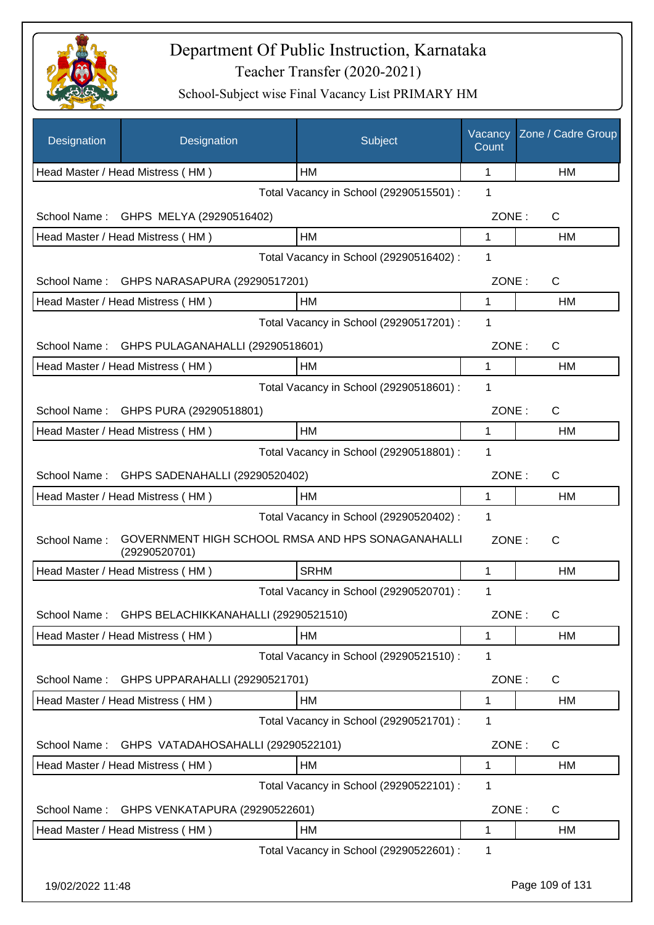

| Designation      | Designation                                   | Subject                                           | Vacancy<br>Count | Zone / Cadre Group |
|------------------|-----------------------------------------------|---------------------------------------------------|------------------|--------------------|
|                  | Head Master / Head Mistress (HM)              | HМ                                                | 1                | HM                 |
|                  |                                               | Total Vacancy in School (29290515501) :           | 1                |                    |
|                  | School Name: GHPS MELYA (29290516402)         |                                                   | ZONE:            | C                  |
|                  | Head Master / Head Mistress (HM)              | <b>HM</b>                                         | 1                | HM                 |
|                  |                                               | Total Vacancy in School (29290516402) :           | 1                |                    |
|                  | School Name: GHPS NARASAPURA (29290517201)    |                                                   | ZONE:            | $\mathsf{C}$       |
|                  | Head Master / Head Mistress (HM)              | HM                                                | 1                | HM                 |
|                  |                                               | Total Vacancy in School (29290517201) :           | 1                |                    |
|                  | School Name: GHPS PULAGANAHALLI (29290518601) |                                                   | ZONE:            | $\mathsf{C}$       |
|                  | Head Master / Head Mistress (HM)              | HM                                                | 1                | HM                 |
|                  |                                               | Total Vacancy in School (29290518601) :           | 1                |                    |
| School Name:     | GHPS PURA (29290518801)                       |                                                   | ZONE:            | $\mathsf{C}$       |
|                  | Head Master / Head Mistress (HM)              | HM                                                | 1                | <b>HM</b>          |
|                  |                                               | Total Vacancy in School (29290518801) :           | 1                |                    |
| School Name:     | GHPS SADENAHALLI (29290520402)                |                                                   | ZONE:            | C                  |
|                  | Head Master / Head Mistress (HM)              | <b>HM</b>                                         | 1                | HM                 |
|                  |                                               | Total Vacancy in School (29290520402) :           | 1                |                    |
| School Name:     | (29290520701)                                 | GOVERNMENT HIGH SCHOOL RMSA AND HPS SONAGANAHALLI | ZONE:            | $\mathsf{C}$       |
|                  | Head Master / Head Mistress (HM)              | <b>SRHM</b>                                       | 1                | HM                 |
|                  |                                               | Total Vacancy in School (29290520701) :           | 1                |                    |
| School Name:     | GHPS BELACHIKKANAHALLI (29290521510)          |                                                   | ZONE:            | C                  |
|                  | Head Master / Head Mistress (HM)              | <b>HM</b>                                         | 1                | HM                 |
|                  |                                               | Total Vacancy in School (29290521510) :           | 1                |                    |
| School Name:     | GHPS UPPARAHALLI (29290521701)                |                                                   | ZONE:            | C                  |
|                  | Head Master / Head Mistress (HM)              | HM                                                | 1                | HM                 |
|                  |                                               | Total Vacancy in School (29290521701) :           | 1                |                    |
| School Name:     | GHPS VATADAHOSAHALLI (29290522101)            |                                                   | ZONE:            | C                  |
|                  | Head Master / Head Mistress (HM)              | HM                                                | 1                | HM                 |
|                  |                                               | Total Vacancy in School (29290522101) :           | 1                |                    |
| School Name:     | GHPS VENKATAPURA (29290522601)                |                                                   | ZONE:            | C                  |
|                  | Head Master / Head Mistress (HM)              | HM                                                | 1                | HM                 |
|                  |                                               | Total Vacancy in School (29290522601) :           | 1                |                    |
| 19/02/2022 11:48 |                                               |                                                   |                  | Page 109 of 131    |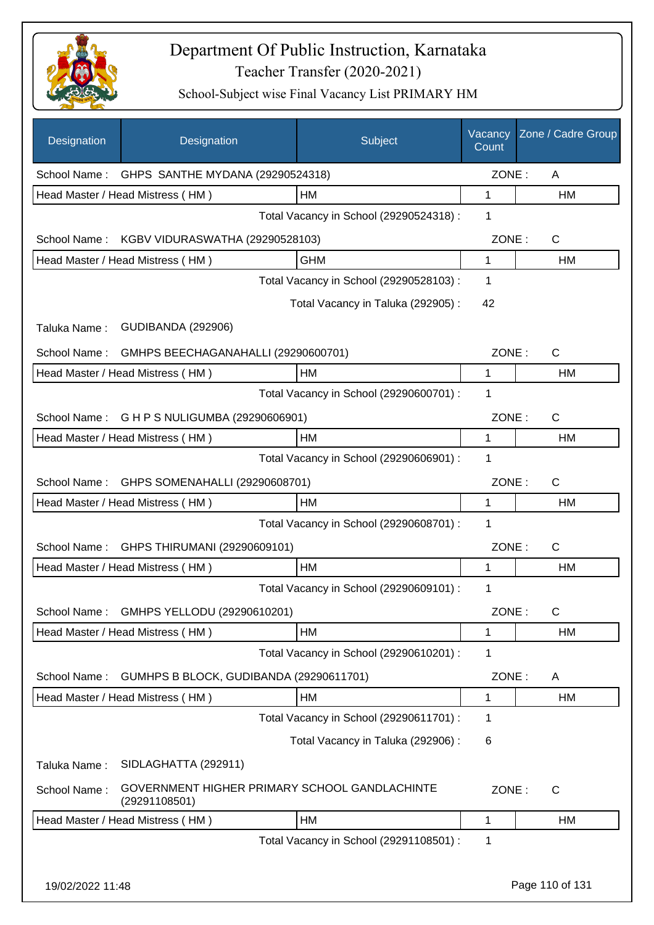

| Designation      | Designation                                                    | Subject                                 | Vacancy<br>Count | Zone / Cadre Group |
|------------------|----------------------------------------------------------------|-----------------------------------------|------------------|--------------------|
|                  | School Name: GHPS SANTHE MYDANA (29290524318)                  |                                         | ZONE:            | A                  |
|                  | Head Master / Head Mistress (HM)                               | HM                                      | $\mathbf 1$      | HM                 |
|                  |                                                                | Total Vacancy in School (29290524318) : | 1                |                    |
|                  | School Name: KGBV VIDURASWATHA (29290528103)                   |                                         | ZONE:            | $\mathsf{C}$       |
|                  | Head Master / Head Mistress (HM)                               | <b>GHM</b>                              | $\mathbf{1}$     | <b>HM</b>          |
|                  |                                                                | Total Vacancy in School (29290528103) : | 1                |                    |
|                  |                                                                | Total Vacancy in Taluka (292905):       | 42               |                    |
| Taluka Name:     | <b>GUDIBANDA (292906)</b>                                      |                                         |                  |                    |
| School Name:     | GMHPS BEECHAGANAHALLI (29290600701)                            |                                         | ZONE:            | $\mathsf{C}$       |
|                  | Head Master / Head Mistress (HM)                               | HM                                      | 1                | HM                 |
|                  |                                                                | Total Vacancy in School (29290600701) : | 1                |                    |
|                  | School Name: G H P S NULIGUMBA (29290606901)                   |                                         | ZONE:            | $\mathsf{C}$       |
|                  | Head Master / Head Mistress (HM)                               | <b>HM</b>                               | 1                | <b>HM</b>          |
|                  |                                                                | Total Vacancy in School (29290606901) : | 1                |                    |
| School Name:     | GHPS SOMENAHALLI (29290608701)                                 |                                         | ZONE:            | $\mathsf{C}$       |
|                  | Head Master / Head Mistress (HM)                               | <b>HM</b>                               | 1                | <b>HM</b>          |
|                  |                                                                | Total Vacancy in School (29290608701) : | 1                |                    |
| School Name:     | GHPS THIRUMANI (29290609101)                                   |                                         | ZONE:            | $\mathsf{C}$       |
|                  | Head Master / Head Mistress (HM)                               | <b>HM</b>                               | 1                | HM                 |
|                  |                                                                | Total Vacancy in School (29290609101) : | 1                |                    |
| School Name:     | GMHPS YELLODU (29290610201)                                    |                                         | ZONE:            | $\mathsf C$        |
|                  | Head Master / Head Mistress (HM)                               | HM                                      | 1                | HM                 |
|                  |                                                                | Total Vacancy in School (29290610201) : | 1                |                    |
| School Name:     | GUMHPS B BLOCK, GUDIBANDA (29290611701)                        |                                         | ZONE:            | A                  |
|                  | Head Master / Head Mistress (HM)                               | НM                                      | 1                | HM                 |
|                  |                                                                | Total Vacancy in School (29290611701) : | 1                |                    |
|                  |                                                                | Total Vacancy in Taluka (292906) :      | 6                |                    |
| Taluka Name:     | SIDLAGHATTA (292911)                                           |                                         |                  |                    |
| School Name:     | GOVERNMENT HIGHER PRIMARY SCHOOL GANDLACHINTE<br>(29291108501) |                                         | ZONE:            | C                  |
|                  | Head Master / Head Mistress (HM)                               | HM                                      | $\mathbf 1$      | HM                 |
|                  |                                                                | Total Vacancy in School (29291108501) : | 1                |                    |
| 19/02/2022 11:48 |                                                                |                                         |                  | Page 110 of 131    |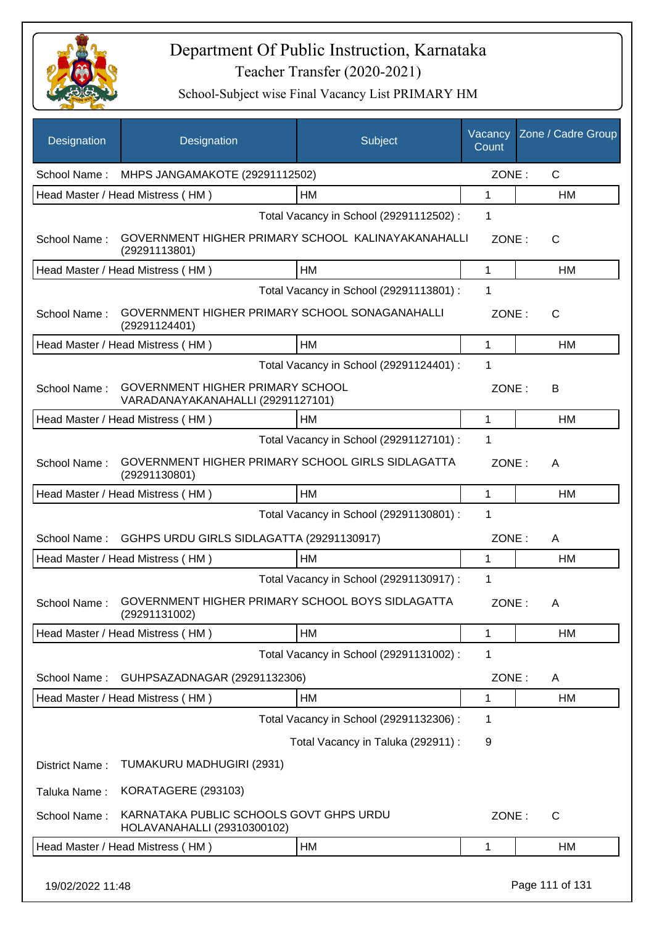

School-Subject wise Final Vacancy List PRIMARY HM

| <b>Designation</b> | Designation                                                                  | Subject                                 | Vacancy<br>Count | Zone / Cadre Group |
|--------------------|------------------------------------------------------------------------------|-----------------------------------------|------------------|--------------------|
| School Name:       | MHPS JANGAMAKOTE (29291112502)                                               |                                         | ZONE:            | $\mathsf{C}$       |
|                    | Head Master / Head Mistress (HM)                                             | <b>HM</b>                               | 1                | HM                 |
|                    |                                                                              | Total Vacancy in School (29291112502) : | 1                |                    |
| School Name:       | GOVERNMENT HIGHER PRIMARY SCHOOL KALINAYAKANAHALLI<br>(29291113801)          |                                         | ZONE:            | $\mathsf{C}$       |
|                    | Head Master / Head Mistress (HM)                                             | HM                                      | 1                | HM                 |
|                    |                                                                              | Total Vacancy in School (29291113801) : | 1                |                    |
| School Name:       | GOVERNMENT HIGHER PRIMARY SCHOOL SONAGANAHALLI<br>(29291124401)              |                                         | ZONE:            | $\mathsf{C}$       |
|                    | Head Master / Head Mistress (HM)                                             | HM                                      | 1                | <b>HM</b>          |
|                    |                                                                              | Total Vacancy in School (29291124401) : | 1                |                    |
| School Name:       | <b>GOVERNMENT HIGHER PRIMARY SCHOOL</b><br>VARADANAYAKANAHALLI (29291127101) |                                         | ZONE:            | B                  |
|                    | Head Master / Head Mistress (HM)                                             | HM                                      | 1                | <b>HM</b>          |
|                    |                                                                              | Total Vacancy in School (29291127101) : | 1                |                    |
| School Name:       | GOVERNMENT HIGHER PRIMARY SCHOOL GIRLS SIDLAGATTA<br>(29291130801)           |                                         | ZONE:            | A                  |
|                    | Head Master / Head Mistress (HM)                                             | HM                                      | 1                | HM                 |
|                    |                                                                              | Total Vacancy in School (29291130801) : | 1                |                    |
| School Name:       | GGHPS URDU GIRLS SIDLAGATTA (29291130917)                                    |                                         | ZONE:            | A                  |
|                    | Head Master / Head Mistress (HM)                                             | HM                                      | 1                | HM                 |
|                    |                                                                              | Total Vacancy in School (29291130917) : | 1                |                    |
| School Name:       | GOVERNMENT HIGHER PRIMARY SCHOOL BOYS SIDLAGATTA<br>(29291131002)            |                                         | ZONE:            | A                  |
|                    | Head Master / Head Mistress (HM)                                             | HM                                      | 1                | HM                 |
|                    |                                                                              | Total Vacancy in School (29291131002) : | 1                |                    |
| School Name:       | GUHPSAZADNAGAR (29291132306)                                                 |                                         | ZONE:            | A                  |
|                    | Head Master / Head Mistress (HM)                                             | HM                                      | 1                | HM                 |
|                    |                                                                              | Total Vacancy in School (29291132306) : | 1                |                    |
|                    |                                                                              | Total Vacancy in Taluka (292911) :      | 9                |                    |
| District Name:     | TUMAKURU MADHUGIRI (2931)                                                    |                                         |                  |                    |
| Taluka Name:       | KORATAGERE (293103)                                                          |                                         |                  |                    |
| School Name:       | KARNATAKA PUBLIC SCHOOLS GOVT GHPS URDU<br>HOLAVANAHALLI (29310300102)       |                                         | ZONE:            | C                  |
|                    | Head Master / Head Mistress (HM)                                             | HM                                      | 1                | HM                 |
|                    |                                                                              |                                         |                  |                    |

19/02/2022 11:48 Page 111 of 131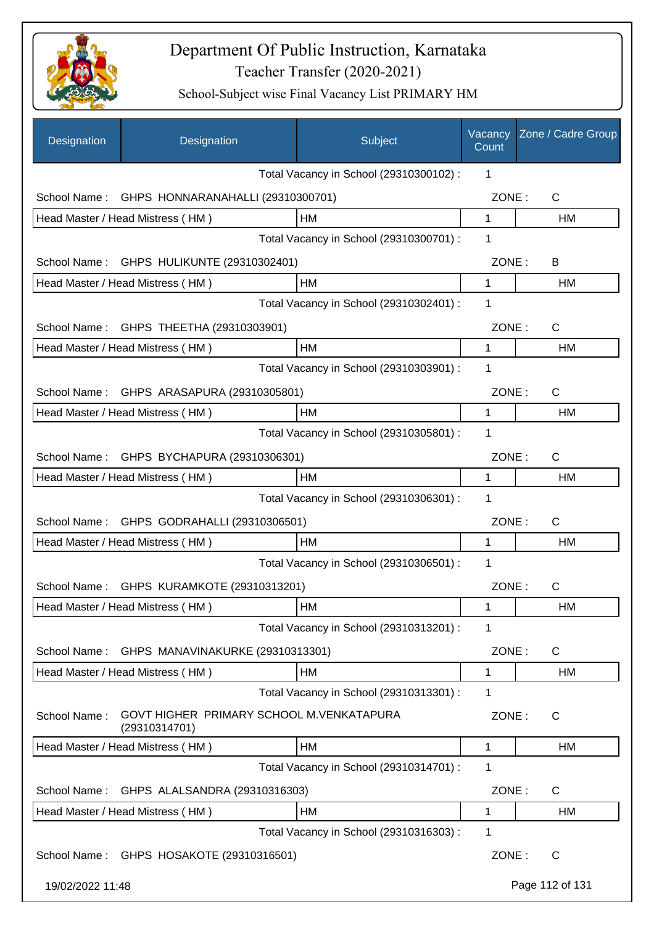

| Designation      | Designation                                               | Subject                                 | Vacancy<br>Count | Zone / Cadre Group |
|------------------|-----------------------------------------------------------|-----------------------------------------|------------------|--------------------|
|                  |                                                           | Total Vacancy in School (29310300102) : | 1                |                    |
| School Name:     | GHPS HONNARANAHALLI (29310300701)                         |                                         | ZONE:            | C                  |
|                  | Head Master / Head Mistress (HM)                          | HM                                      | $\mathbf 1$      | HM                 |
|                  |                                                           | Total Vacancy in School (29310300701) : | 1                |                    |
|                  | School Name: GHPS HULIKUNTE (29310302401)                 |                                         | ZONE:            | B                  |
|                  | Head Master / Head Mistress (HM)                          | HM                                      | $\mathbf 1$      | <b>HM</b>          |
|                  |                                                           | Total Vacancy in School (29310302401) : | 1                |                    |
|                  | School Name: GHPS THEETHA (29310303901)                   |                                         | ZONE:            | C                  |
|                  | Head Master / Head Mistress (HM)                          | HM                                      | 1                | HM                 |
|                  |                                                           | Total Vacancy in School (29310303901) : | 1                |                    |
|                  | School Name: GHPS ARASAPURA (29310305801)                 |                                         | ZONE:            | C                  |
|                  | Head Master / Head Mistress (HM)                          | НM                                      | 1                | НM                 |
|                  |                                                           | Total Vacancy in School (29310305801) : | 1                |                    |
|                  | School Name: GHPS BYCHAPURA (29310306301)                 |                                         | ZONE:            | C                  |
|                  | Head Master / Head Mistress (HM)                          | HM                                      | 1                | НM                 |
|                  |                                                           | Total Vacancy in School (29310306301) : | 1                |                    |
|                  | School Name: GHPS GODRAHALLI (29310306501)                |                                         | ZONE:            | $\mathsf{C}$       |
|                  | Head Master / Head Mistress (HM)                          | HM                                      | 1                | <b>HM</b>          |
|                  |                                                           | Total Vacancy in School (29310306501) : | 1                |                    |
|                  | School Name: GHPS KURAMKOTE (29310313201)                 |                                         | ZONE:            | C                  |
|                  | Head Master / Head Mistress (HM)                          | HM                                      | 1                | HM                 |
|                  |                                                           | Total Vacancy in School (29310313201) : | 1                |                    |
| School Name:     | GHPS MANAVINAKURKE (29310313301)                          |                                         | ZONE:            | C                  |
|                  | Head Master / Head Mistress (HM)                          | HM                                      | 1                | HM                 |
|                  |                                                           | Total Vacancy in School (29310313301) : | 1                |                    |
| School Name:     | GOVT HIGHER PRIMARY SCHOOL M.VENKATAPURA<br>(29310314701) |                                         | ZONE:            | C                  |
|                  | Head Master / Head Mistress (HM)                          | HM                                      | 1                | НM                 |
|                  |                                                           | Total Vacancy in School (29310314701) : | 1                |                    |
| School Name:     | GHPS ALALSANDRA (29310316303)                             |                                         | ZONE:            | $\mathsf{C}$       |
|                  | Head Master / Head Mistress (HM)                          | HM                                      | 1                | HM                 |
|                  |                                                           | Total Vacancy in School (29310316303) : | 1                |                    |
|                  | School Name: GHPS HOSAKOTE (29310316501)                  |                                         | ZONE:            | $\mathsf{C}$       |
| 19/02/2022 11:48 |                                                           |                                         |                  | Page 112 of 131    |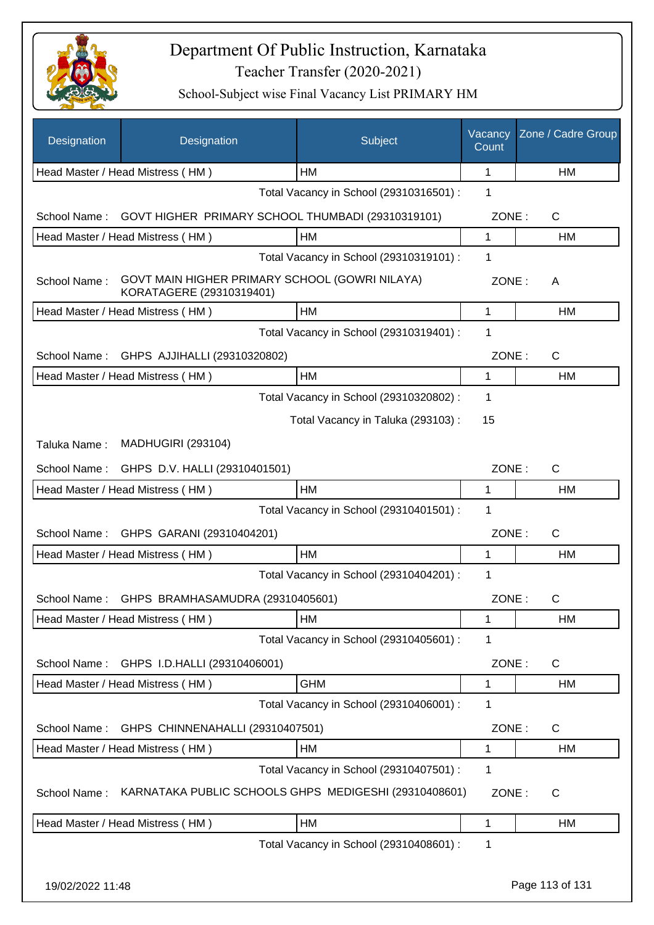

| Designation      | Designation                                                                | Subject                                 | Vacancy<br>Count | Zone / Cadre Group |
|------------------|----------------------------------------------------------------------------|-----------------------------------------|------------------|--------------------|
|                  | Head Master / Head Mistress (HM)                                           | НM                                      | 1                | HM                 |
|                  |                                                                            | Total Vacancy in School (29310316501) : | 1                |                    |
| School Name:     | GOVT HIGHER PRIMARY SCHOOL THUMBADI (29310319101)                          |                                         | ZONE:            | $\mathsf{C}$       |
|                  | Head Master / Head Mistress (HM)                                           | HM                                      | 1                | HM                 |
|                  |                                                                            | Total Vacancy in School (29310319101) : | 1                |                    |
| School Name:     | GOVT MAIN HIGHER PRIMARY SCHOOL (GOWRI NILAYA)<br>KORATAGERE (29310319401) |                                         | ZONE:            | A                  |
|                  | Head Master / Head Mistress (HM)                                           | <b>HM</b>                               | 1                | HM                 |
|                  |                                                                            | Total Vacancy in School (29310319401) : | 1                |                    |
| School Name:     | GHPS AJJIHALLI (29310320802)                                               |                                         | ZONE:            | $\mathsf{C}$       |
|                  | Head Master / Head Mistress (HM)                                           | HM                                      | 1                | HM                 |
|                  |                                                                            | Total Vacancy in School (29310320802) : | 1                |                    |
|                  |                                                                            | Total Vacancy in Taluka (293103) :      | 15               |                    |
| Taluka Name:     | <b>MADHUGIRI (293104)</b>                                                  |                                         |                  |                    |
| School Name:     | GHPS D.V. HALLI (29310401501)                                              |                                         | ZONE:            | $\mathsf{C}$       |
|                  | Head Master / Head Mistress (HM)                                           | <b>HM</b>                               | 1                | <b>HM</b>          |
|                  |                                                                            | Total Vacancy in School (29310401501) : | 1                |                    |
| School Name:     | GHPS GARANI (29310404201)                                                  |                                         | ZONE:            | $\mathsf{C}$       |
|                  | Head Master / Head Mistress (HM)                                           | HM                                      | 1                | HM                 |
|                  |                                                                            | Total Vacancy in School (29310404201) : | 1                |                    |
| School Name:     | GHPS BRAMHASAMUDRA (29310405601)                                           |                                         | ZONE:            | C                  |
|                  | Head Master / Head Mistress (HM)                                           | HM                                      | 1                | HM                 |
|                  |                                                                            | Total Vacancy in School (29310405601) : | 1                |                    |
| School Name:     | GHPS I.D.HALLI (29310406001)                                               |                                         | ZONE:            | C                  |
|                  | Head Master / Head Mistress (HM)                                           | <b>GHM</b>                              | 1                | HM                 |
|                  |                                                                            | Total Vacancy in School (29310406001) : | 1                |                    |
| School Name:     | GHPS CHINNENAHALLI (29310407501)                                           |                                         | ZONE:            | C                  |
|                  | Head Master / Head Mistress (HM)                                           | HM                                      | 1                | HM                 |
|                  |                                                                            | Total Vacancy in School (29310407501) : | 1                |                    |
| School Name:     | KARNATAKA PUBLIC SCHOOLS GHPS MEDIGESHI (29310408601)                      |                                         | ZONE:            | C                  |
|                  | Head Master / Head Mistress (HM)                                           | HM                                      | 1                | HM                 |
|                  |                                                                            | Total Vacancy in School (29310408601) : | 1                |                    |
| 19/02/2022 11:48 |                                                                            |                                         |                  | Page 113 of 131    |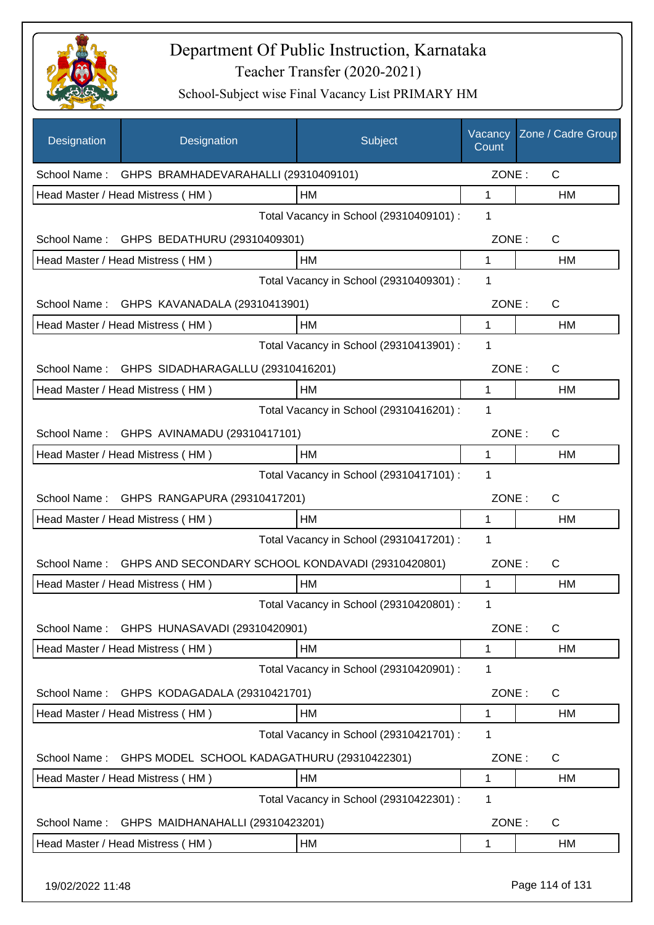

| Designation  | Designation                                       | Subject                                 | Vacancy<br>Count | Zone / Cadre Group |
|--------------|---------------------------------------------------|-----------------------------------------|------------------|--------------------|
|              | School Name: GHPS BRAMHADEVARAHALLI (29310409101) |                                         | ZONE:            | $\mathsf{C}$       |
|              | Head Master / Head Mistress (HM)                  | HM                                      | 1                | HM                 |
|              |                                                   | Total Vacancy in School (29310409101) : | 1                |                    |
|              | School Name: GHPS BEDATHURU (29310409301)         |                                         | ZONE:            | $\mathsf{C}$       |
|              | Head Master / Head Mistress (HM)                  | HM                                      | 1                | HM                 |
|              |                                                   | Total Vacancy in School (29310409301) : | 1                |                    |
|              | School Name: GHPS KAVANADALA (29310413901)        |                                         | ZONE:            | C                  |
|              | Head Master / Head Mistress (HM)                  | HM                                      | $\mathbf 1$      | HM                 |
|              |                                                   | Total Vacancy in School (29310413901) : | 1                |                    |
|              | School Name: GHPS SIDADHARAGALLU (29310416201)    |                                         | ZONE:            | C                  |
|              | Head Master / Head Mistress (HM)                  | HM                                      | 1                | HM                 |
|              |                                                   | Total Vacancy in School (29310416201) : | 1                |                    |
|              | School Name: GHPS AVINAMADU (29310417101)         |                                         | ZONE:            | C                  |
|              | Head Master / Head Mistress (HM)                  | <b>HM</b>                               | 1                | HM                 |
|              |                                                   | Total Vacancy in School (29310417101) : | 1                |                    |
| School Name: | GHPS RANGAPURA (29310417201)                      |                                         | ZONE:            | C                  |
|              | Head Master / Head Mistress (HM)                  | HM                                      | 1                | HM                 |
|              |                                                   | Total Vacancy in School (29310417201) : | 1                |                    |
| School Name: | GHPS AND SECONDARY SCHOOL KONDAVADI (29310420801) |                                         | ZONE:            | C                  |
|              | Head Master / Head Mistress (HM)                  | HM                                      | 1                | HM                 |
|              |                                                   | Total Vacancy in School (29310420801) : | 1                |                    |
| School Name: | GHPS HUNASAVADI (29310420901)                     |                                         | ZONE:            | $\mathsf{C}$       |
|              | Head Master / Head Mistress (HM)                  | НM                                      | 1                | <b>HM</b>          |
|              |                                                   | Total Vacancy in School (29310420901) : | 1                |                    |
| School Name: | GHPS KODAGADALA (29310421701)                     |                                         | ZONE:            | C                  |
|              | Head Master / Head Mistress (HM)                  | HM                                      | 1                | <b>HM</b>          |
|              |                                                   | Total Vacancy in School (29310421701) : | 1                |                    |
| School Name: | GHPS MODEL SCHOOL KADAGATHURU (29310422301)       |                                         | ZONE:            | C                  |
|              | Head Master / Head Mistress (HM)                  | HM                                      | 1                | HM                 |
|              |                                                   | Total Vacancy in School (29310422301) : | 1                |                    |
| School Name: | GHPS MAIDHANAHALLI (29310423201)                  |                                         | ZONE:            | C                  |
|              | Head Master / Head Mistress (HM)                  | HM                                      | 1                | HM                 |
|              |                                                   |                                         |                  |                    |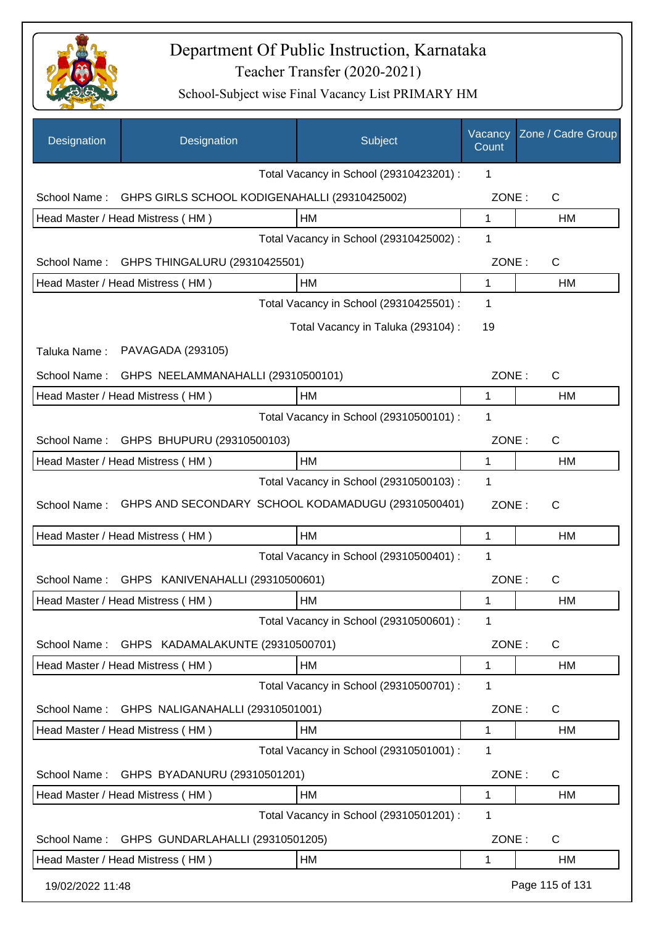

| Designation      | Designation                                        | Subject                                 | Vacancy<br>Count | Zone / Cadre Group |
|------------------|----------------------------------------------------|-----------------------------------------|------------------|--------------------|
|                  |                                                    | Total Vacancy in School (29310423201) : | 1                |                    |
| School Name:     | GHPS GIRLS SCHOOL KODIGENAHALLI (29310425002)      |                                         | ZONE:            | $\mathsf{C}$       |
|                  | Head Master / Head Mistress (HM)                   | <b>HM</b>                               | 1                | <b>HM</b>          |
|                  |                                                    | Total Vacancy in School (29310425002) : | 1                |                    |
| School Name:     | GHPS THINGALURU (29310425501)                      |                                         | ZONE:            | C                  |
|                  | Head Master / Head Mistress (HM)                   | <b>HM</b>                               | 1                | HM                 |
|                  |                                                    | Total Vacancy in School (29310425501) : | 1                |                    |
|                  |                                                    | Total Vacancy in Taluka (293104) :      | 19               |                    |
| Taluka Name:     | PAVAGADA (293105)                                  |                                         |                  |                    |
| School Name:     | GHPS NEELAMMANAHALLI (29310500101)                 |                                         | ZONE:            | $\mathsf{C}$       |
|                  | Head Master / Head Mistress (HM)                   | HM                                      | 1                | <b>HM</b>          |
|                  |                                                    | Total Vacancy in School (29310500101) : | 1                |                    |
| School Name:     | GHPS BHUPURU (29310500103)                         |                                         | ZONE:            | $\mathsf{C}$       |
|                  | Head Master / Head Mistress (HM)                   | <b>HM</b>                               | 1                | HM                 |
|                  |                                                    | Total Vacancy in School (29310500103) : | 1                |                    |
| School Name:     | GHPS AND SECONDARY SCHOOL KODAMADUGU (29310500401) |                                         | ZONE:            | C                  |
|                  | Head Master / Head Mistress (HM)                   | HM                                      | 1                | <b>HM</b>          |
|                  |                                                    | Total Vacancy in School (29310500401) : | 1                |                    |
| School Name:     | GHPS KANIVENAHALLI (29310500601)                   |                                         | ZONE:            | $\mathsf{C}$       |
|                  | Head Master / Head Mistress (HM)                   | HM                                      | 1                | HM                 |
|                  |                                                    | Total Vacancy in School (29310500601) : | 1                |                    |
| School Name:     | GHPS KADAMALAKUNTE (29310500701)                   |                                         | ZONE:            | C                  |
|                  | Head Master / Head Mistress (HM)                   | HM                                      | 1                | <b>HM</b>          |
|                  |                                                    | Total Vacancy in School (29310500701) : | 1                |                    |
| School Name:     | GHPS NALIGANAHALLI (29310501001)                   |                                         | ZONE:            | C                  |
|                  | Head Master / Head Mistress (HM)                   | <b>HM</b>                               | 1                | HM                 |
|                  |                                                    | Total Vacancy in School (29310501001) : | 1                |                    |
| School Name:     | GHPS BYADANURU (29310501201)                       |                                         | ZONE:            | C                  |
|                  | Head Master / Head Mistress (HM)                   | <b>HM</b>                               | 1                | HM                 |
|                  |                                                    | Total Vacancy in School (29310501201) : | 1                |                    |
| School Name:     | GHPS GUNDARLAHALLI (29310501205)                   |                                         | ZONE:            | C                  |
|                  | Head Master / Head Mistress (HM)                   | HM                                      | 1                | <b>HM</b>          |
| 19/02/2022 11:48 |                                                    |                                         |                  | Page 115 of 131    |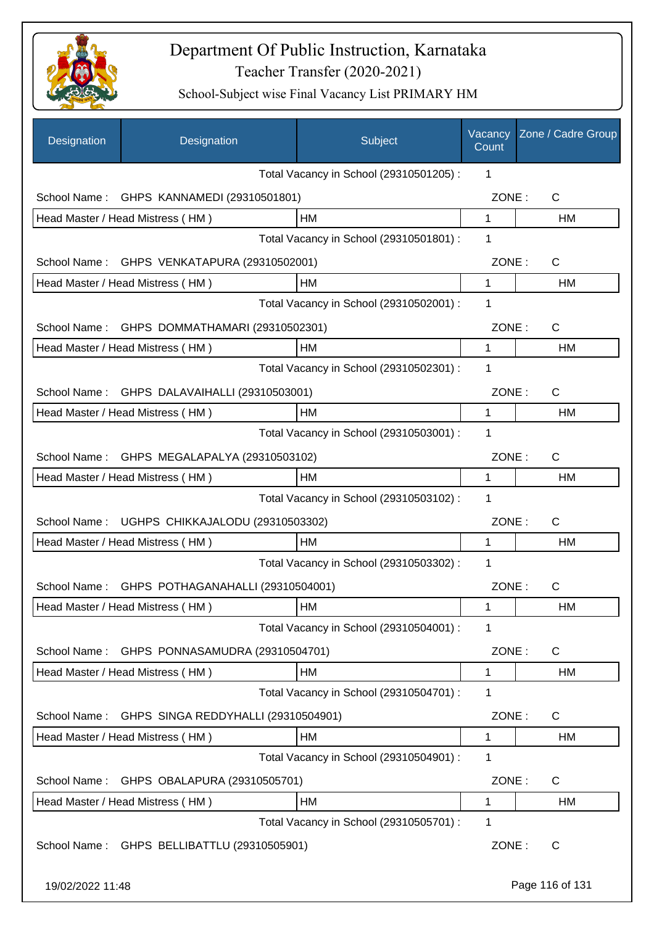

| Designation      | Designation                                    | Subject                                 | Vacancy<br>Count | Zone / Cadre Group |
|------------------|------------------------------------------------|-----------------------------------------|------------------|--------------------|
|                  |                                                | Total Vacancy in School (29310501205) : | 1                |                    |
| School Name:     | GHPS KANNAMEDI (29310501801)                   |                                         | ZONE:            | C                  |
|                  | Head Master / Head Mistress (HM)               | <b>HM</b>                               | $\mathbf 1$      | HM                 |
|                  |                                                | Total Vacancy in School (29310501801) : | 1                |                    |
|                  | School Name: GHPS VENKATAPURA (29310502001)    |                                         | ZONE:            | C                  |
|                  | Head Master / Head Mistress (HM)               | HM                                      | 1                | <b>HM</b>          |
|                  |                                                | Total Vacancy in School (29310502001) : | 1                |                    |
| School Name:     | GHPS DOMMATHAMARI (29310502301)                |                                         | ZONE:            | $\mathsf{C}$       |
|                  | Head Master / Head Mistress (HM)               | НM                                      | 1                | HM                 |
|                  |                                                | Total Vacancy in School (29310502301) : | 1                |                    |
|                  | School Name: GHPS DALAVAIHALLI (29310503001)   |                                         | ZONE:            | $\mathsf{C}$       |
|                  | Head Master / Head Mistress (HM)               | НM                                      | 1                | HM                 |
|                  |                                                | Total Vacancy in School (29310503001) : | 1                |                    |
|                  | School Name: GHPS MEGALAPALYA (29310503102)    |                                         | ZONE:            | C                  |
|                  | Head Master / Head Mistress (HM)               | НM                                      | 1                | <b>HM</b>          |
|                  |                                                | Total Vacancy in School (29310503102) : | 1                |                    |
| School Name:     | UGHPS CHIKKAJALODU (29310503302)               |                                         | ZONE:            | $\mathsf{C}$       |
|                  | Head Master / Head Mistress (HM)               | HМ                                      | 1                | HM                 |
|                  |                                                | Total Vacancy in School (29310503302) : | 1                |                    |
|                  | School Name: GHPS POTHAGANAHALLI (29310504001) |                                         | ZONE:            | C                  |
|                  | Head Master / Head Mistress (HM)               | HM                                      | 1                | HM                 |
|                  |                                                | Total Vacancy in School (29310504001) : | 1                |                    |
| School Name:     | GHPS PONNASAMUDRA (29310504701)                |                                         | ZONE:            | C                  |
|                  | Head Master / Head Mistress (HM)               | <b>HM</b>                               | 1                | HM                 |
|                  |                                                | Total Vacancy in School (29310504701) : | 1                |                    |
| School Name:     | GHPS SINGA REDDYHALLI (29310504901)            |                                         | ZONE:            | C                  |
|                  | Head Master / Head Mistress (HM)               | HM                                      | 1                | HM                 |
|                  |                                                | Total Vacancy in School (29310504901) : | 1                |                    |
| School Name:     | GHPS OBALAPURA (29310505701)                   |                                         | ZONE:            | C                  |
|                  | Head Master / Head Mistress (HM)               | HM                                      | 1                | HM                 |
|                  |                                                | Total Vacancy in School (29310505701) : | 1                |                    |
|                  | School Name: GHPS BELLIBATTLU (29310505901)    |                                         | ZONE:            | C                  |
| 19/02/2022 11:48 |                                                |                                         |                  | Page 116 of 131    |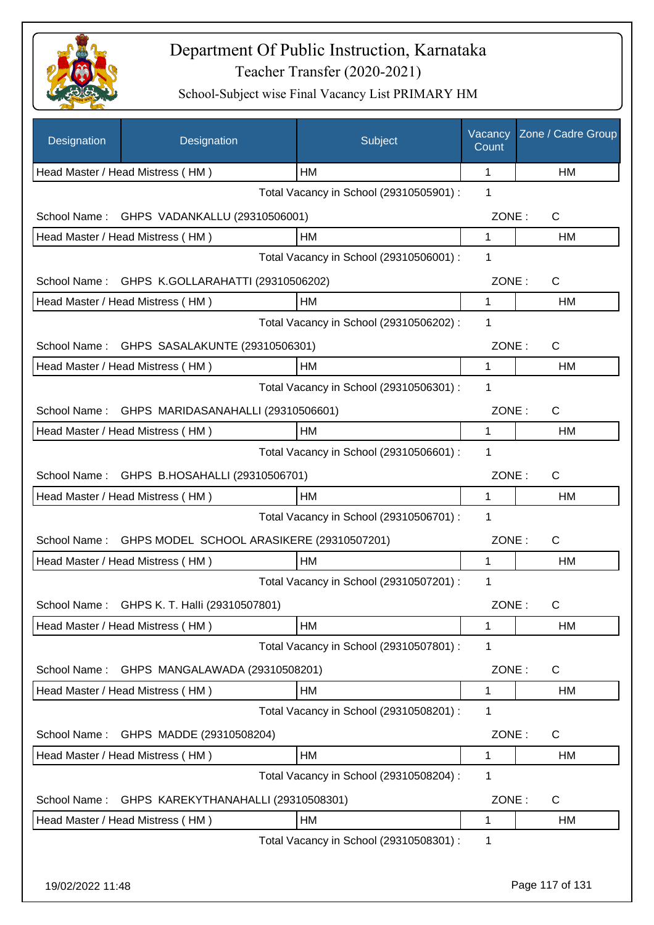

| Designation      | Designation                                     | Subject                                 | Vacancy<br>Count | Zone / Cadre Group |
|------------------|-------------------------------------------------|-----------------------------------------|------------------|--------------------|
|                  | Head Master / Head Mistress (HM)                | HМ                                      | 1                | HM                 |
|                  |                                                 | Total Vacancy in School (29310505901) : | 1                |                    |
| School Name:     | GHPS VADANKALLU (29310506001)                   |                                         | ZONE:            | C                  |
|                  | Head Master / Head Mistress (HM)                | НM                                      | 1                | НM                 |
|                  |                                                 | Total Vacancy in School (29310506001) : | 1                |                    |
|                  | School Name: GHPS K.GOLLARAHATTI (29310506202)  |                                         | ZONE:            | $\mathsf{C}$       |
|                  | Head Master / Head Mistress (HM)                | HM                                      | 1                | <b>HM</b>          |
|                  |                                                 | Total Vacancy in School (29310506202) : | 1                |                    |
| School Name:     | GHPS SASALAKUNTE (29310506301)                  |                                         | ZONE:            | C                  |
|                  | Head Master / Head Mistress (HM)                | НM                                      | $\mathbf{1}$     | HM                 |
|                  |                                                 | Total Vacancy in School (29310506301) : | 1                |                    |
|                  | School Name: GHPS MARIDASANAHALLI (29310506601) |                                         | ZONE:            | C                  |
|                  | Head Master / Head Mistress (HM)                | HM                                      | 1                | HM                 |
|                  |                                                 | Total Vacancy in School (29310506601) : | 1                |                    |
|                  | School Name: GHPS B.HOSAHALLI (29310506701)     |                                         | ZONE:            | C                  |
|                  | Head Master / Head Mistress (HM)                | HM                                      | 1                | HM                 |
|                  |                                                 | Total Vacancy in School (29310506701) : | 1                |                    |
| School Name:     | GHPS MODEL SCHOOL ARASIKERE (29310507201)       |                                         | ZONE:            | C                  |
|                  | Head Master / Head Mistress (HM)                | HM                                      | 1                | НM                 |
|                  |                                                 | Total Vacancy in School (29310507201) : | 1                |                    |
|                  | School Name: GHPS K. T. Halli (29310507801)     |                                         | ZONE:            | С                  |
|                  | Head Master / Head Mistress (HM)                | HM                                      | 1                | HM                 |
|                  |                                                 | Total Vacancy in School (29310507801) : | 1                |                    |
| School Name:     | GHPS MANGALAWADA (29310508201)                  |                                         | ZONE:            | C                  |
|                  | Head Master / Head Mistress (HM)                | HM                                      | 1                | HM                 |
|                  |                                                 | Total Vacancy in School (29310508201) : | 1                |                    |
| School Name:     | GHPS MADDE (29310508204)                        |                                         | ZONE:            | $\mathsf{C}$       |
|                  | Head Master / Head Mistress (HM)                | HM                                      | 1                | HM                 |
|                  |                                                 | Total Vacancy in School (29310508204) : | 1                |                    |
| School Name:     | GHPS KAREKYTHANAHALLI (29310508301)             |                                         | ZONE:            | C                  |
|                  | Head Master / Head Mistress (HM)                | HM                                      | 1                | HM                 |
|                  |                                                 | Total Vacancy in School (29310508301) : | 1                |                    |
|                  |                                                 |                                         |                  |                    |
| 19/02/2022 11:48 |                                                 |                                         |                  | Page 117 of 131    |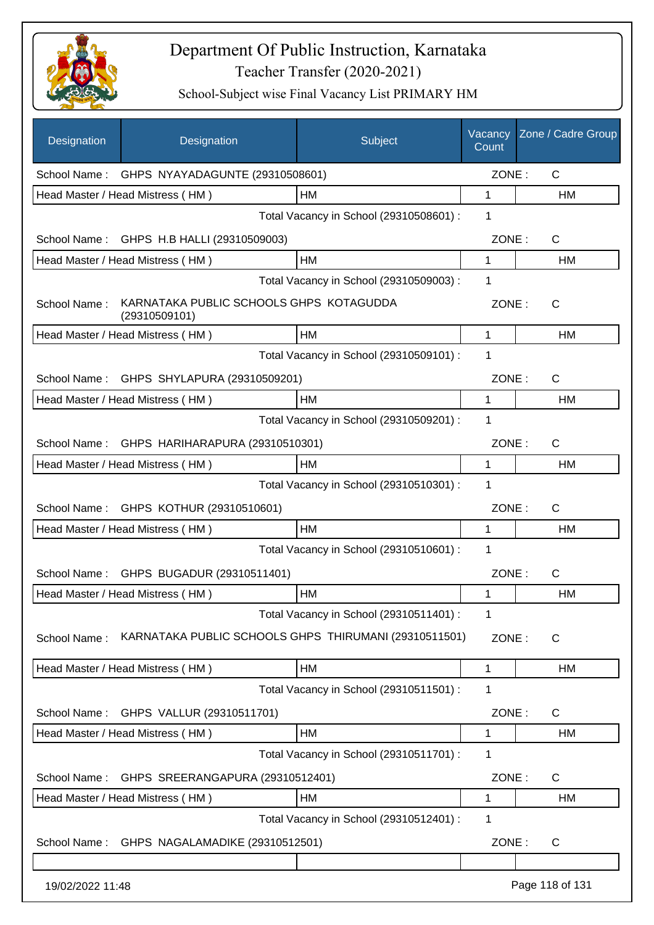

| Designation      | Designation                                              | Subject                                 | Vacancy<br>Count | Zone / Cadre Group |
|------------------|----------------------------------------------------------|-----------------------------------------|------------------|--------------------|
|                  | School Name: GHPS NYAYADAGUNTE (29310508601)             |                                         | ZONE:            | $\mathsf{C}$       |
|                  | Head Master / Head Mistress (HM)                         | <b>HM</b>                               | $\mathbf{1}$     | HM                 |
|                  |                                                          | Total Vacancy in School (29310508601) : | 1                |                    |
|                  | School Name: GHPS H.B HALLI (29310509003)                |                                         | ZONE:            | $\mathsf{C}$       |
|                  | Head Master / Head Mistress (HM)                         | HM                                      | $\mathbf{1}$     | <b>HM</b>          |
|                  |                                                          | Total Vacancy in School (29310509003) : | 1                |                    |
| School Name:     | KARNATAKA PUBLIC SCHOOLS GHPS KOTAGUDDA<br>(29310509101) |                                         | ZONE:            | C                  |
|                  | Head Master / Head Mistress (HM)                         | HM                                      | 1                | <b>HM</b>          |
|                  |                                                          | Total Vacancy in School (29310509101) : | 1                |                    |
|                  | School Name: GHPS SHYLAPURA (29310509201)                |                                         | ZONE:            | C                  |
|                  | Head Master / Head Mistress (HM)                         | HМ                                      | 1                | HM                 |
|                  |                                                          | Total Vacancy in School (29310509201) : | 1                |                    |
|                  | School Name: GHPS HARIHARAPURA (29310510301)             |                                         | ZONE:            | C                  |
|                  | Head Master / Head Mistress (HM)                         | <b>HM</b>                               | $\mathbf 1$      | HM                 |
|                  |                                                          | Total Vacancy in School (29310510301) : | 1                |                    |
| School Name:     | GHPS KOTHUR (29310510601)                                |                                         | ZONE:            | C                  |
|                  | Head Master / Head Mistress (HM)                         | <b>HM</b>                               | 1                | <b>HM</b>          |
|                  |                                                          | Total Vacancy in School (29310510601) : | 1                |                    |
| School Name:     | GHPS BUGADUR (29310511401)                               |                                         | ZONE:            | C                  |
|                  | Head Master / Head Mistress (HM)                         | <b>HM</b>                               | 1                | HM                 |
|                  |                                                          | Total Vacancy in School (29310511401) : | 1                |                    |
| School Name:     | KARNATAKA PUBLIC SCHOOLS GHPS THIRUMANI (29310511501)    |                                         | ZONE:            | C                  |
|                  | Head Master / Head Mistress (HM)                         | HM                                      | 1                | HM                 |
|                  |                                                          | Total Vacancy in School (29310511501) : | 1                |                    |
| School Name:     | GHPS VALLUR (29310511701)                                |                                         | ZONE:            | C                  |
|                  | Head Master / Head Mistress (HM)                         | <b>HM</b>                               | 1                | HM                 |
|                  |                                                          | Total Vacancy in School (29310511701) : | 1                |                    |
| School Name:     | GHPS SREERANGAPURA (29310512401)                         |                                         | ZONE:            | C                  |
|                  | Head Master / Head Mistress (HM)                         | HM                                      | 1                | HM                 |
|                  |                                                          | Total Vacancy in School (29310512401) : | 1                |                    |
| School Name:     | GHPS NAGALAMADIKE (29310512501)                          |                                         | ZONE:            | C                  |
|                  |                                                          |                                         |                  |                    |
| 19/02/2022 11:48 |                                                          |                                         |                  | Page 118 of 131    |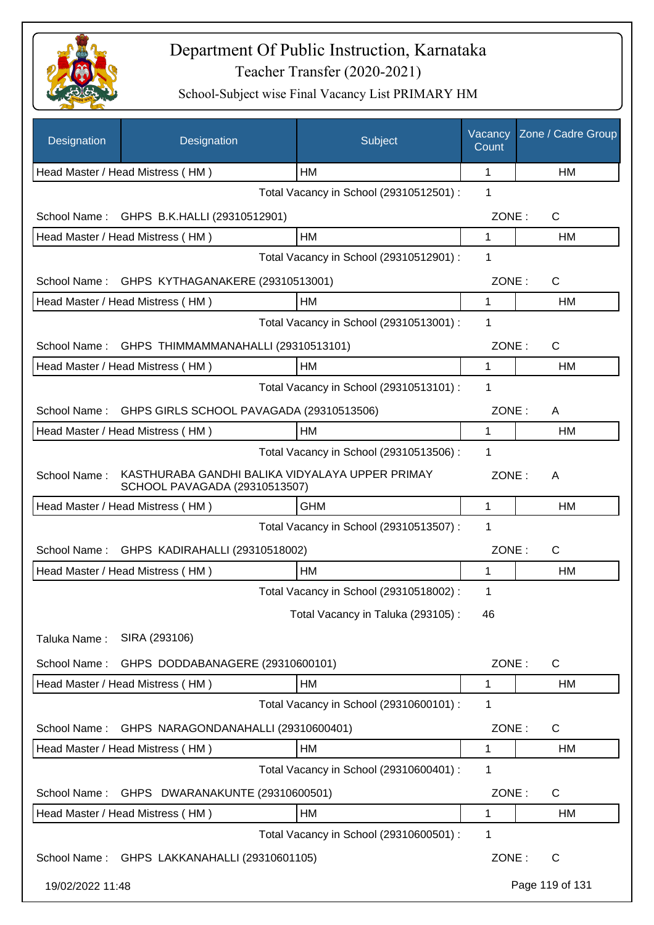

| Designation      | Designation                                                                      | Subject                                 | Vacancy<br>Count | Zone / Cadre Group    |
|------------------|----------------------------------------------------------------------------------|-----------------------------------------|------------------|-----------------------|
|                  | Head Master / Head Mistress (HM)                                                 | HM                                      | 1                | HM                    |
|                  |                                                                                  | Total Vacancy in School (29310512501) : | 1                |                       |
| School Name:     | GHPS B.K.HALLI (29310512901)                                                     |                                         | ZONE:            | $\mathsf{C}$          |
|                  | Head Master / Head Mistress (HM)                                                 | HM                                      | 1                | HM                    |
|                  |                                                                                  | Total Vacancy in School (29310512901) : | 1                |                       |
|                  | School Name: GHPS KYTHAGANAKERE (29310513001)                                    |                                         | ZONE:            | $\mathsf{C}$          |
|                  | Head Master / Head Mistress (HM)                                                 | HM                                      | 1                | HM                    |
|                  |                                                                                  | Total Vacancy in School (29310513001) : | 1                |                       |
| School Name:     | GHPS THIMMAMMANAHALLI (29310513101)                                              |                                         | ZONE:            | $\mathsf{C}$          |
|                  | Head Master / Head Mistress (HM)                                                 | HM                                      | 1                | <b>HM</b>             |
|                  |                                                                                  | Total Vacancy in School (29310513101) : | 1                |                       |
| School Name:     | GHPS GIRLS SCHOOL PAVAGADA (29310513506)                                         |                                         | ZONE:            | A                     |
|                  | Head Master / Head Mistress (HM)                                                 | HM                                      | 1                | HM                    |
|                  |                                                                                  | Total Vacancy in School (29310513506) : | 1                |                       |
| School Name:     | KASTHURABA GANDHI BALIKA VIDYALAYA UPPER PRIMAY<br>SCHOOL PAVAGADA (29310513507) |                                         | ZONE:            | A                     |
|                  | Head Master / Head Mistress (HM)                                                 | <b>GHM</b>                              | 1                | HM                    |
|                  |                                                                                  | Total Vacancy in School (29310513507) : | 1                |                       |
| School Name:     | GHPS KADIRAHALLI (29310518002)                                                   |                                         | ZONE:            | $\mathsf{C}$          |
|                  | Head Master / Head Mistress (HM)                                                 | <b>HM</b>                               | 1                | HM                    |
|                  |                                                                                  | Total Vacancy in School (29310518002) : | 1                |                       |
|                  |                                                                                  | Total Vacancy in Taluka (293105):       | 46               |                       |
| Taluka Name:     | SIRA (293106)                                                                    |                                         |                  |                       |
| School Name:     | GHPS DODDABANAGERE (29310600101)                                                 |                                         | ZONE:            | $\mathsf{C}$          |
|                  | Head Master / Head Mistress (HM)                                                 | HM                                      | 1                | <b>HM</b>             |
|                  |                                                                                  | Total Vacancy in School (29310600101) : | 1                |                       |
| School Name:     | GHPS NARAGONDANAHALLI (29310600401)                                              |                                         | ZONE:            | $\mathsf{C}$          |
|                  | Head Master / Head Mistress (HM)                                                 | HM                                      | 1                | HM                    |
|                  |                                                                                  | Total Vacancy in School (29310600401) : | 1                |                       |
| School Name:     | GHPS DWARANAKUNTE (29310600501)                                                  |                                         |                  | ZONE:<br>$\mathsf{C}$ |
|                  | Head Master / Head Mistress (HM)                                                 | HM                                      | 1                | HM                    |
|                  |                                                                                  | Total Vacancy in School (29310600501) : | 1                |                       |
|                  | School Name: GHPS LAKKANAHALLI (29310601105)                                     |                                         | ZONE:            | C                     |
| 19/02/2022 11:48 |                                                                                  |                                         |                  | Page 119 of 131       |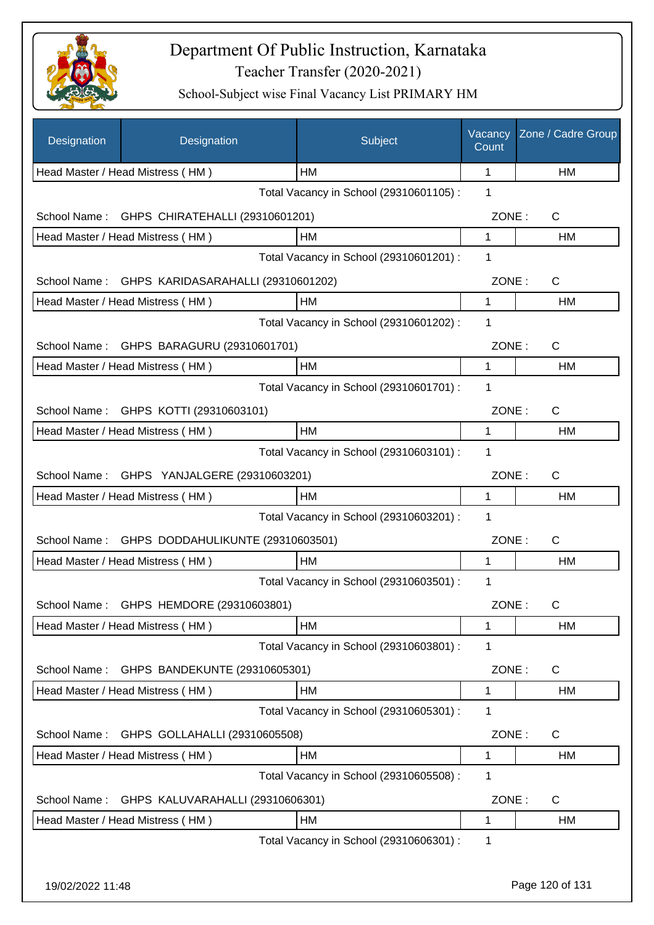

| Designation      | Designation                                     | Subject                                 | Vacancy<br>Count | Zone / Cadre Group |
|------------------|-------------------------------------------------|-----------------------------------------|------------------|--------------------|
|                  | Head Master / Head Mistress (HM)                | HМ                                      | 1                | НM                 |
|                  |                                                 | Total Vacancy in School (29310601105) : | 1                |                    |
| School Name:     | GHPS CHIRATEHALLI (29310601201)                 |                                         | ZONE:            | C                  |
|                  | Head Master / Head Mistress (HM)                | HM                                      | 1                | HM                 |
|                  |                                                 | Total Vacancy in School (29310601201) : | 1                |                    |
|                  | School Name: GHPS KARIDASARAHALLI (29310601202) |                                         | ZONE:            | $\mathsf{C}$       |
|                  | Head Master / Head Mistress (HM)                | HM                                      | 1                | HM                 |
|                  |                                                 | Total Vacancy in School (29310601202) : | 1                |                    |
|                  | School Name: GHPS BARAGURU (29310601701)        |                                         | ZONE:            | C                  |
|                  | Head Master / Head Mistress (HM)                | HM                                      | 1                | HM                 |
|                  |                                                 | Total Vacancy in School (29310601701) : | 1                |                    |
|                  | School Name: GHPS KOTTI (29310603101)           |                                         | ZONE:            | C                  |
|                  | Head Master / Head Mistress (HM)                | <b>HM</b>                               | 1                | HM                 |
|                  |                                                 | Total Vacancy in School (29310603101) : | 1                |                    |
| School Name:     | GHPS YANJALGERE (29310603201)                   |                                         | ZONE:            | C                  |
|                  | Head Master / Head Mistress (HM)                | HM                                      | 1                | HM                 |
|                  |                                                 | Total Vacancy in School (29310603201) : | 1                |                    |
| School Name:     | GHPS DODDAHULIKUNTE (29310603501)               |                                         | ZONE:            | $\mathsf C$        |
|                  | Head Master / Head Mistress (HM)                | HM                                      | 1                | НM                 |
|                  |                                                 | Total Vacancy in School (29310603501) : | 1                |                    |
| School Name:     | GHPS HEMDORE (29310603801)                      |                                         | ZONE:            | С                  |
|                  | Head Master / Head Mistress (HM)                | HM                                      | 1                | HM                 |
|                  |                                                 | Total Vacancy in School (29310603801) : | 1                |                    |
| School Name:     | GHPS BANDEKUNTE (29310605301)                   |                                         | ZONE:            | $\mathsf{C}$       |
|                  | Head Master / Head Mistress (HM)                | HM                                      | 1                | HM                 |
|                  |                                                 | Total Vacancy in School (29310605301) : | 1                |                    |
| School Name:     | GHPS GOLLAHALLI (29310605508)                   |                                         | ZONE:            | C                  |
|                  | Head Master / Head Mistress (HM)                | HM                                      | 1                | HM                 |
|                  |                                                 | Total Vacancy in School (29310605508) : | 1                |                    |
| School Name:     | GHPS KALUVARAHALLI (29310606301)                |                                         | ZONE:            | C                  |
|                  | Head Master / Head Mistress (HM)                | HM                                      | 1                | HM                 |
|                  |                                                 | Total Vacancy in School (29310606301) : | 1                |                    |
|                  |                                                 |                                         |                  |                    |
| 19/02/2022 11:48 |                                                 |                                         |                  | Page 120 of 131    |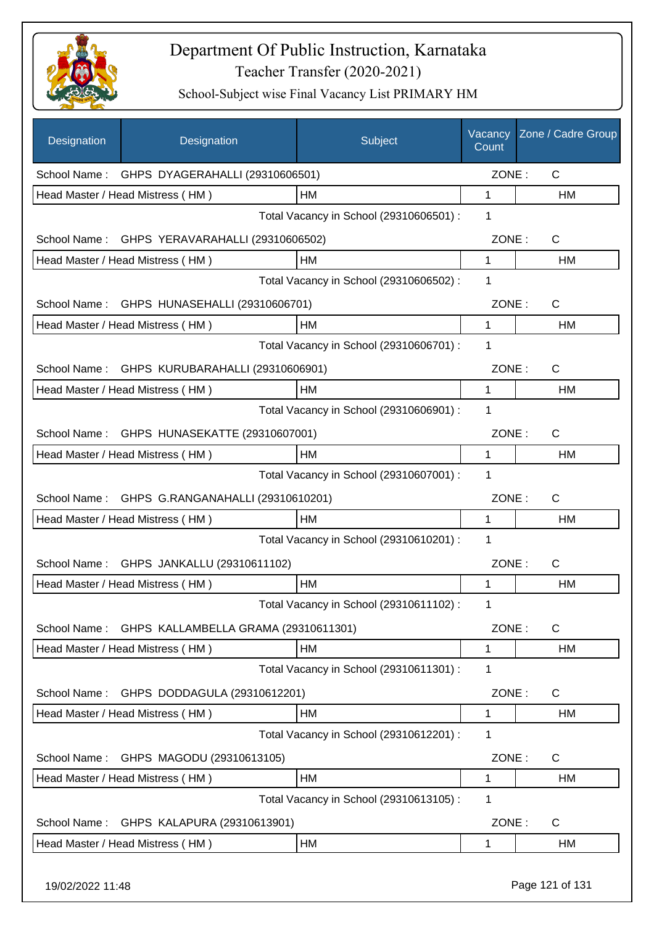

| Designation      | Designation                                       | Subject                                 | Vacancy<br>Count | Zone / Cadre Group |
|------------------|---------------------------------------------------|-----------------------------------------|------------------|--------------------|
|                  | School Name: GHPS DYAGERAHALLI (29310606501)      |                                         | ZONE:            | $\mathsf{C}$       |
|                  | Head Master / Head Mistress (HM)                  | HM                                      | 1                | HM                 |
|                  |                                                   | Total Vacancy in School (29310606501) : | 1                |                    |
|                  | School Name: GHPS YERAVARAHALLI (29310606502)     |                                         | ZONE:            | $\mathsf{C}$       |
|                  | Head Master / Head Mistress (HM)                  | HM                                      | 1                | HM                 |
|                  |                                                   | Total Vacancy in School (29310606502) : | 1                |                    |
|                  | School Name: GHPS HUNASEHALLI (29310606701)       |                                         | ZONE:            | C                  |
|                  | Head Master / Head Mistress (HM)                  | HM                                      | 1                | HM                 |
|                  |                                                   | Total Vacancy in School (29310606701) : | 1                |                    |
| School Name:     | GHPS KURUBARAHALLI (29310606901)                  |                                         | ZONE:            | C                  |
|                  | Head Master / Head Mistress (HM)                  | HM                                      | 1                | HM                 |
|                  |                                                   | Total Vacancy in School (29310606901) : | 1                |                    |
|                  | School Name: GHPS HUNASEKATTE (29310607001)       |                                         | ZONE:            | C                  |
|                  | Head Master / Head Mistress (HM)                  | HM                                      | 1                | HM                 |
|                  |                                                   | Total Vacancy in School (29310607001) : | 1                |                    |
| School Name:     | GHPS G.RANGANAHALLI (29310610201)                 |                                         | ZONE:            | C                  |
|                  | Head Master / Head Mistress (HM)                  | HM                                      | 1                | HM                 |
|                  |                                                   | Total Vacancy in School (29310610201) : | 1                |                    |
| School Name:     | GHPS JANKALLU (29310611102)                       |                                         | ZONE:            | C                  |
|                  | Head Master / Head Mistress (HM)                  | HM                                      | 1                | HM                 |
|                  |                                                   | Total Vacancy in School (29310611102) : | 1                |                    |
|                  | School Name: GHPS KALLAMBELLA GRAMA (29310611301) |                                         | ZONE:            | $\mathsf{C}$       |
|                  | Head Master / Head Mistress (HM)                  | HM                                      | 1                | HM                 |
|                  |                                                   | Total Vacancy in School (29310611301) : | 1                |                    |
| School Name:     | GHPS DODDAGULA (29310612201)                      |                                         | ZONE:            | C                  |
|                  | Head Master / Head Mistress (HM)                  | HM                                      | 1                | HM                 |
|                  |                                                   | Total Vacancy in School (29310612201) : | 1                |                    |
| School Name:     | GHPS MAGODU (29310613105)                         |                                         | ZONE:            | C                  |
|                  | Head Master / Head Mistress (HM)                  | HM                                      | 1                | HM                 |
|                  |                                                   | Total Vacancy in School (29310613105) : | 1                |                    |
| School Name:     | GHPS KALAPURA (29310613901)                       |                                         | ZONE:            | C                  |
|                  | Head Master / Head Mistress (HM)                  | HM                                      | 1                | HM                 |
| 19/02/2022 11:48 |                                                   |                                         |                  | Page 121 of 131    |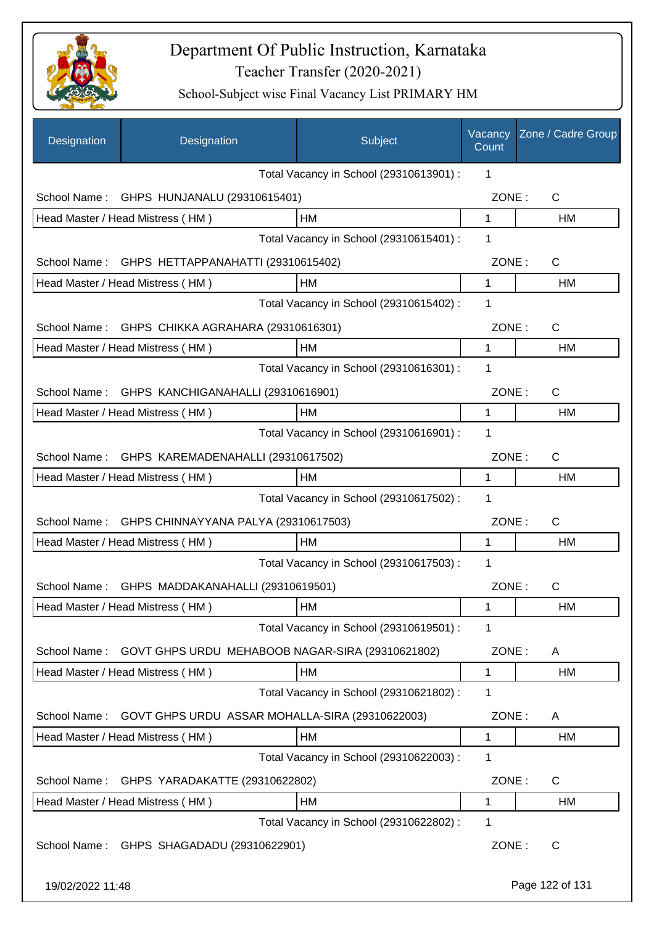

| Designation      | Designation                                      | Subject                                 | Vacancy<br>Count | Zone / Cadre Group |
|------------------|--------------------------------------------------|-----------------------------------------|------------------|--------------------|
|                  |                                                  | Total Vacancy in School (29310613901) : | 1                |                    |
| School Name:     | GHPS HUNJANALU (29310615401)                     |                                         | ZONE:            | C                  |
|                  | Head Master / Head Mistress (HM)                 | <b>HM</b>                               | $\mathbf 1$      | HM                 |
|                  |                                                  | Total Vacancy in School (29310615401) : | 1                |                    |
| School Name:     | GHPS HETTAPPANAHATTI (29310615402)               |                                         | ZONE:            | C                  |
|                  | Head Master / Head Mistress (HM)                 | HM                                      | 1                | <b>HM</b>          |
|                  |                                                  | Total Vacancy in School (29310615402) : | 1                |                    |
| School Name:     | GHPS CHIKKA AGRAHARA (29310616301)               |                                         | ZONE:            | $\mathsf{C}$       |
|                  | Head Master / Head Mistress (HM)                 | HМ                                      | 1                | HM                 |
|                  |                                                  | Total Vacancy in School (29310616301) : | 1                |                    |
| School Name:     | GHPS KANCHIGANAHALLI (29310616901)               |                                         | ZONE:            | $\mathsf{C}$       |
|                  | Head Master / Head Mistress (HM)                 | HM                                      | 1                | HM                 |
|                  |                                                  | Total Vacancy in School (29310616901) : | 1                |                    |
| School Name:     | GHPS KAREMADENAHALLI (29310617502)               |                                         | ZONE:            | C                  |
|                  | Head Master / Head Mistress (HM)                 | HM                                      | 1                | <b>HM</b>          |
|                  |                                                  | Total Vacancy in School (29310617502) : | 1                |                    |
| School Name:     | GHPS CHINNAYYANA PALYA (29310617503)             |                                         | ZONE:            | $\mathsf{C}$       |
|                  | Head Master / Head Mistress (HM)                 | HМ                                      | 1                | HM                 |
|                  |                                                  | Total Vacancy in School (29310617503) : | 1                |                    |
|                  | School Name: GHPS MADDAKANAHALLI (29310619501)   |                                         | ZONE:            | C                  |
|                  | Head Master / Head Mistress (HM)                 | HM                                      | 1                | HM                 |
|                  |                                                  | Total Vacancy in School (29310619501) : | 1                |                    |
| School Name:     | GOVT GHPS URDU MEHABOOB NAGAR-SIRA (29310621802) |                                         | ZONE:            | A                  |
|                  | Head Master / Head Mistress (HM)                 | HM                                      | 1                | HM                 |
|                  |                                                  | Total Vacancy in School (29310621802) : | 1                |                    |
| School Name:     | GOVT GHPS URDU ASSAR MOHALLA-SIRA (29310622003)  |                                         | ZONE:            | A                  |
|                  | Head Master / Head Mistress (HM)                 | HM                                      | 1                | HM                 |
|                  |                                                  | Total Vacancy in School (29310622003) : | 1                |                    |
| School Name:     | GHPS YARADAKATTE (29310622802)                   |                                         | ZONE:            | C                  |
|                  | Head Master / Head Mistress (HM)                 | HM                                      | 1                | HM                 |
|                  |                                                  | Total Vacancy in School (29310622802) : | 1                |                    |
| School Name:     | GHPS SHAGADADU (29310622901)                     |                                         | ZONE:            | C                  |
| 19/02/2022 11:48 |                                                  |                                         |                  | Page 122 of 131    |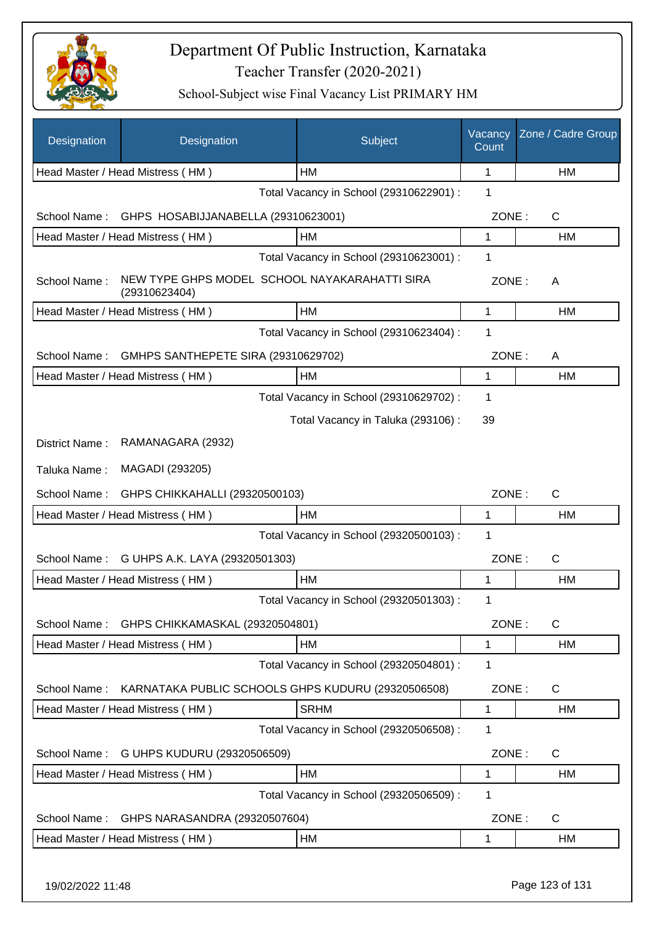

| Designation      | Designation                                                    | Subject                                            | Vacancy<br>Count | Zone / Cadre Group |
|------------------|----------------------------------------------------------------|----------------------------------------------------|------------------|--------------------|
|                  | Head Master / Head Mistress (HM)                               | HM                                                 | 1                | HM                 |
|                  |                                                                | Total Vacancy in School (29310622901) :            | 1                |                    |
| School Name:     | GHPS HOSABIJJANABELLA (29310623001)                            |                                                    | ZONE:            | $\mathsf{C}$       |
|                  | Head Master / Head Mistress (HM)                               | HM                                                 | 1                | HM                 |
|                  |                                                                | Total Vacancy in School (29310623001) :            | 1                |                    |
| School Name:     | NEW TYPE GHPS MODEL SCHOOL NAYAKARAHATTI SIRA<br>(29310623404) |                                                    | ZONE:            | A                  |
|                  | Head Master / Head Mistress (HM)                               | <b>HM</b>                                          | $\mathbf{1}$     | HM                 |
|                  |                                                                | Total Vacancy in School (29310623404) :            | 1                |                    |
| School Name:     | GMHPS SANTHEPETE SIRA (29310629702)                            |                                                    | ZONE:            | A                  |
|                  | Head Master / Head Mistress (HM)                               | HM                                                 | 1                | HM                 |
|                  |                                                                | Total Vacancy in School (29310629702) :            | 1                |                    |
|                  |                                                                | Total Vacancy in Taluka (293106):                  | 39               |                    |
| District Name:   | RAMANAGARA (2932)                                              |                                                    |                  |                    |
| Taluka Name:     | MAGADI (293205)                                                |                                                    |                  |                    |
| School Name:     | GHPS CHIKKAHALLI (29320500103)                                 |                                                    | ZONE:            | $\mathsf{C}$       |
|                  | Head Master / Head Mistress (HM)                               | HM                                                 | 1                | HM                 |
|                  |                                                                | Total Vacancy in School (29320500103) :            | 1                |                    |
| School Name:     | G UHPS A.K. LAYA (29320501303)                                 |                                                    | ZONE:            | $\mathsf{C}$       |
|                  | Head Master / Head Mistress (HM)                               | HM                                                 | 1                | HM                 |
|                  |                                                                | Total Vacancy in School (29320501303) :            | 1                |                    |
| School Name:     | GHPS CHIKKAMASKAL (29320504801)                                |                                                    | ZONE:            | $\mathsf{C}$       |
|                  | Head Master / Head Mistress (HM)                               | HM                                                 | 1                | HM                 |
|                  |                                                                | Total Vacancy in School (29320504801) :            | 1                |                    |
| School Name:     |                                                                | KARNATAKA PUBLIC SCHOOLS GHPS KUDURU (29320506508) | ZONE:            | $\mathsf{C}$       |
|                  | Head Master / Head Mistress (HM)                               | <b>SRHM</b>                                        | 1                | HM                 |
|                  |                                                                | Total Vacancy in School (29320506508) :            | 1                |                    |
| School Name:     | G UHPS KUDURU (29320506509)                                    |                                                    | ZONE:            | $\mathsf{C}$       |
|                  | Head Master / Head Mistress (HM)                               | HM                                                 | 1                | <b>HM</b>          |
|                  |                                                                | Total Vacancy in School (29320506509) :            | $\mathbf{1}$     |                    |
| School Name:     | GHPS NARASANDRA (29320507604)                                  |                                                    | ZONE:            | C                  |
|                  | Head Master / Head Mistress (HM)                               | <b>HM</b>                                          | 1                | <b>HM</b>          |
| 19/02/2022 11:48 |                                                                |                                                    |                  | Page 123 of 131    |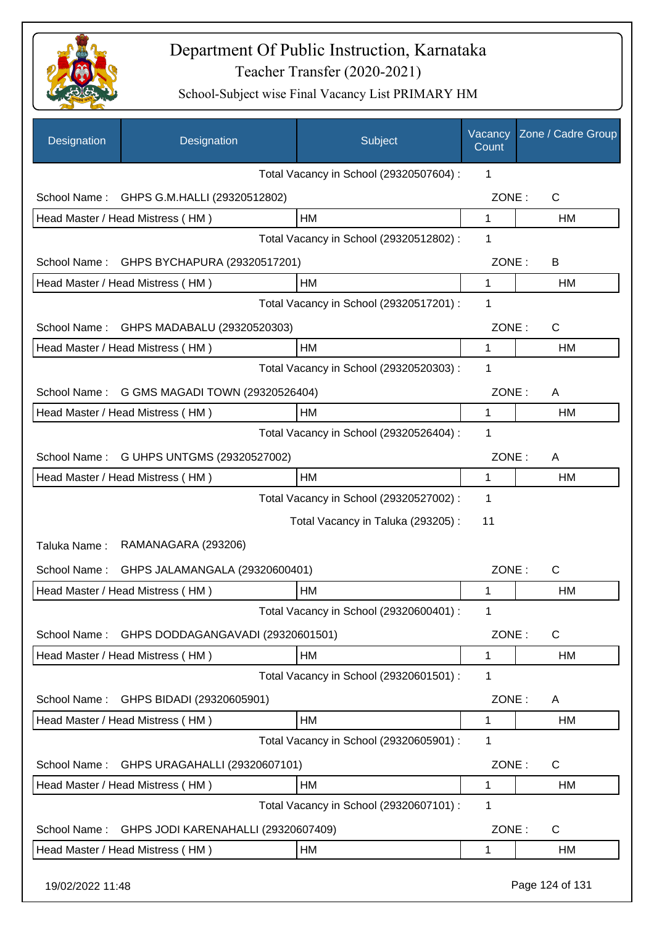

| Designation      | Designation                              | Subject                                 | Vacancy<br>Count | Zone / Cadre Group |
|------------------|------------------------------------------|-----------------------------------------|------------------|--------------------|
|                  |                                          | Total Vacancy in School (29320507604) : | 1                |                    |
| School Name:     | GHPS G.M.HALLI (29320512802)             |                                         | ZONE:            | C                  |
|                  | Head Master / Head Mistress (HM)         | HM                                      | $\mathbf 1$      | HM                 |
|                  |                                          | Total Vacancy in School (29320512802) : | 1                |                    |
| School Name:     | GHPS BYCHAPURA (29320517201)             |                                         | ZONE:            | B                  |
|                  | Head Master / Head Mistress (HM)         | HM                                      | 1                | HM                 |
|                  |                                          | Total Vacancy in School (29320517201) : | 1                |                    |
| School Name:     | GHPS MADABALU (29320520303)              |                                         | ZONE:            | $\mathsf{C}$       |
|                  | Head Master / Head Mistress (HM)         | HM                                      | 1                | HM                 |
|                  |                                          | Total Vacancy in School (29320520303) : | 1                |                    |
| School Name:     | G GMS MAGADI TOWN (29320526404)          |                                         | ZONE:            | A                  |
|                  | Head Master / Head Mistress (HM)         | HM                                      | 1                | HM                 |
|                  |                                          | Total Vacancy in School (29320526404) : | 1                |                    |
|                  | School Name: G UHPS UNTGMS (29320527002) |                                         | ZONE:            | A                  |
|                  | Head Master / Head Mistress (HM)         | HM                                      | 1                | HM                 |
|                  |                                          | Total Vacancy in School (29320527002) : | 1                |                    |
|                  |                                          | Total Vacancy in Taluka (293205):       | 11               |                    |
| Taluka Name:     | RAMANAGARA (293206)                      |                                         |                  |                    |
| School Name:     | GHPS JALAMANGALA (29320600401)           |                                         | ZONE:            | C                  |
|                  | Head Master / Head Mistress (HM)         | HM                                      | 1                | HM                 |
|                  |                                          | Total Vacancy in School (29320600401) : | 1                |                    |
| School Name:     | GHPS DODDAGANGAVADI (29320601501)        |                                         | ZONE:            | $\mathsf{C}$       |
|                  | Head Master / Head Mistress (HM)         | HM                                      | 1                | HM                 |
|                  |                                          | Total Vacancy in School (29320601501) : | 1                |                    |
| School Name:     | GHPS BIDADI (29320605901)                |                                         | ZONE:            | A                  |
|                  | Head Master / Head Mistress (HM)         | HM                                      | 1                | <b>HM</b>          |
|                  |                                          | Total Vacancy in School (29320605901) : | 1                |                    |
| School Name:     | GHPS URAGAHALLI (29320607101)            |                                         | ZONE:            | C                  |
|                  | Head Master / Head Mistress (HM)         | HM                                      | 1                | <b>HM</b>          |
|                  |                                          | Total Vacancy in School (29320607101) : | 1                |                    |
| School Name:     | GHPS JODI KARENAHALLI (29320607409)      |                                         | ZONE:            | $\mathsf{C}$       |
|                  | Head Master / Head Mistress (HM)         | HM                                      | 1                | HM                 |
| 19/02/2022 11:48 |                                          |                                         |                  | Page 124 of 131    |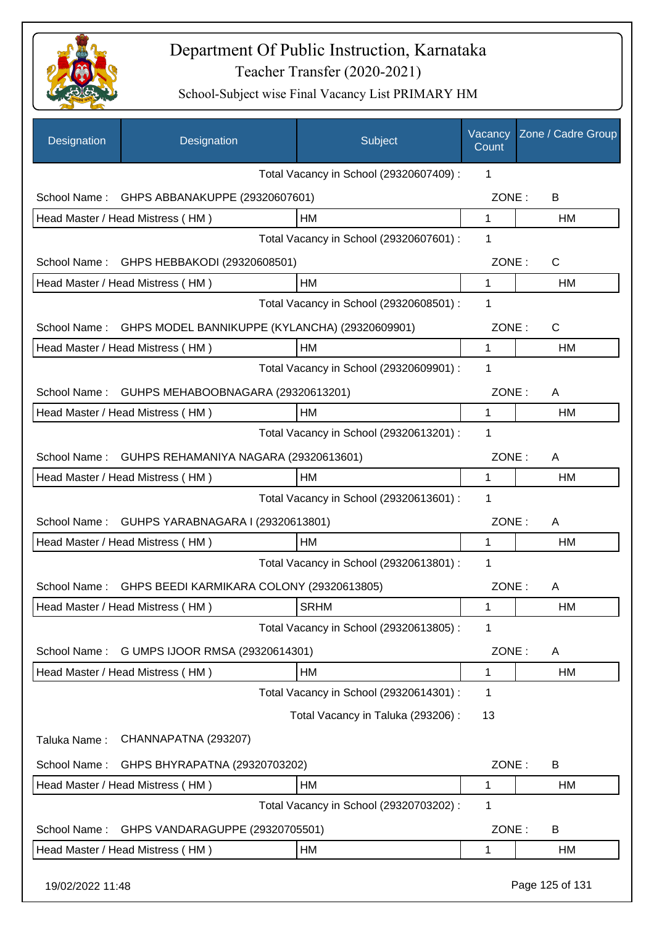

| Designation      | Designation                                    | Subject                                 | Vacancy<br>Count | Zone / Cadre Group |
|------------------|------------------------------------------------|-----------------------------------------|------------------|--------------------|
|                  |                                                | Total Vacancy in School (29320607409) : | 1                |                    |
| School Name:     | GHPS ABBANAKUPPE (29320607601)                 |                                         | ZONE:            | B                  |
|                  | Head Master / Head Mistress (HM)               | HM                                      | 1                | HM                 |
|                  |                                                | Total Vacancy in School (29320607601) : | 1                |                    |
| School Name:     | GHPS HEBBAKODI (29320608501)                   |                                         | ZONE:            | $\mathsf{C}$       |
|                  | Head Master / Head Mistress (HM)               | HM                                      | 1                | HM                 |
|                  |                                                | Total Vacancy in School (29320608501) : | $\mathbf{1}$     |                    |
| School Name:     | GHPS MODEL BANNIKUPPE (KYLANCHA) (29320609901) |                                         | ZONE:            | C                  |
|                  | Head Master / Head Mistress (HM)               | <b>HM</b>                               | 1                | HM                 |
|                  |                                                | Total Vacancy in School (29320609901) : | 1                |                    |
| School Name:     | GUHPS MEHABOOBNAGARA (29320613201)             |                                         | ZONE:            | A                  |
|                  | Head Master / Head Mistress (HM)               | HM                                      | 1                | HM                 |
|                  |                                                | Total Vacancy in School (29320613201) : | 1                |                    |
| School Name:     | GUHPS REHAMANIYA NAGARA (29320613601)          |                                         | ZONE:            | A                  |
|                  | Head Master / Head Mistress (HM)               | HM                                      | 1                | <b>HM</b>          |
|                  |                                                | Total Vacancy in School (29320613601) : | $\mathbf 1$      |                    |
| School Name:     | GUHPS YARABNAGARA I (29320613801)              |                                         | ZONE:            | A                  |
|                  | Head Master / Head Mistress (HM)               | <b>HM</b>                               | 1                | HM                 |
|                  |                                                | Total Vacancy in School (29320613801) : | 1                |                    |
| School Name:     | GHPS BEEDI KARMIKARA COLONY (29320613805)      |                                         | ZONE:            | A                  |
|                  | Head Master / Head Mistress (HM)               | <b>SRHM</b>                             | 1                | HM                 |
|                  |                                                | Total Vacancy in School (29320613805) : | 1                |                    |
| School Name:     | G UMPS IJOOR RMSA (29320614301)                |                                         | ZONE:            | A                  |
|                  | Head Master / Head Mistress (HM)               | HM                                      | 1                | HM                 |
|                  |                                                | Total Vacancy in School (29320614301) : | 1                |                    |
|                  |                                                | Total Vacancy in Taluka (293206):       | 13               |                    |
| Taluka Name:     | CHANNAPATNA (293207)                           |                                         |                  |                    |
| School Name:     | GHPS BHYRAPATNA (29320703202)                  |                                         | ZONE:            | B                  |
|                  | Head Master / Head Mistress (HM)               | HM                                      | 1                | HM                 |
|                  |                                                | Total Vacancy in School (29320703202) : | 1                |                    |
| School Name:     | GHPS VANDARAGUPPE (29320705501)                |                                         | ZONE:            | В                  |
|                  | Head Master / Head Mistress (HM)               | HM                                      | 1                | HM                 |
| 19/02/2022 11:48 |                                                |                                         |                  | Page 125 of 131    |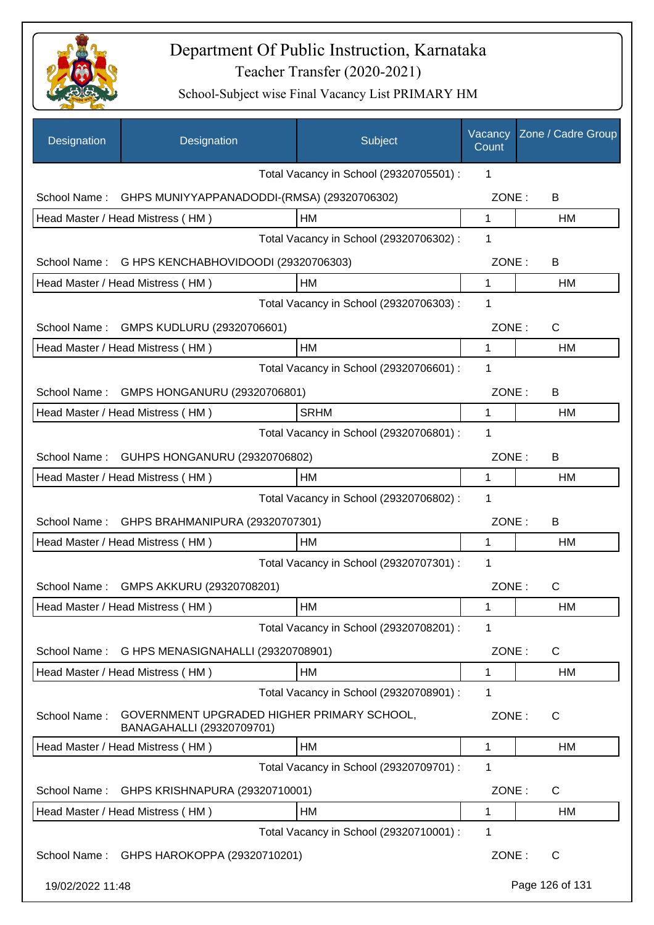

| Designation      | Designation                                                             | Subject                                 | Vacancy<br>Count | Zone / Cadre Group |
|------------------|-------------------------------------------------------------------------|-----------------------------------------|------------------|--------------------|
|                  |                                                                         | Total Vacancy in School (29320705501) : | 1                |                    |
| School Name:     | GHPS MUNIYYAPPANADODDI-(RMSA) (29320706302)                             |                                         | ZONE:            | B                  |
|                  | Head Master / Head Mistress (HM)                                        | <b>HM</b>                               | 1                | HM                 |
|                  |                                                                         | Total Vacancy in School (29320706302) : | 1                |                    |
| School Name:     | G HPS KENCHABHOVIDOODI (29320706303)                                    |                                         | ZONE:            | B                  |
|                  | Head Master / Head Mistress (HM)                                        | HМ                                      | 1                | HM                 |
|                  |                                                                         | Total Vacancy in School (29320706303) : | 1                |                    |
|                  | School Name: GMPS KUDLURU (29320706601)                                 |                                         | ZONE:            | C                  |
|                  | Head Master / Head Mistress (HM)                                        | HM                                      | 1                | НM                 |
|                  |                                                                         | Total Vacancy in School (29320706601) : | 1                |                    |
| School Name:     | GMPS HONGANURU (29320706801)                                            |                                         | ZONE:            | B                  |
|                  | Head Master / Head Mistress (HM)                                        | <b>SRHM</b>                             | 1                | HM                 |
|                  |                                                                         | Total Vacancy in School (29320706801) : | 1                |                    |
| School Name:     | GUHPS HONGANURU (29320706802)                                           |                                         | ZONE:            | B                  |
|                  | Head Master / Head Mistress (HM)                                        | HМ                                      | 1                | HM                 |
|                  |                                                                         | Total Vacancy in School (29320706802) : | 1                |                    |
| School Name:     | GHPS BRAHMANIPURA (29320707301)                                         |                                         | ZONE:            | В                  |
|                  | Head Master / Head Mistress (HM)                                        | HM                                      | 1                | HM                 |
|                  |                                                                         | Total Vacancy in School (29320707301) : | 1                |                    |
| School Name:     | GMPS AKKURU (29320708201)                                               |                                         | ZONE:            | C                  |
|                  | Head Master / Head Mistress (HM)                                        | HM                                      | 1                | HM                 |
|                  |                                                                         | Total Vacancy in School (29320708201) : | 1                |                    |
| School Name:     | G HPS MENASIGNAHALLI (29320708901)                                      |                                         | ZONE:            | C                  |
|                  | Head Master / Head Mistress (HM)                                        | НM                                      | 1                | НM                 |
|                  |                                                                         | Total Vacancy in School (29320708901) : | 1                |                    |
| School Name:     | GOVERNMENT UPGRADED HIGHER PRIMARY SCHOOL,<br>BANAGAHALLI (29320709701) |                                         | ZONE:            | C                  |
|                  | Head Master / Head Mistress (HM)                                        | HM                                      | 1                | <b>HM</b>          |
|                  |                                                                         | Total Vacancy in School (29320709701) : | 1                |                    |
| School Name:     | GHPS KRISHNAPURA (29320710001)                                          |                                         | ZONE:            | C                  |
|                  | Head Master / Head Mistress (HM)                                        | HM                                      | 1                | HM                 |
|                  |                                                                         | Total Vacancy in School (29320710001) : | 1                |                    |
|                  | School Name: GHPS HAROKOPPA (29320710201)                               |                                         | ZONE:            | C                  |
| 19/02/2022 11:48 |                                                                         |                                         |                  | Page 126 of 131    |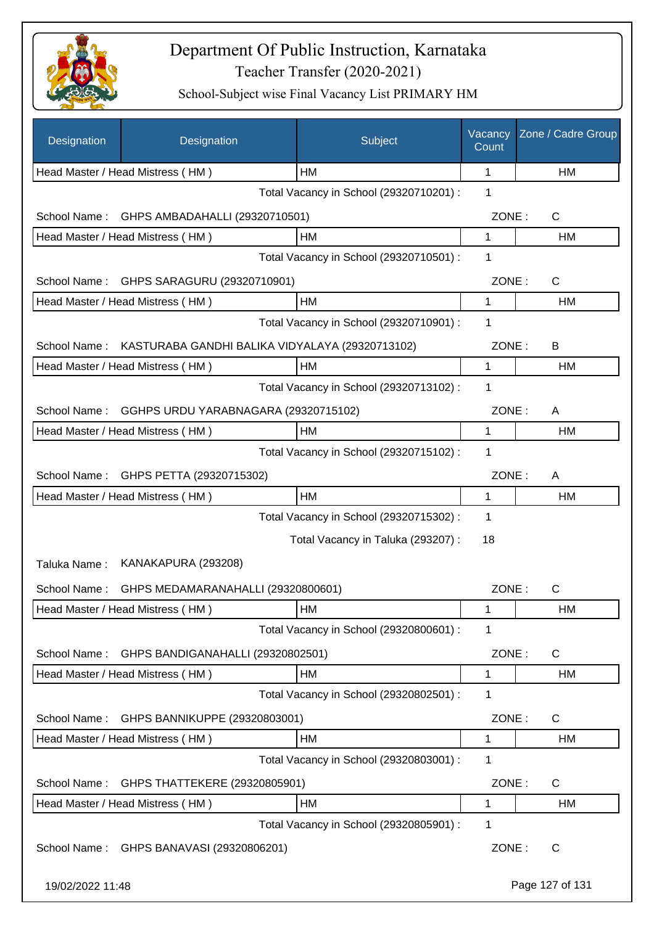

| Designation      | Designation                                                  | Subject                                 | Vacancy<br>Count | Zone / Cadre Group |
|------------------|--------------------------------------------------------------|-----------------------------------------|------------------|--------------------|
|                  | Head Master / Head Mistress (HM)                             | HM                                      | $\mathbf 1$      | НM                 |
|                  |                                                              | Total Vacancy in School (29320710201) : | 1                |                    |
| School Name:     | GHPS AMBADAHALLI (29320710501)                               |                                         | ZONE:            | C                  |
|                  | Head Master / Head Mistress (HM)                             | HM                                      | 1                | НM                 |
|                  |                                                              | Total Vacancy in School (29320710501) : | 1                |                    |
| School Name:     | GHPS SARAGURU (29320710901)                                  |                                         | ZONE:            | C                  |
|                  | Head Master / Head Mistress (HM)                             | HM                                      | 1                | HM                 |
|                  |                                                              | Total Vacancy in School (29320710901) : | 1                |                    |
|                  | School Name: KASTURABA GANDHI BALIKA VIDYALAYA (29320713102) |                                         | ZONE:            | B                  |
|                  | Head Master / Head Mistress (HM)                             | HM                                      | 1                | HM                 |
|                  |                                                              | Total Vacancy in School (29320713102) : | 1                |                    |
| School Name:     | GGHPS URDU YARABNAGARA (29320715102)                         |                                         | ZONE:            | A                  |
|                  | Head Master / Head Mistress (HM)                             | HM                                      | 1                | HM                 |
|                  |                                                              | Total Vacancy in School (29320715102) : | 1                |                    |
| School Name:     | GHPS PETTA (29320715302)                                     |                                         | ZONE:            | A                  |
|                  | Head Master / Head Mistress (HM)                             | HM                                      | 1                | HM                 |
|                  |                                                              | Total Vacancy in School (29320715302) : | 1                |                    |
|                  |                                                              | Total Vacancy in Taluka (293207) :      | 18               |                    |
| Taluka Name:     | KANAKAPURA (293208)                                          |                                         |                  |                    |
| School Name:     | GHPS MEDAMARANAHALLI (29320800601)                           |                                         | ZONE:            | $\mathsf{C}$       |
|                  | Head Master / Head Mistress (HM)                             | HM                                      | 1                | HM                 |
|                  |                                                              | Total Vacancy in School (29320800601) : | 1                |                    |
| School Name:     | GHPS BANDIGANAHALLI (29320802501)                            |                                         | ZONE:            | C                  |
|                  | Head Master / Head Mistress (HM)                             | HM                                      | 1                | HM                 |
|                  |                                                              | Total Vacancy in School (29320802501) : | 1                |                    |
| School Name:     | GHPS BANNIKUPPE (29320803001)                                |                                         | ZONE:            | C                  |
|                  | Head Master / Head Mistress (HM)                             | HM                                      | 1                | HM                 |
|                  |                                                              | Total Vacancy in School (29320803001) : | 1                |                    |
| School Name:     | GHPS THATTEKERE (29320805901)                                |                                         | ZONE:            | C                  |
|                  | Head Master / Head Mistress (HM)                             | HM                                      | 1                | HM                 |
|                  |                                                              | Total Vacancy in School (29320805901) : | 1                |                    |
| School Name:     | GHPS BANAVASI (29320806201)                                  |                                         | ZONE:            | C                  |
| 19/02/2022 11:48 |                                                              |                                         |                  | Page 127 of 131    |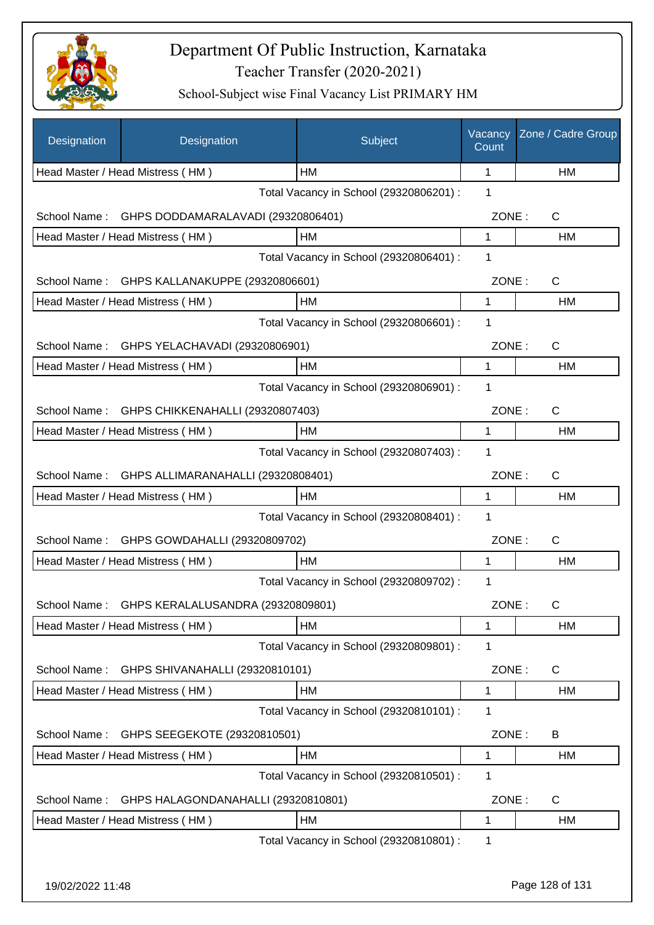

| Designation      | Designation                         | Subject                                 | Vacancy<br>Count | Zone / Cadre Group |
|------------------|-------------------------------------|-----------------------------------------|------------------|--------------------|
|                  | Head Master / Head Mistress (HM)    | HМ                                      | 1                | HM                 |
|                  |                                     | Total Vacancy in School (29320806201) : | 1                |                    |
| School Name:     | GHPS DODDAMARALAVADI (29320806401)  |                                         | ZONE:            | C                  |
|                  | Head Master / Head Mistress (HM)    | HM                                      | 1                | НM                 |
|                  |                                     | Total Vacancy in School (29320806401) : | 1                |                    |
| School Name:     | GHPS KALLANAKUPPE (29320806601)     |                                         | ZONE:            | $\mathsf{C}$       |
|                  | Head Master / Head Mistress (HM)    | HM                                      | 1                | <b>HM</b>          |
|                  |                                     | Total Vacancy in School (29320806601) : | 1                |                    |
| School Name:     | GHPS YELACHAVADI (29320806901)      |                                         | ZONE:            | C                  |
|                  | Head Master / Head Mistress (HM)    | HM                                      | 1                | HM                 |
|                  |                                     | Total Vacancy in School (29320806901) : | 1                |                    |
| School Name:     | GHPS CHIKKENAHALLI (29320807403)    |                                         | ZONE:            | $\mathsf C$        |
|                  | Head Master / Head Mistress (HM)    | HM                                      | 1                | HM                 |
|                  |                                     | Total Vacancy in School (29320807403) : | $\mathbf 1$      |                    |
| School Name:     | GHPS ALLIMARANAHALLI (29320808401)  |                                         | ZONE:            | C                  |
|                  | Head Master / Head Mistress (HM)    | HM                                      | 1                | HM                 |
|                  |                                     | Total Vacancy in School (29320808401) : | 1                |                    |
| School Name:     | GHPS GOWDAHALLI (29320809702)       |                                         | ZONE:            | C                  |
|                  | Head Master / Head Mistress (HM)    | HM                                      | 1                | НM                 |
|                  |                                     | Total Vacancy in School (29320809702) : | 1                |                    |
| School Name:     | GHPS KERALALUSANDRA (29320809801)   |                                         | ZONE:            | С                  |
|                  | Head Master / Head Mistress (HM)    | HМ                                      | 1                | HM                 |
|                  |                                     | Total Vacancy in School (29320809801) : | 1                |                    |
| School Name:     | GHPS SHIVANAHALLI (29320810101)     |                                         | ZONE:            | C                  |
|                  | Head Master / Head Mistress (HM)    | HM                                      | 1                | HM                 |
|                  |                                     | Total Vacancy in School (29320810101) : | 1                |                    |
| School Name:     | GHPS SEEGEKOTE (29320810501)        |                                         | ZONE:            | B                  |
|                  | Head Master / Head Mistress (HM)    | HM                                      | 1                | HM                 |
|                  |                                     | Total Vacancy in School (29320810501) : | 1                |                    |
| School Name:     | GHPS HALAGONDANAHALLI (29320810801) |                                         | ZONE:            | C                  |
|                  | Head Master / Head Mistress (HM)    | HM                                      | 1                | HM                 |
|                  |                                     | Total Vacancy in School (29320810801) : | 1                |                    |
|                  |                                     |                                         |                  |                    |
| 19/02/2022 11:48 |                                     |                                         |                  | Page 128 of 131    |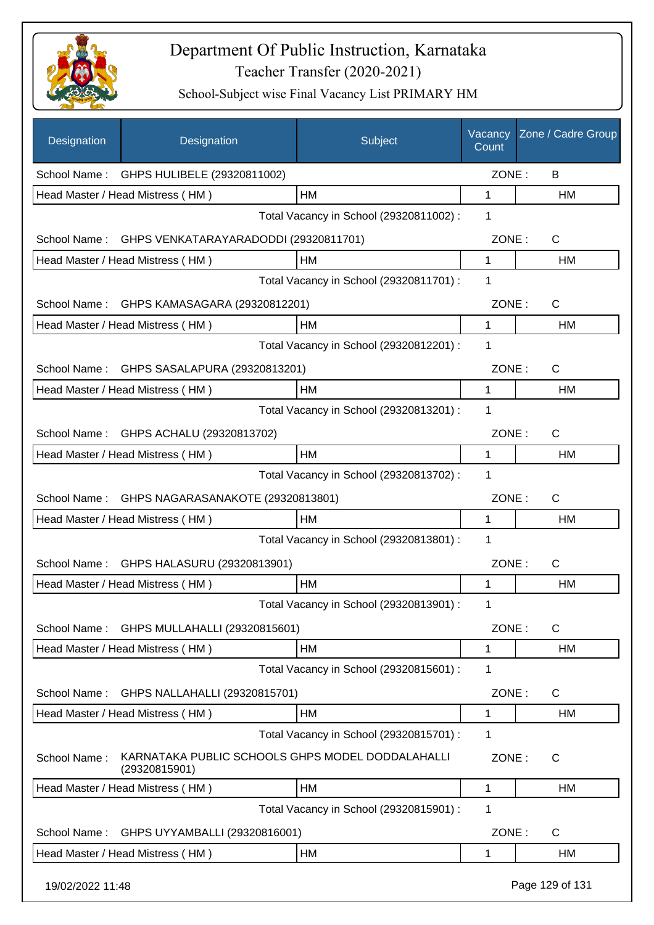

| Designation      | Designation                                                       | Subject                                 | Vacancy<br>Count | Zone / Cadre Group |
|------------------|-------------------------------------------------------------------|-----------------------------------------|------------------|--------------------|
|                  | School Name: GHPS HULIBELE (29320811002)                          |                                         | ZONE:            | B                  |
|                  | Head Master / Head Mistress (HM)                                  | HM                                      | $\mathbf 1$      | HM                 |
|                  |                                                                   | Total Vacancy in School (29320811002) : | 1                |                    |
|                  | School Name: GHPS VENKATARAYARADODDI (29320811701)                |                                         | ZONE:            | $\mathsf{C}$       |
|                  | Head Master / Head Mistress (HM)                                  | HM                                      | $\mathbf 1$      | HM                 |
|                  |                                                                   | Total Vacancy in School (29320811701) : | 1                |                    |
|                  | School Name: GHPS KAMASAGARA (29320812201)                        |                                         | ZONE:            | C                  |
|                  | Head Master / Head Mistress (HM)                                  | HM                                      | 1                | HM                 |
|                  |                                                                   | Total Vacancy in School (29320812201) : | 1                |                    |
|                  | School Name: GHPS SASALAPURA (29320813201)                        |                                         | ZONE:            | $\mathsf{C}$       |
|                  | Head Master / Head Mistress (HM)                                  | HМ                                      | 1                | HM                 |
|                  |                                                                   | Total Vacancy in School (29320813201) : | 1                |                    |
|                  | School Name: GHPS ACHALU (29320813702)                            |                                         | ZONE:            | $\mathsf{C}$       |
|                  | Head Master / Head Mistress (HM)                                  | HM                                      | 1                | HM                 |
|                  |                                                                   | Total Vacancy in School (29320813702) : | 1                |                    |
|                  | School Name: GHPS NAGARASANAKOTE (29320813801)                    |                                         | ZONE:            | $\mathsf{C}$       |
|                  | Head Master / Head Mistress (HM)                                  | HM                                      | 1                | <b>HM</b>          |
|                  |                                                                   | Total Vacancy in School (29320813801) : | 1                |                    |
| School Name:     | GHPS HALASURU (29320813901)                                       |                                         | ZONE:            | $\mathsf{C}$       |
|                  | Head Master / Head Mistress (HM)                                  | <b>HM</b>                               | 1                | <b>HM</b>          |
|                  |                                                                   | Total Vacancy in School (29320813901) : | 1                |                    |
|                  | School Name: GHPS MULLAHALLI (29320815601)                        |                                         | ZONE:            | $\mathsf{C}$       |
|                  | Head Master / Head Mistress (HM)                                  | HM                                      | 1                | HM                 |
|                  |                                                                   | Total Vacancy in School (29320815601) : | 1                |                    |
| School Name:     | GHPS NALLAHALLI (29320815701)                                     |                                         | ZONE:            | C                  |
|                  | Head Master / Head Mistress (HM)                                  | HM                                      | 1                | HM                 |
|                  |                                                                   | Total Vacancy in School (29320815701) : | 1                |                    |
| School Name:     | KARNATAKA PUBLIC SCHOOLS GHPS MODEL DODDALAHALLI<br>(29320815901) |                                         | ZONE:            | C                  |
|                  | Head Master / Head Mistress (HM)                                  | HM                                      | 1                | HM                 |
|                  |                                                                   | Total Vacancy in School (29320815901) : | 1                |                    |
| School Name:     | GHPS UYYAMBALLI (29320816001)                                     |                                         | ZONE:            | $\mathsf{C}$       |
|                  | Head Master / Head Mistress (HM)                                  | HM                                      | 1                | HM                 |
| 19/02/2022 11:48 |                                                                   |                                         |                  | Page 129 of 131    |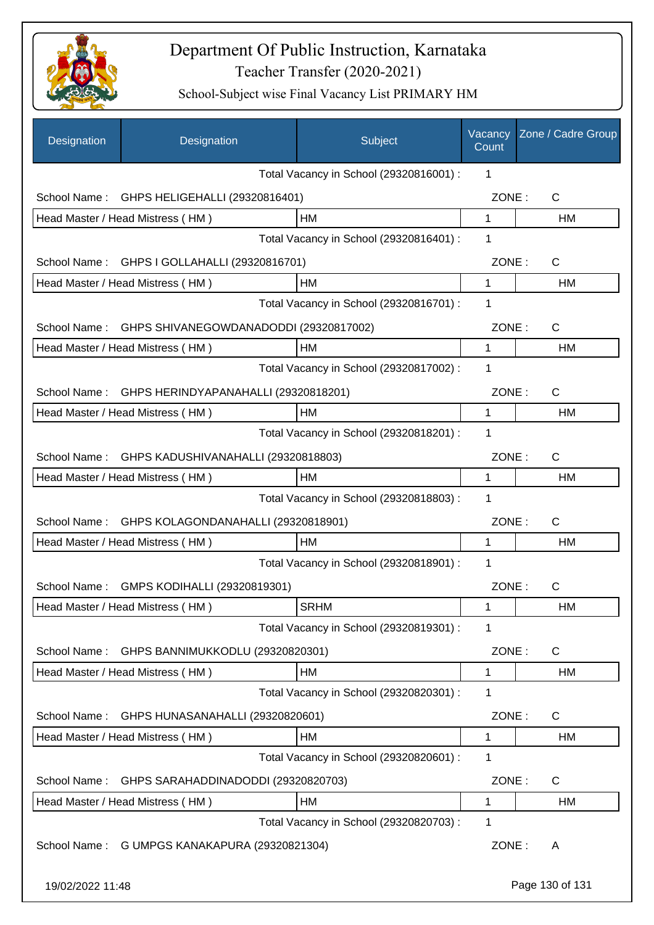

| Designation      | Designation                                   | Subject                                 | Vacancy<br>Count | Zone / Cadre Group |
|------------------|-----------------------------------------------|-----------------------------------------|------------------|--------------------|
|                  |                                               | Total Vacancy in School (29320816001) : | 1                |                    |
| School Name:     | GHPS HELIGEHALLI (29320816401)                |                                         | ZONE:            | C                  |
|                  | Head Master / Head Mistress (HM)              | <b>HM</b>                               | 1                | <b>HM</b>          |
|                  |                                               | Total Vacancy in School (29320816401) : | 1                |                    |
| School Name:     | GHPS I GOLLAHALLI (29320816701)               |                                         | ZONE:            | $\mathsf{C}$       |
|                  | Head Master / Head Mistress (HM)              | НM                                      | 1                | HM                 |
|                  |                                               | Total Vacancy in School (29320816701) : | 1                |                    |
| School Name:     | GHPS SHIVANEGOWDANADODDI (29320817002)        |                                         | ZONE:            | $\mathsf{C}$       |
|                  | Head Master / Head Mistress (HM)              | НM                                      | 1                | HM                 |
|                  |                                               | Total Vacancy in School (29320817002) : | 1                |                    |
| School Name:     | GHPS HERINDYAPANAHALLI (29320818201)          |                                         | ZONE:            | $\mathsf{C}$       |
|                  | Head Master / Head Mistress (HM)              | HM                                      | 1                | <b>HM</b>          |
|                  |                                               | Total Vacancy in School (29320818201) : | 1                |                    |
| School Name:     | GHPS KADUSHIVANAHALLI (29320818803)           |                                         | ZONE:            | $\mathsf{C}$       |
|                  | Head Master / Head Mistress (HM)              | НM                                      | 1                | HM                 |
|                  |                                               | Total Vacancy in School (29320818803) : | 1                |                    |
| School Name:     | GHPS KOLAGONDANAHALLI (29320818901)           |                                         | ZONE:            | $\mathsf{C}$       |
|                  | Head Master / Head Mistress (HM)              | HM                                      | 1                | <b>HM</b>          |
|                  |                                               | Total Vacancy in School (29320818901) : | 1                |                    |
| School Name:     | GMPS KODIHALLI (29320819301)                  |                                         | ZONE:            | С                  |
|                  | Head Master / Head Mistress (HM)              | <b>SRHM</b>                             | 1                | HM                 |
|                  |                                               | Total Vacancy in School (29320819301) : | 1                |                    |
| School Name:     | GHPS BANNIMUKKODLU (29320820301)              |                                         | ZONE:            | C                  |
|                  | Head Master / Head Mistress (HM)              | HM                                      | 1                | HM                 |
|                  |                                               | Total Vacancy in School (29320820301) : | 1                |                    |
| School Name:     | GHPS HUNASANAHALLI (29320820601)              |                                         | ZONE:            | C                  |
|                  | Head Master / Head Mistress (HM)              | HM                                      | 1                | HM                 |
|                  |                                               | Total Vacancy in School (29320820601) : | 1                |                    |
| School Name:     | GHPS SARAHADDINADODDI (29320820703)           |                                         | ZONE:            | C                  |
|                  | Head Master / Head Mistress (HM)              | HM                                      | 1                | HM                 |
|                  |                                               | Total Vacancy in School (29320820703) : | 1                |                    |
|                  | School Name: G UMPGS KANAKAPURA (29320821304) |                                         | ZONE:            | A                  |
| 19/02/2022 11:48 |                                               |                                         |                  | Page 130 of 131    |